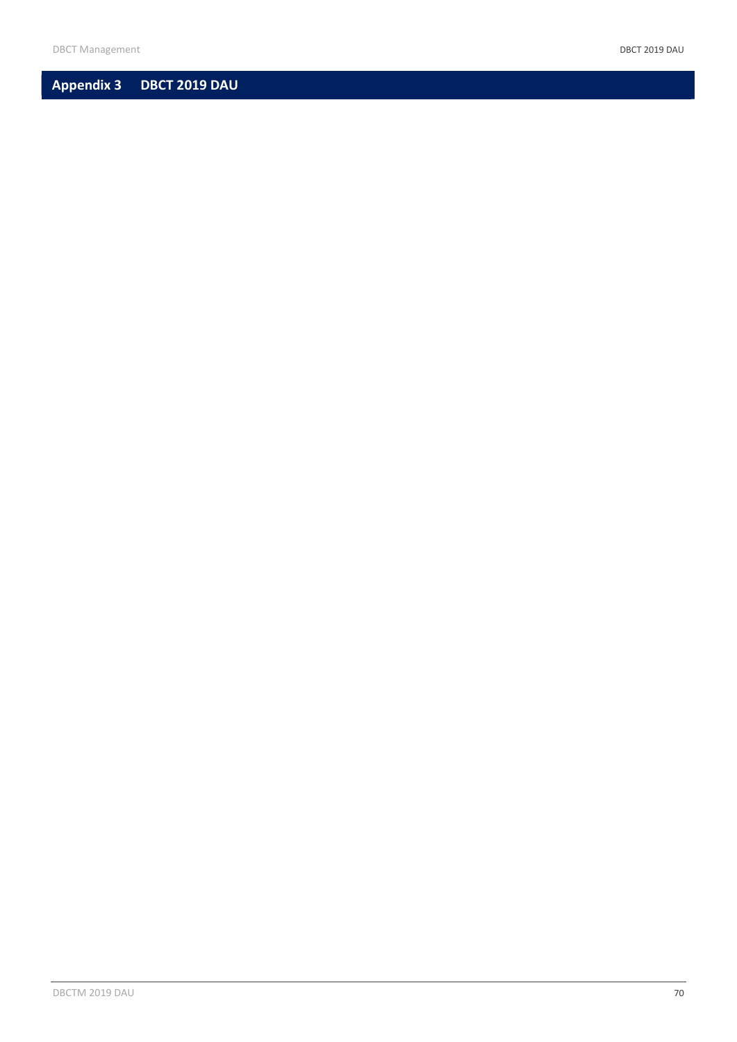# Appendix 3 DBCT 2019 DAU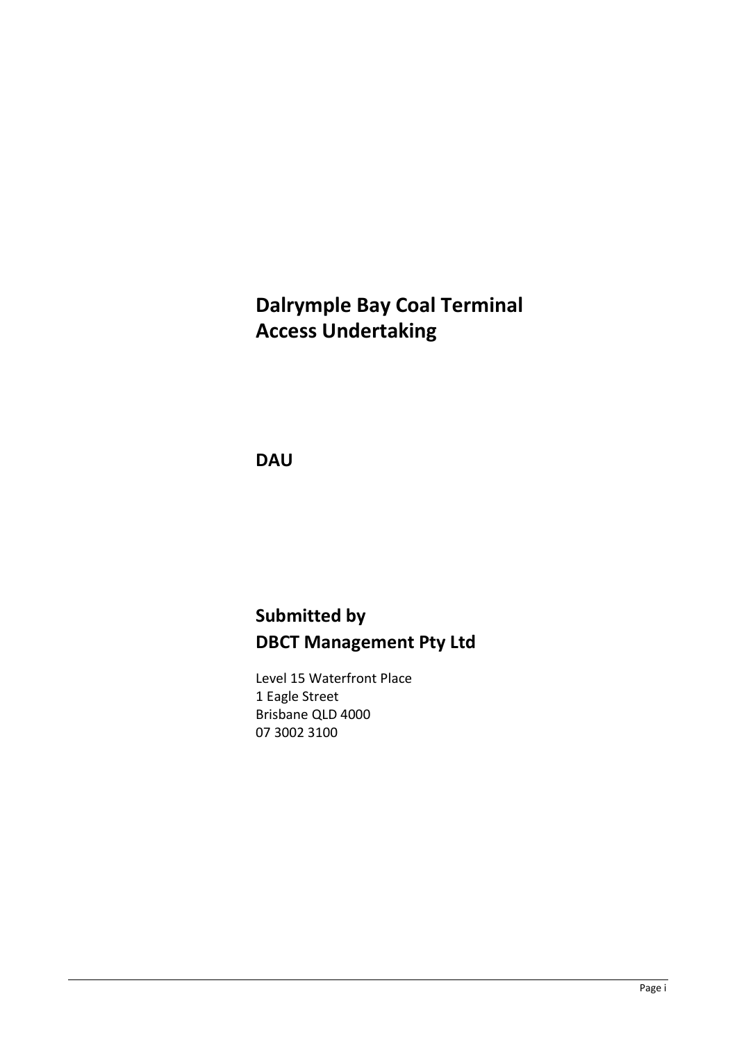# Dalrymple Bay Coal Terminal Access Undertaking

**DAU** 

# Submitted by DBCT Management Pty Ltd

Level 15 Waterfront Place 1 Eagle Street Brisbane QLD 4000 07 3002 3100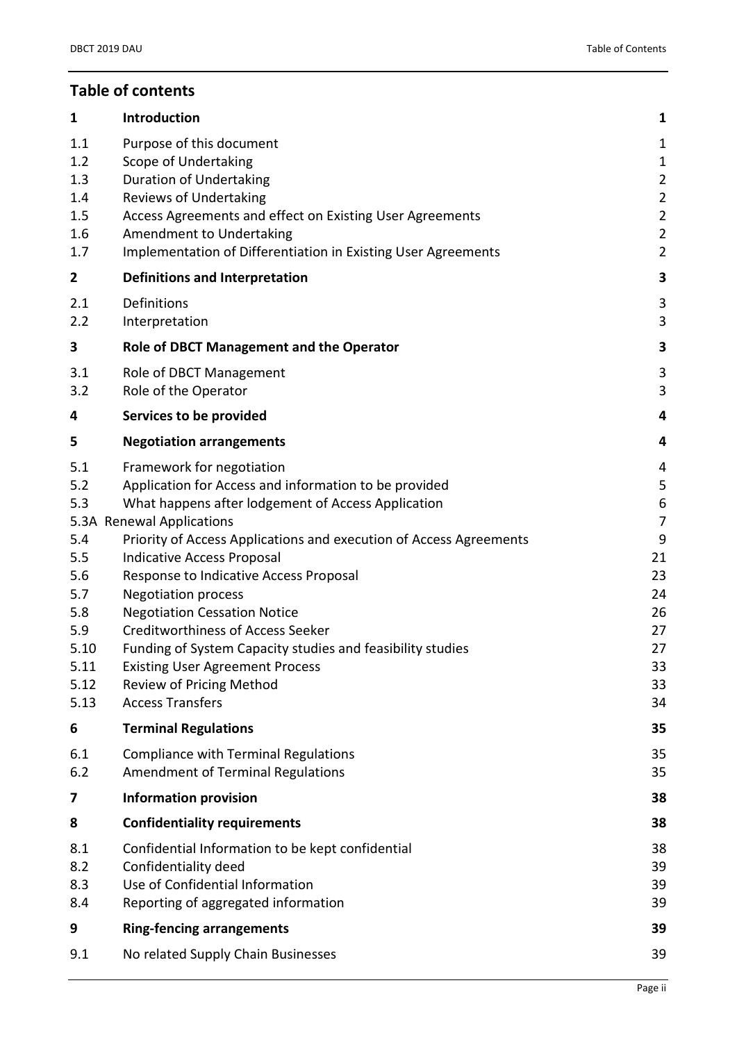| 1                                                                                           | <b>Introduction</b>                                                                                                                                                                                                                                                                                                                                                                                                                                                                                                                                                                                               | 1                                                                                                |
|---------------------------------------------------------------------------------------------|-------------------------------------------------------------------------------------------------------------------------------------------------------------------------------------------------------------------------------------------------------------------------------------------------------------------------------------------------------------------------------------------------------------------------------------------------------------------------------------------------------------------------------------------------------------------------------------------------------------------|--------------------------------------------------------------------------------------------------|
| 1.1<br>1.2<br>1.3<br>1.4<br>1.5<br>1.6<br>1.7                                               | Purpose of this document<br>Scope of Undertaking<br><b>Duration of Undertaking</b><br><b>Reviews of Undertaking</b><br>Access Agreements and effect on Existing User Agreements<br>Amendment to Undertaking<br>Implementation of Differentiation in Existing User Agreements                                                                                                                                                                                                                                                                                                                                      | 1<br>1<br>$\overline{2}$<br>$\overline{2}$<br>$\overline{2}$<br>$\overline{2}$<br>$\overline{2}$ |
| $\mathbf{2}$                                                                                | <b>Definitions and Interpretation</b>                                                                                                                                                                                                                                                                                                                                                                                                                                                                                                                                                                             | 3                                                                                                |
| 2.1<br>2.2                                                                                  | Definitions<br>Interpretation                                                                                                                                                                                                                                                                                                                                                                                                                                                                                                                                                                                     | 3<br>3                                                                                           |
| 3                                                                                           | Role of DBCT Management and the Operator                                                                                                                                                                                                                                                                                                                                                                                                                                                                                                                                                                          | 3                                                                                                |
| 3.1<br>3.2                                                                                  | Role of DBCT Management<br>Role of the Operator                                                                                                                                                                                                                                                                                                                                                                                                                                                                                                                                                                   | 3<br>3                                                                                           |
| 4                                                                                           | Services to be provided                                                                                                                                                                                                                                                                                                                                                                                                                                                                                                                                                                                           | 4                                                                                                |
| 5                                                                                           | <b>Negotiation arrangements</b>                                                                                                                                                                                                                                                                                                                                                                                                                                                                                                                                                                                   | 4                                                                                                |
| 5.1<br>5.2<br>5.3<br>5.4<br>5.5<br>5.6<br>5.7<br>5.8<br>5.9<br>5.10<br>5.11<br>5.12<br>5.13 | Framework for negotiation<br>Application for Access and information to be provided<br>What happens after lodgement of Access Application<br>5.3A Renewal Applications<br>Priority of Access Applications and execution of Access Agreements<br><b>Indicative Access Proposal</b><br>Response to Indicative Access Proposal<br><b>Negotiation process</b><br><b>Negotiation Cessation Notice</b><br><b>Creditworthiness of Access Seeker</b><br>Funding of System Capacity studies and feasibility studies<br><b>Existing User Agreement Process</b><br><b>Review of Pricing Method</b><br><b>Access Transfers</b> | 4<br>5<br>6<br>7<br>9<br>21<br>23<br>24<br>26<br>27<br>27<br>33<br>33<br>34                      |
| 6                                                                                           | <b>Terminal Regulations</b>                                                                                                                                                                                                                                                                                                                                                                                                                                                                                                                                                                                       | 35                                                                                               |
| 6.1<br>6.2                                                                                  | <b>Compliance with Terminal Regulations</b><br><b>Amendment of Terminal Regulations</b>                                                                                                                                                                                                                                                                                                                                                                                                                                                                                                                           | 35<br>35                                                                                         |
| 7                                                                                           | <b>Information provision</b>                                                                                                                                                                                                                                                                                                                                                                                                                                                                                                                                                                                      | 38                                                                                               |
| 8                                                                                           | <b>Confidentiality requirements</b>                                                                                                                                                                                                                                                                                                                                                                                                                                                                                                                                                                               | 38                                                                                               |
| 8.1<br>8.2<br>8.3<br>8.4                                                                    | Confidential Information to be kept confidential<br>Confidentiality deed<br>Use of Confidential Information<br>Reporting of aggregated information                                                                                                                                                                                                                                                                                                                                                                                                                                                                | 38<br>39<br>39<br>39                                                                             |
| 9                                                                                           | <b>Ring-fencing arrangements</b>                                                                                                                                                                                                                                                                                                                                                                                                                                                                                                                                                                                  | 39                                                                                               |
| 9.1                                                                                         | No related Supply Chain Businesses                                                                                                                                                                                                                                                                                                                                                                                                                                                                                                                                                                                | 39                                                                                               |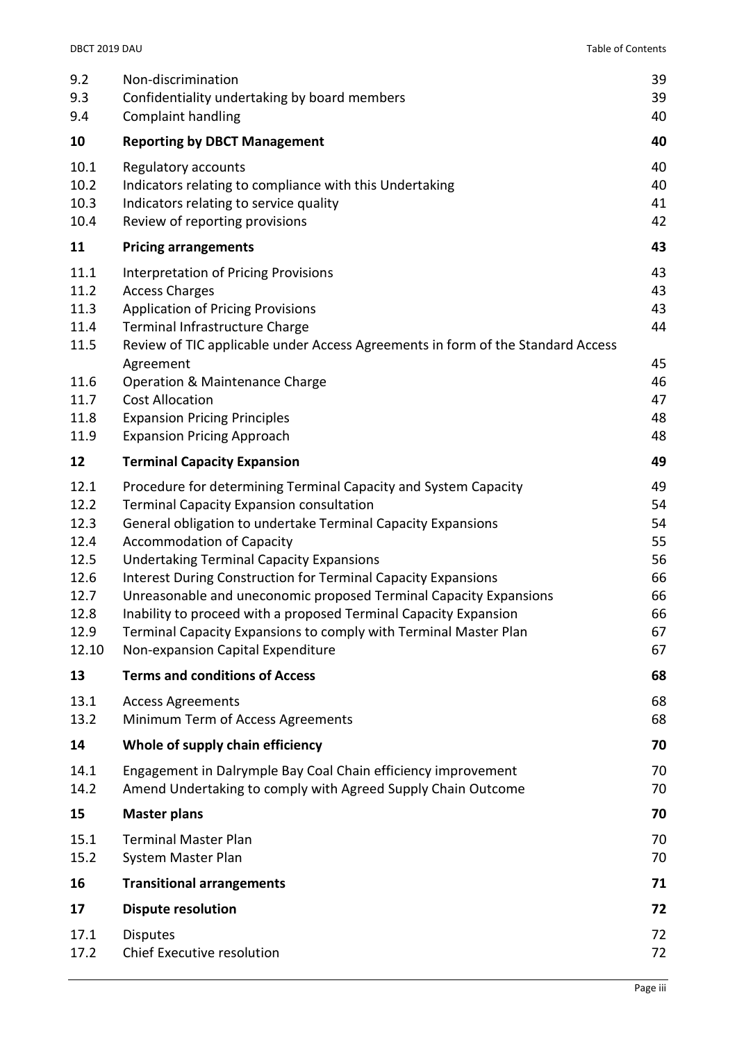| 9.2<br>9.3<br>9.4                                                             | Non-discrimination<br>Confidentiality undertaking by board members<br><b>Complaint handling</b>                                                                                                                                                                                                                                                                                                                                                                                                                                                                                                     | 39<br>39<br>40                                           |
|-------------------------------------------------------------------------------|-----------------------------------------------------------------------------------------------------------------------------------------------------------------------------------------------------------------------------------------------------------------------------------------------------------------------------------------------------------------------------------------------------------------------------------------------------------------------------------------------------------------------------------------------------------------------------------------------------|----------------------------------------------------------|
| 10                                                                            | <b>Reporting by DBCT Management</b>                                                                                                                                                                                                                                                                                                                                                                                                                                                                                                                                                                 | 40                                                       |
| 10.1<br>10.2<br>10.3<br>10.4                                                  | Regulatory accounts<br>Indicators relating to compliance with this Undertaking<br>Indicators relating to service quality<br>Review of reporting provisions                                                                                                                                                                                                                                                                                                                                                                                                                                          | 40<br>40<br>41<br>42                                     |
| 11                                                                            | <b>Pricing arrangements</b>                                                                                                                                                                                                                                                                                                                                                                                                                                                                                                                                                                         | 43                                                       |
| 11.1<br>11.2<br>11.3<br>11.4<br>11.5<br>11.6<br>11.7<br>11.8                  | <b>Interpretation of Pricing Provisions</b><br><b>Access Charges</b><br><b>Application of Pricing Provisions</b><br>Terminal Infrastructure Charge<br>Review of TIC applicable under Access Agreements in form of the Standard Access<br>Agreement<br>Operation & Maintenance Charge<br><b>Cost Allocation</b><br><b>Expansion Pricing Principles</b>                                                                                                                                                                                                                                               | 43<br>43<br>43<br>44<br>45<br>46<br>47<br>48             |
| 11.9                                                                          | <b>Expansion Pricing Approach</b>                                                                                                                                                                                                                                                                                                                                                                                                                                                                                                                                                                   | 48                                                       |
| 12                                                                            | <b>Terminal Capacity Expansion</b>                                                                                                                                                                                                                                                                                                                                                                                                                                                                                                                                                                  | 49                                                       |
| 12.1<br>12.2<br>12.3<br>12.4<br>12.5<br>12.6<br>12.7<br>12.8<br>12.9<br>12.10 | Procedure for determining Terminal Capacity and System Capacity<br><b>Terminal Capacity Expansion consultation</b><br>General obligation to undertake Terminal Capacity Expansions<br><b>Accommodation of Capacity</b><br><b>Undertaking Terminal Capacity Expansions</b><br><b>Interest During Construction for Terminal Capacity Expansions</b><br>Unreasonable and uneconomic proposed Terminal Capacity Expansions<br>Inability to proceed with a proposed Terminal Capacity Expansion<br>Terminal Capacity Expansions to comply with Terminal Master Plan<br>Non-expansion Capital Expenditure | 49<br>54<br>54<br>55<br>56<br>66<br>66<br>66<br>67<br>67 |
| 13                                                                            | <b>Terms and conditions of Access</b>                                                                                                                                                                                                                                                                                                                                                                                                                                                                                                                                                               | 68                                                       |
| 13.1<br>13.2                                                                  | <b>Access Agreements</b><br>Minimum Term of Access Agreements                                                                                                                                                                                                                                                                                                                                                                                                                                                                                                                                       | 68<br>68                                                 |
| 14                                                                            | Whole of supply chain efficiency                                                                                                                                                                                                                                                                                                                                                                                                                                                                                                                                                                    | 70                                                       |
| 14.1<br>14.2                                                                  | Engagement in Dalrymple Bay Coal Chain efficiency improvement<br>Amend Undertaking to comply with Agreed Supply Chain Outcome                                                                                                                                                                                                                                                                                                                                                                                                                                                                       | 70<br>70                                                 |
| 15                                                                            | <b>Master plans</b>                                                                                                                                                                                                                                                                                                                                                                                                                                                                                                                                                                                 | 70                                                       |
| 15.1<br>15.2                                                                  | <b>Terminal Master Plan</b><br>System Master Plan                                                                                                                                                                                                                                                                                                                                                                                                                                                                                                                                                   | 70<br>70                                                 |
| 16                                                                            | <b>Transitional arrangements</b>                                                                                                                                                                                                                                                                                                                                                                                                                                                                                                                                                                    | 71                                                       |
| 17                                                                            | <b>Dispute resolution</b>                                                                                                                                                                                                                                                                                                                                                                                                                                                                                                                                                                           | 72                                                       |
| 17.1<br>17.2                                                                  | <b>Disputes</b><br>Chief Executive resolution                                                                                                                                                                                                                                                                                                                                                                                                                                                                                                                                                       | 72<br>72                                                 |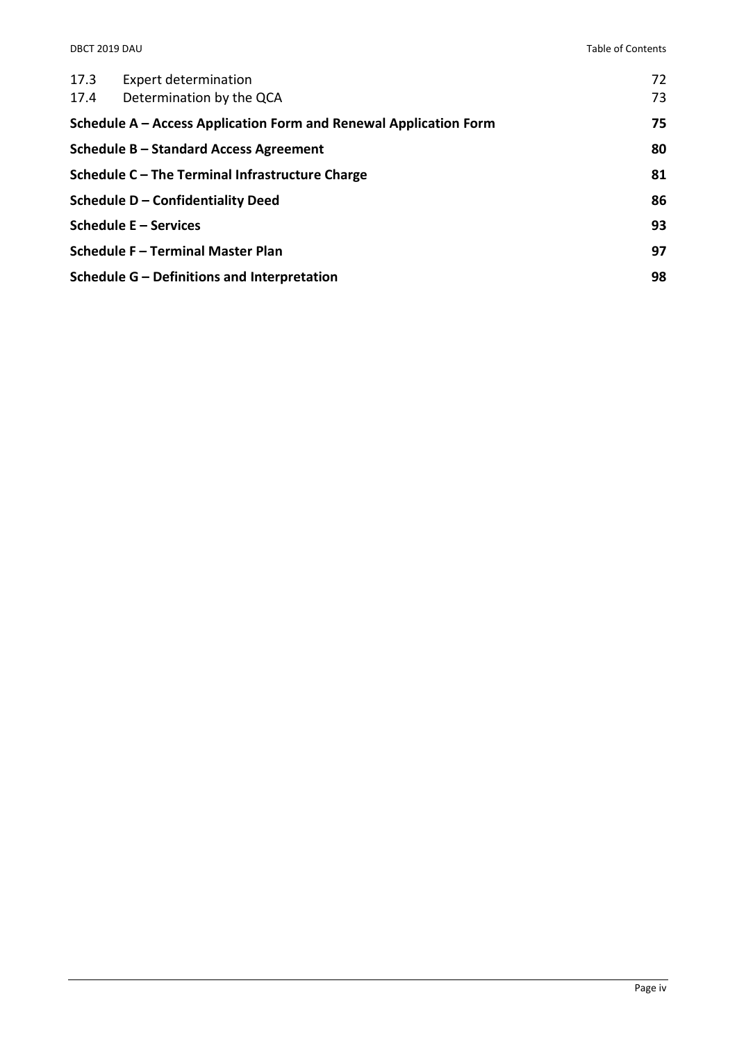| 17.3<br>17.4                                                      | <b>Expert determination</b><br>Determination by the QCA | 72<br>73 |
|-------------------------------------------------------------------|---------------------------------------------------------|----------|
| Schedule A – Access Application Form and Renewal Application Form |                                                         | 75       |
| Schedule B - Standard Access Agreement                            |                                                         | 80       |
| Schedule C – The Terminal Infrastructure Charge                   |                                                         | 81       |
|                                                                   | Schedule D - Confidentiality Deed                       | 86       |
|                                                                   | Schedule E - Services                                   | 93       |
|                                                                   | <b>Schedule F - Terminal Master Plan</b>                | 97       |
|                                                                   | Schedule G - Definitions and Interpretation             | 98       |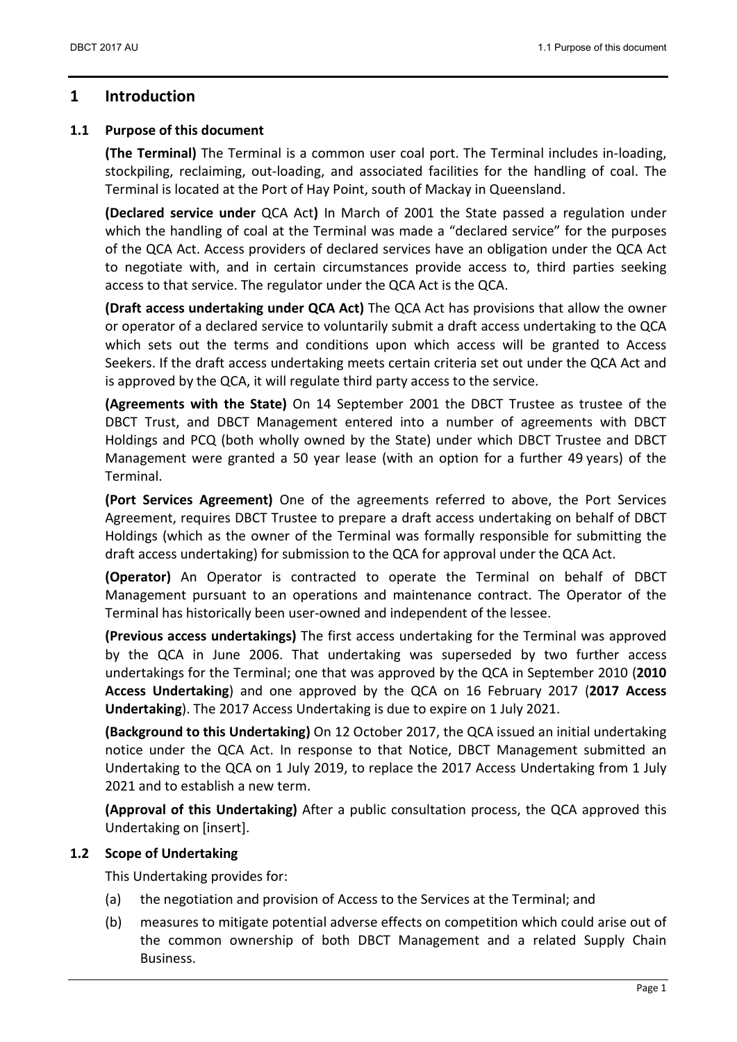# 1 Introduction

### 1.1 Purpose of this document

(The Terminal) The Terminal is a common user coal port. The Terminal includes in-loading, stockpiling, reclaiming, out-loading, and associated facilities for the handling of coal. The Terminal is located at the Port of Hay Point, south of Mackay in Queensland.

(Declared service under QCA Act) In March of 2001 the State passed a regulation under which the handling of coal at the Terminal was made a "declared service" for the purposes of the QCA Act. Access providers of declared services have an obligation under the QCA Act to negotiate with, and in certain circumstances provide access to, third parties seeking access to that service. The regulator under the QCA Act is the QCA.

(Draft access undertaking under QCA Act) The QCA Act has provisions that allow the owner or operator of a declared service to voluntarily submit a draft access undertaking to the QCA which sets out the terms and conditions upon which access will be granted to Access Seekers. If the draft access undertaking meets certain criteria set out under the QCA Act and is approved by the QCA, it will regulate third party access to the service.

(Agreements with the State) On 14 September 2001 the DBCT Trustee as trustee of the DBCT Trust, and DBCT Management entered into a number of agreements with DBCT Holdings and PCQ (both wholly owned by the State) under which DBCT Trustee and DBCT Management were granted a 50 year lease (with an option for a further 49 years) of the Terminal.

(Port Services Agreement) One of the agreements referred to above, the Port Services Agreement, requires DBCT Trustee to prepare a draft access undertaking on behalf of DBCT Holdings (which as the owner of the Terminal was formally responsible for submitting the draft access undertaking) for submission to the QCA for approval under the QCA Act.

(Operator) An Operator is contracted to operate the Terminal on behalf of DBCT Management pursuant to an operations and maintenance contract. The Operator of the Terminal has historically been user-owned and independent of the lessee.

(Previous access undertakings) The first access undertaking for the Terminal was approved by the QCA in June 2006. That undertaking was superseded by two further access undertakings for the Terminal; one that was approved by the QCA in September 2010 (2010 Access Undertaking) and one approved by the QCA on 16 February 2017 (2017 Access Undertaking). The 2017 Access Undertaking is due to expire on 1 July 2021.

(Background to this Undertaking) On 12 October 2017, the QCA issued an initial undertaking notice under the QCA Act. In response to that Notice, DBCT Management submitted an Undertaking to the QCA on 1 July 2019, to replace the 2017 Access Undertaking from 1 July 2021 and to establish a new term.

(Approval of this Undertaking) After a public consultation process, the QCA approved this Undertaking on [insert].

### 1.2 Scope of Undertaking

This Undertaking provides for:

- (a) the negotiation and provision of Access to the Services at the Terminal; and
- (b) measures to mitigate potential adverse effects on competition which could arise out of the common ownership of both DBCT Management and a related Supply Chain Business.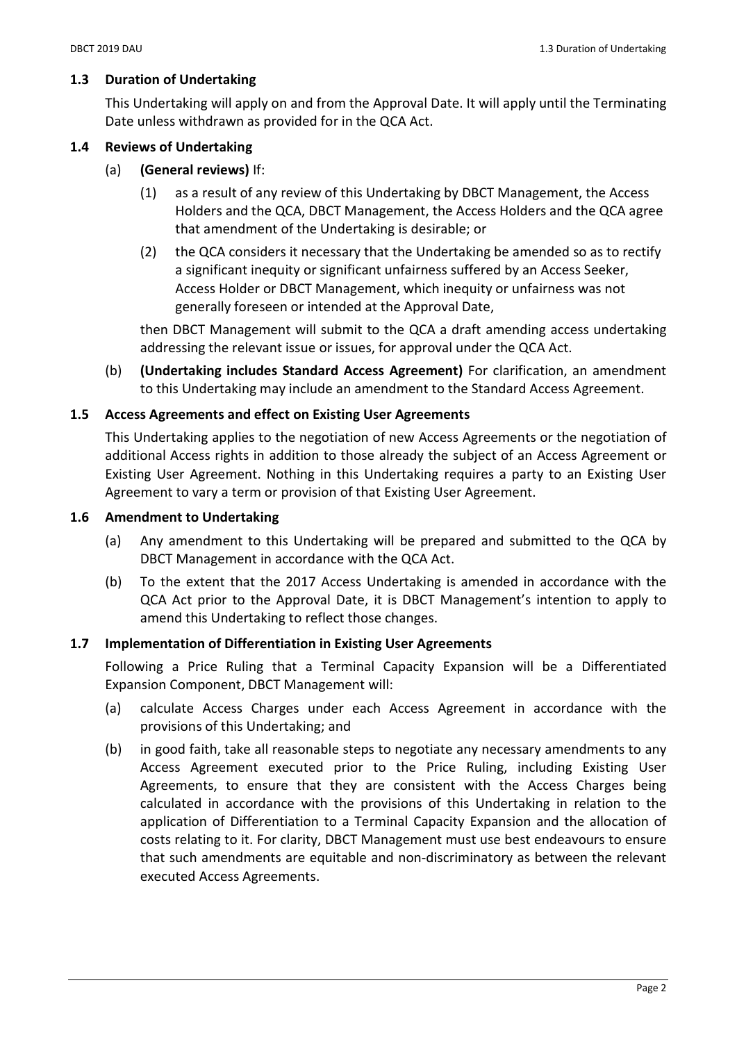### 1.3 Duration of Undertaking

This Undertaking will apply on and from the Approval Date. It will apply until the Terminating Date unless withdrawn as provided for in the QCA Act.

#### 1.4 Reviews of Undertaking

- (a) (General reviews) If:
	- (1) as a result of any review of this Undertaking by DBCT Management, the Access Holders and the QCA, DBCT Management, the Access Holders and the QCA agree that amendment of the Undertaking is desirable; or
	- (2) the QCA considers it necessary that the Undertaking be amended so as to rectify a significant inequity or significant unfairness suffered by an Access Seeker, Access Holder or DBCT Management, which inequity or unfairness was not generally foreseen or intended at the Approval Date,

then DBCT Management will submit to the QCA a draft amending access undertaking addressing the relevant issue or issues, for approval under the QCA Act.

(b) (Undertaking includes Standard Access Agreement) For clarification, an amendment to this Undertaking may include an amendment to the Standard Access Agreement.

#### 1.5 Access Agreements and effect on Existing User Agreements

This Undertaking applies to the negotiation of new Access Agreements or the negotiation of additional Access rights in addition to those already the subject of an Access Agreement or Existing User Agreement. Nothing in this Undertaking requires a party to an Existing User Agreement to vary a term or provision of that Existing User Agreement.

#### 1.6 Amendment to Undertaking

- (a) Any amendment to this Undertaking will be prepared and submitted to the QCA by DBCT Management in accordance with the QCA Act.
- (b) To the extent that the 2017 Access Undertaking is amended in accordance with the QCA Act prior to the Approval Date, it is DBCT Management's intention to apply to amend this Undertaking to reflect those changes.

### 1.7 Implementation of Differentiation in Existing User Agreements

Following a Price Ruling that a Terminal Capacity Expansion will be a Differentiated Expansion Component, DBCT Management will:

- (a) calculate Access Charges under each Access Agreement in accordance with the provisions of this Undertaking; and
- (b) in good faith, take all reasonable steps to negotiate any necessary amendments to any Access Agreement executed prior to the Price Ruling, including Existing User Agreements, to ensure that they are consistent with the Access Charges being calculated in accordance with the provisions of this Undertaking in relation to the application of Differentiation to a Terminal Capacity Expansion and the allocation of costs relating to it. For clarity, DBCT Management must use best endeavours to ensure that such amendments are equitable and non-discriminatory as between the relevant executed Access Agreements.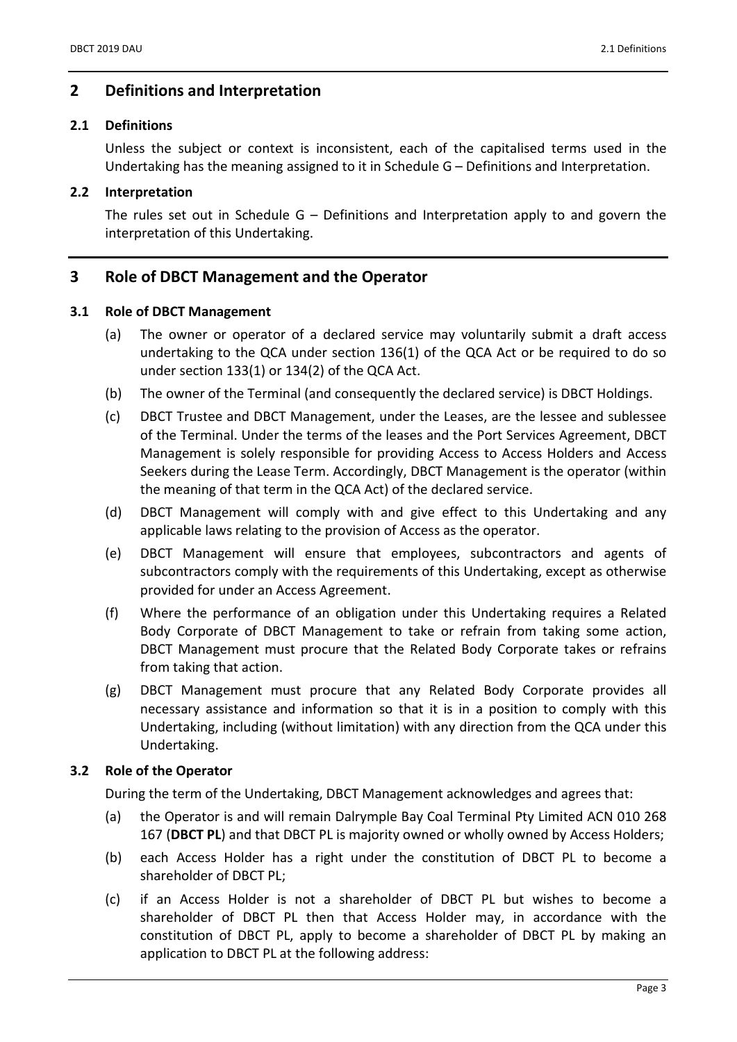# 2 Definitions and Interpretation

## 2.1 Definitions

Unless the subject or context is inconsistent, each of the capitalised terms used in the Undertaking has the meaning assigned to it in Schedule G – Definitions and Interpretation.

# 2.2 Interpretation

The rules set out in Schedule  $G -$  Definitions and Interpretation apply to and govern the interpretation of this Undertaking.

# 3 Role of DBCT Management and the Operator

# 3.1 Role of DBCT Management

- (a) The owner or operator of a declared service may voluntarily submit a draft access undertaking to the QCA under section 136(1) of the QCA Act or be required to do so under section 133(1) or 134(2) of the QCA Act.
- (b) The owner of the Terminal (and consequently the declared service) is DBCT Holdings.
- (c) DBCT Trustee and DBCT Management, under the Leases, are the lessee and sublessee of the Terminal. Under the terms of the leases and the Port Services Agreement, DBCT Management is solely responsible for providing Access to Access Holders and Access Seekers during the Lease Term. Accordingly, DBCT Management is the operator (within the meaning of that term in the QCA Act) of the declared service.
- (d) DBCT Management will comply with and give effect to this Undertaking and any applicable laws relating to the provision of Access as the operator.
- (e) DBCT Management will ensure that employees, subcontractors and agents of subcontractors comply with the requirements of this Undertaking, except as otherwise provided for under an Access Agreement.
- (f) Where the performance of an obligation under this Undertaking requires a Related Body Corporate of DBCT Management to take or refrain from taking some action, DBCT Management must procure that the Related Body Corporate takes or refrains from taking that action.
- (g) DBCT Management must procure that any Related Body Corporate provides all necessary assistance and information so that it is in a position to comply with this Undertaking, including (without limitation) with any direction from the QCA under this Undertaking.

# 3.2 Role of the Operator

During the term of the Undertaking, DBCT Management acknowledges and agrees that:

- (a) the Operator is and will remain Dalrymple Bay Coal Terminal Pty Limited ACN 010 268 167 (DBCT PL) and that DBCT PL is majority owned or wholly owned by Access Holders;
- (b) each Access Holder has a right under the constitution of DBCT PL to become a shareholder of DBCT PL;
- (c) if an Access Holder is not a shareholder of DBCT PL but wishes to become a shareholder of DBCT PL then that Access Holder may, in accordance with the constitution of DBCT PL, apply to become a shareholder of DBCT PL by making an application to DBCT PL at the following address: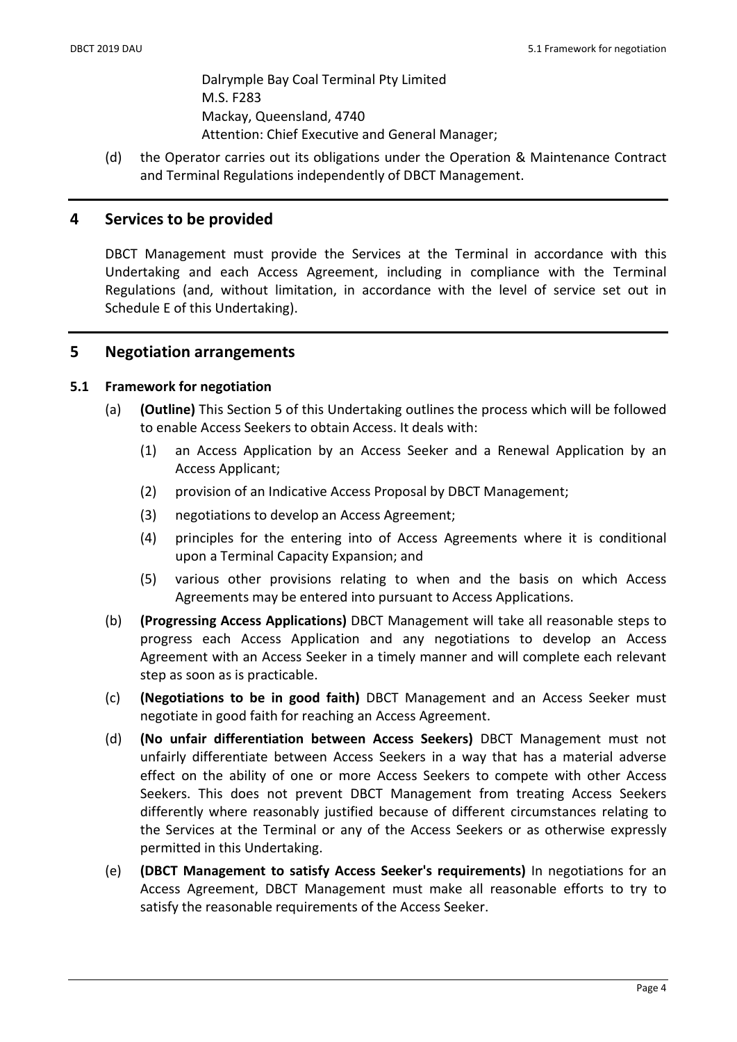Dalrymple Bay Coal Terminal Pty Limited M.S. F283 Mackay, Queensland, 4740 Attention: Chief Executive and General Manager;

(d) the Operator carries out its obligations under the Operation & Maintenance Contract and Terminal Regulations independently of DBCT Management.

# 4 Services to be provided

DBCT Management must provide the Services at the Terminal in accordance with this Undertaking and each Access Agreement, including in compliance with the Terminal Regulations (and, without limitation, in accordance with the level of service set out in Schedule E of this Undertaking).

# 5 Negotiation arrangements

### 5.1 Framework for negotiation

- (a) (Outline) This Section 5 of this Undertaking outlines the process which will be followed to enable Access Seekers to obtain Access. It deals with:
	- (1) an Access Application by an Access Seeker and a Renewal Application by an Access Applicant;
	- (2) provision of an Indicative Access Proposal by DBCT Management;
	- (3) negotiations to develop an Access Agreement;
	- (4) principles for the entering into of Access Agreements where it is conditional upon a Terminal Capacity Expansion; and
	- (5) various other provisions relating to when and the basis on which Access Agreements may be entered into pursuant to Access Applications.
- (b) (Progressing Access Applications) DBCT Management will take all reasonable steps to progress each Access Application and any negotiations to develop an Access Agreement with an Access Seeker in a timely manner and will complete each relevant step as soon as is practicable.
- (c) (Negotiations to be in good faith) DBCT Management and an Access Seeker must negotiate in good faith for reaching an Access Agreement.
- (d) (No unfair differentiation between Access Seekers) DBCT Management must not unfairly differentiate between Access Seekers in a way that has a material adverse effect on the ability of one or more Access Seekers to compete with other Access Seekers. This does not prevent DBCT Management from treating Access Seekers differently where reasonably justified because of different circumstances relating to the Services at the Terminal or any of the Access Seekers or as otherwise expressly permitted in this Undertaking.
- (e) (DBCT Management to satisfy Access Seeker's requirements) In negotiations for an Access Agreement, DBCT Management must make all reasonable efforts to try to satisfy the reasonable requirements of the Access Seeker.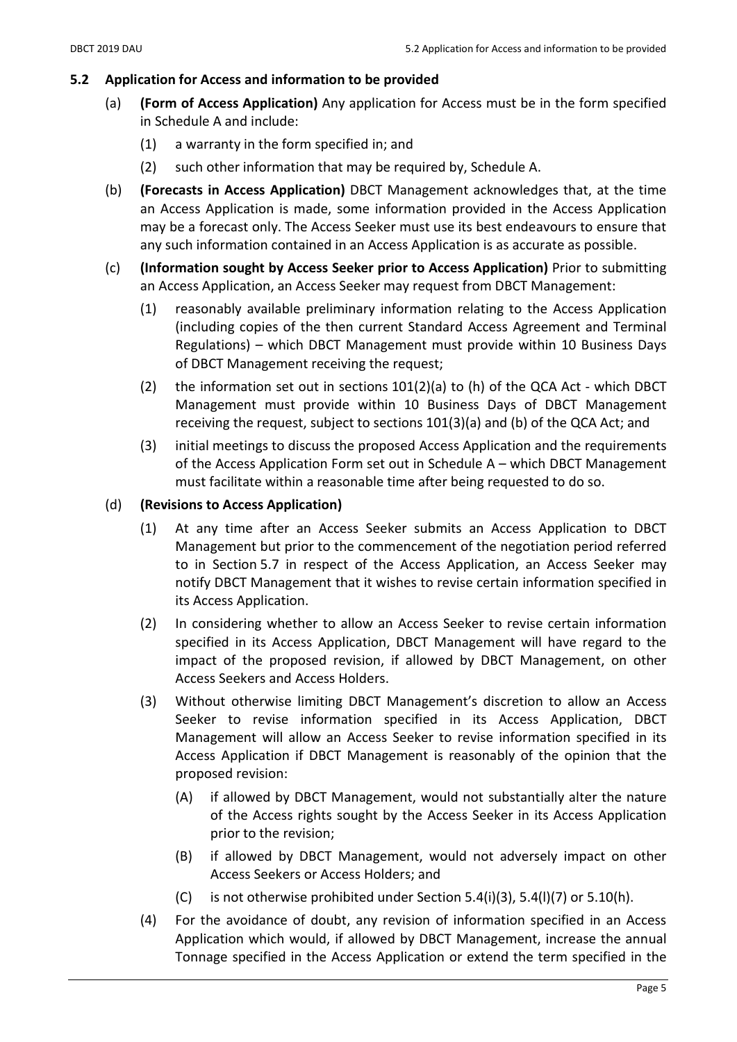# 5.2 Application for Access and information to be provided

- (a) (Form of Access Application) Any application for Access must be in the form specified in Schedule A and include:
	- (1) a warranty in the form specified in; and
	- (2) such other information that may be required by, Schedule A.
- (b) (Forecasts in Access Application) DBCT Management acknowledges that, at the time an Access Application is made, some information provided in the Access Application may be a forecast only. The Access Seeker must use its best endeavours to ensure that any such information contained in an Access Application is as accurate as possible.
- (c) (Information sought by Access Seeker prior to Access Application) Prior to submitting an Access Application, an Access Seeker may request from DBCT Management:
	- (1) reasonably available preliminary information relating to the Access Application (including copies of the then current Standard Access Agreement and Terminal Regulations) – which DBCT Management must provide within 10 Business Days of DBCT Management receiving the request;
	- (2) the information set out in sections  $101(2)(a)$  to (h) of the QCA Act which DBCT Management must provide within 10 Business Days of DBCT Management receiving the request, subject to sections 101(3)(a) and (b) of the QCA Act; and
	- (3) initial meetings to discuss the proposed Access Application and the requirements of the Access Application Form set out in Schedule A – which DBCT Management must facilitate within a reasonable time after being requested to do so.

# (d) (Revisions to Access Application)

- (1) At any time after an Access Seeker submits an Access Application to DBCT Management but prior to the commencement of the negotiation period referred to in Section 5.7 in respect of the Access Application, an Access Seeker may notify DBCT Management that it wishes to revise certain information specified in its Access Application.
- (2) In considering whether to allow an Access Seeker to revise certain information specified in its Access Application, DBCT Management will have regard to the impact of the proposed revision, if allowed by DBCT Management, on other Access Seekers and Access Holders.
- (3) Without otherwise limiting DBCT Management's discretion to allow an Access Seeker to revise information specified in its Access Application, DBCT Management will allow an Access Seeker to revise information specified in its Access Application if DBCT Management is reasonably of the opinion that the proposed revision:
	- (A) if allowed by DBCT Management, would not substantially alter the nature of the Access rights sought by the Access Seeker in its Access Application prior to the revision;
	- (B) if allowed by DBCT Management, would not adversely impact on other Access Seekers or Access Holders; and
	- (C) is not otherwise prohibited under Section 5.4(i)(3), 5.4(l)(7) or 5.10(h).
- (4) For the avoidance of doubt, any revision of information specified in an Access Application which would, if allowed by DBCT Management, increase the annual Tonnage specified in the Access Application or extend the term specified in the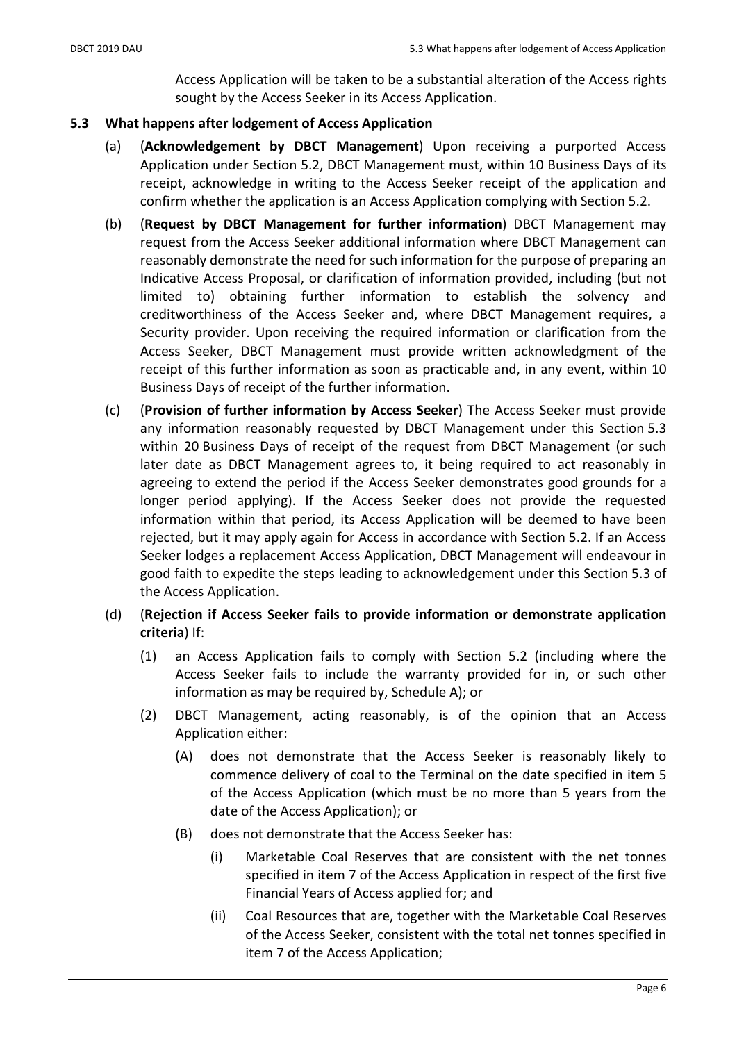Access Application will be taken to be a substantial alteration of the Access rights sought by the Access Seeker in its Access Application.

#### 5.3 What happens after lodgement of Access Application

- (a) (Acknowledgement by DBCT Management) Upon receiving a purported Access Application under Section 5.2, DBCT Management must, within 10 Business Days of its receipt, acknowledge in writing to the Access Seeker receipt of the application and confirm whether the application is an Access Application complying with Section 5.2.
- (b) (Request by DBCT Management for further information) DBCT Management may request from the Access Seeker additional information where DBCT Management can reasonably demonstrate the need for such information for the purpose of preparing an Indicative Access Proposal, or clarification of information provided, including (but not limited to) obtaining further information to establish the solvency and creditworthiness of the Access Seeker and, where DBCT Management requires, a Security provider. Upon receiving the required information or clarification from the Access Seeker, DBCT Management must provide written acknowledgment of the receipt of this further information as soon as practicable and, in any event, within 10 Business Days of receipt of the further information.
- (c) (Provision of further information by Access Seeker) The Access Seeker must provide any information reasonably requested by DBCT Management under this Section 5.3 within 20 Business Days of receipt of the request from DBCT Management (or such later date as DBCT Management agrees to, it being required to act reasonably in agreeing to extend the period if the Access Seeker demonstrates good grounds for a longer period applying). If the Access Seeker does not provide the requested information within that period, its Access Application will be deemed to have been rejected, but it may apply again for Access in accordance with Section 5.2. If an Access Seeker lodges a replacement Access Application, DBCT Management will endeavour in good faith to expedite the steps leading to acknowledgement under this Section 5.3 of the Access Application.
- (d) (Rejection if Access Seeker fails to provide information or demonstrate application criteria) If:
	- (1) an Access Application fails to comply with Section 5.2 (including where the Access Seeker fails to include the warranty provided for in, or such other information as may be required by, Schedule A); or
	- (2) DBCT Management, acting reasonably, is of the opinion that an Access Application either:
		- (A) does not demonstrate that the Access Seeker is reasonably likely to commence delivery of coal to the Terminal on the date specified in item 5 of the Access Application (which must be no more than 5 years from the date of the Access Application); or
		- (B) does not demonstrate that the Access Seeker has:
			- (i) Marketable Coal Reserves that are consistent with the net tonnes specified in item 7 of the Access Application in respect of the first five Financial Years of Access applied for; and
			- (ii) Coal Resources that are, together with the Marketable Coal Reserves of the Access Seeker, consistent with the total net tonnes specified in item 7 of the Access Application;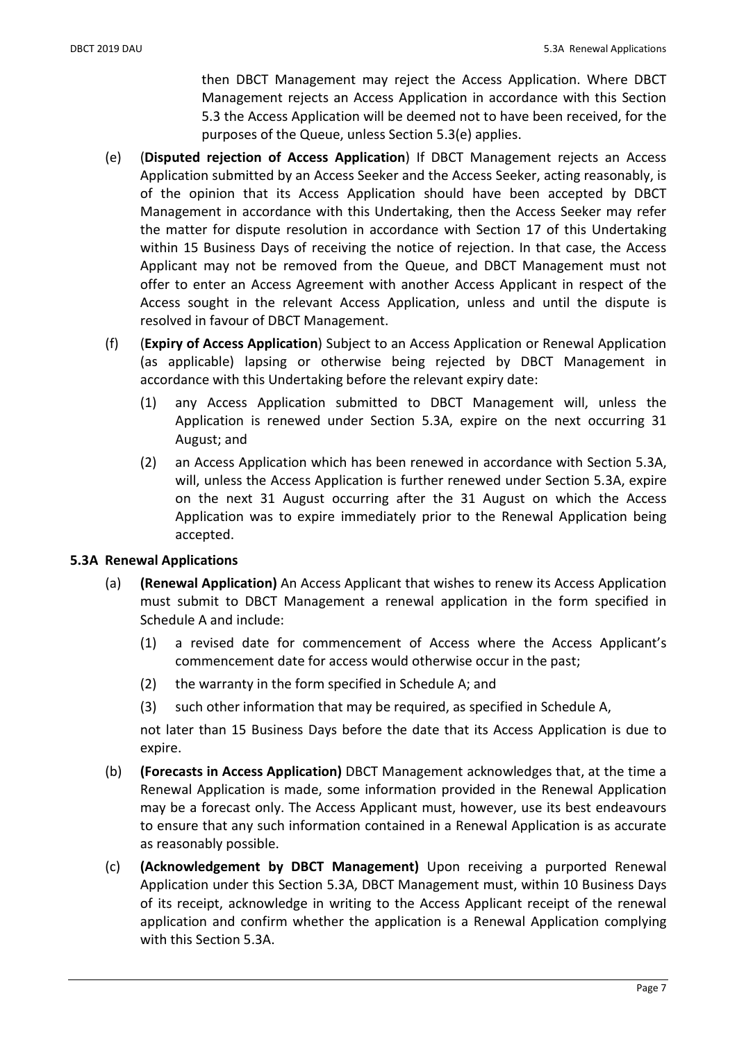then DBCT Management may reject the Access Application. Where DBCT Management rejects an Access Application in accordance with this Section 5.3 the Access Application will be deemed not to have been received, for the purposes of the Queue, unless Section 5.3(e) applies.

- (e) (Disputed rejection of Access Application) If DBCT Management rejects an Access Application submitted by an Access Seeker and the Access Seeker, acting reasonably, is of the opinion that its Access Application should have been accepted by DBCT Management in accordance with this Undertaking, then the Access Seeker may refer the matter for dispute resolution in accordance with Section 17 of this Undertaking within 15 Business Days of receiving the notice of rejection. In that case, the Access Applicant may not be removed from the Queue, and DBCT Management must not offer to enter an Access Agreement with another Access Applicant in respect of the Access sought in the relevant Access Application, unless and until the dispute is resolved in favour of DBCT Management.
- (f) (Expiry of Access Application) Subject to an Access Application or Renewal Application (as applicable) lapsing or otherwise being rejected by DBCT Management in accordance with this Undertaking before the relevant expiry date:
	- (1) any Access Application submitted to DBCT Management will, unless the Application is renewed under Section 5.3A, expire on the next occurring 31 August; and
	- (2) an Access Application which has been renewed in accordance with Section 5.3A, will, unless the Access Application is further renewed under Section 5.3A, expire on the next 31 August occurring after the 31 August on which the Access Application was to expire immediately prior to the Renewal Application being accepted.

### 5.3A Renewal Applications

- (a) (Renewal Application) An Access Applicant that wishes to renew its Access Application must submit to DBCT Management a renewal application in the form specified in Schedule A and include:
	- (1) a revised date for commencement of Access where the Access Applicant's commencement date for access would otherwise occur in the past;
	- (2) the warranty in the form specified in Schedule A; and
	- (3) such other information that may be required, as specified in Schedule A,

not later than 15 Business Days before the date that its Access Application is due to expire.

- (b) (Forecasts in Access Application) DBCT Management acknowledges that, at the time a Renewal Application is made, some information provided in the Renewal Application may be a forecast only. The Access Applicant must, however, use its best endeavours to ensure that any such information contained in a Renewal Application is as accurate as reasonably possible.
- (c) (Acknowledgement by DBCT Management) Upon receiving a purported Renewal Application under this Section 5.3A, DBCT Management must, within 10 Business Days of its receipt, acknowledge in writing to the Access Applicant receipt of the renewal application and confirm whether the application is a Renewal Application complying with this Section 5.3A.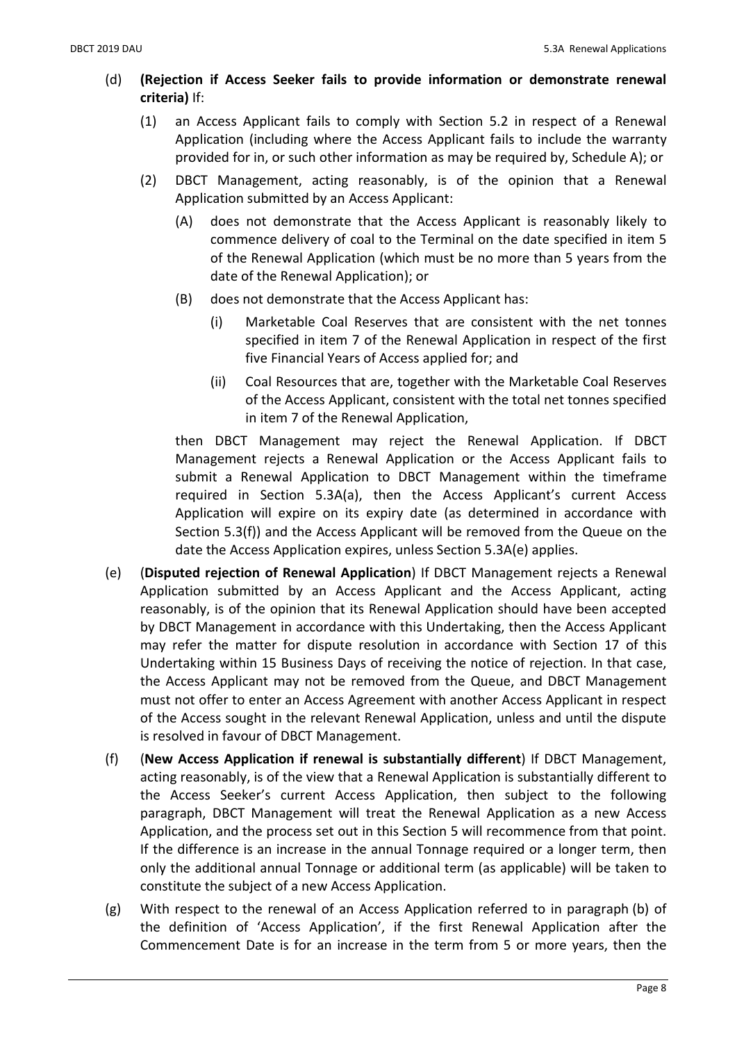- (d) (Rejection if Access Seeker fails to provide information or demonstrate renewal criteria) If:
	- (1) an Access Applicant fails to comply with Section 5.2 in respect of a Renewal Application (including where the Access Applicant fails to include the warranty provided for in, or such other information as may be required by, Schedule A); or
	- (2) DBCT Management, acting reasonably, is of the opinion that a Renewal Application submitted by an Access Applicant:
		- (A) does not demonstrate that the Access Applicant is reasonably likely to commence delivery of coal to the Terminal on the date specified in item 5 of the Renewal Application (which must be no more than 5 years from the date of the Renewal Application); or
		- (B) does not demonstrate that the Access Applicant has:
			- (i) Marketable Coal Reserves that are consistent with the net tonnes specified in item 7 of the Renewal Application in respect of the first five Financial Years of Access applied for; and
			- (ii) Coal Resources that are, together with the Marketable Coal Reserves of the Access Applicant, consistent with the total net tonnes specified in item 7 of the Renewal Application,

then DBCT Management may reject the Renewal Application. If DBCT Management rejects a Renewal Application or the Access Applicant fails to submit a Renewal Application to DBCT Management within the timeframe required in Section 5.3A(a), then the Access Applicant's current Access Application will expire on its expiry date (as determined in accordance with Section 5.3(f)) and the Access Applicant will be removed from the Queue on the date the Access Application expires, unless Section 5.3A(e) applies.

- (e) (Disputed rejection of Renewal Application) If DBCT Management rejects a Renewal Application submitted by an Access Applicant and the Access Applicant, acting reasonably, is of the opinion that its Renewal Application should have been accepted by DBCT Management in accordance with this Undertaking, then the Access Applicant may refer the matter for dispute resolution in accordance with Section 17 of this Undertaking within 15 Business Days of receiving the notice of rejection. In that case, the Access Applicant may not be removed from the Queue, and DBCT Management must not offer to enter an Access Agreement with another Access Applicant in respect of the Access sought in the relevant Renewal Application, unless and until the dispute is resolved in favour of DBCT Management.
- (f) (New Access Application if renewal is substantially different) If DBCT Management, acting reasonably, is of the view that a Renewal Application is substantially different to the Access Seeker's current Access Application, then subject to the following paragraph, DBCT Management will treat the Renewal Application as a new Access Application, and the process set out in this Section 5 will recommence from that point. If the difference is an increase in the annual Tonnage required or a longer term, then only the additional annual Tonnage or additional term (as applicable) will be taken to constitute the subject of a new Access Application.
- (g) With respect to the renewal of an Access Application referred to in paragraph (b) of the definition of 'Access Application', if the first Renewal Application after the Commencement Date is for an increase in the term from 5 or more years, then the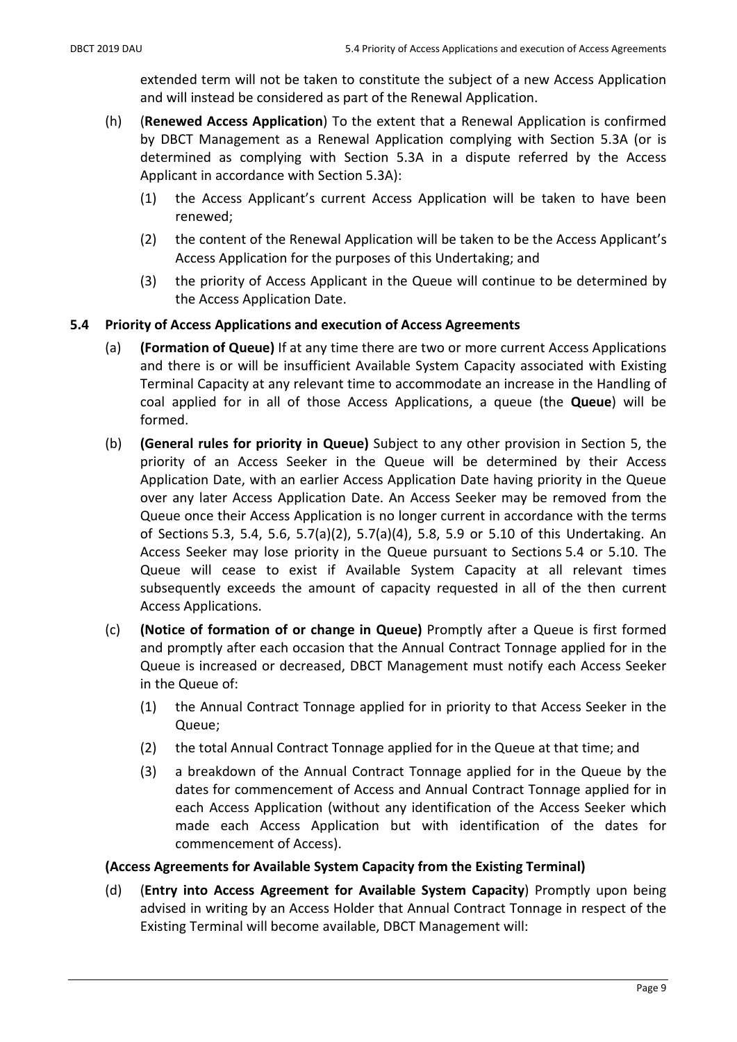extended term will not be taken to constitute the subject of a new Access Application and will instead be considered as part of the Renewal Application.

- (h) (Renewed Access Application) To the extent that a Renewal Application is confirmed by DBCT Management as a Renewal Application complying with Section 5.3A (or is determined as complying with Section 5.3A in a dispute referred by the Access Applicant in accordance with Section 5.3A):
	- (1) the Access Applicant's current Access Application will be taken to have been renewed;
	- (2) the content of the Renewal Application will be taken to be the Access Applicant's Access Application for the purposes of this Undertaking; and
	- (3) the priority of Access Applicant in the Queue will continue to be determined by the Access Application Date.

# 5.4 Priority of Access Applications and execution of Access Agreements

- (a) (Formation of Queue) If at any time there are two or more current Access Applications and there is or will be insufficient Available System Capacity associated with Existing Terminal Capacity at any relevant time to accommodate an increase in the Handling of coal applied for in all of those Access Applications, a queue (the Queue) will be formed.
- (b) (General rules for priority in Queue) Subject to any other provision in Section 5, the priority of an Access Seeker in the Queue will be determined by their Access Application Date, with an earlier Access Application Date having priority in the Queue over any later Access Application Date. An Access Seeker may be removed from the Queue once their Access Application is no longer current in accordance with the terms of Sections 5.3, 5.4, 5.6, 5.7(a)(2), 5.7(a)(4), 5.8, 5.9 or 5.10 of this Undertaking. An Access Seeker may lose priority in the Queue pursuant to Sections 5.4 or 5.10. The Queue will cease to exist if Available System Capacity at all relevant times subsequently exceeds the amount of capacity requested in all of the then current Access Applications.
- (c) (Notice of formation of or change in Queue) Promptly after a Queue is first formed and promptly after each occasion that the Annual Contract Tonnage applied for in the Queue is increased or decreased, DBCT Management must notify each Access Seeker in the Queue of:
	- (1) the Annual Contract Tonnage applied for in priority to that Access Seeker in the Queue;
	- (2) the total Annual Contract Tonnage applied for in the Queue at that time; and
	- (3) a breakdown of the Annual Contract Tonnage applied for in the Queue by the dates for commencement of Access and Annual Contract Tonnage applied for in each Access Application (without any identification of the Access Seeker which made each Access Application but with identification of the dates for commencement of Access).

### (Access Agreements for Available System Capacity from the Existing Terminal)

(d) (Entry into Access Agreement for Available System Capacity) Promptly upon being advised in writing by an Access Holder that Annual Contract Tonnage in respect of the Existing Terminal will become available, DBCT Management will: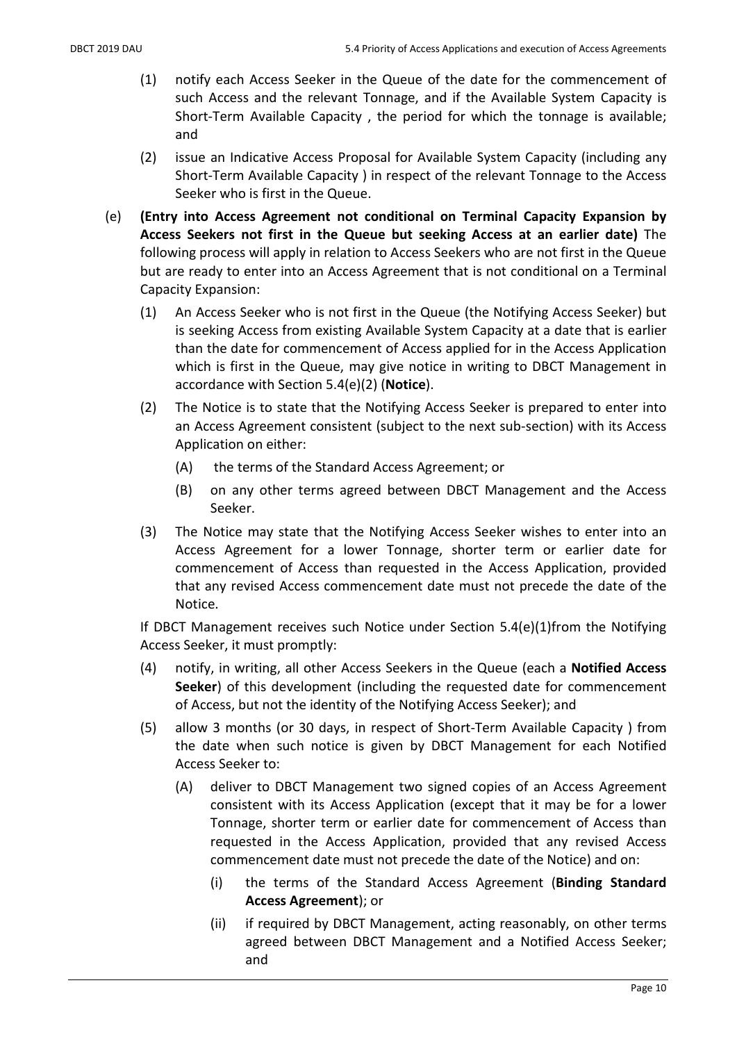- (1) notify each Access Seeker in the Queue of the date for the commencement of such Access and the relevant Tonnage, and if the Available System Capacity is Short-Term Available Capacity , the period for which the tonnage is available; and
- (2) issue an Indicative Access Proposal for Available System Capacity (including any Short-Term Available Capacity ) in respect of the relevant Tonnage to the Access Seeker who is first in the Queue.
- (e) (Entry into Access Agreement not conditional on Terminal Capacity Expansion by Access Seekers not first in the Queue but seeking Access at an earlier date) The following process will apply in relation to Access Seekers who are not first in the Queue but are ready to enter into an Access Agreement that is not conditional on a Terminal Capacity Expansion:
	- (1) An Access Seeker who is not first in the Queue (the Notifying Access Seeker) but is seeking Access from existing Available System Capacity at a date that is earlier than the date for commencement of Access applied for in the Access Application which is first in the Queue, may give notice in writing to DBCT Management in accordance with Section 5.4(e)(2) (Notice).
	- (2) The Notice is to state that the Notifying Access Seeker is prepared to enter into an Access Agreement consistent (subject to the next sub-section) with its Access Application on either:
		- (A) the terms of the Standard Access Agreement; or
		- (B) on any other terms agreed between DBCT Management and the Access Seeker.
	- (3) The Notice may state that the Notifying Access Seeker wishes to enter into an Access Agreement for a lower Tonnage, shorter term or earlier date for commencement of Access than requested in the Access Application, provided that any revised Access commencement date must not precede the date of the Notice.

If DBCT Management receives such Notice under Section 5.4(e)(1)from the Notifying Access Seeker, it must promptly:

- (4) notify, in writing, all other Access Seekers in the Queue (each a Notified Access Seeker) of this development (including the requested date for commencement of Access, but not the identity of the Notifying Access Seeker); and
- (5) allow 3 months (or 30 days, in respect of Short-Term Available Capacity ) from the date when such notice is given by DBCT Management for each Notified Access Seeker to:
	- (A) deliver to DBCT Management two signed copies of an Access Agreement consistent with its Access Application (except that it may be for a lower Tonnage, shorter term or earlier date for commencement of Access than requested in the Access Application, provided that any revised Access commencement date must not precede the date of the Notice) and on:
		- (i) the terms of the Standard Access Agreement (Binding Standard Access Agreement); or
		- (ii) if required by DBCT Management, acting reasonably, on other terms agreed between DBCT Management and a Notified Access Seeker; and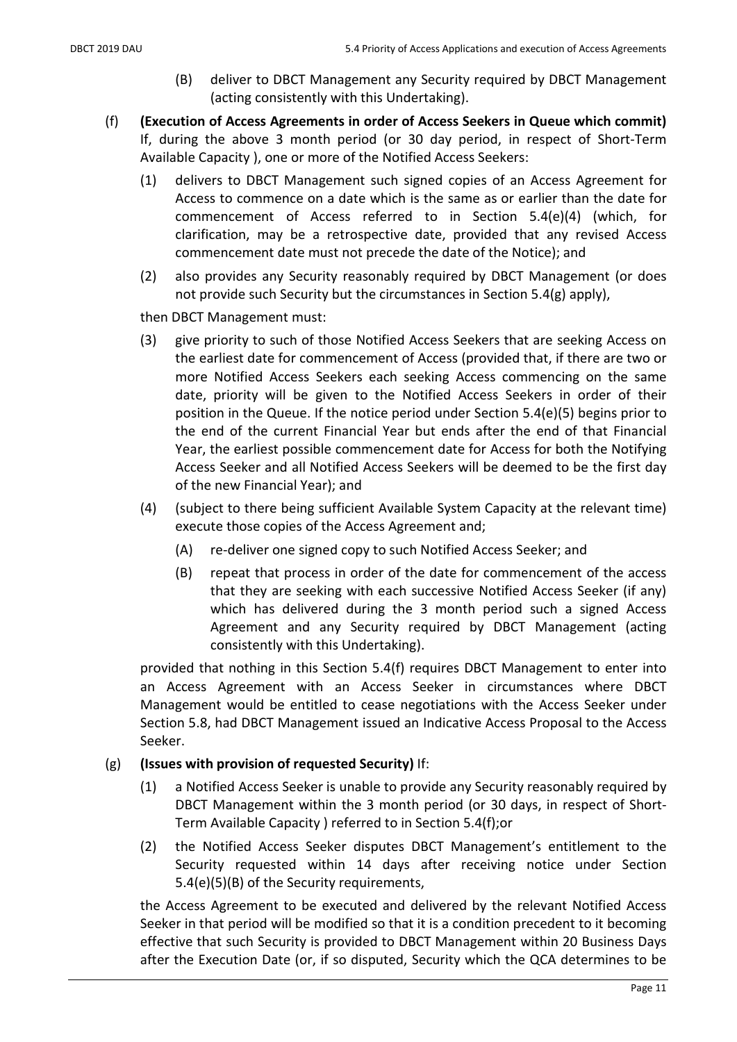- (B) deliver to DBCT Management any Security required by DBCT Management (acting consistently with this Undertaking).
- (f) (Execution of Access Agreements in order of Access Seekers in Queue which commit) If, during the above 3 month period (or 30 day period, in respect of Short-Term Available Capacity ), one or more of the Notified Access Seekers:
	- (1) delivers to DBCT Management such signed copies of an Access Agreement for Access to commence on a date which is the same as or earlier than the date for commencement of Access referred to in Section 5.4(e)(4) (which, for clarification, may be a retrospective date, provided that any revised Access commencement date must not precede the date of the Notice); and
	- (2) also provides any Security reasonably required by DBCT Management (or does not provide such Security but the circumstances in Section 5.4(g) apply),

then DBCT Management must:

- (3) give priority to such of those Notified Access Seekers that are seeking Access on the earliest date for commencement of Access (provided that, if there are two or more Notified Access Seekers each seeking Access commencing on the same date, priority will be given to the Notified Access Seekers in order of their position in the Queue. If the notice period under Section 5.4(e)(5) begins prior to the end of the current Financial Year but ends after the end of that Financial Year, the earliest possible commencement date for Access for both the Notifying Access Seeker and all Notified Access Seekers will be deemed to be the first day of the new Financial Year); and
- (4) (subject to there being sufficient Available System Capacity at the relevant time) execute those copies of the Access Agreement and;
	- (A) re-deliver one signed copy to such Notified Access Seeker; and
	- (B) repeat that process in order of the date for commencement of the access that they are seeking with each successive Notified Access Seeker (if any) which has delivered during the 3 month period such a signed Access Agreement and any Security required by DBCT Management (acting consistently with this Undertaking).

provided that nothing in this Section 5.4(f) requires DBCT Management to enter into an Access Agreement with an Access Seeker in circumstances where DBCT Management would be entitled to cease negotiations with the Access Seeker under Section 5.8, had DBCT Management issued an Indicative Access Proposal to the Access Seeker.

# (g) (Issues with provision of requested Security) If:

- (1) a Notified Access Seeker is unable to provide any Security reasonably required by DBCT Management within the 3 month period (or 30 days, in respect of Short-Term Available Capacity ) referred to in Section 5.4(f);or
- (2) the Notified Access Seeker disputes DBCT Management's entitlement to the Security requested within 14 days after receiving notice under Section 5.4(e)(5)(B) of the Security requirements,

the Access Agreement to be executed and delivered by the relevant Notified Access Seeker in that period will be modified so that it is a condition precedent to it becoming effective that such Security is provided to DBCT Management within 20 Business Days after the Execution Date (or, if so disputed, Security which the QCA determines to be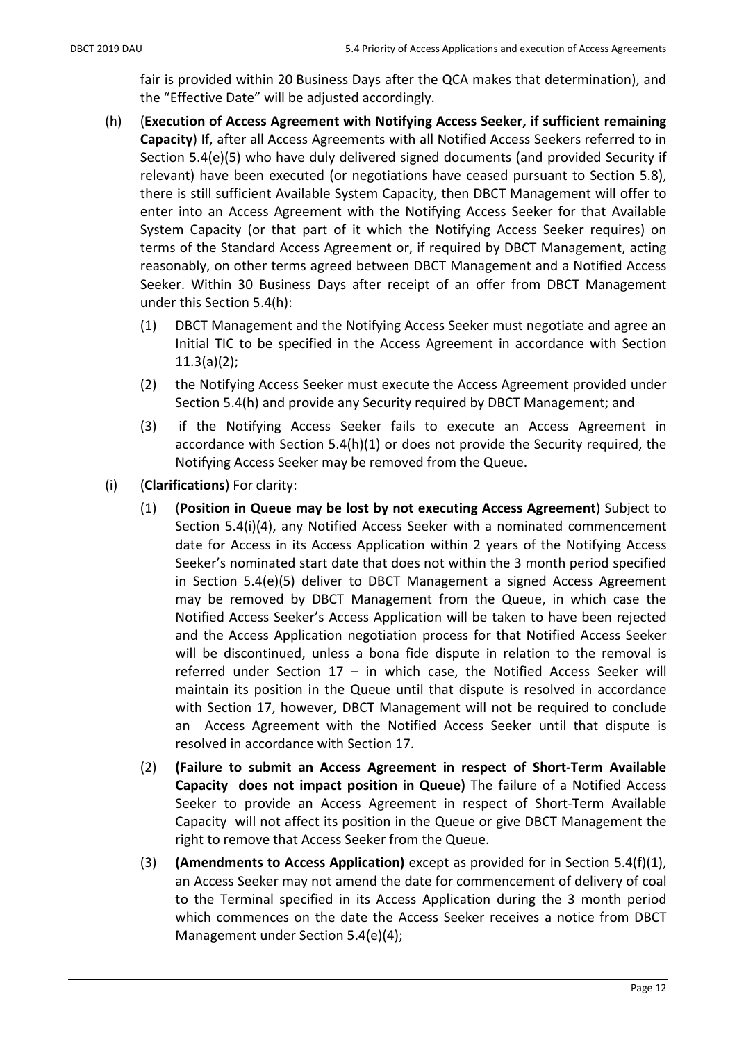fair is provided within 20 Business Days after the QCA makes that determination), and the "Effective Date" will be adjusted accordingly.

- (h) (Execution of Access Agreement with Notifying Access Seeker, if sufficient remaining Capacity) If, after all Access Agreements with all Notified Access Seekers referred to in Section 5.4(e)(5) who have duly delivered signed documents (and provided Security if relevant) have been executed (or negotiations have ceased pursuant to Section 5.8), there is still sufficient Available System Capacity, then DBCT Management will offer to enter into an Access Agreement with the Notifying Access Seeker for that Available System Capacity (or that part of it which the Notifying Access Seeker requires) on terms of the Standard Access Agreement or, if required by DBCT Management, acting reasonably, on other terms agreed between DBCT Management and a Notified Access Seeker. Within 30 Business Days after receipt of an offer from DBCT Management under this Section 5.4(h):
	- (1) DBCT Management and the Notifying Access Seeker must negotiate and agree an Initial TIC to be specified in the Access Agreement in accordance with Section  $11.3(a)(2);$
	- (2) the Notifying Access Seeker must execute the Access Agreement provided under Section 5.4(h) and provide any Security required by DBCT Management; and
	- (3) if the Notifying Access Seeker fails to execute an Access Agreement in accordance with Section 5.4(h)(1) or does not provide the Security required, the Notifying Access Seeker may be removed from the Queue.
- (i) (Clarifications) For clarity:
	- (1) (Position in Queue may be lost by not executing Access Agreement) Subject to Section 5.4(i)(4), any Notified Access Seeker with a nominated commencement date for Access in its Access Application within 2 years of the Notifying Access Seeker's nominated start date that does not within the 3 month period specified in Section 5.4(e)(5) deliver to DBCT Management a signed Access Agreement may be removed by DBCT Management from the Queue, in which case the Notified Access Seeker's Access Application will be taken to have been rejected and the Access Application negotiation process for that Notified Access Seeker will be discontinued, unless a bona fide dispute in relation to the removal is referred under Section 17 – in which case, the Notified Access Seeker will maintain its position in the Queue until that dispute is resolved in accordance with Section 17, however, DBCT Management will not be required to conclude an Access Agreement with the Notified Access Seeker until that dispute is resolved in accordance with Section 17.
	- (2) (Failure to submit an Access Agreement in respect of Short-Term Available Capacity does not impact position in Queue) The failure of a Notified Access Seeker to provide an Access Agreement in respect of Short-Term Available Capacity will not affect its position in the Queue or give DBCT Management the right to remove that Access Seeker from the Queue.
	- (3) (Amendments to Access Application) except as provided for in Section 5.4(f)(1), an Access Seeker may not amend the date for commencement of delivery of coal to the Terminal specified in its Access Application during the 3 month period which commences on the date the Access Seeker receives a notice from DBCT Management under Section 5.4(e)(4);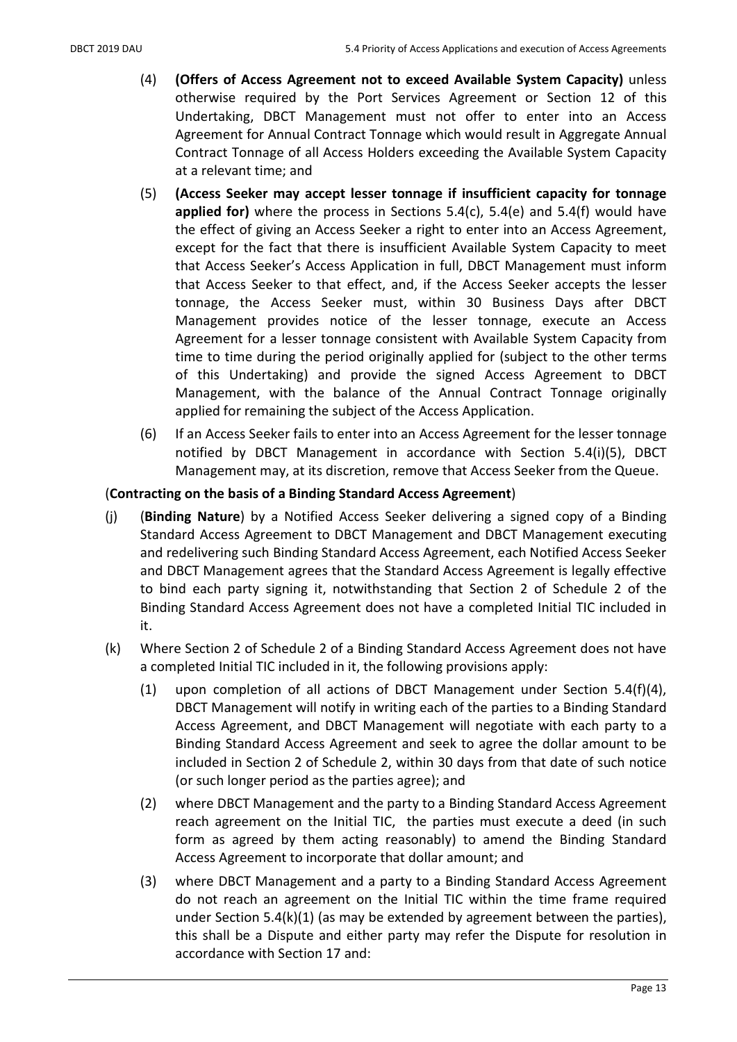- (4) (Offers of Access Agreement not to exceed Available System Capacity) unless otherwise required by the Port Services Agreement or Section 12 of this Undertaking, DBCT Management must not offer to enter into an Access Agreement for Annual Contract Tonnage which would result in Aggregate Annual Contract Tonnage of all Access Holders exceeding the Available System Capacity at a relevant time; and
- (5) (Access Seeker may accept lesser tonnage if insufficient capacity for tonnage applied for) where the process in Sections 5.4(c), 5.4(e) and 5.4(f) would have the effect of giving an Access Seeker a right to enter into an Access Agreement, except for the fact that there is insufficient Available System Capacity to meet that Access Seeker's Access Application in full, DBCT Management must inform that Access Seeker to that effect, and, if the Access Seeker accepts the lesser tonnage, the Access Seeker must, within 30 Business Days after DBCT Management provides notice of the lesser tonnage, execute an Access Agreement for a lesser tonnage consistent with Available System Capacity from time to time during the period originally applied for (subject to the other terms of this Undertaking) and provide the signed Access Agreement to DBCT Management, with the balance of the Annual Contract Tonnage originally applied for remaining the subject of the Access Application.
- (6) If an Access Seeker fails to enter into an Access Agreement for the lesser tonnage notified by DBCT Management in accordance with Section 5.4(i)(5), DBCT Management may, at its discretion, remove that Access Seeker from the Queue.

# (Contracting on the basis of a Binding Standard Access Agreement)

- (j) (Binding Nature) by a Notified Access Seeker delivering a signed copy of a Binding Standard Access Agreement to DBCT Management and DBCT Management executing and redelivering such Binding Standard Access Agreement, each Notified Access Seeker and DBCT Management agrees that the Standard Access Agreement is legally effective to bind each party signing it, notwithstanding that Section 2 of Schedule 2 of the Binding Standard Access Agreement does not have a completed Initial TIC included in it.
- (k) Where Section 2 of Schedule 2 of a Binding Standard Access Agreement does not have a completed Initial TIC included in it, the following provisions apply:
	- (1) upon completion of all actions of DBCT Management under Section 5.4(f)(4), DBCT Management will notify in writing each of the parties to a Binding Standard Access Agreement, and DBCT Management will negotiate with each party to a Binding Standard Access Agreement and seek to agree the dollar amount to be included in Section 2 of Schedule 2, within 30 days from that date of such notice (or such longer period as the parties agree); and
	- (2) where DBCT Management and the party to a Binding Standard Access Agreement reach agreement on the Initial TIC, the parties must execute a deed (in such form as agreed by them acting reasonably) to amend the Binding Standard Access Agreement to incorporate that dollar amount; and
	- (3) where DBCT Management and a party to a Binding Standard Access Agreement do not reach an agreement on the Initial TIC within the time frame required under Section 5.4(k)(1) (as may be extended by agreement between the parties), this shall be a Dispute and either party may refer the Dispute for resolution in accordance with Section 17 and: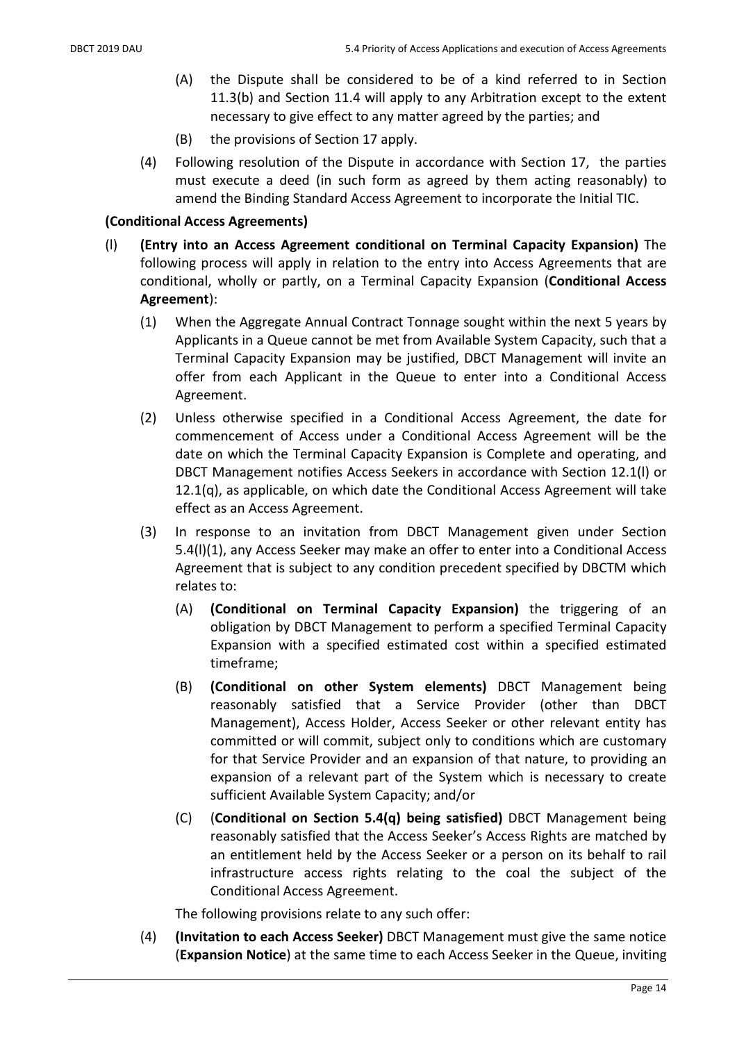- (A) the Dispute shall be considered to be of a kind referred to in Section 11.3(b) and Section 11.4 will apply to any Arbitration except to the extent necessary to give effect to any matter agreed by the parties; and
- (B) the provisions of Section 17 apply.
- (4) Following resolution of the Dispute in accordance with Section 17, the parties must execute a deed (in such form as agreed by them acting reasonably) to amend the Binding Standard Access Agreement to incorporate the Initial TIC.

### (Conditional Access Agreements)

- (l) (Entry into an Access Agreement conditional on Terminal Capacity Expansion) The following process will apply in relation to the entry into Access Agreements that are conditional, wholly or partly, on a Terminal Capacity Expansion (Conditional Access Agreement):
	- (1) When the Aggregate Annual Contract Tonnage sought within the next 5 years by Applicants in a Queue cannot be met from Available System Capacity, such that a Terminal Capacity Expansion may be justified, DBCT Management will invite an offer from each Applicant in the Queue to enter into a Conditional Access Agreement.
	- (2) Unless otherwise specified in a Conditional Access Agreement, the date for commencement of Access under a Conditional Access Agreement will be the date on which the Terminal Capacity Expansion is Complete and operating, and DBCT Management notifies Access Seekers in accordance with Section 12.1(l) or 12.1(q), as applicable, on which date the Conditional Access Agreement will take effect as an Access Agreement.
	- (3) In response to an invitation from DBCT Management given under Section 5.4(l)(1), any Access Seeker may make an offer to enter into a Conditional Access Agreement that is subject to any condition precedent specified by DBCTM which relates to:
		- (A) (Conditional on Terminal Capacity Expansion) the triggering of an obligation by DBCT Management to perform a specified Terminal Capacity Expansion with a specified estimated cost within a specified estimated timeframe;
		- (B) (Conditional on other System elements) DBCT Management being reasonably satisfied that a Service Provider (other than DBCT Management), Access Holder, Access Seeker or other relevant entity has committed or will commit, subject only to conditions which are customary for that Service Provider and an expansion of that nature, to providing an expansion of a relevant part of the System which is necessary to create sufficient Available System Capacity; and/or
		- (C) (Conditional on Section 5.4(q) being satisfied) DBCT Management being reasonably satisfied that the Access Seeker's Access Rights are matched by an entitlement held by the Access Seeker or a person on its behalf to rail infrastructure access rights relating to the coal the subject of the Conditional Access Agreement.

The following provisions relate to any such offer:

(4) (Invitation to each Access Seeker) DBCT Management must give the same notice (Expansion Notice) at the same time to each Access Seeker in the Queue, inviting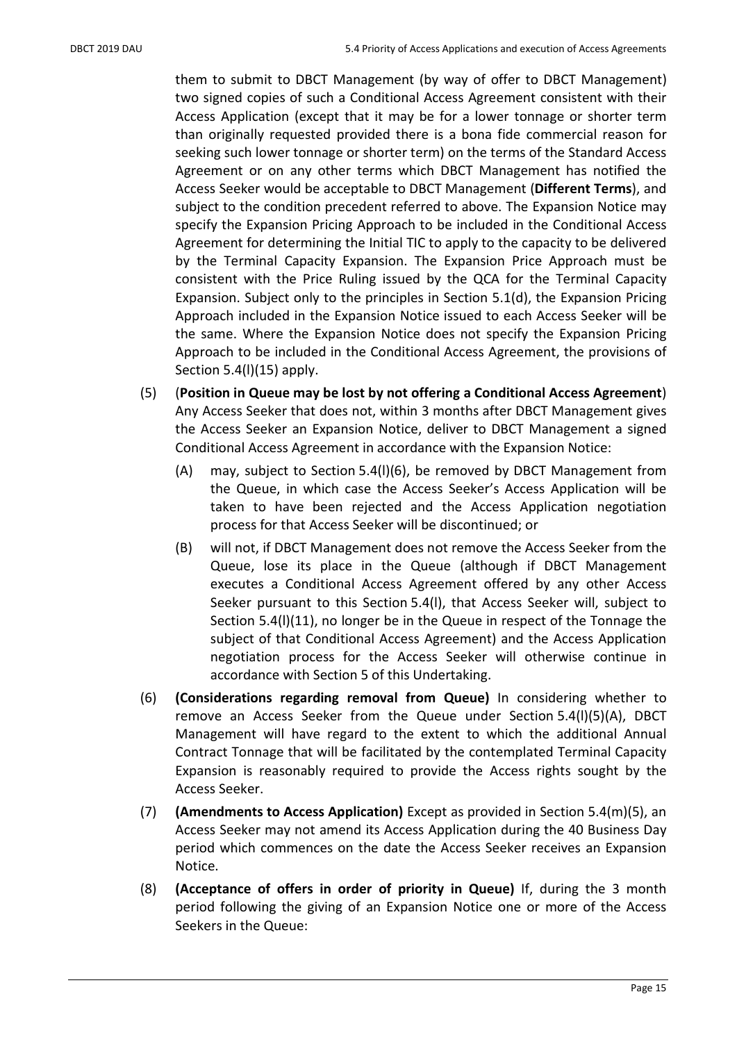them to submit to DBCT Management (by way of offer to DBCT Management) two signed copies of such a Conditional Access Agreement consistent with their Access Application (except that it may be for a lower tonnage or shorter term than originally requested provided there is a bona fide commercial reason for seeking such lower tonnage or shorter term) on the terms of the Standard Access Agreement or on any other terms which DBCT Management has notified the Access Seeker would be acceptable to DBCT Management (Different Terms), and subject to the condition precedent referred to above. The Expansion Notice may specify the Expansion Pricing Approach to be included in the Conditional Access Agreement for determining the Initial TIC to apply to the capacity to be delivered by the Terminal Capacity Expansion. The Expansion Price Approach must be consistent with the Price Ruling issued by the QCA for the Terminal Capacity Expansion. Subject only to the principles in Section 5.1(d), the Expansion Pricing Approach included in the Expansion Notice issued to each Access Seeker will be the same. Where the Expansion Notice does not specify the Expansion Pricing Approach to be included in the Conditional Access Agreement, the provisions of Section 5.4(l)(15) apply.

- (5) (Position in Queue may be lost by not offering a Conditional Access Agreement) Any Access Seeker that does not, within 3 months after DBCT Management gives the Access Seeker an Expansion Notice, deliver to DBCT Management a signed Conditional Access Agreement in accordance with the Expansion Notice:
	- (A) may, subject to Section 5.4(l)(6), be removed by DBCT Management from the Queue, in which case the Access Seeker's Access Application will be taken to have been rejected and the Access Application negotiation process for that Access Seeker will be discontinued; or
	- (B) will not, if DBCT Management does not remove the Access Seeker from the Queue, lose its place in the Queue (although if DBCT Management executes a Conditional Access Agreement offered by any other Access Seeker pursuant to this Section 5.4(l), that Access Seeker will, subject to Section 5.4(l)(11), no longer be in the Queue in respect of the Tonnage the subject of that Conditional Access Agreement) and the Access Application negotiation process for the Access Seeker will otherwise continue in accordance with Section 5 of this Undertaking.
- (6) (Considerations regarding removal from Queue) In considering whether to remove an Access Seeker from the Queue under Section 5.4(l)(5)(A), DBCT Management will have regard to the extent to which the additional Annual Contract Tonnage that will be facilitated by the contemplated Terminal Capacity Expansion is reasonably required to provide the Access rights sought by the Access Seeker.
- (7) (Amendments to Access Application) Except as provided in Section 5.4(m)(5), an Access Seeker may not amend its Access Application during the 40 Business Day period which commences on the date the Access Seeker receives an Expansion Notice.
- (8) (Acceptance of offers in order of priority in Queue) If, during the 3 month period following the giving of an Expansion Notice one or more of the Access Seekers in the Queue: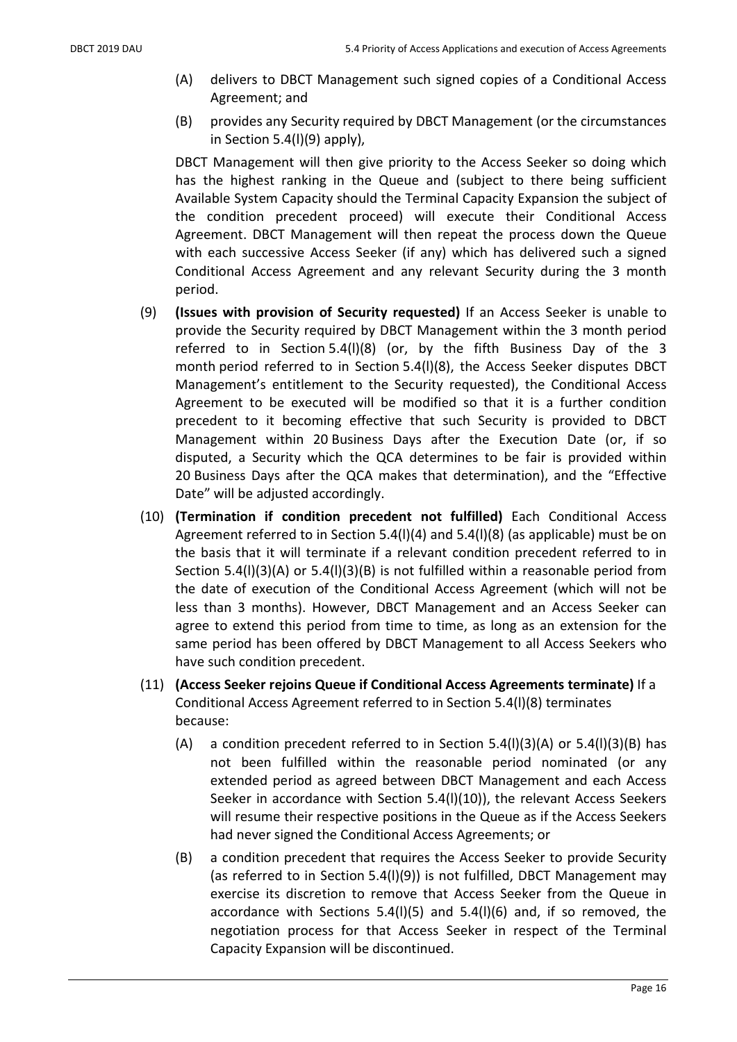- (A) delivers to DBCT Management such signed copies of a Conditional Access Agreement; and
- (B) provides any Security required by DBCT Management (or the circumstances in Section 5.4(l)(9) apply),

DBCT Management will then give priority to the Access Seeker so doing which has the highest ranking in the Queue and (subject to there being sufficient Available System Capacity should the Terminal Capacity Expansion the subject of the condition precedent proceed) will execute their Conditional Access Agreement. DBCT Management will then repeat the process down the Queue with each successive Access Seeker (if any) which has delivered such a signed Conditional Access Agreement and any relevant Security during the 3 month period.

- (9) (Issues with provision of Security requested) If an Access Seeker is unable to provide the Security required by DBCT Management within the 3 month period referred to in Section 5.4(l)(8) (or, by the fifth Business Day of the 3 month period referred to in Section 5.4(l)(8), the Access Seeker disputes DBCT Management's entitlement to the Security requested), the Conditional Access Agreement to be executed will be modified so that it is a further condition precedent to it becoming effective that such Security is provided to DBCT Management within 20 Business Days after the Execution Date (or, if so disputed, a Security which the QCA determines to be fair is provided within 20 Business Days after the QCA makes that determination), and the "Effective Date" will be adjusted accordingly.
- (10) (Termination if condition precedent not fulfilled) Each Conditional Access Agreement referred to in Section 5.4(l)(4) and 5.4(l)(8) (as applicable) must be on the basis that it will terminate if a relevant condition precedent referred to in Section 5.4(l)(3)(A) or 5.4(l)(3)(B) is not fulfilled within a reasonable period from the date of execution of the Conditional Access Agreement (which will not be less than 3 months). However, DBCT Management and an Access Seeker can agree to extend this period from time to time, as long as an extension for the same period has been offered by DBCT Management to all Access Seekers who have such condition precedent.
- (11) (Access Seeker rejoins Queue if Conditional Access Agreements terminate) If a Conditional Access Agreement referred to in Section 5.4(l)(8) terminates because:
	- (A) a condition precedent referred to in Section  $5.4(1)(3)(A)$  or  $5.4(1)(3)(B)$  has not been fulfilled within the reasonable period nominated (or any extended period as agreed between DBCT Management and each Access Seeker in accordance with Section 5.4(l)(10)), the relevant Access Seekers will resume their respective positions in the Queue as if the Access Seekers had never signed the Conditional Access Agreements; or
	- (B) a condition precedent that requires the Access Seeker to provide Security (as referred to in Section 5.4(l)(9)) is not fulfilled, DBCT Management may exercise its discretion to remove that Access Seeker from the Queue in accordance with Sections  $5.4(1)(5)$  and  $5.4(1)(6)$  and, if so removed, the negotiation process for that Access Seeker in respect of the Terminal Capacity Expansion will be discontinued.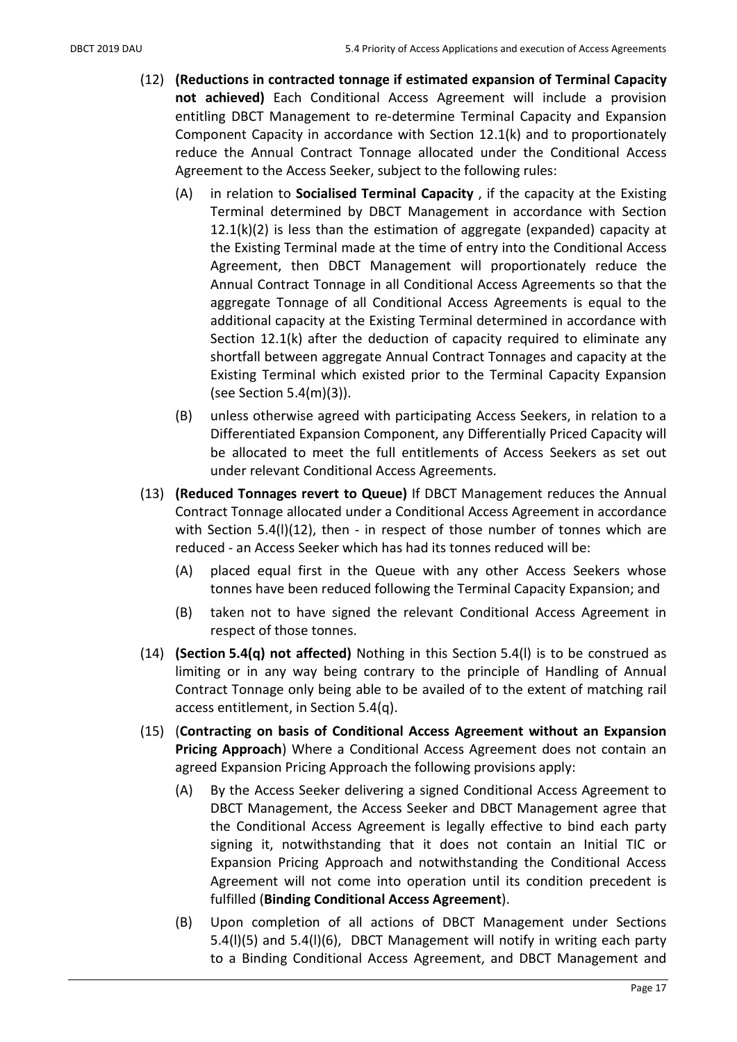- (12) (Reductions in contracted tonnage if estimated expansion of Terminal Capacity not achieved) Each Conditional Access Agreement will include a provision entitling DBCT Management to re-determine Terminal Capacity and Expansion Component Capacity in accordance with Section 12.1(k) and to proportionately reduce the Annual Contract Tonnage allocated under the Conditional Access Agreement to the Access Seeker, subject to the following rules:
	- (A) in relation to **Socialised Terminal Capacity**, if the capacity at the Existing Terminal determined by DBCT Management in accordance with Section  $12.1(k)(2)$  is less than the estimation of aggregate (expanded) capacity at the Existing Terminal made at the time of entry into the Conditional Access Agreement, then DBCT Management will proportionately reduce the Annual Contract Tonnage in all Conditional Access Agreements so that the aggregate Tonnage of all Conditional Access Agreements is equal to the additional capacity at the Existing Terminal determined in accordance with Section 12.1(k) after the deduction of capacity required to eliminate any shortfall between aggregate Annual Contract Tonnages and capacity at the Existing Terminal which existed prior to the Terminal Capacity Expansion (see Section 5.4(m)(3)).
	- (B) unless otherwise agreed with participating Access Seekers, in relation to a Differentiated Expansion Component, any Differentially Priced Capacity will be allocated to meet the full entitlements of Access Seekers as set out under relevant Conditional Access Agreements.
- (13) (Reduced Tonnages revert to Queue) If DBCT Management reduces the Annual Contract Tonnage allocated under a Conditional Access Agreement in accordance with Section 5.4(I)(12), then - in respect of those number of tonnes which are reduced - an Access Seeker which has had its tonnes reduced will be:
	- (A) placed equal first in the Queue with any other Access Seekers whose tonnes have been reduced following the Terminal Capacity Expansion; and
	- (B) taken not to have signed the relevant Conditional Access Agreement in respect of those tonnes.
- (14) (Section 5.4(q) not affected) Nothing in this Section 5.4(l) is to be construed as limiting or in any way being contrary to the principle of Handling of Annual Contract Tonnage only being able to be availed of to the extent of matching rail access entitlement, in Section 5.4(q).
- (15) (Contracting on basis of Conditional Access Agreement without an Expansion Pricing Approach) Where a Conditional Access Agreement does not contain an agreed Expansion Pricing Approach the following provisions apply:
	- (A) By the Access Seeker delivering a signed Conditional Access Agreement to DBCT Management, the Access Seeker and DBCT Management agree that the Conditional Access Agreement is legally effective to bind each party signing it, notwithstanding that it does not contain an Initial TIC or Expansion Pricing Approach and notwithstanding the Conditional Access Agreement will not come into operation until its condition precedent is fulfilled (Binding Conditional Access Agreement).
	- (B) Upon completion of all actions of DBCT Management under Sections 5.4(l)(5) and 5.4(l)(6), DBCT Management will notify in writing each party to a Binding Conditional Access Agreement, and DBCT Management and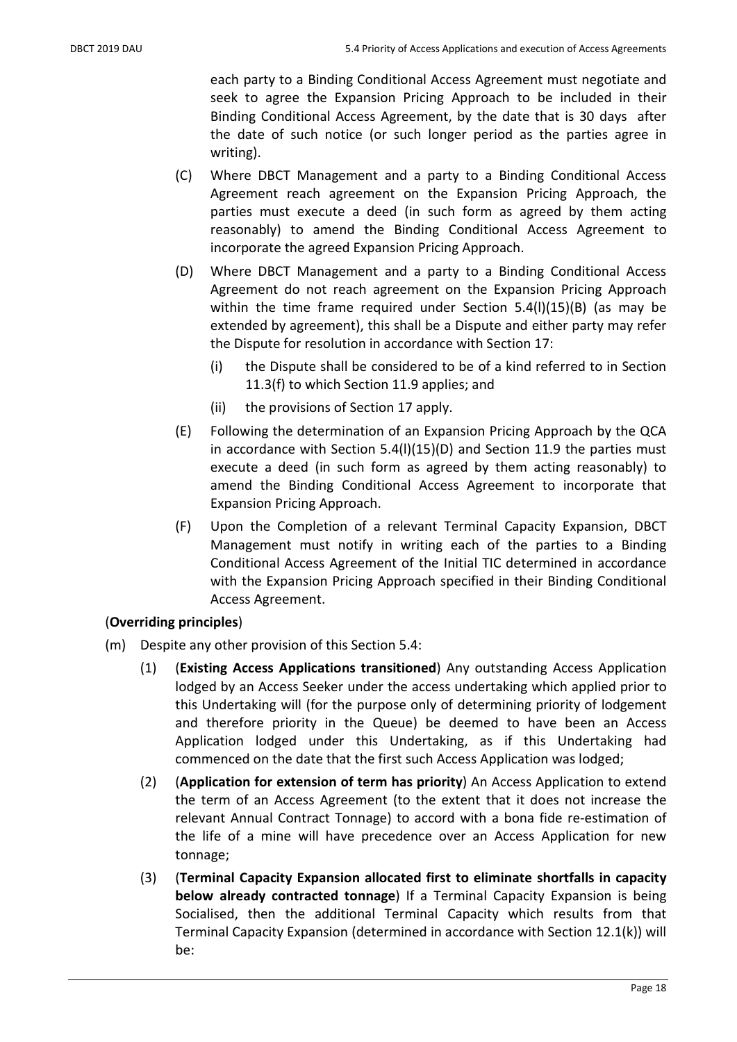each party to a Binding Conditional Access Agreement must negotiate and seek to agree the Expansion Pricing Approach to be included in their Binding Conditional Access Agreement, by the date that is 30 days after the date of such notice (or such longer period as the parties agree in writing).

- (C) Where DBCT Management and a party to a Binding Conditional Access Agreement reach agreement on the Expansion Pricing Approach, the parties must execute a deed (in such form as agreed by them acting reasonably) to amend the Binding Conditional Access Agreement to incorporate the agreed Expansion Pricing Approach.
- (D) Where DBCT Management and a party to a Binding Conditional Access Agreement do not reach agreement on the Expansion Pricing Approach within the time frame required under Section 5.4(I)(15)(B) (as may be extended by agreement), this shall be a Dispute and either party may refer the Dispute for resolution in accordance with Section 17:
	- (i) the Dispute shall be considered to be of a kind referred to in Section 11.3(f) to which Section 11.9 applies; and
	- (ii) the provisions of Section 17 apply.
- (E) Following the determination of an Expansion Pricing Approach by the QCA in accordance with Section 5.4(l)(15)(D) and Section 11.9 the parties must execute a deed (in such form as agreed by them acting reasonably) to amend the Binding Conditional Access Agreement to incorporate that Expansion Pricing Approach.
- (F) Upon the Completion of a relevant Terminal Capacity Expansion, DBCT Management must notify in writing each of the parties to a Binding Conditional Access Agreement of the Initial TIC determined in accordance with the Expansion Pricing Approach specified in their Binding Conditional Access Agreement.

### (Overriding principles)

- (m) Despite any other provision of this Section 5.4:
	- (1) (Existing Access Applications transitioned) Any outstanding Access Application lodged by an Access Seeker under the access undertaking which applied prior to this Undertaking will (for the purpose only of determining priority of lodgement and therefore priority in the Queue) be deemed to have been an Access Application lodged under this Undertaking, as if this Undertaking had commenced on the date that the first such Access Application was lodged;
	- (2) (Application for extension of term has priority) An Access Application to extend the term of an Access Agreement (to the extent that it does not increase the relevant Annual Contract Tonnage) to accord with a bona fide re-estimation of the life of a mine will have precedence over an Access Application for new tonnage;
	- (3) (Terminal Capacity Expansion allocated first to eliminate shortfalls in capacity below already contracted tonnage) If a Terminal Capacity Expansion is being Socialised, then the additional Terminal Capacity which results from that Terminal Capacity Expansion (determined in accordance with Section 12.1(k)) will be: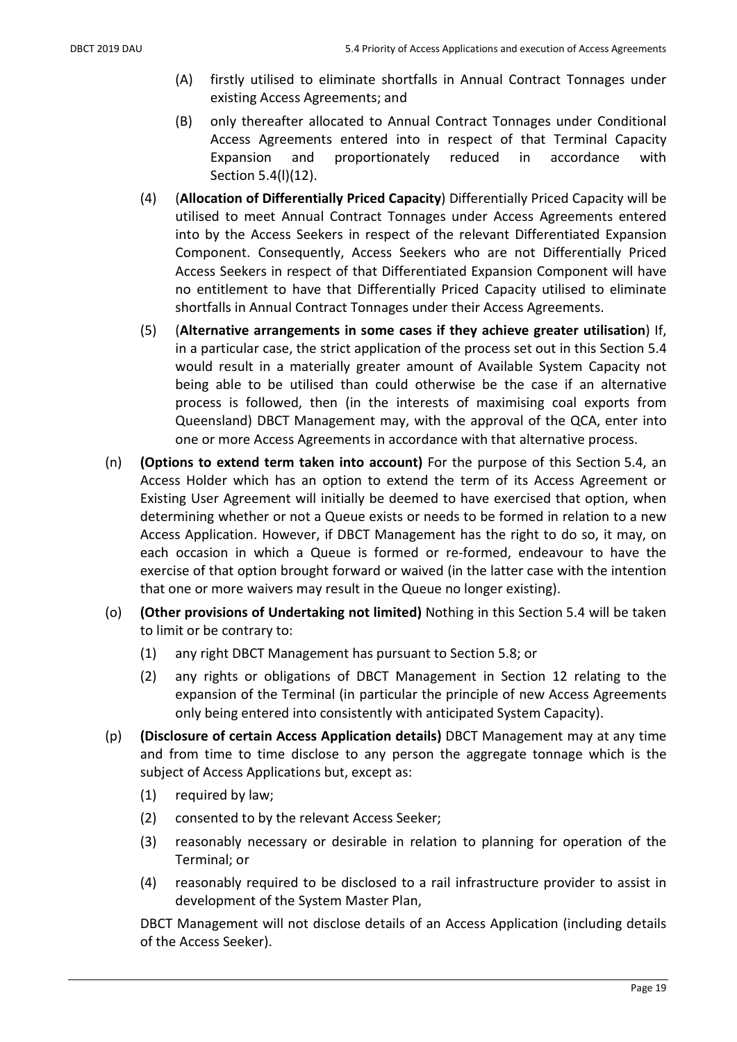- (A) firstly utilised to eliminate shortfalls in Annual Contract Tonnages under existing Access Agreements; and
- (B) only thereafter allocated to Annual Contract Tonnages under Conditional Access Agreements entered into in respect of that Terminal Capacity Expansion and proportionately reduced in accordance with Section 5.4(l)(12).
- (4) (Allocation of Differentially Priced Capacity) Differentially Priced Capacity will be utilised to meet Annual Contract Tonnages under Access Agreements entered into by the Access Seekers in respect of the relevant Differentiated Expansion Component. Consequently, Access Seekers who are not Differentially Priced Access Seekers in respect of that Differentiated Expansion Component will have no entitlement to have that Differentially Priced Capacity utilised to eliminate shortfalls in Annual Contract Tonnages under their Access Agreements.
- (5) (Alternative arrangements in some cases if they achieve greater utilisation) If, in a particular case, the strict application of the process set out in this Section 5.4 would result in a materially greater amount of Available System Capacity not being able to be utilised than could otherwise be the case if an alternative process is followed, then (in the interests of maximising coal exports from Queensland) DBCT Management may, with the approval of the QCA, enter into one or more Access Agreements in accordance with that alternative process.
- (n) (Options to extend term taken into account) For the purpose of this Section 5.4, an Access Holder which has an option to extend the term of its Access Agreement or Existing User Agreement will initially be deemed to have exercised that option, when determining whether or not a Queue exists or needs to be formed in relation to a new Access Application. However, if DBCT Management has the right to do so, it may, on each occasion in which a Queue is formed or re-formed, endeavour to have the exercise of that option brought forward or waived (in the latter case with the intention that one or more waivers may result in the Queue no longer existing).
- (o) (Other provisions of Undertaking not limited) Nothing in this Section 5.4 will be taken to limit or be contrary to:
	- (1) any right DBCT Management has pursuant to Section 5.8; or
	- (2) any rights or obligations of DBCT Management in Section 12 relating to the expansion of the Terminal (in particular the principle of new Access Agreements only being entered into consistently with anticipated System Capacity).
- (p) (Disclosure of certain Access Application details) DBCT Management may at any time and from time to time disclose to any person the aggregate tonnage which is the subject of Access Applications but, except as:
	- (1) required by law;
	- (2) consented to by the relevant Access Seeker;
	- (3) reasonably necessary or desirable in relation to planning for operation of the Terminal; or
	- (4) reasonably required to be disclosed to a rail infrastructure provider to assist in development of the System Master Plan,

DBCT Management will not disclose details of an Access Application (including details of the Access Seeker).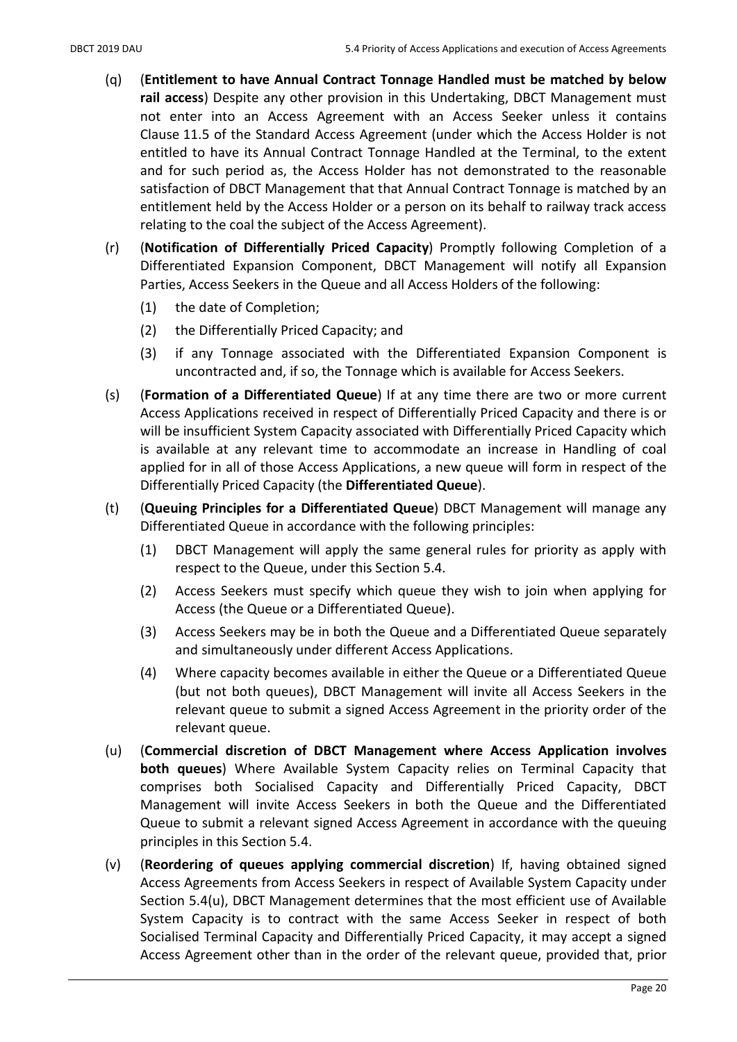- (q) (Entitlement to have Annual Contract Tonnage Handled must be matched by below rail access) Despite any other provision in this Undertaking, DBCT Management must not enter into an Access Agreement with an Access Seeker unless it contains Clause 11.5 of the Standard Access Agreement (under which the Access Holder is not entitled to have its Annual Contract Tonnage Handled at the Terminal, to the extent and for such period as, the Access Holder has not demonstrated to the reasonable satisfaction of DBCT Management that that Annual Contract Tonnage is matched by an entitlement held by the Access Holder or a person on its behalf to railway track access relating to the coal the subject of the Access Agreement).
- (r) (Notification of Differentially Priced Capacity) Promptly following Completion of a Differentiated Expansion Component, DBCT Management will notify all Expansion Parties, Access Seekers in the Queue and all Access Holders of the following:
	- (1) the date of Completion;
	- (2) the Differentially Priced Capacity; and
	- (3) if any Tonnage associated with the Differentiated Expansion Component is uncontracted and, if so, the Tonnage which is available for Access Seekers.
- (s) (Formation of a Differentiated Queue) If at any time there are two or more current Access Applications received in respect of Differentially Priced Capacity and there is or will be insufficient System Capacity associated with Differentially Priced Capacity which is available at any relevant time to accommodate an increase in Handling of coal applied for in all of those Access Applications, a new queue will form in respect of the Differentially Priced Capacity (the Differentiated Queue).
- (t) (Queuing Principles for a Differentiated Queue) DBCT Management will manage any Differentiated Queue in accordance with the following principles:
	- (1) DBCT Management will apply the same general rules for priority as apply with respect to the Queue, under this Section 5.4.
	- (2) Access Seekers must specify which queue they wish to join when applying for Access (the Queue or a Differentiated Queue).
	- (3) Access Seekers may be in both the Queue and a Differentiated Queue separately and simultaneously under different Access Applications.
	- (4) Where capacity becomes available in either the Queue or a Differentiated Queue (but not both queues), DBCT Management will invite all Access Seekers in the relevant queue to submit a signed Access Agreement in the priority order of the relevant queue.
- (u) (Commercial discretion of DBCT Management where Access Application involves both queues) Where Available System Capacity relies on Terminal Capacity that comprises both Socialised Capacity and Differentially Priced Capacity, DBCT Management will invite Access Seekers in both the Queue and the Differentiated Queue to submit a relevant signed Access Agreement in accordance with the queuing principles in this Section 5.4.
- (v) (Reordering of queues applying commercial discretion) If, having obtained signed Access Agreements from Access Seekers in respect of Available System Capacity under Section 5.4(u), DBCT Management determines that the most efficient use of Available System Capacity is to contract with the same Access Seeker in respect of both Socialised Terminal Capacity and Differentially Priced Capacity, it may accept a signed Access Agreement other than in the order of the relevant queue, provided that, prior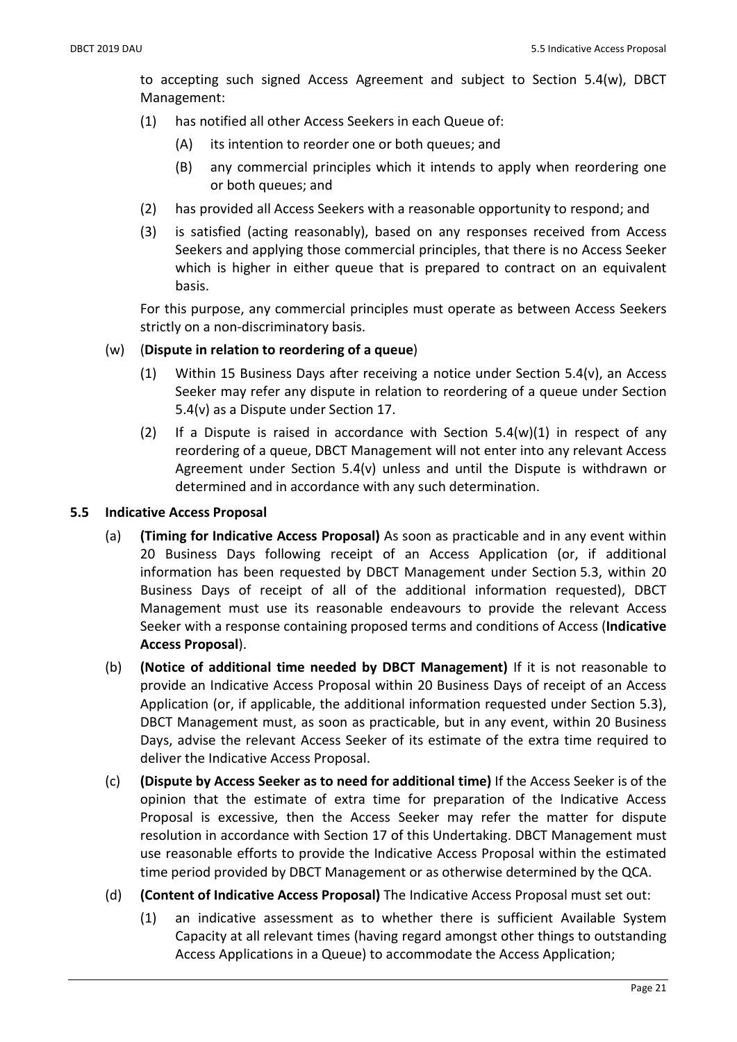to accepting such signed Access Agreement and subject to Section 5.4(w), DBCT Management:

- (1) has notified all other Access Seekers in each Queue of:
	- (A) its intention to reorder one or both queues; and
	- (B) any commercial principles which it intends to apply when reordering one or both queues; and
- (2) has provided all Access Seekers with a reasonable opportunity to respond; and
- (3) is satisfied (acting reasonably), based on any responses received from Access Seekers and applying those commercial principles, that there is no Access Seeker which is higher in either queue that is prepared to contract on an equivalent basis.

For this purpose, any commercial principles must operate as between Access Seekers strictly on a non-discriminatory basis.

# (w) (Dispute in relation to reordering of a queue)

- (1) Within 15 Business Days after receiving a notice under Section 5.4(v), an Access Seeker may refer any dispute in relation to reordering of a queue under Section 5.4(v) as a Dispute under Section 17.
- (2) If a Dispute is raised in accordance with Section 5.4(w)(1) in respect of any reordering of a queue, DBCT Management will not enter into any relevant Access Agreement under Section 5.4(v) unless and until the Dispute is withdrawn or determined and in accordance with any such determination.

# 5.5 Indicative Access Proposal

- (a) (Timing for Indicative Access Proposal) As soon as practicable and in any event within 20 Business Days following receipt of an Access Application (or, if additional information has been requested by DBCT Management under Section 5.3, within 20 Business Days of receipt of all of the additional information requested), DBCT Management must use its reasonable endeavours to provide the relevant Access Seeker with a response containing proposed terms and conditions of Access (Indicative Access Proposal).
- (b) (Notice of additional time needed by DBCT Management) If it is not reasonable to provide an Indicative Access Proposal within 20 Business Days of receipt of an Access Application (or, if applicable, the additional information requested under Section 5.3), DBCT Management must, as soon as practicable, but in any event, within 20 Business Days, advise the relevant Access Seeker of its estimate of the extra time required to deliver the Indicative Access Proposal.
- (c) (Dispute by Access Seeker as to need for additional time) If the Access Seeker is of the opinion that the estimate of extra time for preparation of the Indicative Access Proposal is excessive, then the Access Seeker may refer the matter for dispute resolution in accordance with Section 17 of this Undertaking. DBCT Management must use reasonable efforts to provide the Indicative Access Proposal within the estimated time period provided by DBCT Management or as otherwise determined by the QCA.
- (d) (Content of Indicative Access Proposal) The Indicative Access Proposal must set out:
	- (1) an indicative assessment as to whether there is sufficient Available System Capacity at all relevant times (having regard amongst other things to outstanding Access Applications in a Queue) to accommodate the Access Application;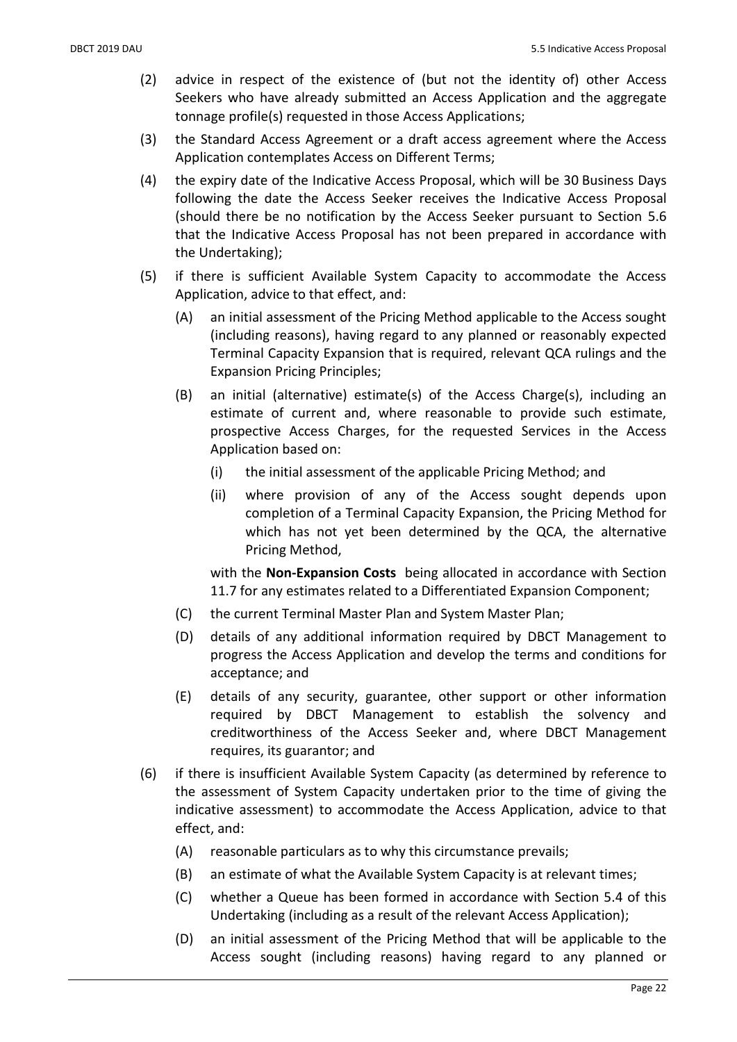- (2) advice in respect of the existence of (but not the identity of) other Access Seekers who have already submitted an Access Application and the aggregate tonnage profile(s) requested in those Access Applications;
- (3) the Standard Access Agreement or a draft access agreement where the Access Application contemplates Access on Different Terms;
- (4) the expiry date of the Indicative Access Proposal, which will be 30 Business Days following the date the Access Seeker receives the Indicative Access Proposal (should there be no notification by the Access Seeker pursuant to Section 5.6 that the Indicative Access Proposal has not been prepared in accordance with the Undertaking);
- (5) if there is sufficient Available System Capacity to accommodate the Access Application, advice to that effect, and:
	- (A) an initial assessment of the Pricing Method applicable to the Access sought (including reasons), having regard to any planned or reasonably expected Terminal Capacity Expansion that is required, relevant QCA rulings and the Expansion Pricing Principles;
	- (B) an initial (alternative) estimate(s) of the Access Charge(s), including an estimate of current and, where reasonable to provide such estimate, prospective Access Charges, for the requested Services in the Access Application based on:
		- (i) the initial assessment of the applicable Pricing Method; and
		- (ii) where provision of any of the Access sought depends upon completion of a Terminal Capacity Expansion, the Pricing Method for which has not yet been determined by the QCA, the alternative Pricing Method,

with the Non-Expansion Costs being allocated in accordance with Section 11.7 for any estimates related to a Differentiated Expansion Component;

- (C) the current Terminal Master Plan and System Master Plan;
- (D) details of any additional information required by DBCT Management to progress the Access Application and develop the terms and conditions for acceptance; and
- (E) details of any security, guarantee, other support or other information required by DBCT Management to establish the solvency and creditworthiness of the Access Seeker and, where DBCT Management requires, its guarantor; and
- (6) if there is insufficient Available System Capacity (as determined by reference to the assessment of System Capacity undertaken prior to the time of giving the indicative assessment) to accommodate the Access Application, advice to that effect, and:
	- (A) reasonable particulars as to why this circumstance prevails;
	- (B) an estimate of what the Available System Capacity is at relevant times;
	- (C) whether a Queue has been formed in accordance with Section 5.4 of this Undertaking (including as a result of the relevant Access Application);
	- (D) an initial assessment of the Pricing Method that will be applicable to the Access sought (including reasons) having regard to any planned or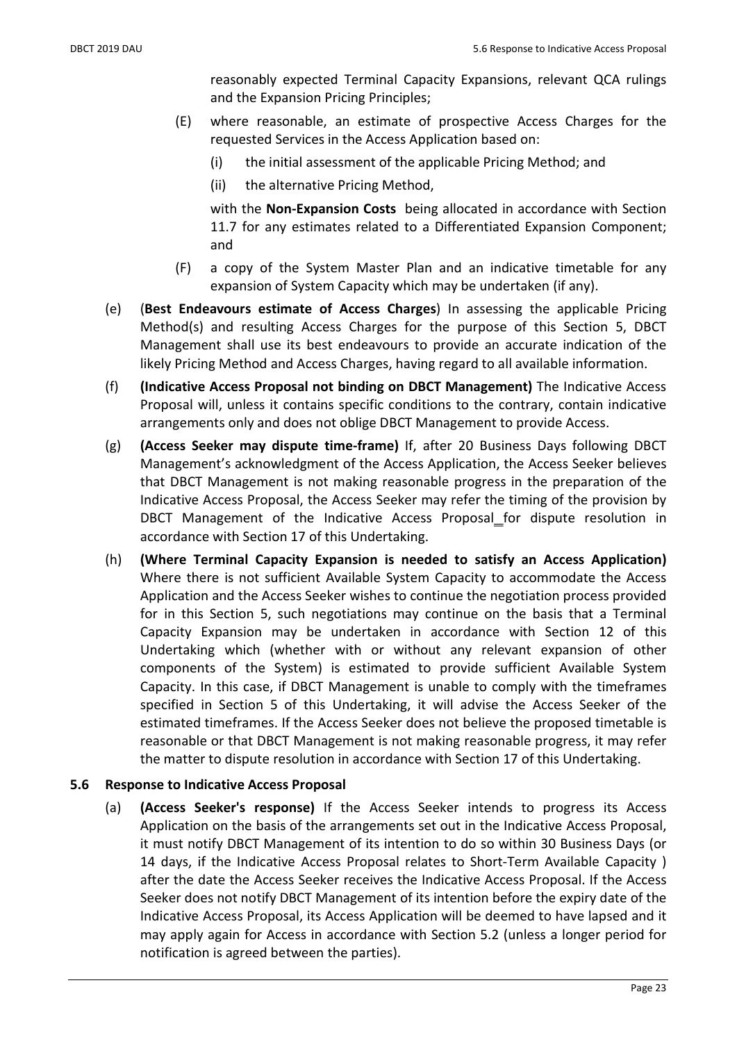reasonably expected Terminal Capacity Expansions, relevant QCA rulings and the Expansion Pricing Principles;

- (E) where reasonable, an estimate of prospective Access Charges for the requested Services in the Access Application based on:
	- (i) the initial assessment of the applicable Pricing Method; and
	- (ii) the alternative Pricing Method,

with the Non-Expansion Costs being allocated in accordance with Section 11.7 for any estimates related to a Differentiated Expansion Component; and

- (F) a copy of the System Master Plan and an indicative timetable for any expansion of System Capacity which may be undertaken (if any).
- (e) (Best Endeavours estimate of Access Charges) In assessing the applicable Pricing Method(s) and resulting Access Charges for the purpose of this Section 5, DBCT Management shall use its best endeavours to provide an accurate indication of the likely Pricing Method and Access Charges, having regard to all available information.
- (f) (Indicative Access Proposal not binding on DBCT Management) The Indicative Access Proposal will, unless it contains specific conditions to the contrary, contain indicative arrangements only and does not oblige DBCT Management to provide Access.
- (g) (Access Seeker may dispute time-frame) If, after 20 Business Days following DBCT Management's acknowledgment of the Access Application, the Access Seeker believes that DBCT Management is not making reasonable progress in the preparation of the Indicative Access Proposal, the Access Seeker may refer the timing of the provision by DBCT Management of the Indicative Access Proposal for dispute resolution in accordance with Section 17 of this Undertaking.
- (h) (Where Terminal Capacity Expansion is needed to satisfy an Access Application) Where there is not sufficient Available System Capacity to accommodate the Access Application and the Access Seeker wishes to continue the negotiation process provided for in this Section 5, such negotiations may continue on the basis that a Terminal Capacity Expansion may be undertaken in accordance with Section 12 of this Undertaking which (whether with or without any relevant expansion of other components of the System) is estimated to provide sufficient Available System Capacity. In this case, if DBCT Management is unable to comply with the timeframes specified in Section 5 of this Undertaking, it will advise the Access Seeker of the estimated timeframes. If the Access Seeker does not believe the proposed timetable is reasonable or that DBCT Management is not making reasonable progress, it may refer the matter to dispute resolution in accordance with Section 17 of this Undertaking.

### 5.6 Response to Indicative Access Proposal

(a) (Access Seeker's response) If the Access Seeker intends to progress its Access Application on the basis of the arrangements set out in the Indicative Access Proposal, it must notify DBCT Management of its intention to do so within 30 Business Days (or 14 days, if the Indicative Access Proposal relates to Short-Term Available Capacity ) after the date the Access Seeker receives the Indicative Access Proposal. If the Access Seeker does not notify DBCT Management of its intention before the expiry date of the Indicative Access Proposal, its Access Application will be deemed to have lapsed and it may apply again for Access in accordance with Section 5.2 (unless a longer period for notification is agreed between the parties).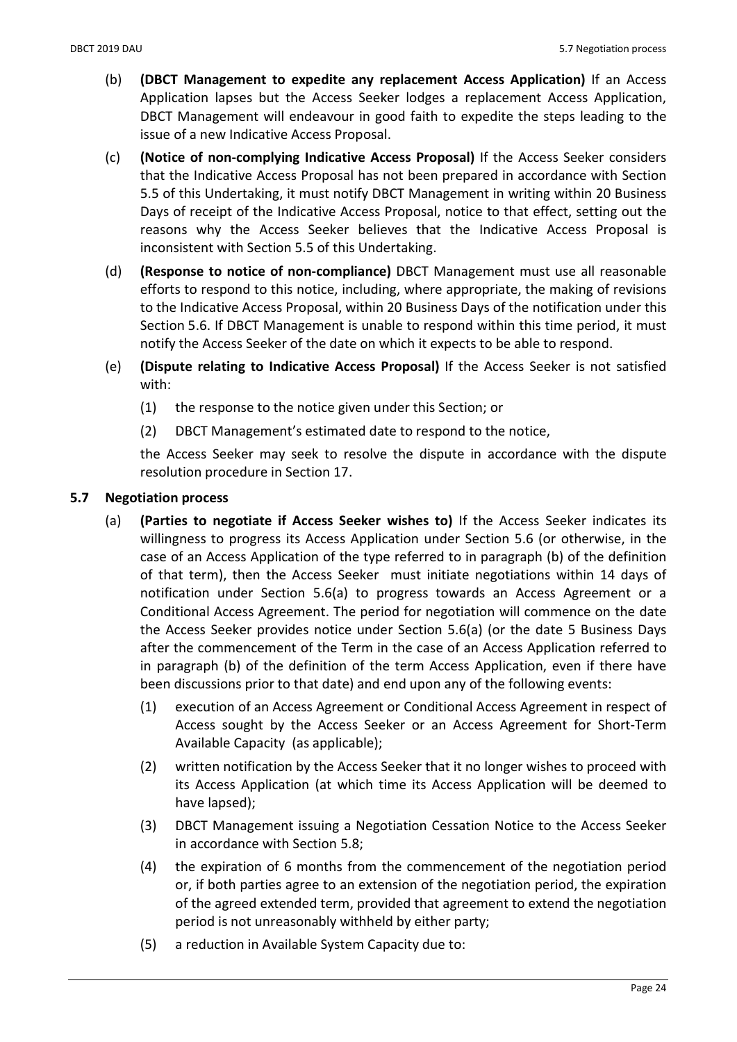- (b) (DBCT Management to expedite any replacement Access Application) If an Access Application lapses but the Access Seeker lodges a replacement Access Application, DBCT Management will endeavour in good faith to expedite the steps leading to the issue of a new Indicative Access Proposal.
- (c) (Notice of non-complying Indicative Access Proposal) If the Access Seeker considers that the Indicative Access Proposal has not been prepared in accordance with Section 5.5 of this Undertaking, it must notify DBCT Management in writing within 20 Business Days of receipt of the Indicative Access Proposal, notice to that effect, setting out the reasons why the Access Seeker believes that the Indicative Access Proposal is inconsistent with Section 5.5 of this Undertaking.
- (d) (Response to notice of non-compliance) DBCT Management must use all reasonable efforts to respond to this notice, including, where appropriate, the making of revisions to the Indicative Access Proposal, within 20 Business Days of the notification under this Section 5.6. If DBCT Management is unable to respond within this time period, it must notify the Access Seeker of the date on which it expects to be able to respond.
- (e) (Dispute relating to Indicative Access Proposal) If the Access Seeker is not satisfied with:
	- (1) the response to the notice given under this Section; or
	- (2) DBCT Management's estimated date to respond to the notice,

the Access Seeker may seek to resolve the dispute in accordance with the dispute resolution procedure in Section 17.

### 5.7 Negotiation process

- (a) (Parties to negotiate if Access Seeker wishes to) If the Access Seeker indicates its willingness to progress its Access Application under Section 5.6 (or otherwise, in the case of an Access Application of the type referred to in paragraph (b) of the definition of that term), then the Access Seeker must initiate negotiations within 14 days of notification under Section 5.6(a) to progress towards an Access Agreement or a Conditional Access Agreement. The period for negotiation will commence on the date the Access Seeker provides notice under Section 5.6(a) (or the date 5 Business Days after the commencement of the Term in the case of an Access Application referred to in paragraph (b) of the definition of the term Access Application, even if there have been discussions prior to that date) and end upon any of the following events:
	- (1) execution of an Access Agreement or Conditional Access Agreement in respect of Access sought by the Access Seeker or an Access Agreement for Short-Term Available Capacity (as applicable);
	- (2) written notification by the Access Seeker that it no longer wishes to proceed with its Access Application (at which time its Access Application will be deemed to have lapsed);
	- (3) DBCT Management issuing a Negotiation Cessation Notice to the Access Seeker in accordance with Section 5.8;
	- (4) the expiration of 6 months from the commencement of the negotiation period or, if both parties agree to an extension of the negotiation period, the expiration of the agreed extended term, provided that agreement to extend the negotiation period is not unreasonably withheld by either party;
	- (5) a reduction in Available System Capacity due to: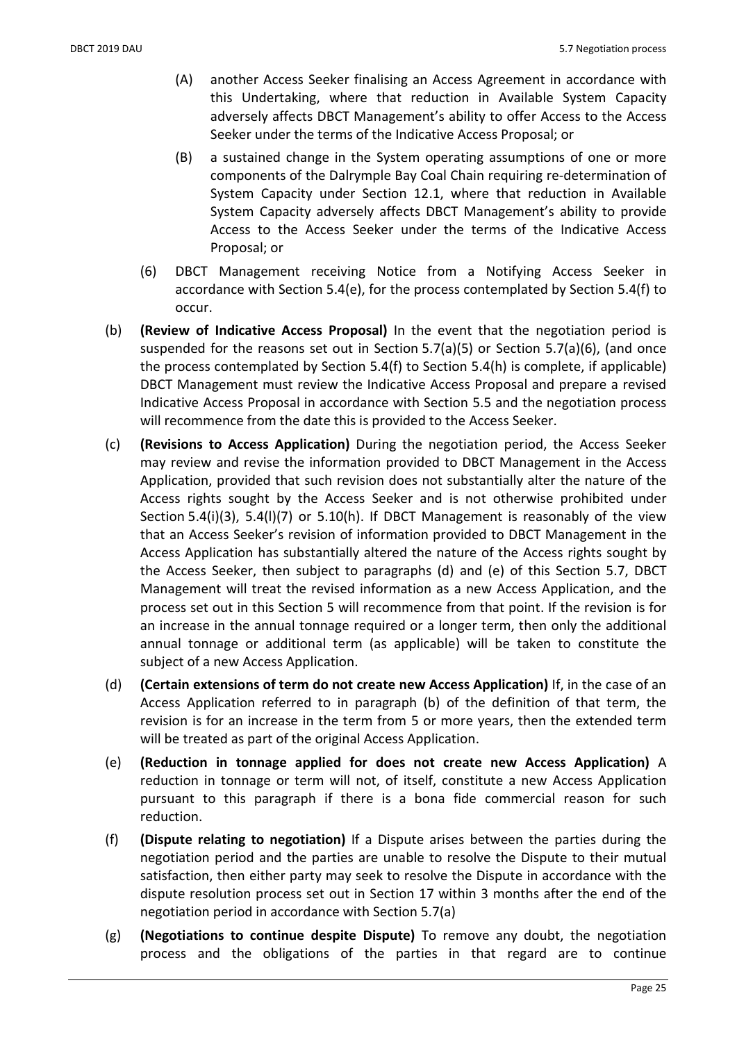- (A) another Access Seeker finalising an Access Agreement in accordance with this Undertaking, where that reduction in Available System Capacity adversely affects DBCT Management's ability to offer Access to the Access Seeker under the terms of the Indicative Access Proposal; or
- (B) a sustained change in the System operating assumptions of one or more components of the Dalrymple Bay Coal Chain requiring re-determination of System Capacity under Section 12.1, where that reduction in Available System Capacity adversely affects DBCT Management's ability to provide Access to the Access Seeker under the terms of the Indicative Access Proposal; or
- (6) DBCT Management receiving Notice from a Notifying Access Seeker in accordance with Section 5.4(e), for the process contemplated by Section 5.4(f) to occur.
- (b) (Review of Indicative Access Proposal) In the event that the negotiation period is suspended for the reasons set out in Section 5.7(a)(5) or Section 5.7(a)(6), (and once the process contemplated by Section 5.4(f) to Section 5.4(h) is complete, if applicable) DBCT Management must review the Indicative Access Proposal and prepare a revised Indicative Access Proposal in accordance with Section 5.5 and the negotiation process will recommence from the date this is provided to the Access Seeker.
- (c) (Revisions to Access Application) During the negotiation period, the Access Seeker may review and revise the information provided to DBCT Management in the Access Application, provided that such revision does not substantially alter the nature of the Access rights sought by the Access Seeker and is not otherwise prohibited under Section 5.4(i)(3), 5.4(l)(7) or 5.10(h). If DBCT Management is reasonably of the view that an Access Seeker's revision of information provided to DBCT Management in the Access Application has substantially altered the nature of the Access rights sought by the Access Seeker, then subject to paragraphs (d) and (e) of this Section 5.7, DBCT Management will treat the revised information as a new Access Application, and the process set out in this Section 5 will recommence from that point. If the revision is for an increase in the annual tonnage required or a longer term, then only the additional annual tonnage or additional term (as applicable) will be taken to constitute the subject of a new Access Application.
- (d) (Certain extensions of term do not create new Access Application) If, in the case of an Access Application referred to in paragraph (b) of the definition of that term, the revision is for an increase in the term from 5 or more years, then the extended term will be treated as part of the original Access Application.
- (e) (Reduction in tonnage applied for does not create new Access Application) A reduction in tonnage or term will not, of itself, constitute a new Access Application pursuant to this paragraph if there is a bona fide commercial reason for such reduction.
- (f) (Dispute relating to negotiation) If a Dispute arises between the parties during the negotiation period and the parties are unable to resolve the Dispute to their mutual satisfaction, then either party may seek to resolve the Dispute in accordance with the dispute resolution process set out in Section 17 within 3 months after the end of the negotiation period in accordance with Section 5.7(a)
- (g) (Negotiations to continue despite Dispute) To remove any doubt, the negotiation process and the obligations of the parties in that regard are to continue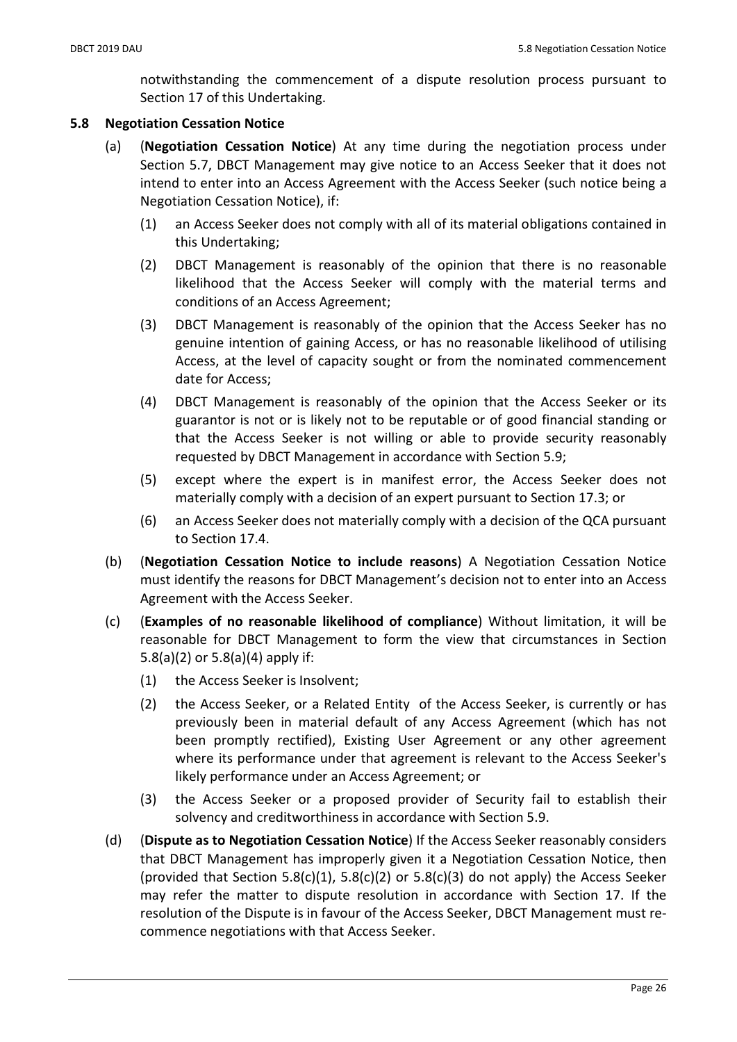notwithstanding the commencement of a dispute resolution process pursuant to Section 17 of this Undertaking.

## 5.8 Negotiation Cessation Notice

- (a) (Negotiation Cessation Notice) At any time during the negotiation process under Section 5.7, DBCT Management may give notice to an Access Seeker that it does not intend to enter into an Access Agreement with the Access Seeker (such notice being a Negotiation Cessation Notice), if:
	- (1) an Access Seeker does not comply with all of its material obligations contained in this Undertaking;
	- (2) DBCT Management is reasonably of the opinion that there is no reasonable likelihood that the Access Seeker will comply with the material terms and conditions of an Access Agreement;
	- (3) DBCT Management is reasonably of the opinion that the Access Seeker has no genuine intention of gaining Access, or has no reasonable likelihood of utilising Access, at the level of capacity sought or from the nominated commencement date for Access;
	- (4) DBCT Management is reasonably of the opinion that the Access Seeker or its guarantor is not or is likely not to be reputable or of good financial standing or that the Access Seeker is not willing or able to provide security reasonably requested by DBCT Management in accordance with Section 5.9;
	- (5) except where the expert is in manifest error, the Access Seeker does not materially comply with a decision of an expert pursuant to Section 17.3; or
	- (6) an Access Seeker does not materially comply with a decision of the QCA pursuant to Section 17.4.
- (b) (Negotiation Cessation Notice to include reasons) A Negotiation Cessation Notice must identify the reasons for DBCT Management's decision not to enter into an Access Agreement with the Access Seeker.
- (c) (Examples of no reasonable likelihood of compliance) Without limitation, it will be reasonable for DBCT Management to form the view that circumstances in Section 5.8(a)(2) or 5.8(a)(4) apply if:
	- (1) the Access Seeker is Insolvent;
	- (2) the Access Seeker, or a Related Entity of the Access Seeker, is currently or has previously been in material default of any Access Agreement (which has not been promptly rectified), Existing User Agreement or any other agreement where its performance under that agreement is relevant to the Access Seeker's likely performance under an Access Agreement; or
	- (3) the Access Seeker or a proposed provider of Security fail to establish their solvency and creditworthiness in accordance with Section 5.9.
- (d) (Dispute as to Negotiation Cessation Notice) If the Access Seeker reasonably considers that DBCT Management has improperly given it a Negotiation Cessation Notice, then (provided that Section 5.8(c)(1), 5.8(c)(2) or 5.8(c)(3) do not apply) the Access Seeker may refer the matter to dispute resolution in accordance with Section 17. If the resolution of the Dispute is in favour of the Access Seeker, DBCT Management must recommence negotiations with that Access Seeker.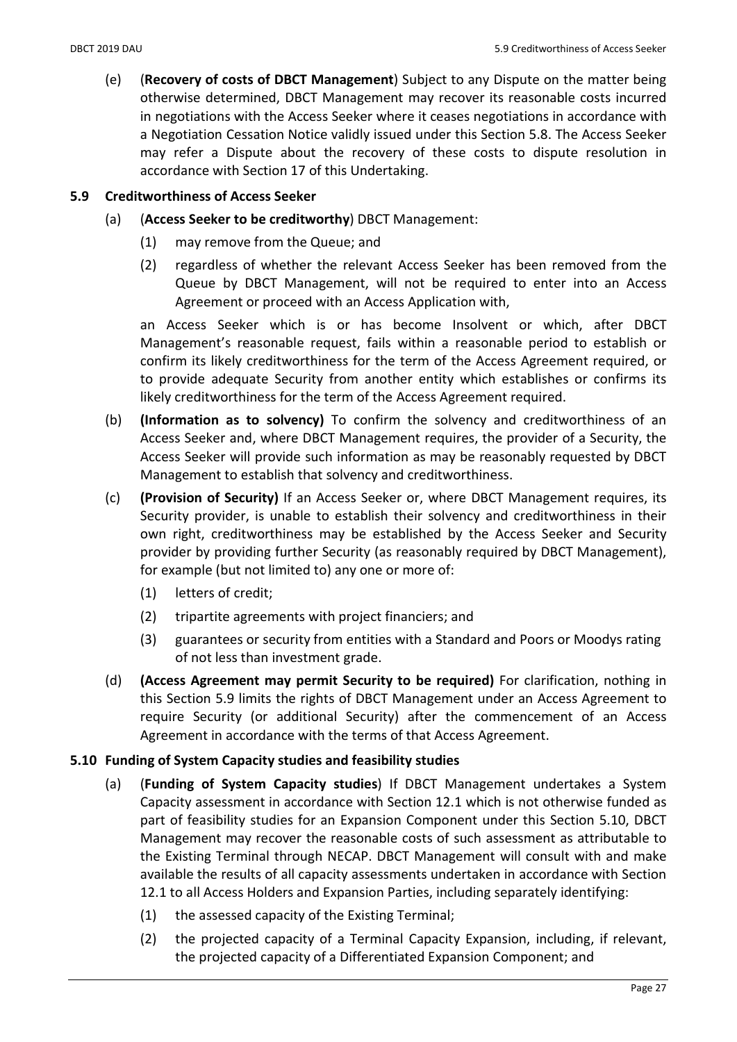(e) (Recovery of costs of DBCT Management) Subject to any Dispute on the matter being otherwise determined, DBCT Management may recover its reasonable costs incurred in negotiations with the Access Seeker where it ceases negotiations in accordance with a Negotiation Cessation Notice validly issued under this Section 5.8. The Access Seeker may refer a Dispute about the recovery of these costs to dispute resolution in accordance with Section 17 of this Undertaking.

### 5.9 Creditworthiness of Access Seeker

- (a) (Access Seeker to be creditworthy) DBCT Management:
	- (1) may remove from the Queue; and
	- (2) regardless of whether the relevant Access Seeker has been removed from the Queue by DBCT Management, will not be required to enter into an Access Agreement or proceed with an Access Application with,

an Access Seeker which is or has become Insolvent or which, after DBCT Management's reasonable request, fails within a reasonable period to establish or confirm its likely creditworthiness for the term of the Access Agreement required, or to provide adequate Security from another entity which establishes or confirms its likely creditworthiness for the term of the Access Agreement required.

- (b) (Information as to solvency) To confirm the solvency and creditworthiness of an Access Seeker and, where DBCT Management requires, the provider of a Security, the Access Seeker will provide such information as may be reasonably requested by DBCT Management to establish that solvency and creditworthiness.
- (c) (Provision of Security) If an Access Seeker or, where DBCT Management requires, its Security provider, is unable to establish their solvency and creditworthiness in their own right, creditworthiness may be established by the Access Seeker and Security provider by providing further Security (as reasonably required by DBCT Management), for example (but not limited to) any one or more of:
	- (1) letters of credit;
	- (2) tripartite agreements with project financiers; and
	- (3) guarantees or security from entities with a Standard and Poors or Moodys rating of not less than investment grade.
- (d) (Access Agreement may permit Security to be required) For clarification, nothing in this Section 5.9 limits the rights of DBCT Management under an Access Agreement to require Security (or additional Security) after the commencement of an Access Agreement in accordance with the terms of that Access Agreement.

### 5.10 Funding of System Capacity studies and feasibility studies

- (a) (Funding of System Capacity studies) If DBCT Management undertakes a System Capacity assessment in accordance with Section 12.1 which is not otherwise funded as part of feasibility studies for an Expansion Component under this Section 5.10, DBCT Management may recover the reasonable costs of such assessment as attributable to the Existing Terminal through NECAP. DBCT Management will consult with and make available the results of all capacity assessments undertaken in accordance with Section 12.1 to all Access Holders and Expansion Parties, including separately identifying:
	- (1) the assessed capacity of the Existing Terminal;
	- (2) the projected capacity of a Terminal Capacity Expansion, including, if relevant, the projected capacity of a Differentiated Expansion Component; and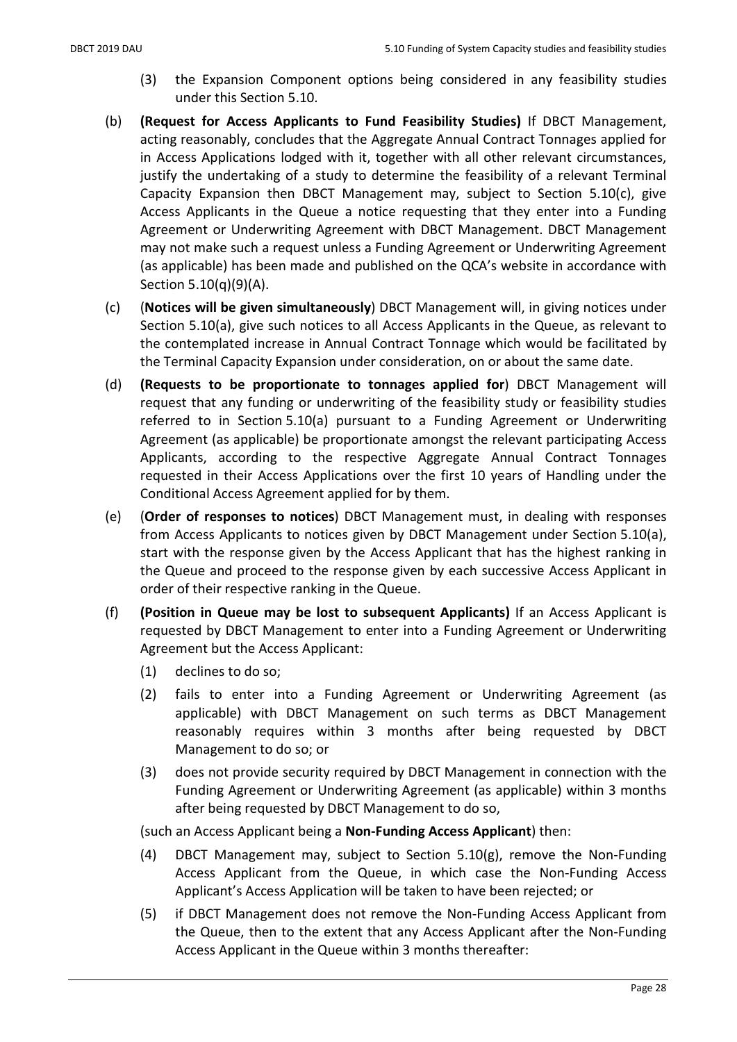- (3) the Expansion Component options being considered in any feasibility studies under this Section 5.10.
- (b) (Request for Access Applicants to Fund Feasibility Studies) If DBCT Management, acting reasonably, concludes that the Aggregate Annual Contract Tonnages applied for in Access Applications lodged with it, together with all other relevant circumstances, justify the undertaking of a study to determine the feasibility of a relevant Terminal Capacity Expansion then DBCT Management may, subject to Section 5.10(c), give Access Applicants in the Queue a notice requesting that they enter into a Funding Agreement or Underwriting Agreement with DBCT Management. DBCT Management may not make such a request unless a Funding Agreement or Underwriting Agreement (as applicable) has been made and published on the QCA's website in accordance with Section 5.10(q)(9)(A).
- (c) (Notices will be given simultaneously) DBCT Management will, in giving notices under Section 5.10(a), give such notices to all Access Applicants in the Queue, as relevant to the contemplated increase in Annual Contract Tonnage which would be facilitated by the Terminal Capacity Expansion under consideration, on or about the same date.
- (d) (Requests to be proportionate to tonnages applied for) DBCT Management will request that any funding or underwriting of the feasibility study or feasibility studies referred to in Section 5.10(a) pursuant to a Funding Agreement or Underwriting Agreement (as applicable) be proportionate amongst the relevant participating Access Applicants, according to the respective Aggregate Annual Contract Tonnages requested in their Access Applications over the first 10 years of Handling under the Conditional Access Agreement applied for by them.
- (e) (Order of responses to notices) DBCT Management must, in dealing with responses from Access Applicants to notices given by DBCT Management under Section 5.10(a), start with the response given by the Access Applicant that has the highest ranking in the Queue and proceed to the response given by each successive Access Applicant in order of their respective ranking in the Queue.
- (f) (Position in Queue may be lost to subsequent Applicants) If an Access Applicant is requested by DBCT Management to enter into a Funding Agreement or Underwriting Agreement but the Access Applicant:
	- (1) declines to do so;
	- (2) fails to enter into a Funding Agreement or Underwriting Agreement (as applicable) with DBCT Management on such terms as DBCT Management reasonably requires within 3 months after being requested by DBCT Management to do so; or
	- (3) does not provide security required by DBCT Management in connection with the Funding Agreement or Underwriting Agreement (as applicable) within 3 months after being requested by DBCT Management to do so,

(such an Access Applicant being a Non-Funding Access Applicant) then:

- (4) DBCT Management may, subject to Section 5.10(g), remove the Non-Funding Access Applicant from the Queue, in which case the Non-Funding Access Applicant's Access Application will be taken to have been rejected; or
- (5) if DBCT Management does not remove the Non-Funding Access Applicant from the Queue, then to the extent that any Access Applicant after the Non-Funding Access Applicant in the Queue within 3 months thereafter: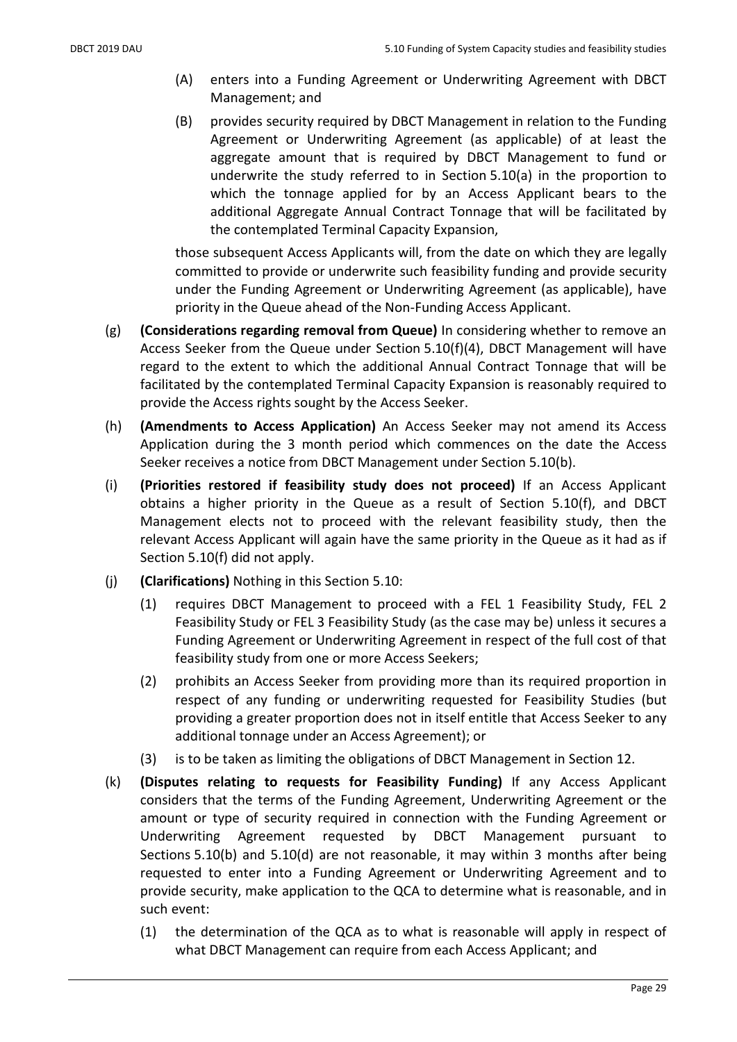- (A) enters into a Funding Agreement or Underwriting Agreement with DBCT Management; and
- (B) provides security required by DBCT Management in relation to the Funding Agreement or Underwriting Agreement (as applicable) of at least the aggregate amount that is required by DBCT Management to fund or underwrite the study referred to in Section 5.10(a) in the proportion to which the tonnage applied for by an Access Applicant bears to the additional Aggregate Annual Contract Tonnage that will be facilitated by the contemplated Terminal Capacity Expansion,

those subsequent Access Applicants will, from the date on which they are legally committed to provide or underwrite such feasibility funding and provide security under the Funding Agreement or Underwriting Agreement (as applicable), have priority in the Queue ahead of the Non-Funding Access Applicant.

- (g) (Considerations regarding removal from Queue) In considering whether to remove an Access Seeker from the Queue under Section 5.10(f)(4), DBCT Management will have regard to the extent to which the additional Annual Contract Tonnage that will be facilitated by the contemplated Terminal Capacity Expansion is reasonably required to provide the Access rights sought by the Access Seeker.
- (h) (Amendments to Access Application) An Access Seeker may not amend its Access Application during the 3 month period which commences on the date the Access Seeker receives a notice from DBCT Management under Section 5.10(b).
- (i) (Priorities restored if feasibility study does not proceed) If an Access Applicant obtains a higher priority in the Queue as a result of Section 5.10(f), and DBCT Management elects not to proceed with the relevant feasibility study, then the relevant Access Applicant will again have the same priority in the Queue as it had as if Section 5.10(f) did not apply.
- (j) (Clarifications) Nothing in this Section 5.10:
	- (1) requires DBCT Management to proceed with a FEL 1 Feasibility Study, FEL 2 Feasibility Study or FEL 3 Feasibility Study (as the case may be) unless it secures a Funding Agreement or Underwriting Agreement in respect of the full cost of that feasibility study from one or more Access Seekers;
	- (2) prohibits an Access Seeker from providing more than its required proportion in respect of any funding or underwriting requested for Feasibility Studies (but providing a greater proportion does not in itself entitle that Access Seeker to any additional tonnage under an Access Agreement); or
	- (3) is to be taken as limiting the obligations of DBCT Management in Section 12.
- (k) (Disputes relating to requests for Feasibility Funding) If any Access Applicant considers that the terms of the Funding Agreement, Underwriting Agreement or the amount or type of security required in connection with the Funding Agreement or Underwriting Agreement requested by DBCT Management pursuant to Sections 5.10(b) and 5.10(d) are not reasonable, it may within 3 months after being requested to enter into a Funding Agreement or Underwriting Agreement and to provide security, make application to the QCA to determine what is reasonable, and in such event:
	- (1) the determination of the QCA as to what is reasonable will apply in respect of what DBCT Management can require from each Access Applicant; and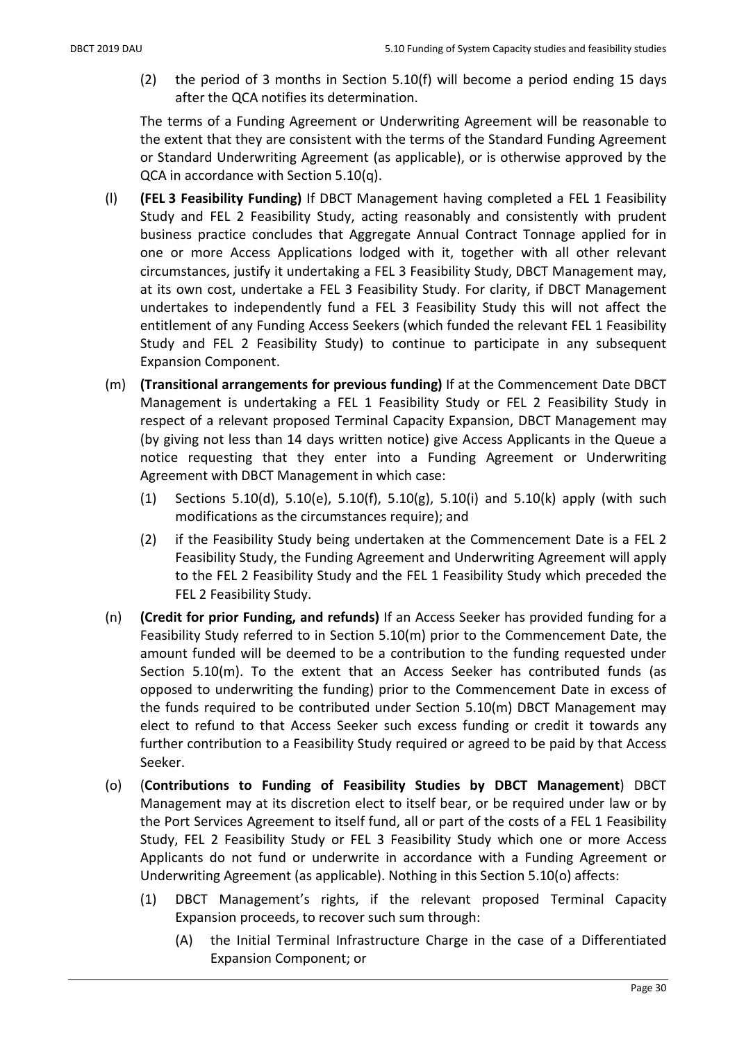(2) the period of 3 months in Section 5.10(f) will become a period ending 15 days after the QCA notifies its determination.

The terms of a Funding Agreement or Underwriting Agreement will be reasonable to the extent that they are consistent with the terms of the Standard Funding Agreement or Standard Underwriting Agreement (as applicable), or is otherwise approved by the QCA in accordance with Section 5.10(q).

- (l) (FEL 3 Feasibility Funding) If DBCT Management having completed a FEL 1 Feasibility Study and FEL 2 Feasibility Study, acting reasonably and consistently with prudent business practice concludes that Aggregate Annual Contract Tonnage applied for in one or more Access Applications lodged with it, together with all other relevant circumstances, justify it undertaking a FEL 3 Feasibility Study, DBCT Management may, at its own cost, undertake a FEL 3 Feasibility Study. For clarity, if DBCT Management undertakes to independently fund a FEL 3 Feasibility Study this will not affect the entitlement of any Funding Access Seekers (which funded the relevant FEL 1 Feasibility Study and FEL 2 Feasibility Study) to continue to participate in any subsequent Expansion Component.
- (m) (Transitional arrangements for previous funding) If at the Commencement Date DBCT Management is undertaking a FEL 1 Feasibility Study or FEL 2 Feasibility Study in respect of a relevant proposed Terminal Capacity Expansion, DBCT Management may (by giving not less than 14 days written notice) give Access Applicants in the Queue a notice requesting that they enter into a Funding Agreement or Underwriting Agreement with DBCT Management in which case:
	- (1) Sections 5.10(d), 5.10(e), 5.10(f), 5.10(g), 5.10(i) and 5.10(k) apply (with such modifications as the circumstances require); and
	- (2) if the Feasibility Study being undertaken at the Commencement Date is a FEL 2 Feasibility Study, the Funding Agreement and Underwriting Agreement will apply to the FEL 2 Feasibility Study and the FEL 1 Feasibility Study which preceded the FEL 2 Feasibility Study.
- (n) (Credit for prior Funding, and refunds) If an Access Seeker has provided funding for a Feasibility Study referred to in Section 5.10(m) prior to the Commencement Date, the amount funded will be deemed to be a contribution to the funding requested under Section 5.10(m). To the extent that an Access Seeker has contributed funds (as opposed to underwriting the funding) prior to the Commencement Date in excess of the funds required to be contributed under Section 5.10(m) DBCT Management may elect to refund to that Access Seeker such excess funding or credit it towards any further contribution to a Feasibility Study required or agreed to be paid by that Access Seeker.
- (o) (Contributions to Funding of Feasibility Studies by DBCT Management) DBCT Management may at its discretion elect to itself bear, or be required under law or by the Port Services Agreement to itself fund, all or part of the costs of a FEL 1 Feasibility Study, FEL 2 Feasibility Study or FEL 3 Feasibility Study which one or more Access Applicants do not fund or underwrite in accordance with a Funding Agreement or Underwriting Agreement (as applicable). Nothing in this Section 5.10(o) affects:
	- (1) DBCT Management's rights, if the relevant proposed Terminal Capacity Expansion proceeds, to recover such sum through:
		- (A) the Initial Terminal Infrastructure Charge in the case of a Differentiated Expansion Component; or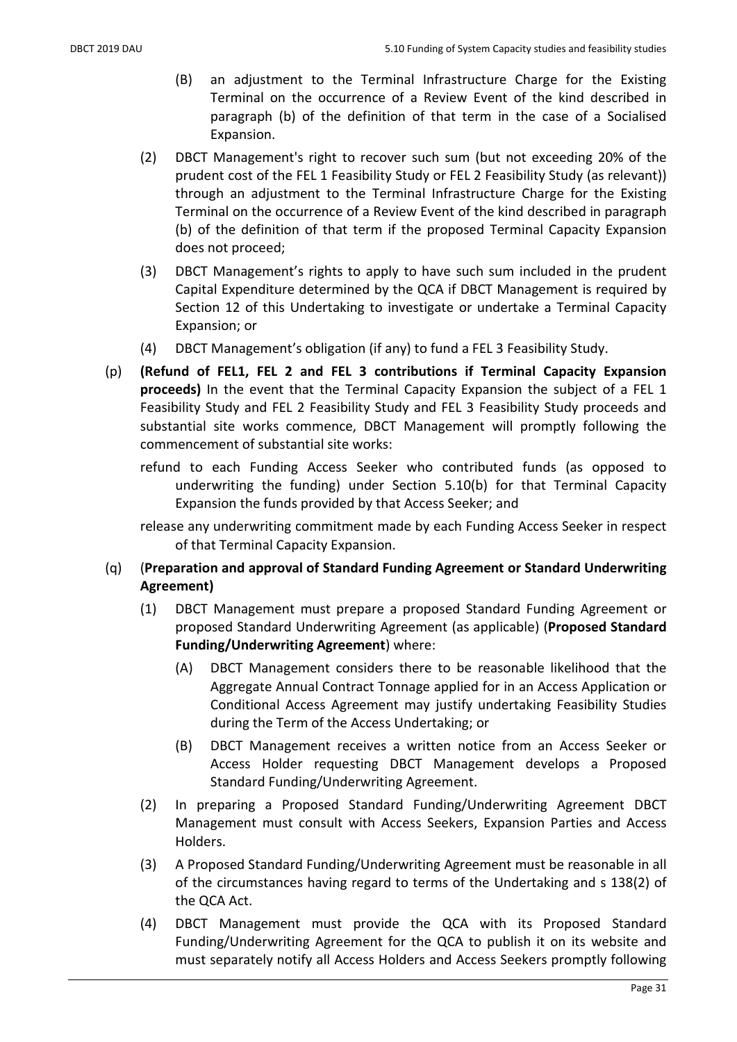- (B) an adjustment to the Terminal Infrastructure Charge for the Existing Terminal on the occurrence of a Review Event of the kind described in paragraph (b) of the definition of that term in the case of a Socialised Expansion.
- (2) DBCT Management's right to recover such sum (but not exceeding 20% of the prudent cost of the FEL 1 Feasibility Study or FEL 2 Feasibility Study (as relevant)) through an adjustment to the Terminal Infrastructure Charge for the Existing Terminal on the occurrence of a Review Event of the kind described in paragraph (b) of the definition of that term if the proposed Terminal Capacity Expansion does not proceed;
- (3) DBCT Management's rights to apply to have such sum included in the prudent Capital Expenditure determined by the QCA if DBCT Management is required by Section 12 of this Undertaking to investigate or undertake a Terminal Capacity Expansion; or
- (4) DBCT Management's obligation (if any) to fund a FEL 3 Feasibility Study.
- (p) (Refund of FEL1, FEL 2 and FEL 3 contributions if Terminal Capacity Expansion proceeds) In the event that the Terminal Capacity Expansion the subject of a FEL 1 Feasibility Study and FEL 2 Feasibility Study and FEL 3 Feasibility Study proceeds and substantial site works commence, DBCT Management will promptly following the commencement of substantial site works:
	- refund to each Funding Access Seeker who contributed funds (as opposed to underwriting the funding) under Section 5.10(b) for that Terminal Capacity Expansion the funds provided by that Access Seeker; and

release any underwriting commitment made by each Funding Access Seeker in respect of that Terminal Capacity Expansion.

- (q) (Preparation and approval of Standard Funding Agreement or Standard Underwriting Agreement)
	- (1) DBCT Management must prepare a proposed Standard Funding Agreement or proposed Standard Underwriting Agreement (as applicable) (Proposed Standard Funding/Underwriting Agreement) where:
		- (A) DBCT Management considers there to be reasonable likelihood that the Aggregate Annual Contract Tonnage applied for in an Access Application or Conditional Access Agreement may justify undertaking Feasibility Studies during the Term of the Access Undertaking; or
		- (B) DBCT Management receives a written notice from an Access Seeker or Access Holder requesting DBCT Management develops a Proposed Standard Funding/Underwriting Agreement.
	- (2) In preparing a Proposed Standard Funding/Underwriting Agreement DBCT Management must consult with Access Seekers, Expansion Parties and Access Holders.
	- (3) A Proposed Standard Funding/Underwriting Agreement must be reasonable in all of the circumstances having regard to terms of the Undertaking and s 138(2) of the QCA Act.
	- (4) DBCT Management must provide the QCA with its Proposed Standard Funding/Underwriting Agreement for the QCA to publish it on its website and must separately notify all Access Holders and Access Seekers promptly following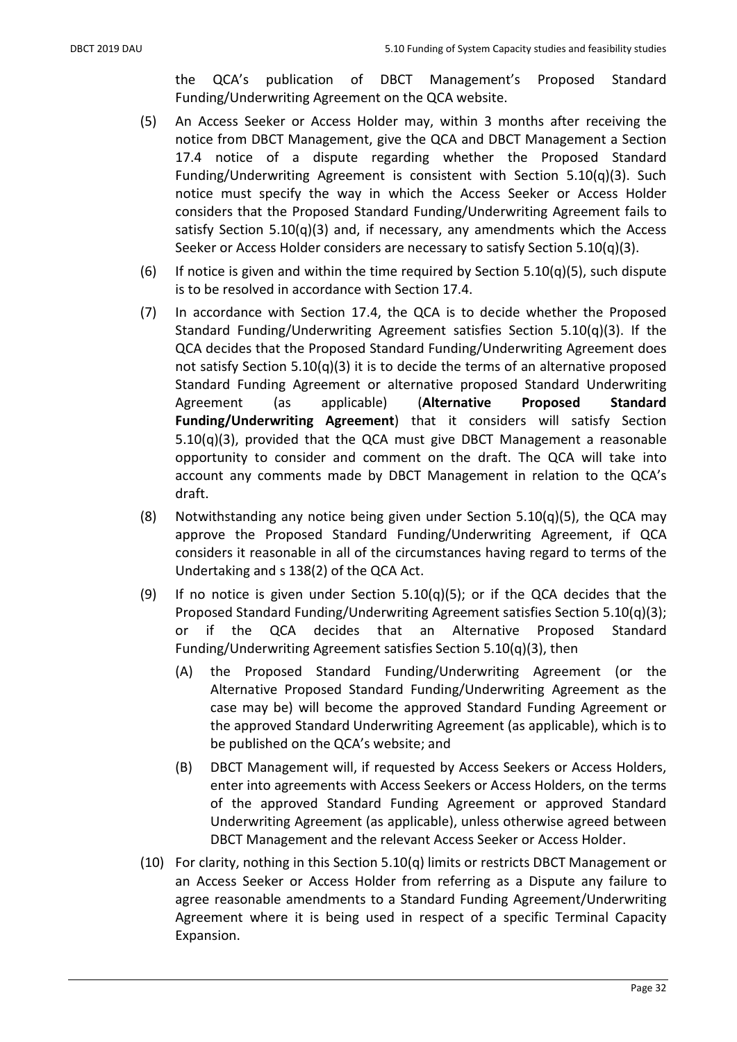the QCA's publication of DBCT Management's Proposed Standard Funding/Underwriting Agreement on the QCA website.

- (5) An Access Seeker or Access Holder may, within 3 months after receiving the notice from DBCT Management, give the QCA and DBCT Management a Section 17.4 notice of a dispute regarding whether the Proposed Standard Funding/Underwriting Agreement is consistent with Section 5.10(q)(3). Such notice must specify the way in which the Access Seeker or Access Holder considers that the Proposed Standard Funding/Underwriting Agreement fails to satisfy Section 5.10(q)(3) and, if necessary, any amendments which the Access Seeker or Access Holder considers are necessary to satisfy Section 5.10(q)(3).
- (6) If notice is given and within the time required by Section  $5.10(q)(5)$ , such dispute is to be resolved in accordance with Section 17.4.
- (7) In accordance with Section 17.4, the QCA is to decide whether the Proposed Standard Funding/Underwriting Agreement satisfies Section 5.10(q)(3). If the QCA decides that the Proposed Standard Funding/Underwriting Agreement does not satisfy Section 5.10(q)(3) it is to decide the terms of an alternative proposed Standard Funding Agreement or alternative proposed Standard Underwriting Agreement (as applicable) (Alternative Proposed Standard Funding/Underwriting Agreement) that it considers will satisfy Section 5.10(q)(3), provided that the QCA must give DBCT Management a reasonable opportunity to consider and comment on the draft. The QCA will take into account any comments made by DBCT Management in relation to the QCA's draft.
- (8) Notwithstanding any notice being given under Section 5.10(q)(5), the QCA may approve the Proposed Standard Funding/Underwriting Agreement, if QCA considers it reasonable in all of the circumstances having regard to terms of the Undertaking and s 138(2) of the QCA Act.
- (9) If no notice is given under Section  $5.10(q)(5)$ ; or if the QCA decides that the Proposed Standard Funding/Underwriting Agreement satisfies Section 5.10(q)(3); or if the QCA decides that an Alternative Proposed Standard Funding/Underwriting Agreement satisfies Section 5.10(q)(3), then
	- (A) the Proposed Standard Funding/Underwriting Agreement (or the Alternative Proposed Standard Funding/Underwriting Agreement as the case may be) will become the approved Standard Funding Agreement or the approved Standard Underwriting Agreement (as applicable), which is to be published on the QCA's website; and
	- (B) DBCT Management will, if requested by Access Seekers or Access Holders, enter into agreements with Access Seekers or Access Holders, on the terms of the approved Standard Funding Agreement or approved Standard Underwriting Agreement (as applicable), unless otherwise agreed between DBCT Management and the relevant Access Seeker or Access Holder.
- (10) For clarity, nothing in this Section 5.10(q) limits or restricts DBCT Management or an Access Seeker or Access Holder from referring as a Dispute any failure to agree reasonable amendments to a Standard Funding Agreement/Underwriting Agreement where it is being used in respect of a specific Terminal Capacity Expansion.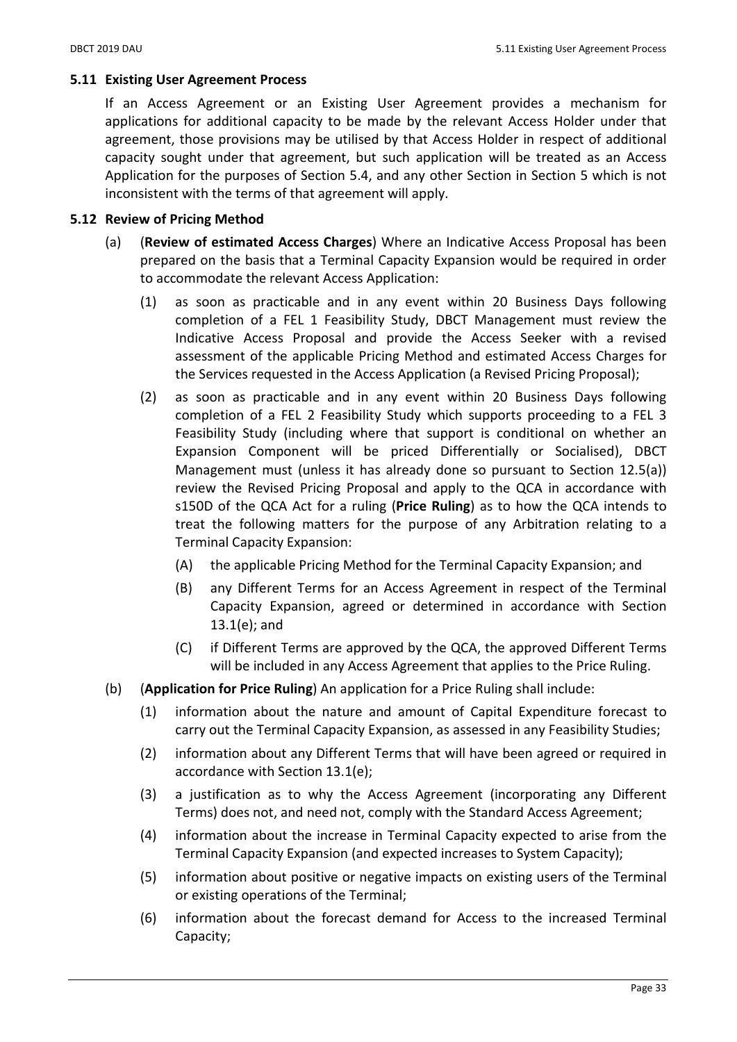## 5.11 Existing User Agreement Process

If an Access Agreement or an Existing User Agreement provides a mechanism for applications for additional capacity to be made by the relevant Access Holder under that agreement, those provisions may be utilised by that Access Holder in respect of additional capacity sought under that agreement, but such application will be treated as an Access Application for the purposes of Section 5.4, and any other Section in Section 5 which is not inconsistent with the terms of that agreement will apply.

## 5.12 Review of Pricing Method

- (a) (Review of estimated Access Charges) Where an Indicative Access Proposal has been prepared on the basis that a Terminal Capacity Expansion would be required in order to accommodate the relevant Access Application:
	- (1) as soon as practicable and in any event within 20 Business Days following completion of a FEL 1 Feasibility Study, DBCT Management must review the Indicative Access Proposal and provide the Access Seeker with a revised assessment of the applicable Pricing Method and estimated Access Charges for the Services requested in the Access Application (a Revised Pricing Proposal);
	- (2) as soon as practicable and in any event within 20 Business Days following completion of a FEL 2 Feasibility Study which supports proceeding to a FEL 3 Feasibility Study (including where that support is conditional on whether an Expansion Component will be priced Differentially or Socialised), DBCT Management must (unless it has already done so pursuant to Section 12.5(a)) review the Revised Pricing Proposal and apply to the QCA in accordance with s150D of the QCA Act for a ruling (Price Ruling) as to how the QCA intends to treat the following matters for the purpose of any Arbitration relating to a Terminal Capacity Expansion:
		- (A) the applicable Pricing Method for the Terminal Capacity Expansion; and
		- (B) any Different Terms for an Access Agreement in respect of the Terminal Capacity Expansion, agreed or determined in accordance with Section 13.1(e); and
		- (C) if Different Terms are approved by the QCA, the approved Different Terms will be included in any Access Agreement that applies to the Price Ruling.
- (b) (Application for Price Ruling) An application for a Price Ruling shall include:
	- (1) information about the nature and amount of Capital Expenditure forecast to carry out the Terminal Capacity Expansion, as assessed in any Feasibility Studies;
	- (2) information about any Different Terms that will have been agreed or required in accordance with Section 13.1(e);
	- (3) a justification as to why the Access Agreement (incorporating any Different Terms) does not, and need not, comply with the Standard Access Agreement;
	- (4) information about the increase in Terminal Capacity expected to arise from the Terminal Capacity Expansion (and expected increases to System Capacity);
	- (5) information about positive or negative impacts on existing users of the Terminal or existing operations of the Terminal;
	- (6) information about the forecast demand for Access to the increased Terminal Capacity;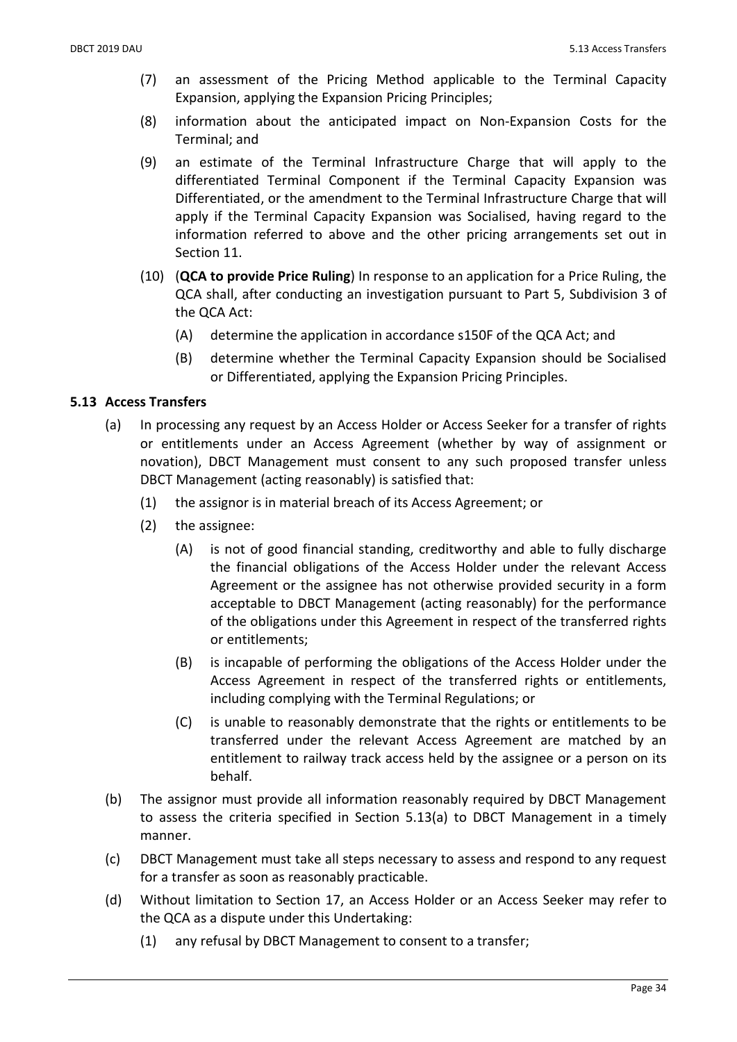- (7) an assessment of the Pricing Method applicable to the Terminal Capacity Expansion, applying the Expansion Pricing Principles;
- (8) information about the anticipated impact on Non-Expansion Costs for the Terminal; and
- (9) an estimate of the Terminal Infrastructure Charge that will apply to the differentiated Terminal Component if the Terminal Capacity Expansion was Differentiated, or the amendment to the Terminal Infrastructure Charge that will apply if the Terminal Capacity Expansion was Socialised, having regard to the information referred to above and the other pricing arrangements set out in Section 11.
- (10) (QCA to provide Price Ruling) In response to an application for a Price Ruling, the QCA shall, after conducting an investigation pursuant to Part 5, Subdivision 3 of the QCA Act:
	- (A) determine the application in accordance s150F of the QCA Act; and
	- (B) determine whether the Terminal Capacity Expansion should be Socialised or Differentiated, applying the Expansion Pricing Principles.

## 5.13 Access Transfers

- (a) In processing any request by an Access Holder or Access Seeker for a transfer of rights or entitlements under an Access Agreement (whether by way of assignment or novation), DBCT Management must consent to any such proposed transfer unless DBCT Management (acting reasonably) is satisfied that:
	- (1) the assignor is in material breach of its Access Agreement; or
	- (2) the assignee:
		- (A) is not of good financial standing, creditworthy and able to fully discharge the financial obligations of the Access Holder under the relevant Access Agreement or the assignee has not otherwise provided security in a form acceptable to DBCT Management (acting reasonably) for the performance of the obligations under this Agreement in respect of the transferred rights or entitlements;
		- (B) is incapable of performing the obligations of the Access Holder under the Access Agreement in respect of the transferred rights or entitlements, including complying with the Terminal Regulations; or
		- (C) is unable to reasonably demonstrate that the rights or entitlements to be transferred under the relevant Access Agreement are matched by an entitlement to railway track access held by the assignee or a person on its behalf.
- (b) The assignor must provide all information reasonably required by DBCT Management to assess the criteria specified in Section 5.13(a) to DBCT Management in a timely manner.
- (c) DBCT Management must take all steps necessary to assess and respond to any request for a transfer as soon as reasonably practicable.
- (d) Without limitation to Section 17, an Access Holder or an Access Seeker may refer to the QCA as a dispute under this Undertaking:
	- (1) any refusal by DBCT Management to consent to a transfer;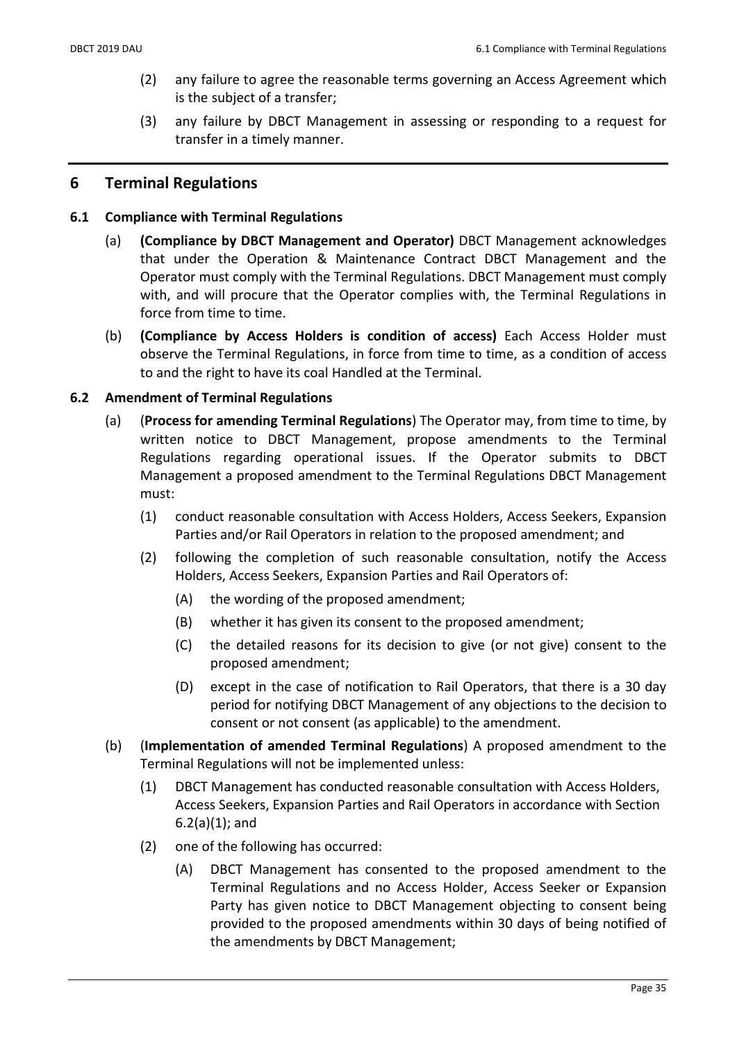- (2) any failure to agree the reasonable terms governing an Access Agreement which is the subject of a transfer;
- (3) any failure by DBCT Management in assessing or responding to a request for transfer in a timely manner.

## 6 Terminal Regulations

### 6.1 Compliance with Terminal Regulations

- (a) (Compliance by DBCT Management and Operator) DBCT Management acknowledges that under the Operation & Maintenance Contract DBCT Management and the Operator must comply with the Terminal Regulations. DBCT Management must comply with, and will procure that the Operator complies with, the Terminal Regulations in force from time to time.
- (b) (Compliance by Access Holders is condition of access) Each Access Holder must observe the Terminal Regulations, in force from time to time, as a condition of access to and the right to have its coal Handled at the Terminal.

#### 6.2 Amendment of Terminal Regulations

- (a) (Process for amending Terminal Regulations) The Operator may, from time to time, by written notice to DBCT Management, propose amendments to the Terminal Regulations regarding operational issues. If the Operator submits to DBCT Management a proposed amendment to the Terminal Regulations DBCT Management must:
	- (1) conduct reasonable consultation with Access Holders, Access Seekers, Expansion Parties and/or Rail Operators in relation to the proposed amendment; and
	- (2) following the completion of such reasonable consultation, notify the Access Holders, Access Seekers, Expansion Parties and Rail Operators of:
		- (A) the wording of the proposed amendment;
		- (B) whether it has given its consent to the proposed amendment;
		- (C) the detailed reasons for its decision to give (or not give) consent to the proposed amendment;
		- (D) except in the case of notification to Rail Operators, that there is a 30 day period for notifying DBCT Management of any objections to the decision to consent or not consent (as applicable) to the amendment.
- (b) (Implementation of amended Terminal Regulations) A proposed amendment to the Terminal Regulations will not be implemented unless:
	- (1) DBCT Management has conducted reasonable consultation with Access Holders, Access Seekers, Expansion Parties and Rail Operators in accordance with Section  $6.2(a)(1)$ ; and
	- (2) one of the following has occurred:
		- (A) DBCT Management has consented to the proposed amendment to the Terminal Regulations and no Access Holder, Access Seeker or Expansion Party has given notice to DBCT Management objecting to consent being provided to the proposed amendments within 30 days of being notified of the amendments by DBCT Management;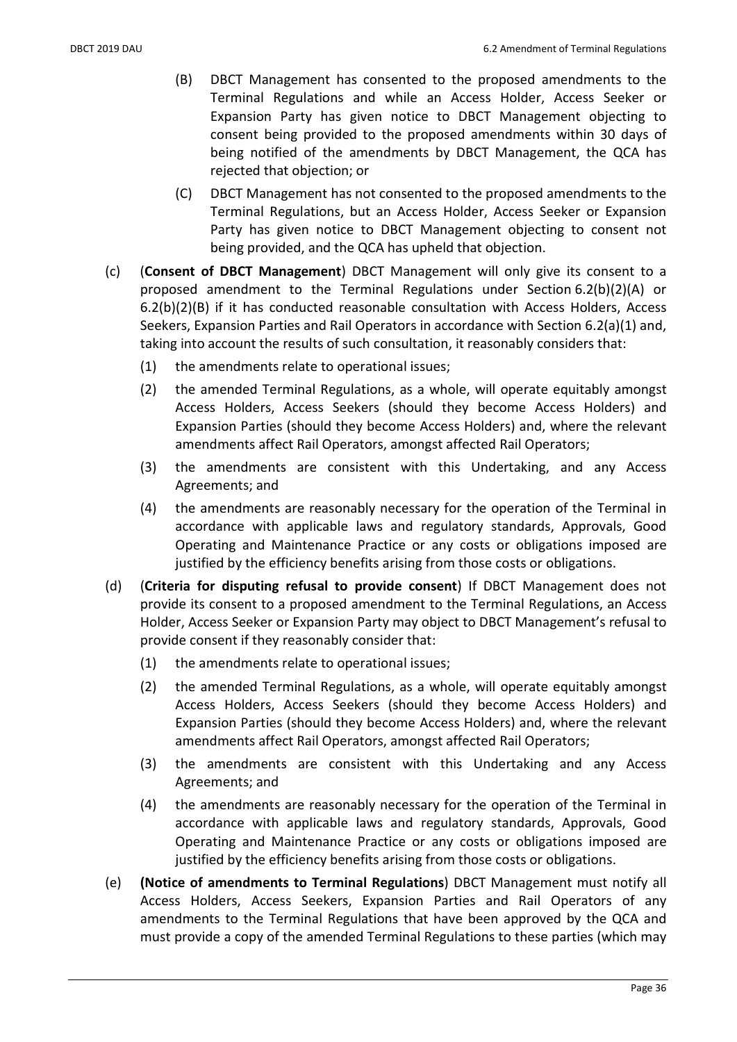- (B) DBCT Management has consented to the proposed amendments to the Terminal Regulations and while an Access Holder, Access Seeker or Expansion Party has given notice to DBCT Management objecting to consent being provided to the proposed amendments within 30 days of being notified of the amendments by DBCT Management, the QCA has rejected that objection; or
- (C) DBCT Management has not consented to the proposed amendments to the Terminal Regulations, but an Access Holder, Access Seeker or Expansion Party has given notice to DBCT Management objecting to consent not being provided, and the QCA has upheld that objection.
- (c) (Consent of DBCT Management) DBCT Management will only give its consent to a proposed amendment to the Terminal Regulations under Section 6.2(b)(2)(A) or 6.2(b)(2)(B) if it has conducted reasonable consultation with Access Holders, Access Seekers, Expansion Parties and Rail Operators in accordance with Section 6.2(a)(1) and, taking into account the results of such consultation, it reasonably considers that:
	- (1) the amendments relate to operational issues;
	- (2) the amended Terminal Regulations, as a whole, will operate equitably amongst Access Holders, Access Seekers (should they become Access Holders) and Expansion Parties (should they become Access Holders) and, where the relevant amendments affect Rail Operators, amongst affected Rail Operators;
	- (3) the amendments are consistent with this Undertaking, and any Access Agreements; and
	- (4) the amendments are reasonably necessary for the operation of the Terminal in accordance with applicable laws and regulatory standards, Approvals, Good Operating and Maintenance Practice or any costs or obligations imposed are justified by the efficiency benefits arising from those costs or obligations.
- (d) (Criteria for disputing refusal to provide consent) If DBCT Management does not provide its consent to a proposed amendment to the Terminal Regulations, an Access Holder, Access Seeker or Expansion Party may object to DBCT Management's refusal to provide consent if they reasonably consider that:
	- (1) the amendments relate to operational issues;
	- (2) the amended Terminal Regulations, as a whole, will operate equitably amongst Access Holders, Access Seekers (should they become Access Holders) and Expansion Parties (should they become Access Holders) and, where the relevant amendments affect Rail Operators, amongst affected Rail Operators;
	- (3) the amendments are consistent with this Undertaking and any Access Agreements; and
	- (4) the amendments are reasonably necessary for the operation of the Terminal in accordance with applicable laws and regulatory standards, Approvals, Good Operating and Maintenance Practice or any costs or obligations imposed are justified by the efficiency benefits arising from those costs or obligations.
- (e) (Notice of amendments to Terminal Regulations) DBCT Management must notify all Access Holders, Access Seekers, Expansion Parties and Rail Operators of any amendments to the Terminal Regulations that have been approved by the QCA and must provide a copy of the amended Terminal Regulations to these parties (which may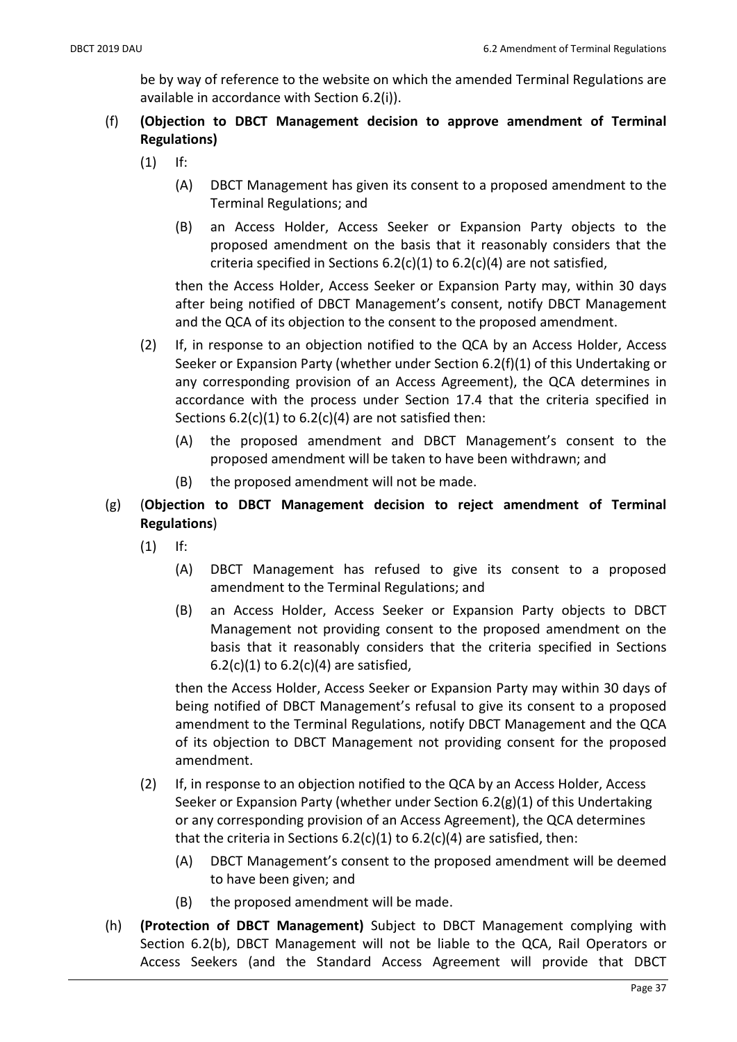be by way of reference to the website on which the amended Terminal Regulations are available in accordance with Section 6.2(i)).

# (f) (Objection to DBCT Management decision to approve amendment of Terminal Regulations)

- (1) If:
	- (A) DBCT Management has given its consent to a proposed amendment to the Terminal Regulations; and
	- (B) an Access Holder, Access Seeker or Expansion Party objects to the proposed amendment on the basis that it reasonably considers that the criteria specified in Sections  $6.2(c)(1)$  to  $6.2(c)(4)$  are not satisfied,

then the Access Holder, Access Seeker or Expansion Party may, within 30 days after being notified of DBCT Management's consent, notify DBCT Management and the QCA of its objection to the consent to the proposed amendment.

- (2) If, in response to an objection notified to the QCA by an Access Holder, Access Seeker or Expansion Party (whether under Section 6.2(f)(1) of this Undertaking or any corresponding provision of an Access Agreement), the QCA determines in accordance with the process under Section 17.4 that the criteria specified in Sections  $6.2(c)(1)$  to  $6.2(c)(4)$  are not satisfied then:
	- (A) the proposed amendment and DBCT Management's consent to the proposed amendment will be taken to have been withdrawn; and
	- (B) the proposed amendment will not be made.
- (g) (Objection to DBCT Management decision to reject amendment of Terminal Regulations)
	- (1) If:
		- (A) DBCT Management has refused to give its consent to a proposed amendment to the Terminal Regulations; and
		- (B) an Access Holder, Access Seeker or Expansion Party objects to DBCT Management not providing consent to the proposed amendment on the basis that it reasonably considers that the criteria specified in Sections 6.2(c)(1) to  $6.2(c)(4)$  are satisfied,

then the Access Holder, Access Seeker or Expansion Party may within 30 days of being notified of DBCT Management's refusal to give its consent to a proposed amendment to the Terminal Regulations, notify DBCT Management and the QCA of its objection to DBCT Management not providing consent for the proposed amendment.

- (2) If, in response to an objection notified to the QCA by an Access Holder, Access Seeker or Expansion Party (whether under Section 6.2(g)(1) of this Undertaking or any corresponding provision of an Access Agreement), the QCA determines that the criteria in Sections  $6.2(c)(1)$  to  $6.2(c)(4)$  are satisfied, then:
	- (A) DBCT Management's consent to the proposed amendment will be deemed to have been given; and
	- (B) the proposed amendment will be made.
- (h) (Protection of DBCT Management) Subject to DBCT Management complying with Section 6.2(b), DBCT Management will not be liable to the QCA, Rail Operators or Access Seekers (and the Standard Access Agreement will provide that DBCT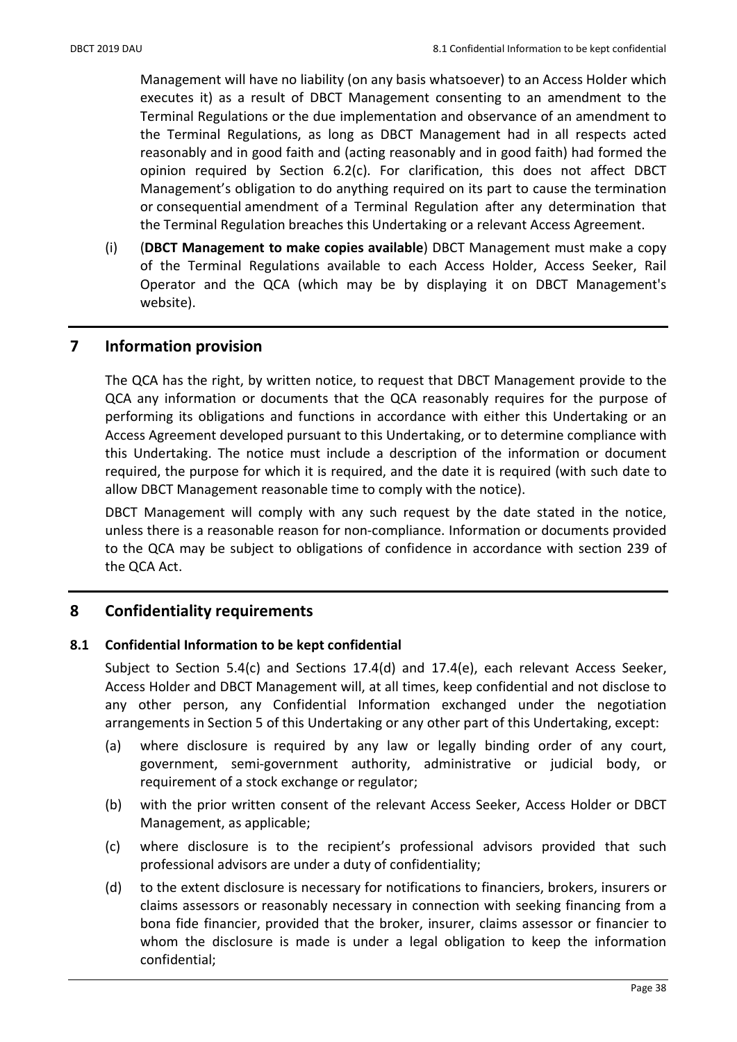Management will have no liability (on any basis whatsoever) to an Access Holder which executes it) as a result of DBCT Management consenting to an amendment to the Terminal Regulations or the due implementation and observance of an amendment to the Terminal Regulations, as long as DBCT Management had in all respects acted reasonably and in good faith and (acting reasonably and in good faith) had formed the opinion required by Section 6.2(c). For clarification, this does not affect DBCT Management's obligation to do anything required on its part to cause the termination or consequential amendment of a Terminal Regulation after any determination that the Terminal Regulation breaches this Undertaking or a relevant Access Agreement.

(i) (DBCT Management to make copies available) DBCT Management must make a copy of the Terminal Regulations available to each Access Holder, Access Seeker, Rail Operator and the QCA (which may be by displaying it on DBCT Management's website).

## 7 Information provision

The QCA has the right, by written notice, to request that DBCT Management provide to the QCA any information or documents that the QCA reasonably requires for the purpose of performing its obligations and functions in accordance with either this Undertaking or an Access Agreement developed pursuant to this Undertaking, or to determine compliance with this Undertaking. The notice must include a description of the information or document required, the purpose for which it is required, and the date it is required (with such date to allow DBCT Management reasonable time to comply with the notice).

DBCT Management will comply with any such request by the date stated in the notice, unless there is a reasonable reason for non-compliance. Information or documents provided to the QCA may be subject to obligations of confidence in accordance with section 239 of the QCA Act.

# 8 Confidentiality requirements

## 8.1 Confidential Information to be kept confidential

Subject to Section 5.4(c) and Sections 17.4(d) and 17.4(e), each relevant Access Seeker, Access Holder and DBCT Management will, at all times, keep confidential and not disclose to any other person, any Confidential Information exchanged under the negotiation arrangements in Section 5 of this Undertaking or any other part of this Undertaking, except:

- (a) where disclosure is required by any law or legally binding order of any court, government, semi-government authority, administrative or judicial body, or requirement of a stock exchange or regulator;
- (b) with the prior written consent of the relevant Access Seeker, Access Holder or DBCT Management, as applicable;
- (c) where disclosure is to the recipient's professional advisors provided that such professional advisors are under a duty of confidentiality;
- (d) to the extent disclosure is necessary for notifications to financiers, brokers, insurers or claims assessors or reasonably necessary in connection with seeking financing from a bona fide financier, provided that the broker, insurer, claims assessor or financier to whom the disclosure is made is under a legal obligation to keep the information confidential;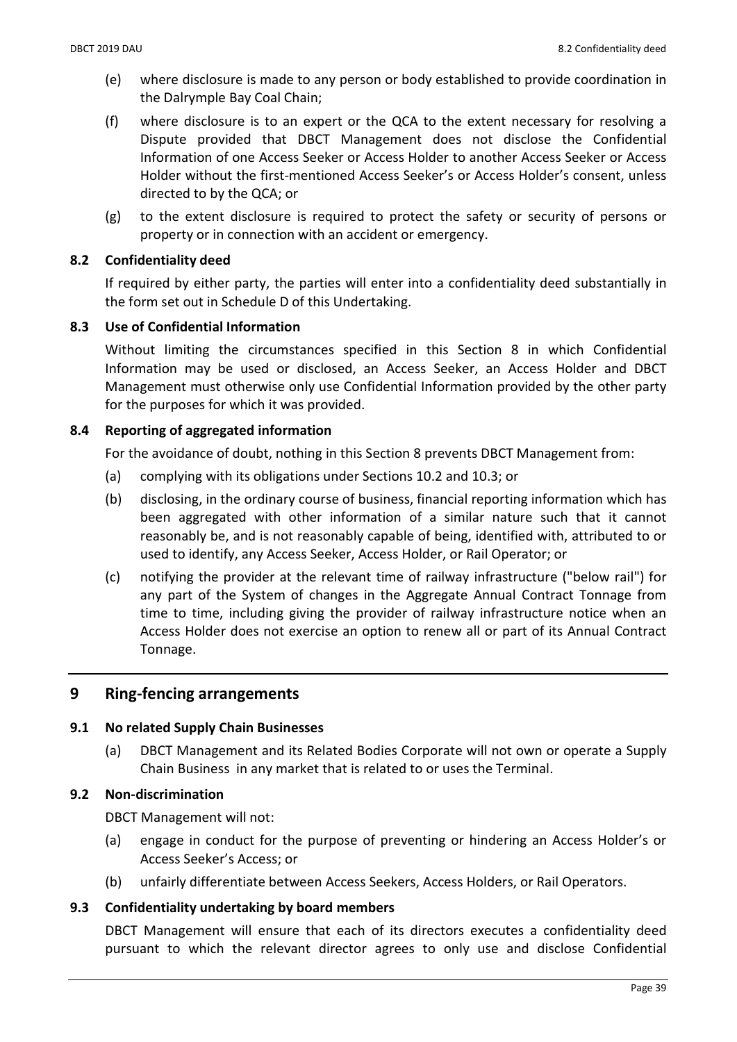- (e) where disclosure is made to any person or body established to provide coordination in the Dalrymple Bay Coal Chain;
- (f) where disclosure is to an expert or the QCA to the extent necessary for resolving a Dispute provided that DBCT Management does not disclose the Confidential Information of one Access Seeker or Access Holder to another Access Seeker or Access Holder without the first-mentioned Access Seeker's or Access Holder's consent, unless directed to by the QCA; or
- (g) to the extent disclosure is required to protect the safety or security of persons or property or in connection with an accident or emergency.

#### 8.2 Confidentiality deed

If required by either party, the parties will enter into a confidentiality deed substantially in the form set out in Schedule D of this Undertaking.

#### 8.3 Use of Confidential Information

Without limiting the circumstances specified in this Section 8 in which Confidential Information may be used or disclosed, an Access Seeker, an Access Holder and DBCT Management must otherwise only use Confidential Information provided by the other party for the purposes for which it was provided.

#### 8.4 Reporting of aggregated information

For the avoidance of doubt, nothing in this Section 8 prevents DBCT Management from:

- (a) complying with its obligations under Sections 10.2 and 10.3; or
- (b) disclosing, in the ordinary course of business, financial reporting information which has been aggregated with other information of a similar nature such that it cannot reasonably be, and is not reasonably capable of being, identified with, attributed to or used to identify, any Access Seeker, Access Holder, or Rail Operator; or
- (c) notifying the provider at the relevant time of railway infrastructure ("below rail") for any part of the System of changes in the Aggregate Annual Contract Tonnage from time to time, including giving the provider of railway infrastructure notice when an Access Holder does not exercise an option to renew all or part of its Annual Contract Tonnage.

## 9 Ring-fencing arrangements

#### 9.1 No related Supply Chain Businesses

(a) DBCT Management and its Related Bodies Corporate will not own or operate a Supply Chain Business in any market that is related to or uses the Terminal.

#### 9.2 Non-discrimination

DBCT Management will not:

- (a) engage in conduct for the purpose of preventing or hindering an Access Holder's or Access Seeker's Access; or
- (b) unfairly differentiate between Access Seekers, Access Holders, or Rail Operators.

#### 9.3 Confidentiality undertaking by board members

DBCT Management will ensure that each of its directors executes a confidentiality deed pursuant to which the relevant director agrees to only use and disclose Confidential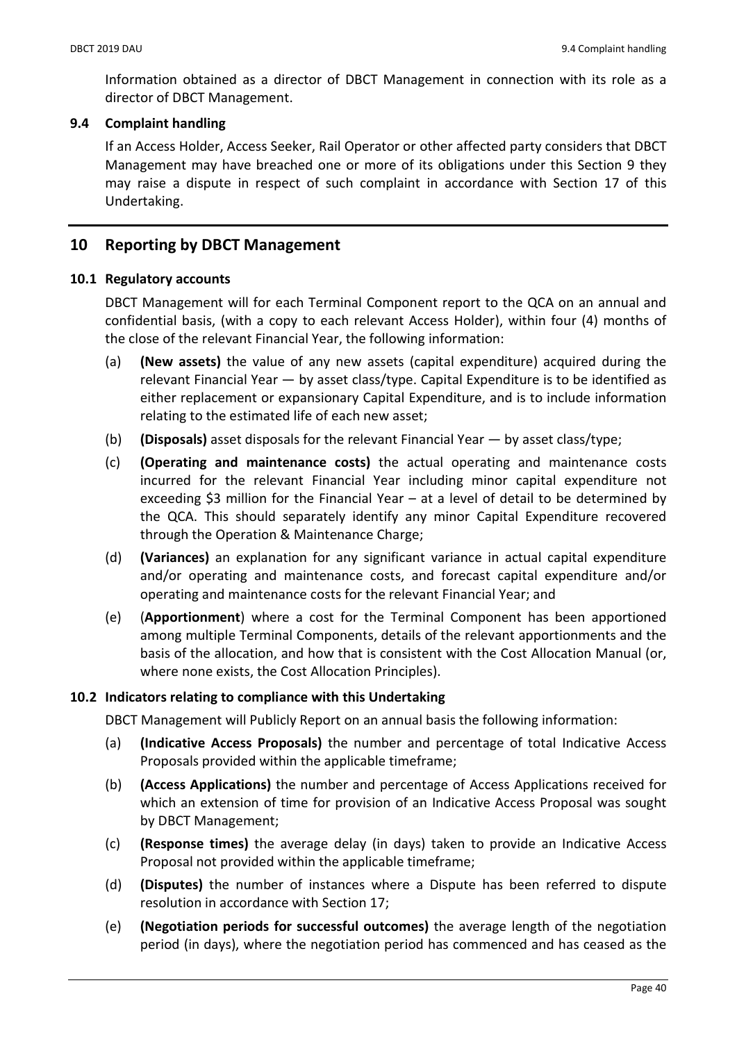Information obtained as a director of DBCT Management in connection with its role as a director of DBCT Management.

## 9.4 Complaint handling

If an Access Holder, Access Seeker, Rail Operator or other affected party considers that DBCT Management may have breached one or more of its obligations under this Section 9 they may raise a dispute in respect of such complaint in accordance with Section 17 of this Undertaking.

# 10 Reporting by DBCT Management

## 10.1 Regulatory accounts

DBCT Management will for each Terminal Component report to the QCA on an annual and confidential basis, (with a copy to each relevant Access Holder), within four (4) months of the close of the relevant Financial Year, the following information:

- (a) (New assets) the value of any new assets (capital expenditure) acquired during the relevant Financial Year — by asset class/type. Capital Expenditure is to be identified as either replacement or expansionary Capital Expenditure, and is to include information relating to the estimated life of each new asset;
- (b) (Disposals) asset disposals for the relevant Financial Year  $-$  by asset class/type;
- (c) (Operating and maintenance costs) the actual operating and maintenance costs incurred for the relevant Financial Year including minor capital expenditure not exceeding \$3 million for the Financial Year – at a level of detail to be determined by the QCA. This should separately identify any minor Capital Expenditure recovered through the Operation & Maintenance Charge;
- (d) (Variances) an explanation for any significant variance in actual capital expenditure and/or operating and maintenance costs, and forecast capital expenditure and/or operating and maintenance costs for the relevant Financial Year; and
- (e) (Apportionment) where a cost for the Terminal Component has been apportioned among multiple Terminal Components, details of the relevant apportionments and the basis of the allocation, and how that is consistent with the Cost Allocation Manual (or, where none exists, the Cost Allocation Principles).

## 10.2 Indicators relating to compliance with this Undertaking

DBCT Management will Publicly Report on an annual basis the following information:

- (a) (Indicative Access Proposals) the number and percentage of total Indicative Access Proposals provided within the applicable timeframe;
- (b) (Access Applications) the number and percentage of Access Applications received for which an extension of time for provision of an Indicative Access Proposal was sought by DBCT Management;
- (c) (Response times) the average delay (in days) taken to provide an Indicative Access Proposal not provided within the applicable timeframe;
- (d) (Disputes) the number of instances where a Dispute has been referred to dispute resolution in accordance with Section 17;
- (e) (Negotiation periods for successful outcomes) the average length of the negotiation period (in days), where the negotiation period has commenced and has ceased as the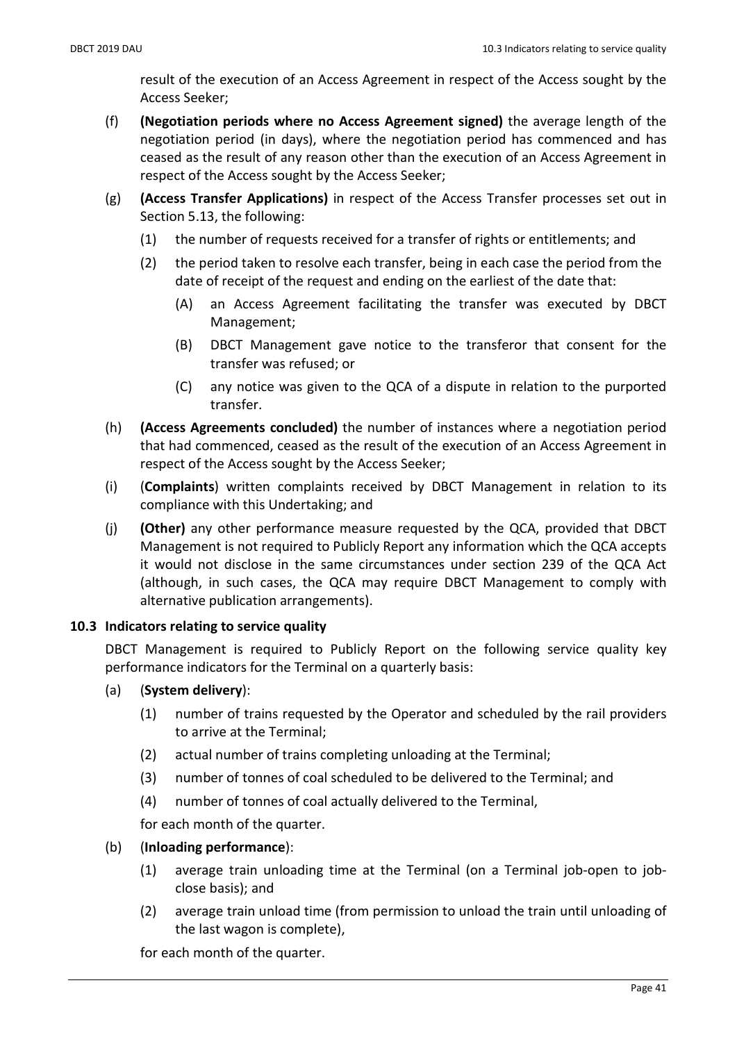result of the execution of an Access Agreement in respect of the Access sought by the Access Seeker;

- (f) (Negotiation periods where no Access Agreement signed) the average length of the negotiation period (in days), where the negotiation period has commenced and has ceased as the result of any reason other than the execution of an Access Agreement in respect of the Access sought by the Access Seeker;
- (g) (Access Transfer Applications) in respect of the Access Transfer processes set out in Section 5.13, the following:
	- (1) the number of requests received for a transfer of rights or entitlements; and
	- (2) the period taken to resolve each transfer, being in each case the period from the date of receipt of the request and ending on the earliest of the date that:
		- (A) an Access Agreement facilitating the transfer was executed by DBCT Management;
		- (B) DBCT Management gave notice to the transferor that consent for the transfer was refused; or
		- (C) any notice was given to the QCA of a dispute in relation to the purported transfer.
- (h) (Access Agreements concluded) the number of instances where a negotiation period that had commenced, ceased as the result of the execution of an Access Agreement in respect of the Access sought by the Access Seeker;
- (i) (Complaints) written complaints received by DBCT Management in relation to its compliance with this Undertaking; and
- (j) (Other) any other performance measure requested by the QCA, provided that DBCT Management is not required to Publicly Report any information which the QCA accepts it would not disclose in the same circumstances under section 239 of the QCA Act (although, in such cases, the QCA may require DBCT Management to comply with alternative publication arrangements).

## 10.3 Indicators relating to service quality

DBCT Management is required to Publicly Report on the following service quality key performance indicators for the Terminal on a quarterly basis:

- (a) (System delivery):
	- (1) number of trains requested by the Operator and scheduled by the rail providers to arrive at the Terminal;
	- (2) actual number of trains completing unloading at the Terminal;
	- (3) number of tonnes of coal scheduled to be delivered to the Terminal; and
	- (4) number of tonnes of coal actually delivered to the Terminal,

for each month of the quarter.

- (b) (Inloading performance):
	- (1) average train unloading time at the Terminal (on a Terminal job-open to jobclose basis); and
	- (2) average train unload time (from permission to unload the train until unloading of the last wagon is complete),

for each month of the quarter.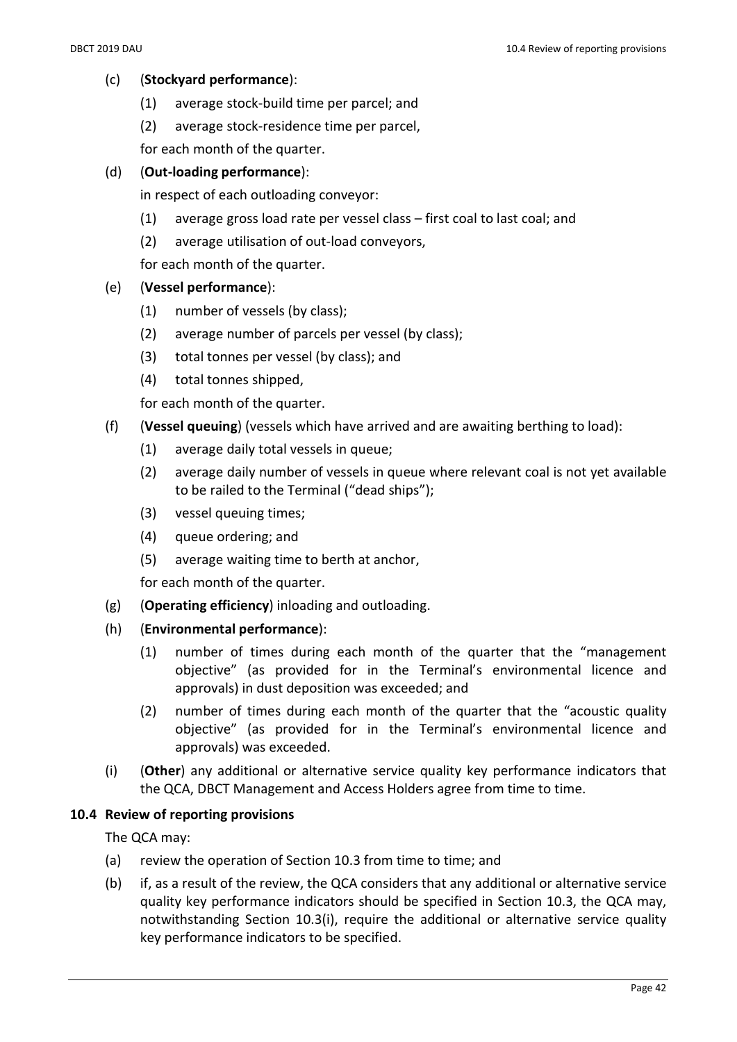- (c) (Stockyard performance):
	- (1) average stock-build time per parcel; and
	- (2) average stock-residence time per parcel,

for each month of the quarter.

### (d) (Out-loading performance):

in respect of each outloading conveyor:

- (1) average gross load rate per vessel class first coal to last coal; and
- (2) average utilisation of out-load conveyors,

for each month of the quarter.

#### (e) (Vessel performance):

- (1) number of vessels (by class);
- (2) average number of parcels per vessel (by class);
- (3) total tonnes per vessel (by class); and
- (4) total tonnes shipped,

for each month of the quarter.

- (f) (Vessel queuing) (vessels which have arrived and are awaiting berthing to load):
	- (1) average daily total vessels in queue;
	- (2) average daily number of vessels in queue where relevant coal is not yet available to be railed to the Terminal ("dead ships");
	- (3) vessel queuing times;
	- (4) queue ordering; and
	- (5) average waiting time to berth at anchor,

for each month of the quarter.

- (g) (Operating efficiency) inloading and outloading.
- (h) (Environmental performance):
	- (1) number of times during each month of the quarter that the "management objective" (as provided for in the Terminal's environmental licence and approvals) in dust deposition was exceeded; and
	- (2) number of times during each month of the quarter that the "acoustic quality objective" (as provided for in the Terminal's environmental licence and approvals) was exceeded.
- (i) (Other) any additional or alternative service quality key performance indicators that the QCA, DBCT Management and Access Holders agree from time to time.

#### 10.4 Review of reporting provisions

The QCA may:

- (a) review the operation of Section 10.3 from time to time; and
- (b) if, as a result of the review, the QCA considers that any additional or alternative service quality key performance indicators should be specified in Section 10.3, the QCA may, notwithstanding Section 10.3(i), require the additional or alternative service quality key performance indicators to be specified.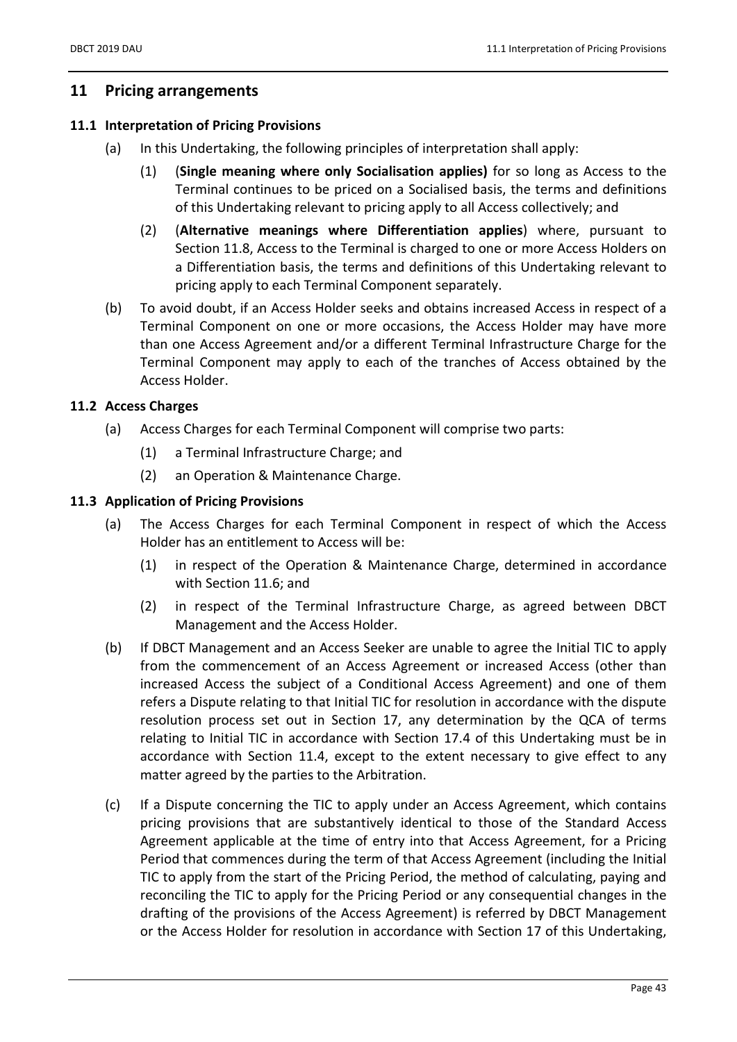## 11 Pricing arrangements

#### 11.1 Interpretation of Pricing Provisions

- (a) In this Undertaking, the following principles of interpretation shall apply:
	- (1) (Single meaning where only Socialisation applies) for so long as Access to the Terminal continues to be priced on a Socialised basis, the terms and definitions of this Undertaking relevant to pricing apply to all Access collectively; and
	- (2) (Alternative meanings where Differentiation applies) where, pursuant to Section 11.8, Access to the Terminal is charged to one or more Access Holders on a Differentiation basis, the terms and definitions of this Undertaking relevant to pricing apply to each Terminal Component separately.
- (b) To avoid doubt, if an Access Holder seeks and obtains increased Access in respect of a Terminal Component on one or more occasions, the Access Holder may have more than one Access Agreement and/or a different Terminal Infrastructure Charge for the Terminal Component may apply to each of the tranches of Access obtained by the Access Holder.

#### 11.2 Access Charges

- (a) Access Charges for each Terminal Component will comprise two parts:
	- (1) a Terminal Infrastructure Charge; and
	- (2) an Operation & Maintenance Charge.

#### 11.3 Application of Pricing Provisions

- (a) The Access Charges for each Terminal Component in respect of which the Access Holder has an entitlement to Access will be:
	- (1) in respect of the Operation & Maintenance Charge, determined in accordance with Section 11.6; and
	- (2) in respect of the Terminal Infrastructure Charge, as agreed between DBCT Management and the Access Holder.
- (b) If DBCT Management and an Access Seeker are unable to agree the Initial TIC to apply from the commencement of an Access Agreement or increased Access (other than increased Access the subject of a Conditional Access Agreement) and one of them refers a Dispute relating to that Initial TIC for resolution in accordance with the dispute resolution process set out in Section 17, any determination by the QCA of terms relating to Initial TIC in accordance with Section 17.4 of this Undertaking must be in accordance with Section 11.4, except to the extent necessary to give effect to any matter agreed by the parties to the Arbitration.
- (c) If a Dispute concerning the TIC to apply under an Access Agreement, which contains pricing provisions that are substantively identical to those of the Standard Access Agreement applicable at the time of entry into that Access Agreement, for a Pricing Period that commences during the term of that Access Agreement (including the Initial TIC to apply from the start of the Pricing Period, the method of calculating, paying and reconciling the TIC to apply for the Pricing Period or any consequential changes in the drafting of the provisions of the Access Agreement) is referred by DBCT Management or the Access Holder for resolution in accordance with Section 17 of this Undertaking,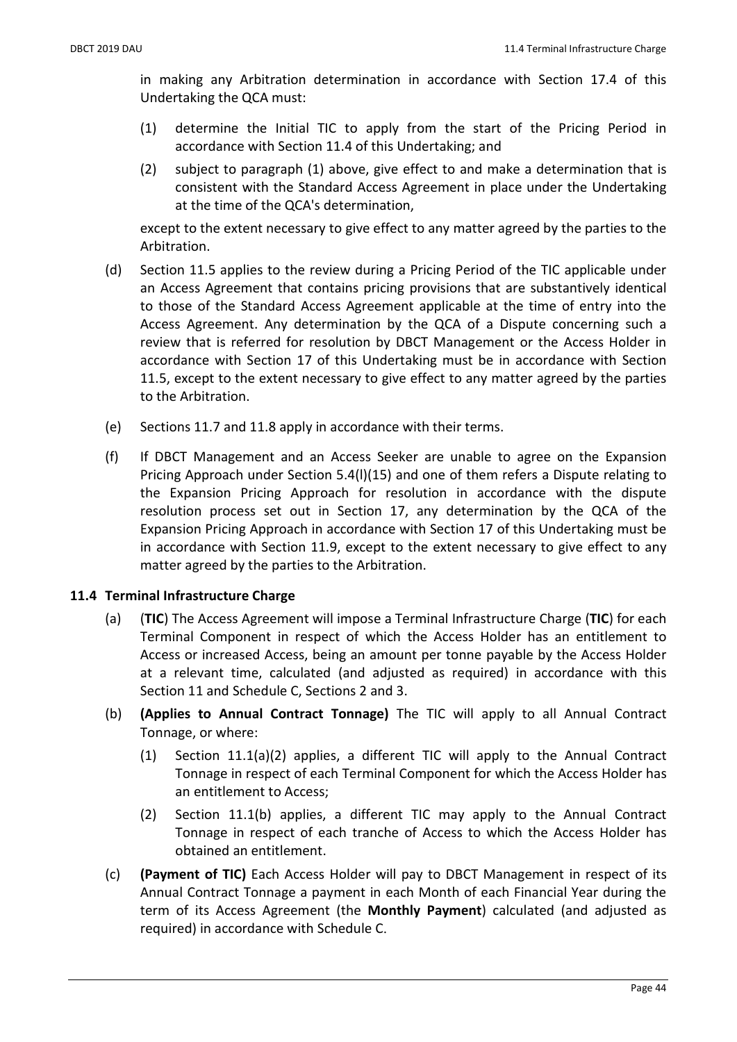in making any Arbitration determination in accordance with Section 17.4 of this Undertaking the QCA must:

- (1) determine the Initial TIC to apply from the start of the Pricing Period in accordance with Section 11.4 of this Undertaking; and
- (2) subject to paragraph (1) above, give effect to and make a determination that is consistent with the Standard Access Agreement in place under the Undertaking at the time of the QCA's determination,

except to the extent necessary to give effect to any matter agreed by the parties to the Arbitration.

- (d) Section 11.5 applies to the review during a Pricing Period of the TIC applicable under an Access Agreement that contains pricing provisions that are substantively identical to those of the Standard Access Agreement applicable at the time of entry into the Access Agreement. Any determination by the QCA of a Dispute concerning such a review that is referred for resolution by DBCT Management or the Access Holder in accordance with Section 17 of this Undertaking must be in accordance with Section 11.5, except to the extent necessary to give effect to any matter agreed by the parties to the Arbitration.
- (e) Sections 11.7 and 11.8 apply in accordance with their terms.
- (f) If DBCT Management and an Access Seeker are unable to agree on the Expansion Pricing Approach under Section 5.4(l)(15) and one of them refers a Dispute relating to the Expansion Pricing Approach for resolution in accordance with the dispute resolution process set out in Section 17, any determination by the QCA of the Expansion Pricing Approach in accordance with Section 17 of this Undertaking must be in accordance with Section 11.9, except to the extent necessary to give effect to any matter agreed by the parties to the Arbitration.

## 11.4 Terminal Infrastructure Charge

- (a) (TIC) The Access Agreement will impose a Terminal Infrastructure Charge (TIC) for each Terminal Component in respect of which the Access Holder has an entitlement to Access or increased Access, being an amount per tonne payable by the Access Holder at a relevant time, calculated (and adjusted as required) in accordance with this Section 11 and Schedule C, Sections 2 and 3.
- (b) (Applies to Annual Contract Tonnage) The TIC will apply to all Annual Contract Tonnage, or where:
	- (1) Section 11.1(a)(2) applies, a different TIC will apply to the Annual Contract Tonnage in respect of each Terminal Component for which the Access Holder has an entitlement to Access;
	- (2) Section 11.1(b) applies, a different TIC may apply to the Annual Contract Tonnage in respect of each tranche of Access to which the Access Holder has obtained an entitlement.
- (c) (Payment of TIC) Each Access Holder will pay to DBCT Management in respect of its Annual Contract Tonnage a payment in each Month of each Financial Year during the term of its Access Agreement (the Monthly Payment) calculated (and adjusted as required) in accordance with Schedule C.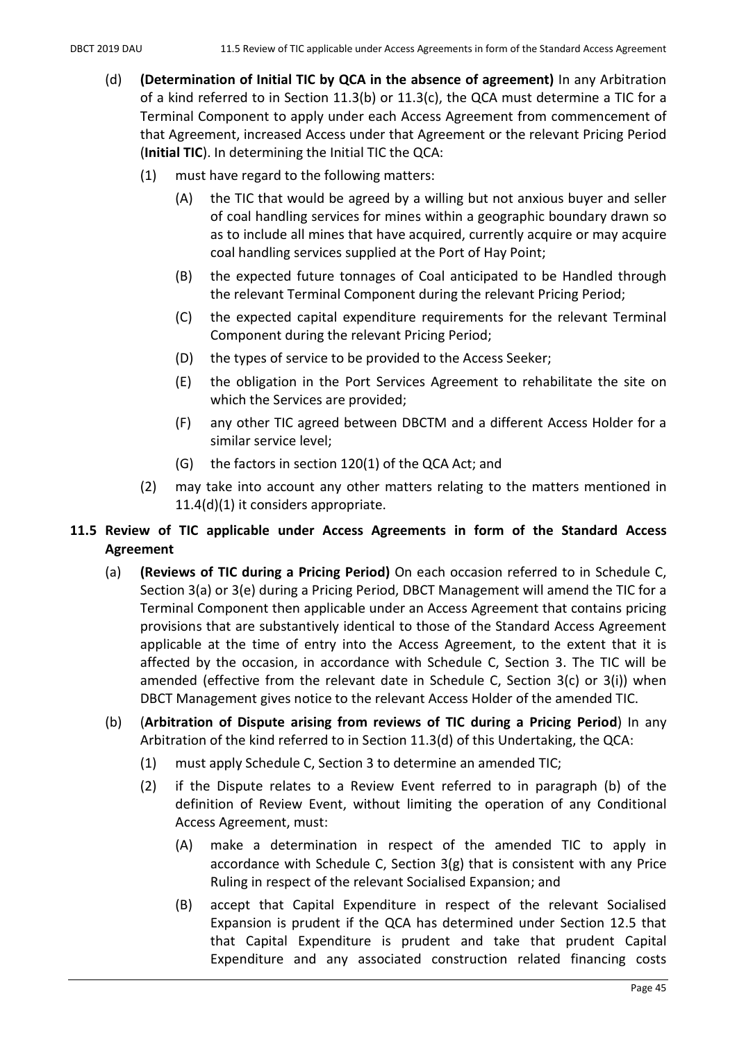- (d) (Determination of Initial TIC by QCA in the absence of agreement) In any Arbitration of a kind referred to in Section 11.3(b) or 11.3(c), the QCA must determine a TIC for a Terminal Component to apply under each Access Agreement from commencement of that Agreement, increased Access under that Agreement or the relevant Pricing Period (Initial TIC). In determining the Initial TIC the QCA:
	- (1) must have regard to the following matters:
		- (A) the TIC that would be agreed by a willing but not anxious buyer and seller of coal handling services for mines within a geographic boundary drawn so as to include all mines that have acquired, currently acquire or may acquire coal handling services supplied at the Port of Hay Point;
		- (B) the expected future tonnages of Coal anticipated to be Handled through the relevant Terminal Component during the relevant Pricing Period;
		- (C) the expected capital expenditure requirements for the relevant Terminal Component during the relevant Pricing Period;
		- (D) the types of service to be provided to the Access Seeker;
		- (E) the obligation in the Port Services Agreement to rehabilitate the site on which the Services are provided;
		- (F) any other TIC agreed between DBCTM and a different Access Holder for a similar service level;
		- (G) the factors in section 120(1) of the QCA Act; and
	- (2) may take into account any other matters relating to the matters mentioned in 11.4(d)(1) it considers appropriate.

# 11.5 Review of TIC applicable under Access Agreements in form of the Standard Access Agreement

- (a) (Reviews of TIC during a Pricing Period) On each occasion referred to in Schedule C, Section 3(a) or 3(e) during a Pricing Period, DBCT Management will amend the TIC for a Terminal Component then applicable under an Access Agreement that contains pricing provisions that are substantively identical to those of the Standard Access Agreement applicable at the time of entry into the Access Agreement, to the extent that it is affected by the occasion, in accordance with Schedule C, Section 3. The TIC will be amended (effective from the relevant date in Schedule C, Section  $3(c)$  or  $3(i)$ ) when DBCT Management gives notice to the relevant Access Holder of the amended TIC.
- (b) (Arbitration of Dispute arising from reviews of TIC during a Pricing Period) In any Arbitration of the kind referred to in Section 11.3(d) of this Undertaking, the QCA:
	- (1) must apply Schedule C, Section 3 to determine an amended TIC;
	- (2) if the Dispute relates to a Review Event referred to in paragraph (b) of the definition of Review Event, without limiting the operation of any Conditional Access Agreement, must:
		- (A) make a determination in respect of the amended TIC to apply in accordance with Schedule C, Section 3(g) that is consistent with any Price Ruling in respect of the relevant Socialised Expansion; and
		- (B) accept that Capital Expenditure in respect of the relevant Socialised Expansion is prudent if the QCA has determined under Section 12.5 that that Capital Expenditure is prudent and take that prudent Capital Expenditure and any associated construction related financing costs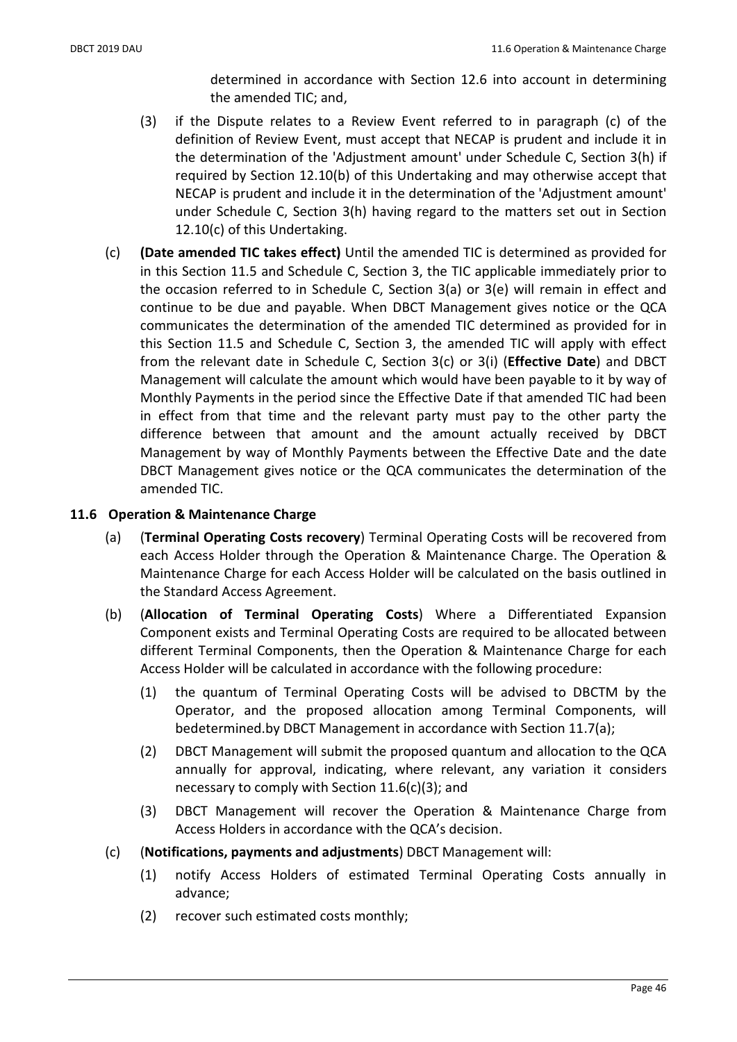determined in accordance with Section 12.6 into account in determining the amended TIC; and,

- (3) if the Dispute relates to a Review Event referred to in paragraph (c) of the definition of Review Event, must accept that NECAP is prudent and include it in the determination of the 'Adjustment amount' under Schedule C, Section 3(h) if required by Section 12.10(b) of this Undertaking and may otherwise accept that NECAP is prudent and include it in the determination of the 'Adjustment amount' under Schedule C, Section 3(h) having regard to the matters set out in Section 12.10(c) of this Undertaking.
- (c) (Date amended TIC takes effect) Until the amended TIC is determined as provided for in this Section 11.5 and Schedule C, Section 3, the TIC applicable immediately prior to the occasion referred to in Schedule C, Section 3(a) or 3(e) will remain in effect and continue to be due and payable. When DBCT Management gives notice or the QCA communicates the determination of the amended TIC determined as provided for in this Section 11.5 and Schedule C, Section 3, the amended TIC will apply with effect from the relevant date in Schedule C, Section 3(c) or 3(i) (Effective Date) and DBCT Management will calculate the amount which would have been payable to it by way of Monthly Payments in the period since the Effective Date if that amended TIC had been in effect from that time and the relevant party must pay to the other party the difference between that amount and the amount actually received by DBCT Management by way of Monthly Payments between the Effective Date and the date DBCT Management gives notice or the QCA communicates the determination of the amended TIC.

### 11.6 Operation & Maintenance Charge

- (a) (Terminal Operating Costs recovery) Terminal Operating Costs will be recovered from each Access Holder through the Operation & Maintenance Charge. The Operation & Maintenance Charge for each Access Holder will be calculated on the basis outlined in the Standard Access Agreement.
- (b) (Allocation of Terminal Operating Costs) Where a Differentiated Expansion Component exists and Terminal Operating Costs are required to be allocated between different Terminal Components, then the Operation & Maintenance Charge for each Access Holder will be calculated in accordance with the following procedure:
	- (1) the quantum of Terminal Operating Costs will be advised to DBCTM by the Operator, and the proposed allocation among Terminal Components, will bedetermined.by DBCT Management in accordance with Section 11.7(a);
	- (2) DBCT Management will submit the proposed quantum and allocation to the QCA annually for approval, indicating, where relevant, any variation it considers necessary to comply with Section 11.6(c)(3); and
	- (3) DBCT Management will recover the Operation & Maintenance Charge from Access Holders in accordance with the QCA's decision.
- (c) (Notifications, payments and adjustments) DBCT Management will:
	- (1) notify Access Holders of estimated Terminal Operating Costs annually in advance;
	- (2) recover such estimated costs monthly;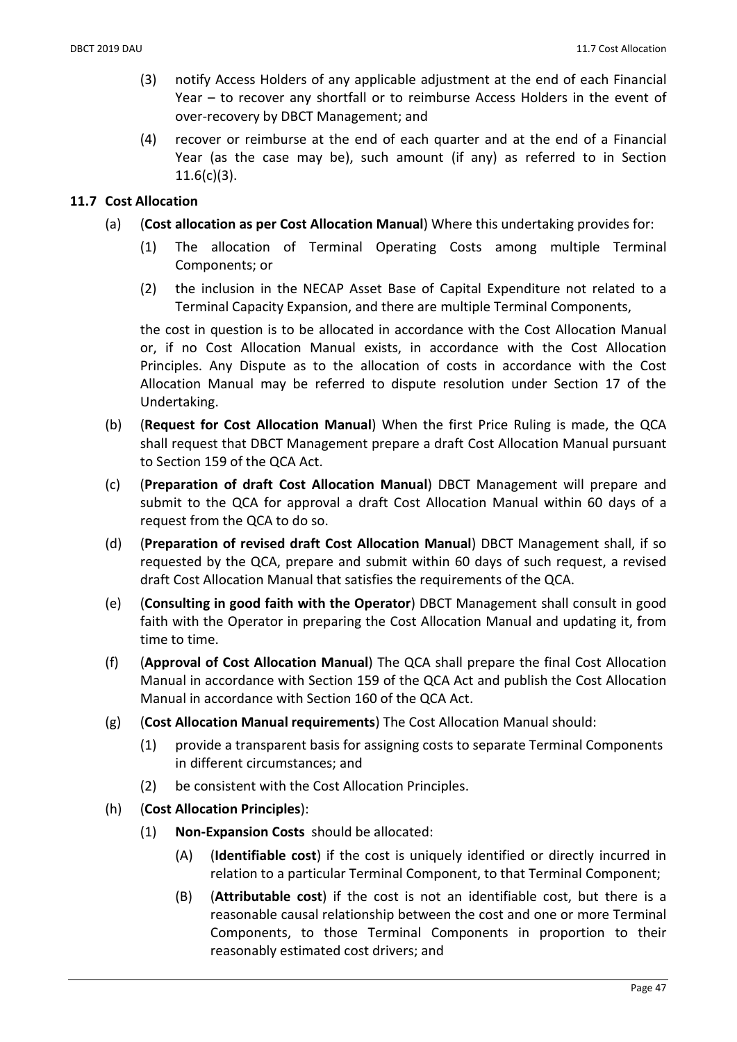- (3) notify Access Holders of any applicable adjustment at the end of each Financial Year – to recover any shortfall or to reimburse Access Holders in the event of over-recovery by DBCT Management; and
- (4) recover or reimburse at the end of each quarter and at the end of a Financial Year (as the case may be), such amount (if any) as referred to in Section 11.6(c)(3).

## 11.7 Cost Allocation

- (a) (Cost allocation as per Cost Allocation Manual) Where this undertaking provides for:
	- (1) The allocation of Terminal Operating Costs among multiple Terminal Components; or
	- (2) the inclusion in the NECAP Asset Base of Capital Expenditure not related to a Terminal Capacity Expansion, and there are multiple Terminal Components,

the cost in question is to be allocated in accordance with the Cost Allocation Manual or, if no Cost Allocation Manual exists, in accordance with the Cost Allocation Principles. Any Dispute as to the allocation of costs in accordance with the Cost Allocation Manual may be referred to dispute resolution under Section 17 of the Undertaking.

- (b) (Request for Cost Allocation Manual) When the first Price Ruling is made, the QCA shall request that DBCT Management prepare a draft Cost Allocation Manual pursuant to Section 159 of the QCA Act.
- (c) (Preparation of draft Cost Allocation Manual) DBCT Management will prepare and submit to the QCA for approval a draft Cost Allocation Manual within 60 days of a request from the QCA to do so.
- (d) (Preparation of revised draft Cost Allocation Manual) DBCT Management shall, if so requested by the QCA, prepare and submit within 60 days of such request, a revised draft Cost Allocation Manual that satisfies the requirements of the QCA.
- (e) (Consulting in good faith with the Operator) DBCT Management shall consult in good faith with the Operator in preparing the Cost Allocation Manual and updating it, from time to time.
- (f) (Approval of Cost Allocation Manual) The QCA shall prepare the final Cost Allocation Manual in accordance with Section 159 of the QCA Act and publish the Cost Allocation Manual in accordance with Section 160 of the QCA Act.
- (g) (Cost Allocation Manual requirements) The Cost Allocation Manual should:
	- (1) provide a transparent basis for assigning costs to separate Terminal Components in different circumstances; and
	- (2) be consistent with the Cost Allocation Principles.
- (h) (Cost Allocation Principles):
	- (1) Non-Expansion Costs should be allocated:
		- (A) (Identifiable cost) if the cost is uniquely identified or directly incurred in relation to a particular Terminal Component, to that Terminal Component;
		- (B) (Attributable cost) if the cost is not an identifiable cost, but there is a reasonable causal relationship between the cost and one or more Terminal Components, to those Terminal Components in proportion to their reasonably estimated cost drivers; and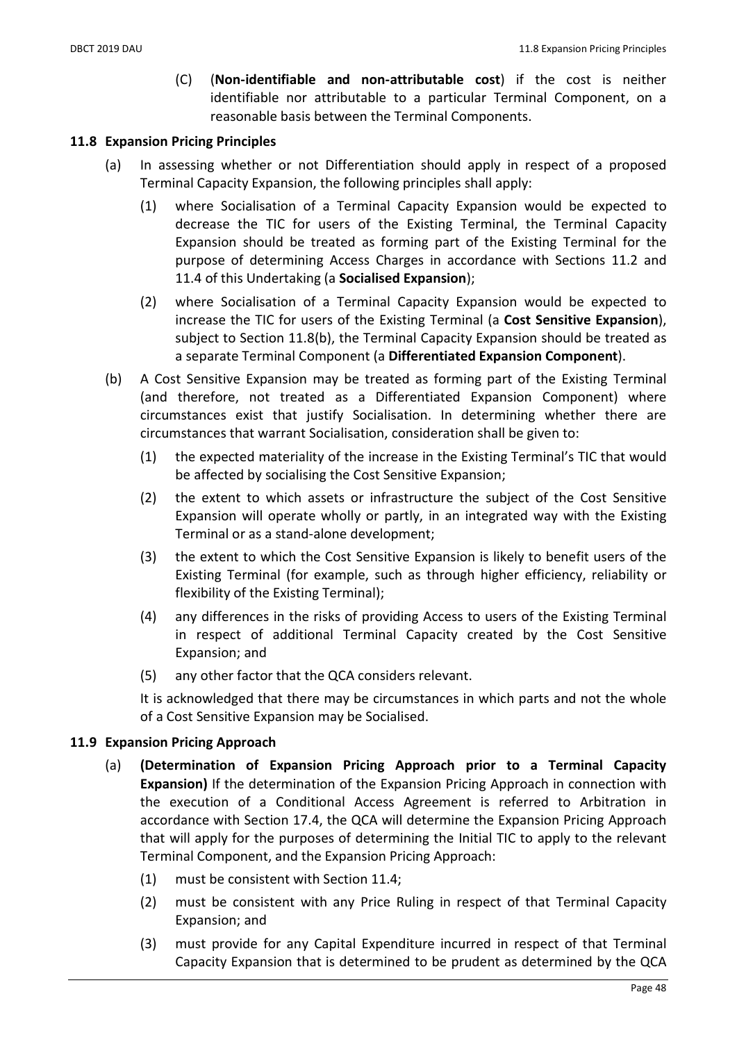(C) (Non-identifiable and non-attributable cost) if the cost is neither identifiable nor attributable to a particular Terminal Component, on a reasonable basis between the Terminal Components.

#### 11.8 Expansion Pricing Principles

- (a) In assessing whether or not Differentiation should apply in respect of a proposed Terminal Capacity Expansion, the following principles shall apply:
	- (1) where Socialisation of a Terminal Capacity Expansion would be expected to decrease the TIC for users of the Existing Terminal, the Terminal Capacity Expansion should be treated as forming part of the Existing Terminal for the purpose of determining Access Charges in accordance with Sections 11.2 and 11.4 of this Undertaking (a Socialised Expansion);
	- (2) where Socialisation of a Terminal Capacity Expansion would be expected to increase the TIC for users of the Existing Terminal (a Cost Sensitive Expansion), subject to Section 11.8(b), the Terminal Capacity Expansion should be treated as a separate Terminal Component (a Differentiated Expansion Component).
- (b) A Cost Sensitive Expansion may be treated as forming part of the Existing Terminal (and therefore, not treated as a Differentiated Expansion Component) where circumstances exist that justify Socialisation. In determining whether there are circumstances that warrant Socialisation, consideration shall be given to:
	- (1) the expected materiality of the increase in the Existing Terminal's TIC that would be affected by socialising the Cost Sensitive Expansion;
	- (2) the extent to which assets or infrastructure the subject of the Cost Sensitive Expansion will operate wholly or partly, in an integrated way with the Existing Terminal or as a stand-alone development;
	- (3) the extent to which the Cost Sensitive Expansion is likely to benefit users of the Existing Terminal (for example, such as through higher efficiency, reliability or flexibility of the Existing Terminal);
	- (4) any differences in the risks of providing Access to users of the Existing Terminal in respect of additional Terminal Capacity created by the Cost Sensitive Expansion; and
	- (5) any other factor that the QCA considers relevant.

It is acknowledged that there may be circumstances in which parts and not the whole of a Cost Sensitive Expansion may be Socialised.

## 11.9 Expansion Pricing Approach

- (a) (Determination of Expansion Pricing Approach prior to a Terminal Capacity Expansion) If the determination of the Expansion Pricing Approach in connection with the execution of a Conditional Access Agreement is referred to Arbitration in accordance with Section 17.4, the QCA will determine the Expansion Pricing Approach that will apply for the purposes of determining the Initial TIC to apply to the relevant Terminal Component, and the Expansion Pricing Approach:
	- (1) must be consistent with Section 11.4;
	- (2) must be consistent with any Price Ruling in respect of that Terminal Capacity Expansion; and
	- (3) must provide for any Capital Expenditure incurred in respect of that Terminal Capacity Expansion that is determined to be prudent as determined by the QCA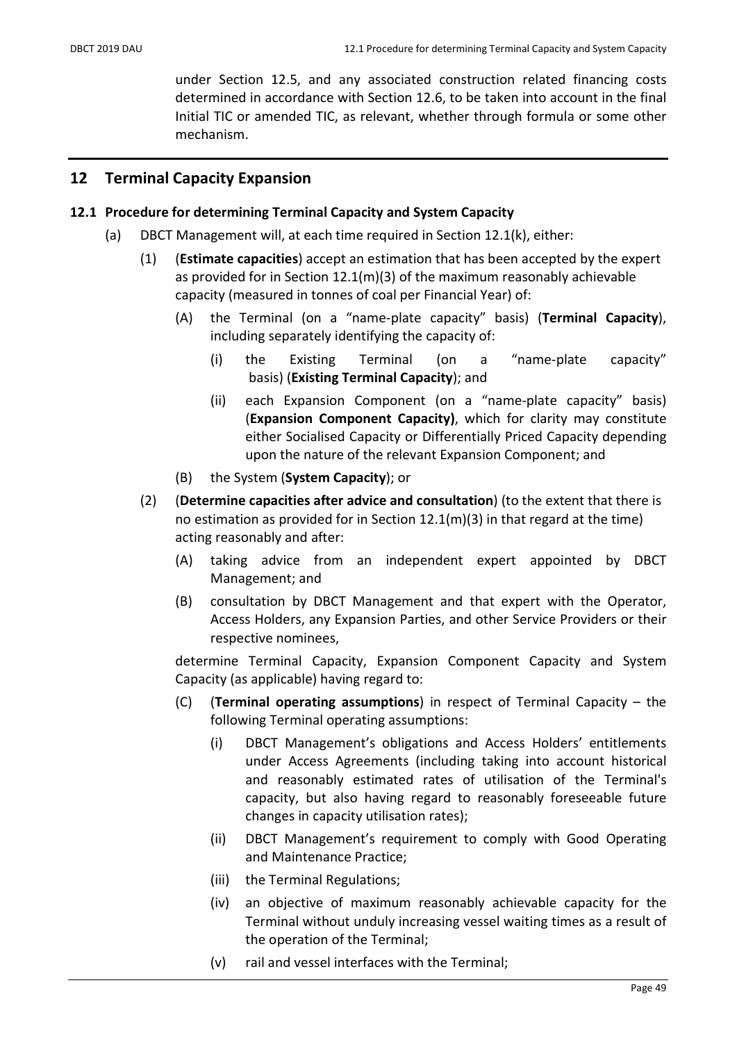under Section 12.5, and any associated construction related financing costs determined in accordance with Section 12.6, to be taken into account in the final Initial TIC or amended TIC, as relevant, whether through formula or some other mechanism.

# 12 Terminal Capacity Expansion

### 12.1 Procedure for determining Terminal Capacity and System Capacity

- (a) DBCT Management will, at each time required in Section 12.1(k), either:
	- (1) (Estimate capacities) accept an estimation that has been accepted by the expert as provided for in Section 12.1(m)(3) of the maximum reasonably achievable capacity (measured in tonnes of coal per Financial Year) of:
		- (A) the Terminal (on a "name-plate capacity" basis) (Terminal Capacity), including separately identifying the capacity of:
			- (i) the Existing Terminal (on a "name-plate capacity" basis) (Existing Terminal Capacity); and
			- (ii) each Expansion Component (on a "name-plate capacity" basis) (Expansion Component Capacity), which for clarity may constitute either Socialised Capacity or Differentially Priced Capacity depending upon the nature of the relevant Expansion Component; and
		- (B) the System (System Capacity); or
	- (2) (Determine capacities after advice and consultation) (to the extent that there is no estimation as provided for in Section  $12.1(m)(3)$  in that regard at the time) acting reasonably and after:
		- (A) taking advice from an independent expert appointed by DBCT Management; and
		- (B) consultation by DBCT Management and that expert with the Operator, Access Holders, any Expansion Parties, and other Service Providers or their respective nominees,

determine Terminal Capacity, Expansion Component Capacity and System Capacity (as applicable) having regard to:

- (C) (Terminal operating assumptions) in respect of Terminal Capacity the following Terminal operating assumptions:
	- (i) DBCT Management's obligations and Access Holders' entitlements under Access Agreements (including taking into account historical and reasonably estimated rates of utilisation of the Terminal's capacity, but also having regard to reasonably foreseeable future changes in capacity utilisation rates);
	- (ii) DBCT Management's requirement to comply with Good Operating and Maintenance Practice;
	- (iii) the Terminal Regulations;
	- (iv) an objective of maximum reasonably achievable capacity for the Terminal without unduly increasing vessel waiting times as a result of the operation of the Terminal;
	- (v) rail and vessel interfaces with the Terminal;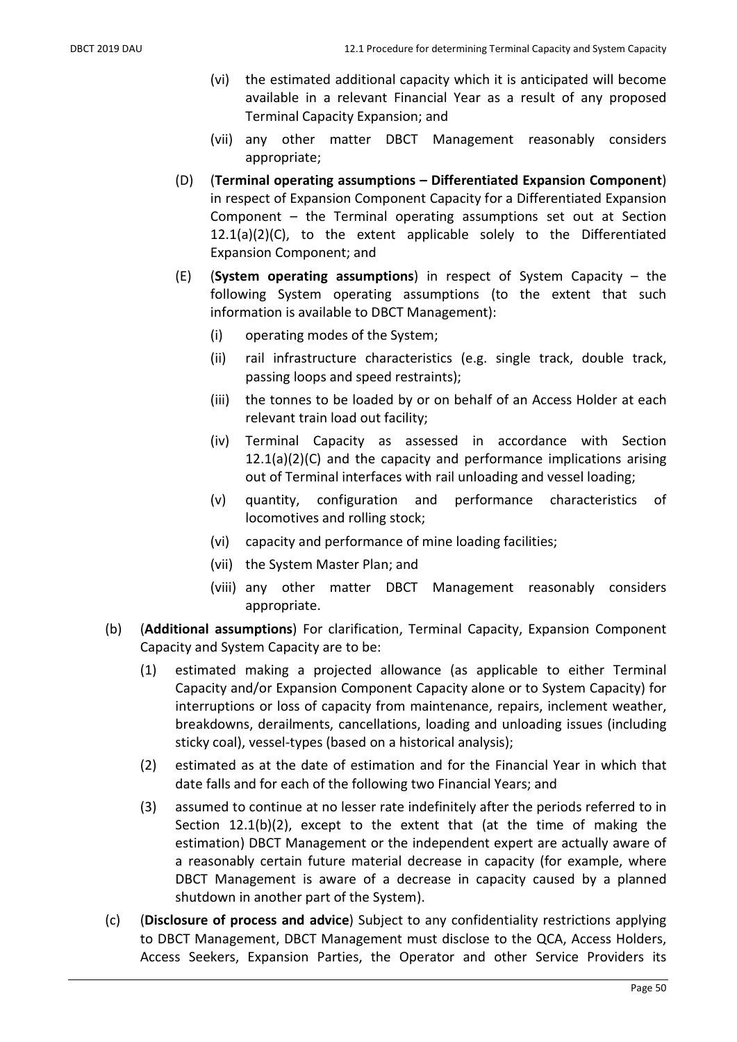- (vi) the estimated additional capacity which it is anticipated will become available in a relevant Financial Year as a result of any proposed Terminal Capacity Expansion; and
- (vii) any other matter DBCT Management reasonably considers appropriate;
- (D) (Terminal operating assumptions Differentiated Expansion Component) in respect of Expansion Component Capacity for a Differentiated Expansion Component – the Terminal operating assumptions set out at Section 12.1(a)(2)(C), to the extent applicable solely to the Differentiated Expansion Component; and
- (E) (System operating assumptions) in respect of System Capacity the following System operating assumptions (to the extent that such information is available to DBCT Management):
	- (i) operating modes of the System;
	- (ii) rail infrastructure characteristics (e.g. single track, double track, passing loops and speed restraints);
	- (iii) the tonnes to be loaded by or on behalf of an Access Holder at each relevant train load out facility;
	- (iv) Terminal Capacity as assessed in accordance with Section 12.1(a)(2)(C) and the capacity and performance implications arising out of Terminal interfaces with rail unloading and vessel loading;
	- (v) quantity, configuration and performance characteristics of locomotives and rolling stock;
	- (vi) capacity and performance of mine loading facilities;
	- (vii) the System Master Plan; and
	- (viii) any other matter DBCT Management reasonably considers appropriate.
- (b) (Additional assumptions) For clarification, Terminal Capacity, Expansion Component Capacity and System Capacity are to be:
	- (1) estimated making a projected allowance (as applicable to either Terminal Capacity and/or Expansion Component Capacity alone or to System Capacity) for interruptions or loss of capacity from maintenance, repairs, inclement weather, breakdowns, derailments, cancellations, loading and unloading issues (including sticky coal), vessel-types (based on a historical analysis);
	- (2) estimated as at the date of estimation and for the Financial Year in which that date falls and for each of the following two Financial Years; and
	- (3) assumed to continue at no lesser rate indefinitely after the periods referred to in Section 12.1(b)(2), except to the extent that (at the time of making the estimation) DBCT Management or the independent expert are actually aware of a reasonably certain future material decrease in capacity (for example, where DBCT Management is aware of a decrease in capacity caused by a planned shutdown in another part of the System).
- (c) (Disclosure of process and advice) Subject to any confidentiality restrictions applying to DBCT Management, DBCT Management must disclose to the QCA, Access Holders, Access Seekers, Expansion Parties, the Operator and other Service Providers its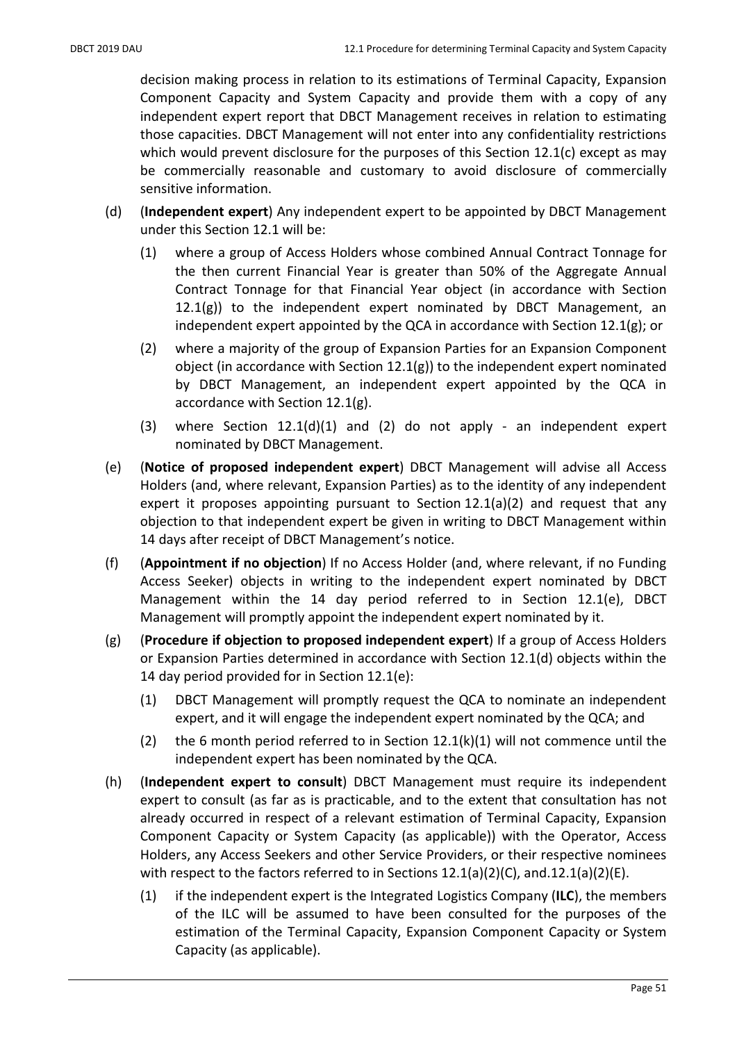decision making process in relation to its estimations of Terminal Capacity, Expansion Component Capacity and System Capacity and provide them with a copy of any independent expert report that DBCT Management receives in relation to estimating those capacities. DBCT Management will not enter into any confidentiality restrictions which would prevent disclosure for the purposes of this Section 12.1(c) except as may be commercially reasonable and customary to avoid disclosure of commercially sensitive information.

- (d) (Independent expert) Any independent expert to be appointed by DBCT Management under this Section 12.1 will be:
	- (1) where a group of Access Holders whose combined Annual Contract Tonnage for the then current Financial Year is greater than 50% of the Aggregate Annual Contract Tonnage for that Financial Year object (in accordance with Section  $12.1(g)$ ) to the independent expert nominated by DBCT Management, an independent expert appointed by the QCA in accordance with Section 12.1(g); or
	- (2) where a majority of the group of Expansion Parties for an Expansion Component object (in accordance with Section  $12.1(g)$ ) to the independent expert nominated by DBCT Management, an independent expert appointed by the QCA in accordance with Section 12.1(g).
	- (3) where Section 12.1(d)(1) and (2) do not apply an independent expert nominated by DBCT Management.
- (e) (Notice of proposed independent expert) DBCT Management will advise all Access Holders (and, where relevant, Expansion Parties) as to the identity of any independent expert it proposes appointing pursuant to Section 12.1(a)(2) and request that any objection to that independent expert be given in writing to DBCT Management within 14 days after receipt of DBCT Management's notice.
- (f) (Appointment if no objection) If no Access Holder (and, where relevant, if no Funding Access Seeker) objects in writing to the independent expert nominated by DBCT Management within the 14 day period referred to in Section 12.1(e), DBCT Management will promptly appoint the independent expert nominated by it.
- (g) (Procedure if objection to proposed independent expert) If a group of Access Holders or Expansion Parties determined in accordance with Section 12.1(d) objects within the 14 day period provided for in Section 12.1(e):
	- (1) DBCT Management will promptly request the QCA to nominate an independent expert, and it will engage the independent expert nominated by the QCA; and
	- (2) the 6 month period referred to in Section  $12.1(k)(1)$  will not commence until the independent expert has been nominated by the QCA.
- (h) (Independent expert to consult) DBCT Management must require its independent expert to consult (as far as is practicable, and to the extent that consultation has not already occurred in respect of a relevant estimation of Terminal Capacity, Expansion Component Capacity or System Capacity (as applicable)) with the Operator, Access Holders, any Access Seekers and other Service Providers, or their respective nominees with respect to the factors referred to in Sections 12.1(a)(2)(C), and.12.1(a)(2)(E).
	- (1) if the independent expert is the Integrated Logistics Company (ILC), the members of the ILC will be assumed to have been consulted for the purposes of the estimation of the Terminal Capacity, Expansion Component Capacity or System Capacity (as applicable).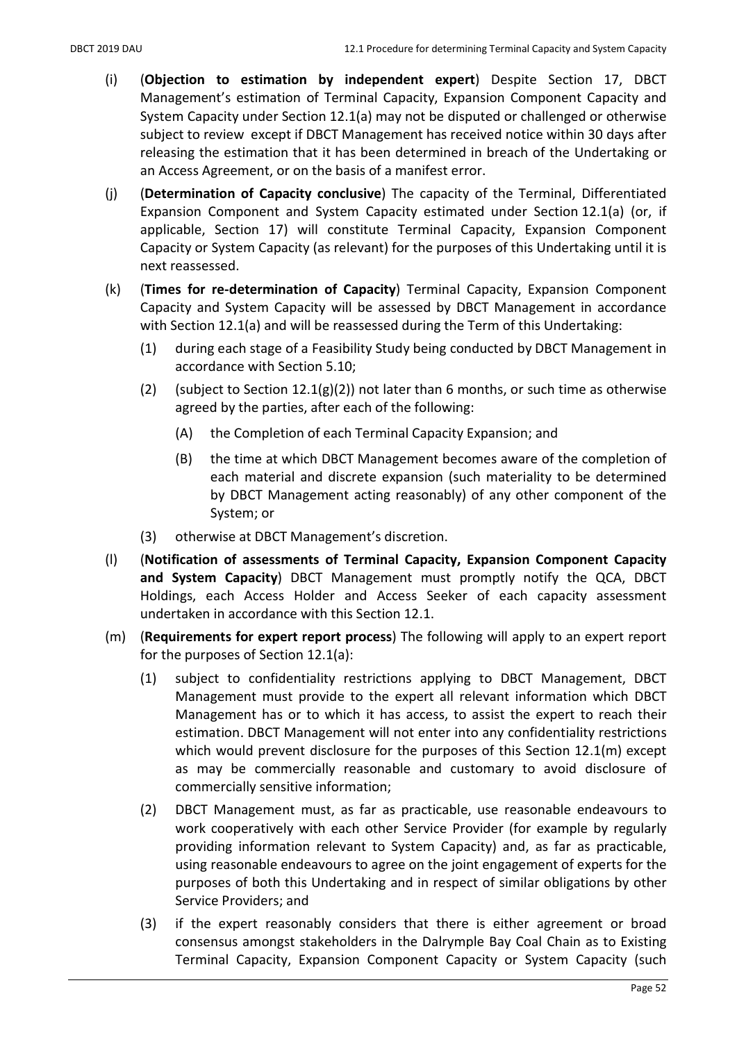- (i) (Objection to estimation by independent expert) Despite Section 17, DBCT Management's estimation of Terminal Capacity, Expansion Component Capacity and System Capacity under Section 12.1(a) may not be disputed or challenged or otherwise subject to review except if DBCT Management has received notice within 30 days after releasing the estimation that it has been determined in breach of the Undertaking or an Access Agreement, or on the basis of a manifest error.
- (j) (Determination of Capacity conclusive) The capacity of the Terminal, Differentiated Expansion Component and System Capacity estimated under Section 12.1(a) (or, if applicable, Section 17) will constitute Terminal Capacity, Expansion Component Capacity or System Capacity (as relevant) for the purposes of this Undertaking until it is next reassessed.
- (k) (Times for re-determination of Capacity) Terminal Capacity, Expansion Component Capacity and System Capacity will be assessed by DBCT Management in accordance with Section 12.1(a) and will be reassessed during the Term of this Undertaking:
	- (1) during each stage of a Feasibility Study being conducted by DBCT Management in accordance with Section 5.10;
	- (2) (subject to Section 12.1(g)(2)) not later than 6 months, or such time as otherwise agreed by the parties, after each of the following:
		- (A) the Completion of each Terminal Capacity Expansion; and
		- (B) the time at which DBCT Management becomes aware of the completion of each material and discrete expansion (such materiality to be determined by DBCT Management acting reasonably) of any other component of the System; or
	- (3) otherwise at DBCT Management's discretion.
- (l) (Notification of assessments of Terminal Capacity, Expansion Component Capacity and System Capacity) DBCT Management must promptly notify the QCA, DBCT Holdings, each Access Holder and Access Seeker of each capacity assessment undertaken in accordance with this Section 12.1.
- (m) (Requirements for expert report process) The following will apply to an expert report for the purposes of Section 12.1(a):
	- (1) subject to confidentiality restrictions applying to DBCT Management, DBCT Management must provide to the expert all relevant information which DBCT Management has or to which it has access, to assist the expert to reach their estimation. DBCT Management will not enter into any confidentiality restrictions which would prevent disclosure for the purposes of this Section 12.1(m) except as may be commercially reasonable and customary to avoid disclosure of commercially sensitive information;
	- (2) DBCT Management must, as far as practicable, use reasonable endeavours to work cooperatively with each other Service Provider (for example by regularly providing information relevant to System Capacity) and, as far as practicable, using reasonable endeavours to agree on the joint engagement of experts for the purposes of both this Undertaking and in respect of similar obligations by other Service Providers; and
	- (3) if the expert reasonably considers that there is either agreement or broad consensus amongst stakeholders in the Dalrymple Bay Coal Chain as to Existing Terminal Capacity, Expansion Component Capacity or System Capacity (such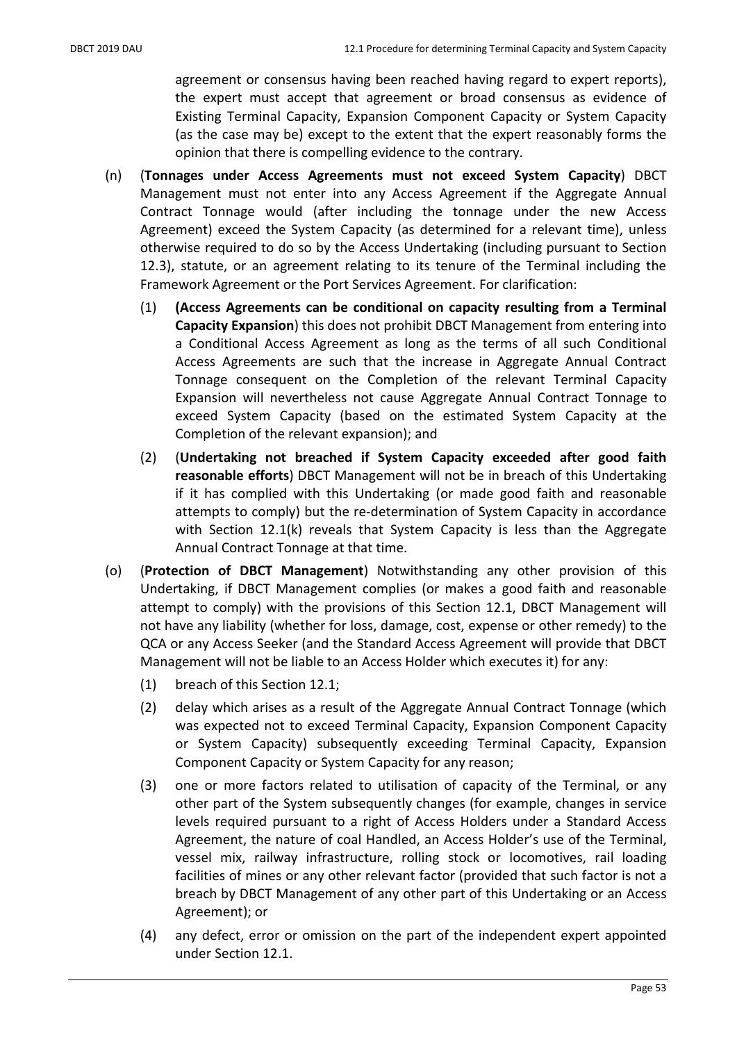agreement or consensus having been reached having regard to expert reports), the expert must accept that agreement or broad consensus as evidence of Existing Terminal Capacity, Expansion Component Capacity or System Capacity (as the case may be) except to the extent that the expert reasonably forms the opinion that there is compelling evidence to the contrary.

- (n) (Tonnages under Access Agreements must not exceed System Capacity) DBCT Management must not enter into any Access Agreement if the Aggregate Annual Contract Tonnage would (after including the tonnage under the new Access Agreement) exceed the System Capacity (as determined for a relevant time), unless otherwise required to do so by the Access Undertaking (including pursuant to Section 12.3), statute, or an agreement relating to its tenure of the Terminal including the Framework Agreement or the Port Services Agreement. For clarification:
	- (1) (Access Agreements can be conditional on capacity resulting from a Terminal Capacity Expansion) this does not prohibit DBCT Management from entering into a Conditional Access Agreement as long as the terms of all such Conditional Access Agreements are such that the increase in Aggregate Annual Contract Tonnage consequent on the Completion of the relevant Terminal Capacity Expansion will nevertheless not cause Aggregate Annual Contract Tonnage to exceed System Capacity (based on the estimated System Capacity at the Completion of the relevant expansion); and
	- (2) (Undertaking not breached if System Capacity exceeded after good faith reasonable efforts) DBCT Management will not be in breach of this Undertaking if it has complied with this Undertaking (or made good faith and reasonable attempts to comply) but the re-determination of System Capacity in accordance with Section 12.1(k) reveals that System Capacity is less than the Aggregate Annual Contract Tonnage at that time.
- (o) (Protection of DBCT Management) Notwithstanding any other provision of this Undertaking, if DBCT Management complies (or makes a good faith and reasonable attempt to comply) with the provisions of this Section 12.1, DBCT Management will not have any liability (whether for loss, damage, cost, expense or other remedy) to the QCA or any Access Seeker (and the Standard Access Agreement will provide that DBCT Management will not be liable to an Access Holder which executes it) for any:
	- (1) breach of this Section 12.1;
	- (2) delay which arises as a result of the Aggregate Annual Contract Tonnage (which was expected not to exceed Terminal Capacity, Expansion Component Capacity or System Capacity) subsequently exceeding Terminal Capacity, Expansion Component Capacity or System Capacity for any reason;
	- (3) one or more factors related to utilisation of capacity of the Terminal, or any other part of the System subsequently changes (for example, changes in service levels required pursuant to a right of Access Holders under a Standard Access Agreement, the nature of coal Handled, an Access Holder's use of the Terminal, vessel mix, railway infrastructure, rolling stock or locomotives, rail loading facilities of mines or any other relevant factor (provided that such factor is not a breach by DBCT Management of any other part of this Undertaking or an Access Agreement); or
	- (4) any defect, error or omission on the part of the independent expert appointed under Section 12.1.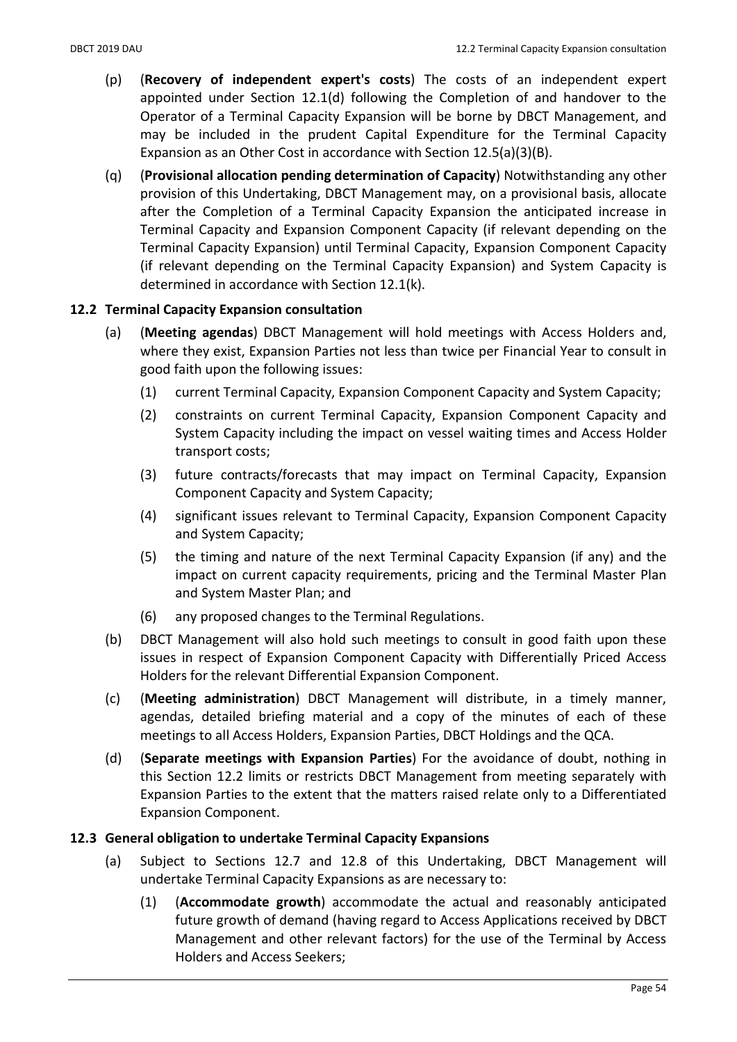- (p) (Recovery of independent expert's costs) The costs of an independent expert appointed under Section 12.1(d) following the Completion of and handover to the Operator of a Terminal Capacity Expansion will be borne by DBCT Management, and may be included in the prudent Capital Expenditure for the Terminal Capacity Expansion as an Other Cost in accordance with Section 12.5(a)(3)(B).
- (q) (Provisional allocation pending determination of Capacity) Notwithstanding any other provision of this Undertaking, DBCT Management may, on a provisional basis, allocate after the Completion of a Terminal Capacity Expansion the anticipated increase in Terminal Capacity and Expansion Component Capacity (if relevant depending on the Terminal Capacity Expansion) until Terminal Capacity, Expansion Component Capacity (if relevant depending on the Terminal Capacity Expansion) and System Capacity is determined in accordance with Section 12.1(k).

## 12.2 Terminal Capacity Expansion consultation

- (a) (Meeting agendas) DBCT Management will hold meetings with Access Holders and, where they exist, Expansion Parties not less than twice per Financial Year to consult in good faith upon the following issues:
	- (1) current Terminal Capacity, Expansion Component Capacity and System Capacity;
	- (2) constraints on current Terminal Capacity, Expansion Component Capacity and System Capacity including the impact on vessel waiting times and Access Holder transport costs;
	- (3) future contracts/forecasts that may impact on Terminal Capacity, Expansion Component Capacity and System Capacity;
	- (4) significant issues relevant to Terminal Capacity, Expansion Component Capacity and System Capacity;
	- (5) the timing and nature of the next Terminal Capacity Expansion (if any) and the impact on current capacity requirements, pricing and the Terminal Master Plan and System Master Plan; and
	- (6) any proposed changes to the Terminal Regulations.
- (b) DBCT Management will also hold such meetings to consult in good faith upon these issues in respect of Expansion Component Capacity with Differentially Priced Access Holders for the relevant Differential Expansion Component.
- (c) (Meeting administration) DBCT Management will distribute, in a timely manner, agendas, detailed briefing material and a copy of the minutes of each of these meetings to all Access Holders, Expansion Parties, DBCT Holdings and the QCA.
- (d) (Separate meetings with Expansion Parties) For the avoidance of doubt, nothing in this Section 12.2 limits or restricts DBCT Management from meeting separately with Expansion Parties to the extent that the matters raised relate only to a Differentiated Expansion Component.

## 12.3 General obligation to undertake Terminal Capacity Expansions

- (a) Subject to Sections 12.7 and 12.8 of this Undertaking, DBCT Management will undertake Terminal Capacity Expansions as are necessary to:
	- (1) (Accommodate growth) accommodate the actual and reasonably anticipated future growth of demand (having regard to Access Applications received by DBCT Management and other relevant factors) for the use of the Terminal by Access Holders and Access Seekers;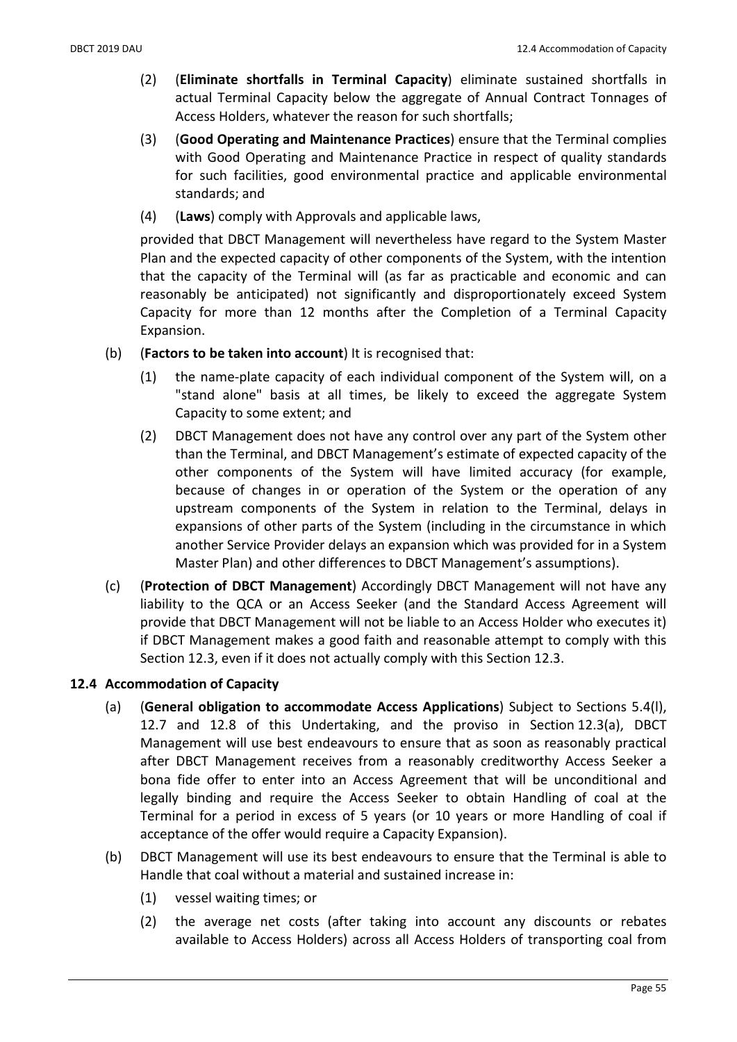- (2) (Eliminate shortfalls in Terminal Capacity) eliminate sustained shortfalls in actual Terminal Capacity below the aggregate of Annual Contract Tonnages of Access Holders, whatever the reason for such shortfalls;
- (3) (Good Operating and Maintenance Practices) ensure that the Terminal complies with Good Operating and Maintenance Practice in respect of quality standards for such facilities, good environmental practice and applicable environmental standards; and
- (4) (Laws) comply with Approvals and applicable laws,

provided that DBCT Management will nevertheless have regard to the System Master Plan and the expected capacity of other components of the System, with the intention that the capacity of the Terminal will (as far as practicable and economic and can reasonably be anticipated) not significantly and disproportionately exceed System Capacity for more than 12 months after the Completion of a Terminal Capacity Expansion.

- (b) (Factors to be taken into account) It is recognised that:
	- (1) the name-plate capacity of each individual component of the System will, on a "stand alone" basis at all times, be likely to exceed the aggregate System Capacity to some extent; and
	- (2) DBCT Management does not have any control over any part of the System other than the Terminal, and DBCT Management's estimate of expected capacity of the other components of the System will have limited accuracy (for example, because of changes in or operation of the System or the operation of any upstream components of the System in relation to the Terminal, delays in expansions of other parts of the System (including in the circumstance in which another Service Provider delays an expansion which was provided for in a System Master Plan) and other differences to DBCT Management's assumptions).
- (c) (Protection of DBCT Management) Accordingly DBCT Management will not have any liability to the QCA or an Access Seeker (and the Standard Access Agreement will provide that DBCT Management will not be liable to an Access Holder who executes it) if DBCT Management makes a good faith and reasonable attempt to comply with this Section 12.3, even if it does not actually comply with this Section 12.3.

#### 12.4 Accommodation of Capacity

- (a) (General obligation to accommodate Access Applications) Subject to Sections 5.4(l), 12.7 and 12.8 of this Undertaking, and the proviso in Section 12.3(a), DBCT Management will use best endeavours to ensure that as soon as reasonably practical after DBCT Management receives from a reasonably creditworthy Access Seeker a bona fide offer to enter into an Access Agreement that will be unconditional and legally binding and require the Access Seeker to obtain Handling of coal at the Terminal for a period in excess of 5 years (or 10 years or more Handling of coal if acceptance of the offer would require a Capacity Expansion).
- (b) DBCT Management will use its best endeavours to ensure that the Terminal is able to Handle that coal without a material and sustained increase in:
	- (1) vessel waiting times; or
	- (2) the average net costs (after taking into account any discounts or rebates available to Access Holders) across all Access Holders of transporting coal from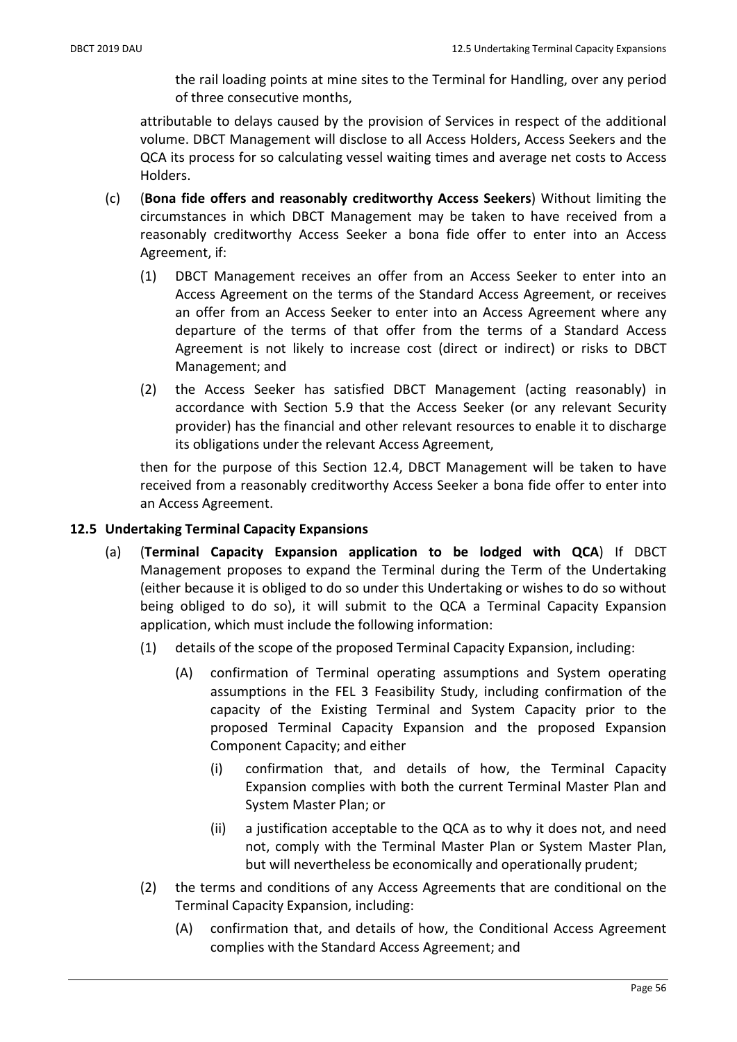the rail loading points at mine sites to the Terminal for Handling, over any period of three consecutive months,

attributable to delays caused by the provision of Services in respect of the additional volume. DBCT Management will disclose to all Access Holders, Access Seekers and the QCA its process for so calculating vessel waiting times and average net costs to Access Holders.

- (c) (Bona fide offers and reasonably creditworthy Access Seekers) Without limiting the circumstances in which DBCT Management may be taken to have received from a reasonably creditworthy Access Seeker a bona fide offer to enter into an Access Agreement, if:
	- (1) DBCT Management receives an offer from an Access Seeker to enter into an Access Agreement on the terms of the Standard Access Agreement, or receives an offer from an Access Seeker to enter into an Access Agreement where any departure of the terms of that offer from the terms of a Standard Access Agreement is not likely to increase cost (direct or indirect) or risks to DBCT Management; and
	- (2) the Access Seeker has satisfied DBCT Management (acting reasonably) in accordance with Section 5.9 that the Access Seeker (or any relevant Security provider) has the financial and other relevant resources to enable it to discharge its obligations under the relevant Access Agreement,

then for the purpose of this Section 12.4, DBCT Management will be taken to have received from a reasonably creditworthy Access Seeker a bona fide offer to enter into an Access Agreement.

## 12.5 Undertaking Terminal Capacity Expansions

- (a) (Terminal Capacity Expansion application to be lodged with QCA) If DBCT Management proposes to expand the Terminal during the Term of the Undertaking (either because it is obliged to do so under this Undertaking or wishes to do so without being obliged to do so), it will submit to the QCA a Terminal Capacity Expansion application, which must include the following information:
	- (1) details of the scope of the proposed Terminal Capacity Expansion, including:
		- (A) confirmation of Terminal operating assumptions and System operating assumptions in the FEL 3 Feasibility Study, including confirmation of the capacity of the Existing Terminal and System Capacity prior to the proposed Terminal Capacity Expansion and the proposed Expansion Component Capacity; and either
			- (i) confirmation that, and details of how, the Terminal Capacity Expansion complies with both the current Terminal Master Plan and System Master Plan; or
			- (ii) a justification acceptable to the QCA as to why it does not, and need not, comply with the Terminal Master Plan or System Master Plan, but will nevertheless be economically and operationally prudent;
	- (2) the terms and conditions of any Access Agreements that are conditional on the Terminal Capacity Expansion, including:
		- (A) confirmation that, and details of how, the Conditional Access Agreement complies with the Standard Access Agreement; and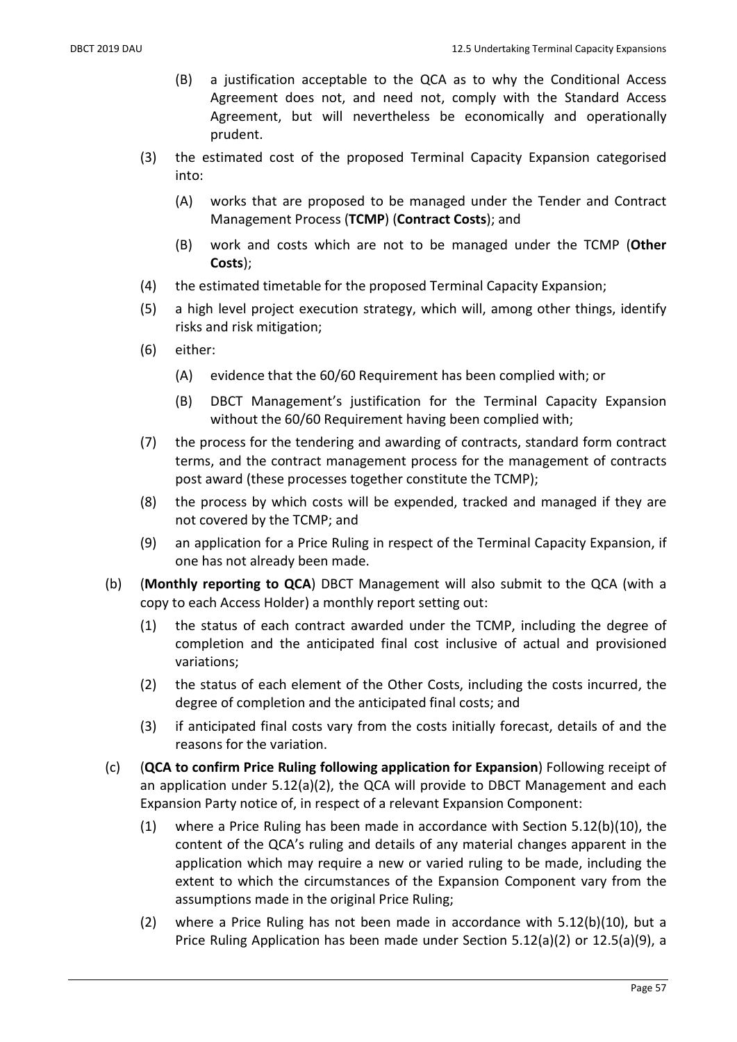- (B) a justification acceptable to the QCA as to why the Conditional Access Agreement does not, and need not, comply with the Standard Access Agreement, but will nevertheless be economically and operationally prudent.
- (3) the estimated cost of the proposed Terminal Capacity Expansion categorised into:
	- (A) works that are proposed to be managed under the Tender and Contract Management Process (TCMP) (Contract Costs); and
	- (B) work and costs which are not to be managed under the TCMP (Other Costs);
- (4) the estimated timetable for the proposed Terminal Capacity Expansion;
- (5) a high level project execution strategy, which will, among other things, identify risks and risk mitigation;
- (6) either:
	- (A) evidence that the 60/60 Requirement has been complied with; or
	- (B) DBCT Management's justification for the Terminal Capacity Expansion without the 60/60 Requirement having been complied with;
- (7) the process for the tendering and awarding of contracts, standard form contract terms, and the contract management process for the management of contracts post award (these processes together constitute the TCMP);
- (8) the process by which costs will be expended, tracked and managed if they are not covered by the TCMP; and
- (9) an application for a Price Ruling in respect of the Terminal Capacity Expansion, if one has not already been made.
- (b) (Monthly reporting to QCA) DBCT Management will also submit to the QCA (with a copy to each Access Holder) a monthly report setting out:
	- (1) the status of each contract awarded under the TCMP, including the degree of completion and the anticipated final cost inclusive of actual and provisioned variations;
	- (2) the status of each element of the Other Costs, including the costs incurred, the degree of completion and the anticipated final costs; and
	- (3) if anticipated final costs vary from the costs initially forecast, details of and the reasons for the variation.
- (c) (QCA to confirm Price Ruling following application for Expansion) Following receipt of an application under 5.12(a)(2), the QCA will provide to DBCT Management and each Expansion Party notice of, in respect of a relevant Expansion Component:
	- (1) where a Price Ruling has been made in accordance with Section 5.12(b)(10), the content of the QCA's ruling and details of any material changes apparent in the application which may require a new or varied ruling to be made, including the extent to which the circumstances of the Expansion Component vary from the assumptions made in the original Price Ruling;
	- (2) where a Price Ruling has not been made in accordance with 5.12(b)(10), but a Price Ruling Application has been made under Section 5.12(a)(2) or 12.5(a)(9), a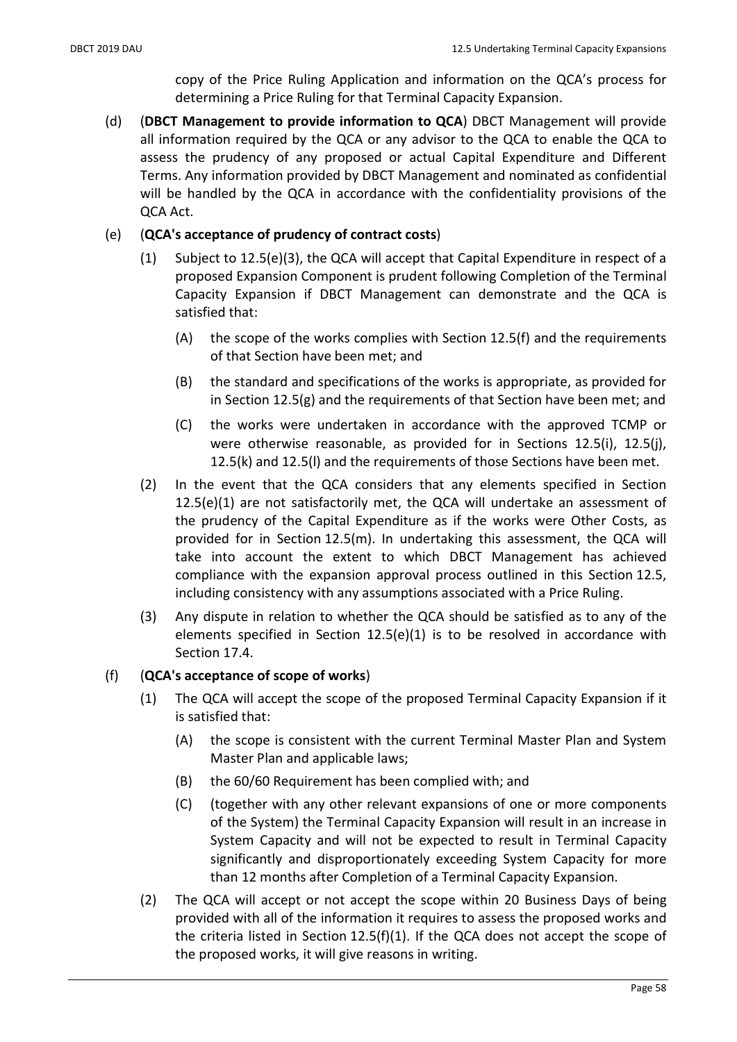copy of the Price Ruling Application and information on the QCA's process for determining a Price Ruling for that Terminal Capacity Expansion.

(d) (DBCT Management to provide information to QCA) DBCT Management will provide all information required by the QCA or any advisor to the QCA to enable the QCA to assess the prudency of any proposed or actual Capital Expenditure and Different Terms. Any information provided by DBCT Management and nominated as confidential will be handled by the QCA in accordance with the confidentiality provisions of the QCA Act.

## (e) (QCA's acceptance of prudency of contract costs)

- (1) Subject to 12.5(e)(3), the QCA will accept that Capital Expenditure in respect of a proposed Expansion Component is prudent following Completion of the Terminal Capacity Expansion if DBCT Management can demonstrate and the QCA is satisfied that:
	- (A) the scope of the works complies with Section 12.5(f) and the requirements of that Section have been met; and
	- (B) the standard and specifications of the works is appropriate, as provided for in Section 12.5(g) and the requirements of that Section have been met; and
	- (C) the works were undertaken in accordance with the approved TCMP or were otherwise reasonable, as provided for in Sections 12.5(i), 12.5(j), 12.5(k) and 12.5(l) and the requirements of those Sections have been met.
- (2) In the event that the QCA considers that any elements specified in Section 12.5(e)(1) are not satisfactorily met, the QCA will undertake an assessment of the prudency of the Capital Expenditure as if the works were Other Costs, as provided for in Section 12.5(m). In undertaking this assessment, the QCA will take into account the extent to which DBCT Management has achieved compliance with the expansion approval process outlined in this Section 12.5, including consistency with any assumptions associated with a Price Ruling.
- (3) Any dispute in relation to whether the QCA should be satisfied as to any of the elements specified in Section 12.5(e)(1) is to be resolved in accordance with Section 17.4.

## (f) (QCA's acceptance of scope of works)

- (1) The QCA will accept the scope of the proposed Terminal Capacity Expansion if it is satisfied that:
	- (A) the scope is consistent with the current Terminal Master Plan and System Master Plan and applicable laws;
	- (B) the 60/60 Requirement has been complied with; and
	- (C) (together with any other relevant expansions of one or more components of the System) the Terminal Capacity Expansion will result in an increase in System Capacity and will not be expected to result in Terminal Capacity significantly and disproportionately exceeding System Capacity for more than 12 months after Completion of a Terminal Capacity Expansion.
- (2) The QCA will accept or not accept the scope within 20 Business Days of being provided with all of the information it requires to assess the proposed works and the criteria listed in Section  $12.5(f)(1)$ . If the QCA does not accept the scope of the proposed works, it will give reasons in writing.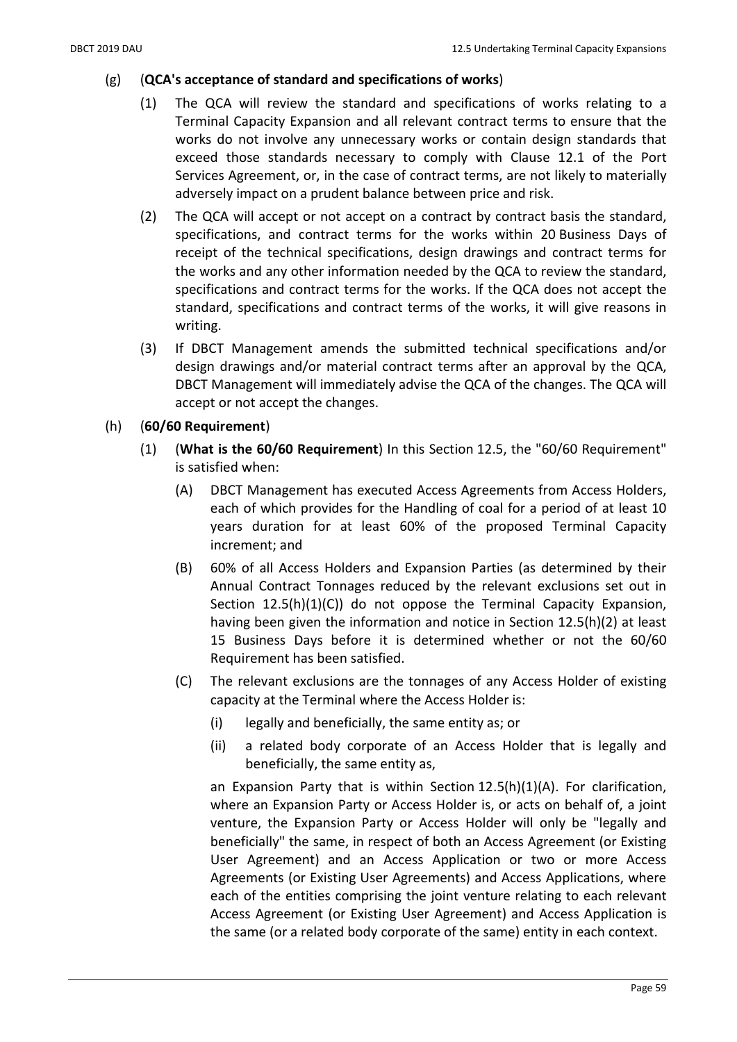#### $(g)$  (QCA's acceptance of standard and specifications of works)

- (1) The QCA will review the standard and specifications of works relating to a Terminal Capacity Expansion and all relevant contract terms to ensure that the works do not involve any unnecessary works or contain design standards that exceed those standards necessary to comply with Clause 12.1 of the Port Services Agreement, or, in the case of contract terms, are not likely to materially adversely impact on a prudent balance between price and risk.
- (2) The QCA will accept or not accept on a contract by contract basis the standard, specifications, and contract terms for the works within 20 Business Days of receipt of the technical specifications, design drawings and contract terms for the works and any other information needed by the QCA to review the standard, specifications and contract terms for the works. If the QCA does not accept the standard, specifications and contract terms of the works, it will give reasons in writing.
- (3) If DBCT Management amends the submitted technical specifications and/or design drawings and/or material contract terms after an approval by the QCA, DBCT Management will immediately advise the QCA of the changes. The QCA will accept or not accept the changes.
- (h) (60/60 Requirement)
	- (1) (What is the 60/60 Requirement) In this Section 12.5, the "60/60 Requirement" is satisfied when:
		- (A) DBCT Management has executed Access Agreements from Access Holders, each of which provides for the Handling of coal for a period of at least 10 years duration for at least 60% of the proposed Terminal Capacity increment; and
		- (B) 60% of all Access Holders and Expansion Parties (as determined by their Annual Contract Tonnages reduced by the relevant exclusions set out in Section 12.5(h)(1)(C)) do not oppose the Terminal Capacity Expansion, having been given the information and notice in Section 12.5(h)(2) at least 15 Business Days before it is determined whether or not the 60/60 Requirement has been satisfied.
		- (C) The relevant exclusions are the tonnages of any Access Holder of existing capacity at the Terminal where the Access Holder is:
			- (i) legally and beneficially, the same entity as; or
			- (ii) a related body corporate of an Access Holder that is legally and beneficially, the same entity as,

an Expansion Party that is within Section 12.5(h)(1)(A). For clarification, where an Expansion Party or Access Holder is, or acts on behalf of, a joint venture, the Expansion Party or Access Holder will only be "legally and beneficially" the same, in respect of both an Access Agreement (or Existing User Agreement) and an Access Application or two or more Access Agreements (or Existing User Agreements) and Access Applications, where each of the entities comprising the joint venture relating to each relevant Access Agreement (or Existing User Agreement) and Access Application is the same (or a related body corporate of the same) entity in each context.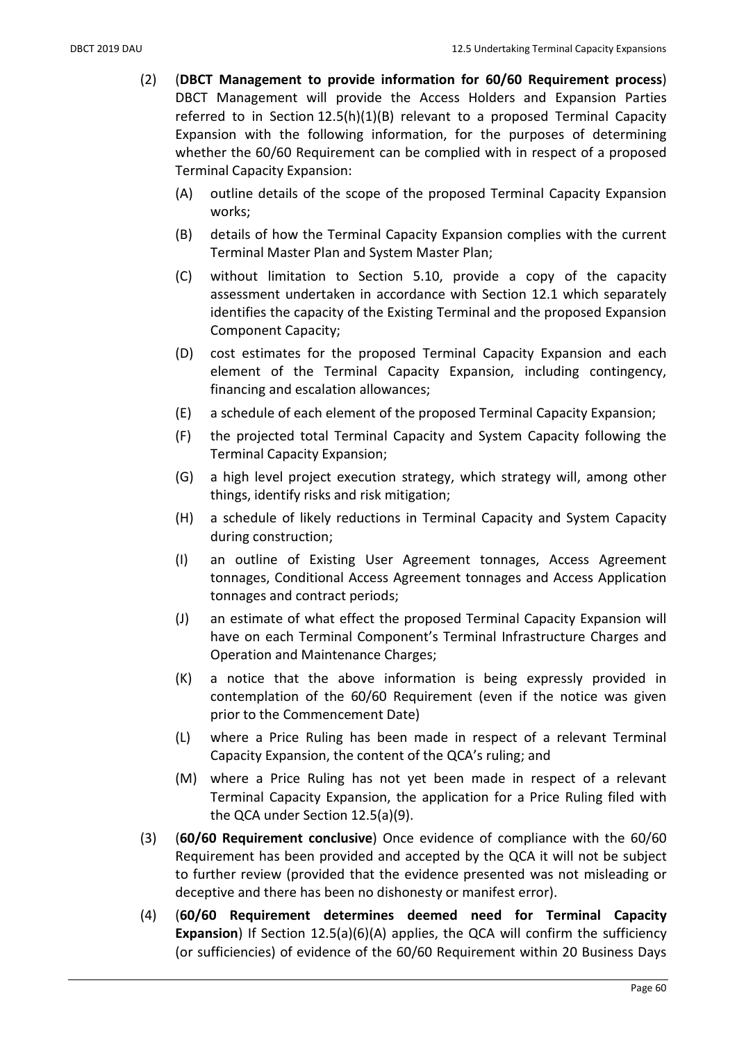- (2) (DBCT Management to provide information for 60/60 Requirement process) DBCT Management will provide the Access Holders and Expansion Parties referred to in Section 12.5(h)(1)(B) relevant to a proposed Terminal Capacity Expansion with the following information, for the purposes of determining whether the 60/60 Requirement can be complied with in respect of a proposed Terminal Capacity Expansion:
	- (A) outline details of the scope of the proposed Terminal Capacity Expansion works;
	- (B) details of how the Terminal Capacity Expansion complies with the current Terminal Master Plan and System Master Plan;
	- (C) without limitation to Section 5.10, provide a copy of the capacity assessment undertaken in accordance with Section 12.1 which separately identifies the capacity of the Existing Terminal and the proposed Expansion Component Capacity;
	- (D) cost estimates for the proposed Terminal Capacity Expansion and each element of the Terminal Capacity Expansion, including contingency, financing and escalation allowances;
	- (E) a schedule of each element of the proposed Terminal Capacity Expansion;
	- (F) the projected total Terminal Capacity and System Capacity following the Terminal Capacity Expansion;
	- (G) a high level project execution strategy, which strategy will, among other things, identify risks and risk mitigation;
	- (H) a schedule of likely reductions in Terminal Capacity and System Capacity during construction;
	- (I) an outline of Existing User Agreement tonnages, Access Agreement tonnages, Conditional Access Agreement tonnages and Access Application tonnages and contract periods;
	- (J) an estimate of what effect the proposed Terminal Capacity Expansion will have on each Terminal Component's Terminal Infrastructure Charges and Operation and Maintenance Charges;
	- (K) a notice that the above information is being expressly provided in contemplation of the 60/60 Requirement (even if the notice was given prior to the Commencement Date)
	- (L) where a Price Ruling has been made in respect of a relevant Terminal Capacity Expansion, the content of the QCA's ruling; and
	- (M) where a Price Ruling has not yet been made in respect of a relevant Terminal Capacity Expansion, the application for a Price Ruling filed with the QCA under Section 12.5(a)(9).
- (3) (60/60 Requirement conclusive) Once evidence of compliance with the 60/60 Requirement has been provided and accepted by the QCA it will not be subject to further review (provided that the evidence presented was not misleading or deceptive and there has been no dishonesty or manifest error).
- (4) (60/60 Requirement determines deemed need for Terminal Capacity **Expansion**) If Section  $12.5(a)(6)(A)$  applies, the QCA will confirm the sufficiency (or sufficiencies) of evidence of the 60/60 Requirement within 20 Business Days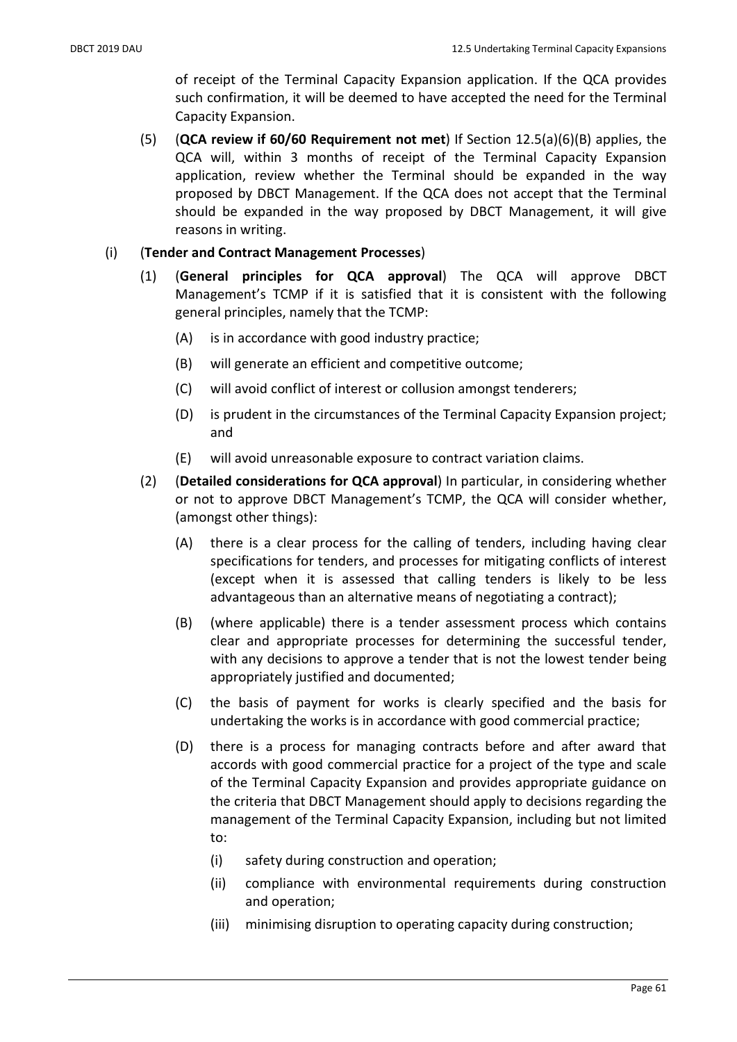of receipt of the Terminal Capacity Expansion application. If the QCA provides such confirmation, it will be deemed to have accepted the need for the Terminal Capacity Expansion.

(5) (QCA review if 60/60 Requirement not met) If Section 12.5(a)(6)(B) applies, the QCA will, within 3 months of receipt of the Terminal Capacity Expansion application, review whether the Terminal should be expanded in the way proposed by DBCT Management. If the QCA does not accept that the Terminal should be expanded in the way proposed by DBCT Management, it will give reasons in writing.

### (i) (Tender and Contract Management Processes)

- (1) (General principles for QCA approval) The QCA will approve DBCT Management's TCMP if it is satisfied that it is consistent with the following general principles, namely that the TCMP:
	- (A) is in accordance with good industry practice;
	- (B) will generate an efficient and competitive outcome;
	- (C) will avoid conflict of interest or collusion amongst tenderers;
	- (D) is prudent in the circumstances of the Terminal Capacity Expansion project; and
	- (E) will avoid unreasonable exposure to contract variation claims.
- (2) (Detailed considerations for QCA approval) In particular, in considering whether or not to approve DBCT Management's TCMP, the QCA will consider whether, (amongst other things):
	- (A) there is a clear process for the calling of tenders, including having clear specifications for tenders, and processes for mitigating conflicts of interest (except when it is assessed that calling tenders is likely to be less advantageous than an alternative means of negotiating a contract);
	- (B) (where applicable) there is a tender assessment process which contains clear and appropriate processes for determining the successful tender, with any decisions to approve a tender that is not the lowest tender being appropriately justified and documented;
	- (C) the basis of payment for works is clearly specified and the basis for undertaking the works is in accordance with good commercial practice;
	- (D) there is a process for managing contracts before and after award that accords with good commercial practice for a project of the type and scale of the Terminal Capacity Expansion and provides appropriate guidance on the criteria that DBCT Management should apply to decisions regarding the management of the Terminal Capacity Expansion, including but not limited to:
		- (i) safety during construction and operation;
		- (ii) compliance with environmental requirements during construction and operation;
		- (iii) minimising disruption to operating capacity during construction;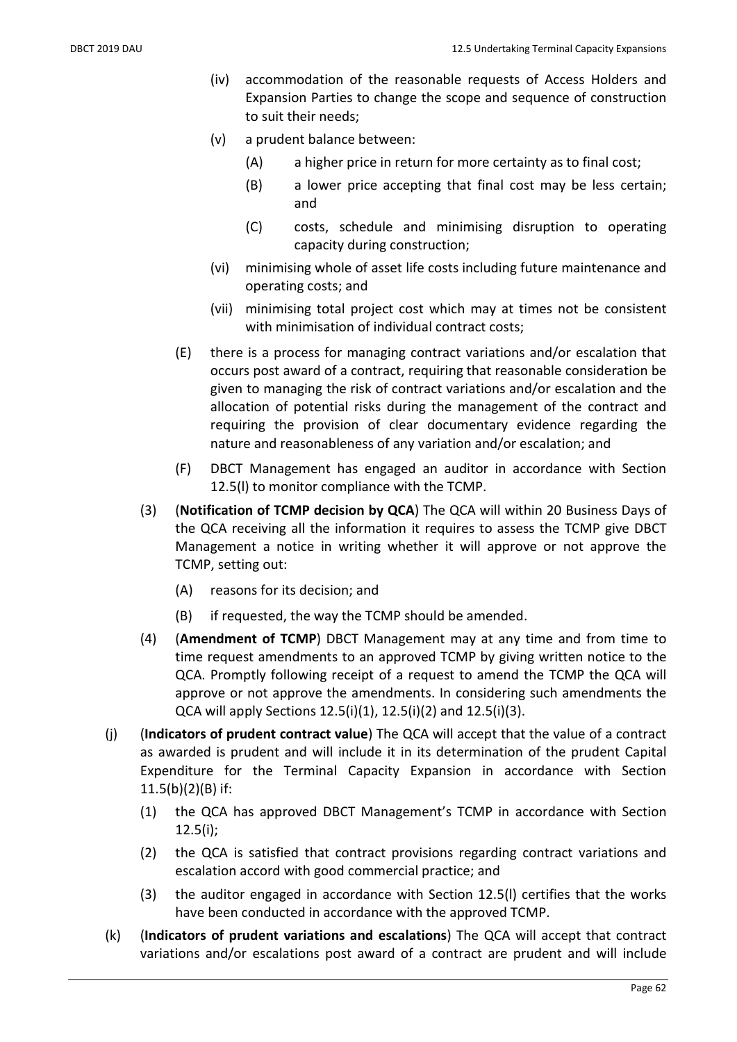- (iv) accommodation of the reasonable requests of Access Holders and Expansion Parties to change the scope and sequence of construction to suit their needs;
- (v) a prudent balance between:
	- (A) a higher price in return for more certainty as to final cost;
	- (B) a lower price accepting that final cost may be less certain; and
	- (C) costs, schedule and minimising disruption to operating capacity during construction;
- (vi) minimising whole of asset life costs including future maintenance and operating costs; and
- (vii) minimising total project cost which may at times not be consistent with minimisation of individual contract costs;
- (E) there is a process for managing contract variations and/or escalation that occurs post award of a contract, requiring that reasonable consideration be given to managing the risk of contract variations and/or escalation and the allocation of potential risks during the management of the contract and requiring the provision of clear documentary evidence regarding the nature and reasonableness of any variation and/or escalation; and
- (F) DBCT Management has engaged an auditor in accordance with Section 12.5(l) to monitor compliance with the TCMP.
- (3) (Notification of TCMP decision by QCA) The QCA will within 20 Business Days of the QCA receiving all the information it requires to assess the TCMP give DBCT Management a notice in writing whether it will approve or not approve the TCMP, setting out:
	- (A) reasons for its decision; and
	- (B) if requested, the way the TCMP should be amended.
- (4) (Amendment of TCMP) DBCT Management may at any time and from time to time request amendments to an approved TCMP by giving written notice to the QCA. Promptly following receipt of a request to amend the TCMP the QCA will approve or not approve the amendments. In considering such amendments the QCA will apply Sections 12.5(i)(1), 12.5(i)(2) and 12.5(i)(3).
- (j) (Indicators of prudent contract value) The QCA will accept that the value of a contract as awarded is prudent and will include it in its determination of the prudent Capital Expenditure for the Terminal Capacity Expansion in accordance with Section  $11.5(b)(2)(B)$  if:
	- (1) the QCA has approved DBCT Management's TCMP in accordance with Section 12.5(i);
	- (2) the QCA is satisfied that contract provisions regarding contract variations and escalation accord with good commercial practice; and
	- (3) the auditor engaged in accordance with Section 12.5(l) certifies that the works have been conducted in accordance with the approved TCMP.
- (k) (Indicators of prudent variations and escalations) The QCA will accept that contract variations and/or escalations post award of a contract are prudent and will include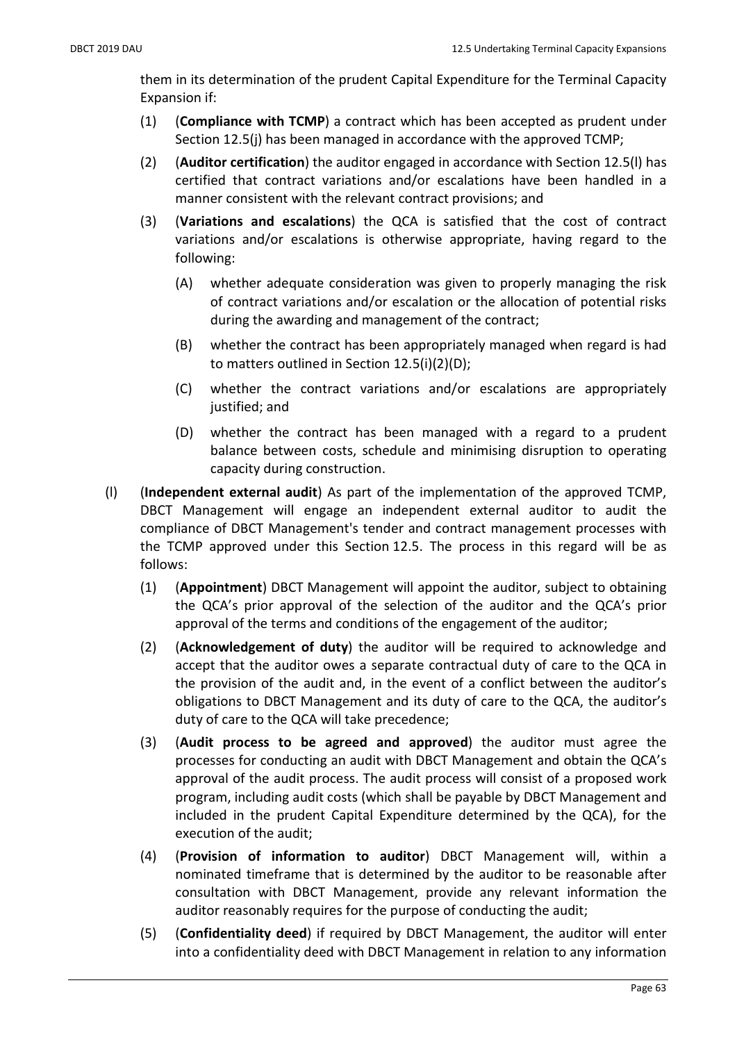them in its determination of the prudent Capital Expenditure for the Terminal Capacity Expansion if:

- (1) (Compliance with TCMP) a contract which has been accepted as prudent under Section 12.5(j) has been managed in accordance with the approved TCMP;
- (2) (Auditor certification) the auditor engaged in accordance with Section 12.5(l) has certified that contract variations and/or escalations have been handled in a manner consistent with the relevant contract provisions; and
- (3) (Variations and escalations) the QCA is satisfied that the cost of contract variations and/or escalations is otherwise appropriate, having regard to the following:
	- (A) whether adequate consideration was given to properly managing the risk of contract variations and/or escalation or the allocation of potential risks during the awarding and management of the contract;
	- (B) whether the contract has been appropriately managed when regard is had to matters outlined in Section 12.5(i)(2)(D);
	- (C) whether the contract variations and/or escalations are appropriately justified; and
	- (D) whether the contract has been managed with a regard to a prudent balance between costs, schedule and minimising disruption to operating capacity during construction.
- (l) (Independent external audit) As part of the implementation of the approved TCMP, DBCT Management will engage an independent external auditor to audit the compliance of DBCT Management's tender and contract management processes with the TCMP approved under this Section 12.5. The process in this regard will be as follows:
	- (1) (Appointment) DBCT Management will appoint the auditor, subject to obtaining the QCA's prior approval of the selection of the auditor and the QCA's prior approval of the terms and conditions of the engagement of the auditor;
	- (2) (Acknowledgement of duty) the auditor will be required to acknowledge and accept that the auditor owes a separate contractual duty of care to the QCA in the provision of the audit and, in the event of a conflict between the auditor's obligations to DBCT Management and its duty of care to the QCA, the auditor's duty of care to the QCA will take precedence;
	- (3) (Audit process to be agreed and approved) the auditor must agree the processes for conducting an audit with DBCT Management and obtain the QCA's approval of the audit process. The audit process will consist of a proposed work program, including audit costs (which shall be payable by DBCT Management and included in the prudent Capital Expenditure determined by the QCA), for the execution of the audit;
	- (4) (Provision of information to auditor) DBCT Management will, within a nominated timeframe that is determined by the auditor to be reasonable after consultation with DBCT Management, provide any relevant information the auditor reasonably requires for the purpose of conducting the audit;
	- (5) (Confidentiality deed) if required by DBCT Management, the auditor will enter into a confidentiality deed with DBCT Management in relation to any information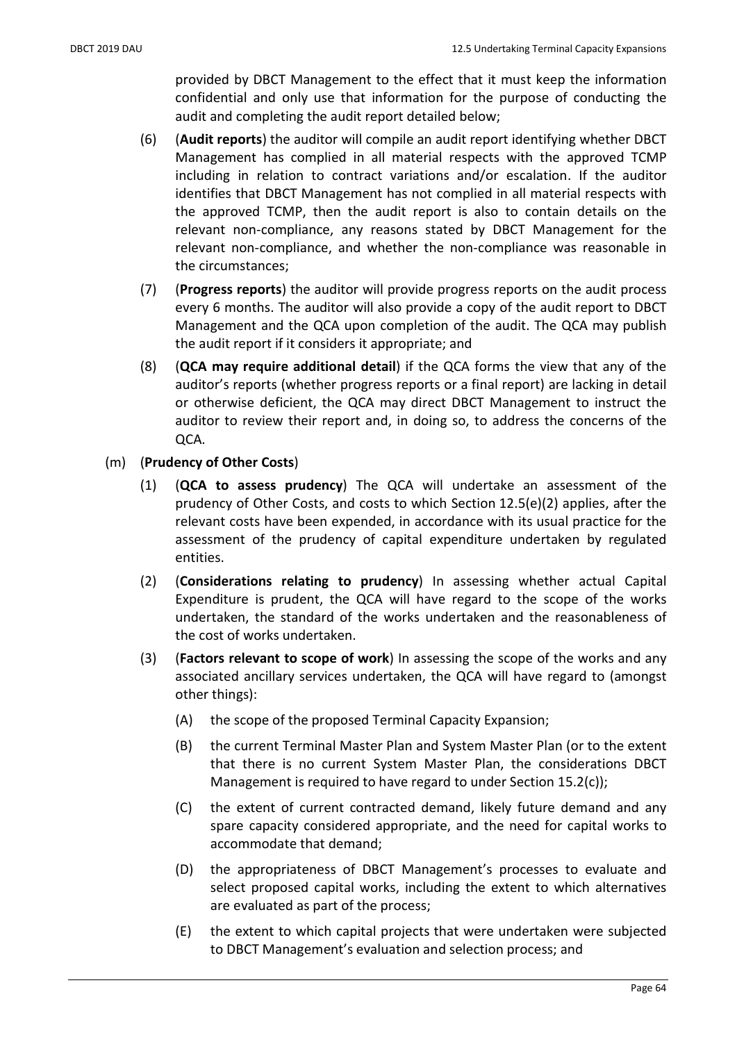provided by DBCT Management to the effect that it must keep the information confidential and only use that information for the purpose of conducting the audit and completing the audit report detailed below;

- (6) (Audit reports) the auditor will compile an audit report identifying whether DBCT Management has complied in all material respects with the approved TCMP including in relation to contract variations and/or escalation. If the auditor identifies that DBCT Management has not complied in all material respects with the approved TCMP, then the audit report is also to contain details on the relevant non-compliance, any reasons stated by DBCT Management for the relevant non-compliance, and whether the non-compliance was reasonable in the circumstances;
- (7) (Progress reports) the auditor will provide progress reports on the audit process every 6 months. The auditor will also provide a copy of the audit report to DBCT Management and the QCA upon completion of the audit. The QCA may publish the audit report if it considers it appropriate; and
- (8) (QCA may require additional detail) if the QCA forms the view that any of the auditor's reports (whether progress reports or a final report) are lacking in detail or otherwise deficient, the QCA may direct DBCT Management to instruct the auditor to review their report and, in doing so, to address the concerns of the QCA.
- (m) (Prudency of Other Costs)
	- (1) (QCA to assess prudency) The QCA will undertake an assessment of the prudency of Other Costs, and costs to which Section 12.5(e)(2) applies, after the relevant costs have been expended, in accordance with its usual practice for the assessment of the prudency of capital expenditure undertaken by regulated entities.
	- (2) (Considerations relating to prudency) In assessing whether actual Capital Expenditure is prudent, the QCA will have regard to the scope of the works undertaken, the standard of the works undertaken and the reasonableness of the cost of works undertaken.
	- (3) (Factors relevant to scope of work) In assessing the scope of the works and any associated ancillary services undertaken, the QCA will have regard to (amongst other things):
		- (A) the scope of the proposed Terminal Capacity Expansion;
		- (B) the current Terminal Master Plan and System Master Plan (or to the extent that there is no current System Master Plan, the considerations DBCT Management is required to have regard to under Section 15.2(c));
		- (C) the extent of current contracted demand, likely future demand and any spare capacity considered appropriate, and the need for capital works to accommodate that demand;
		- (D) the appropriateness of DBCT Management's processes to evaluate and select proposed capital works, including the extent to which alternatives are evaluated as part of the process;
		- (E) the extent to which capital projects that were undertaken were subjected to DBCT Management's evaluation and selection process; and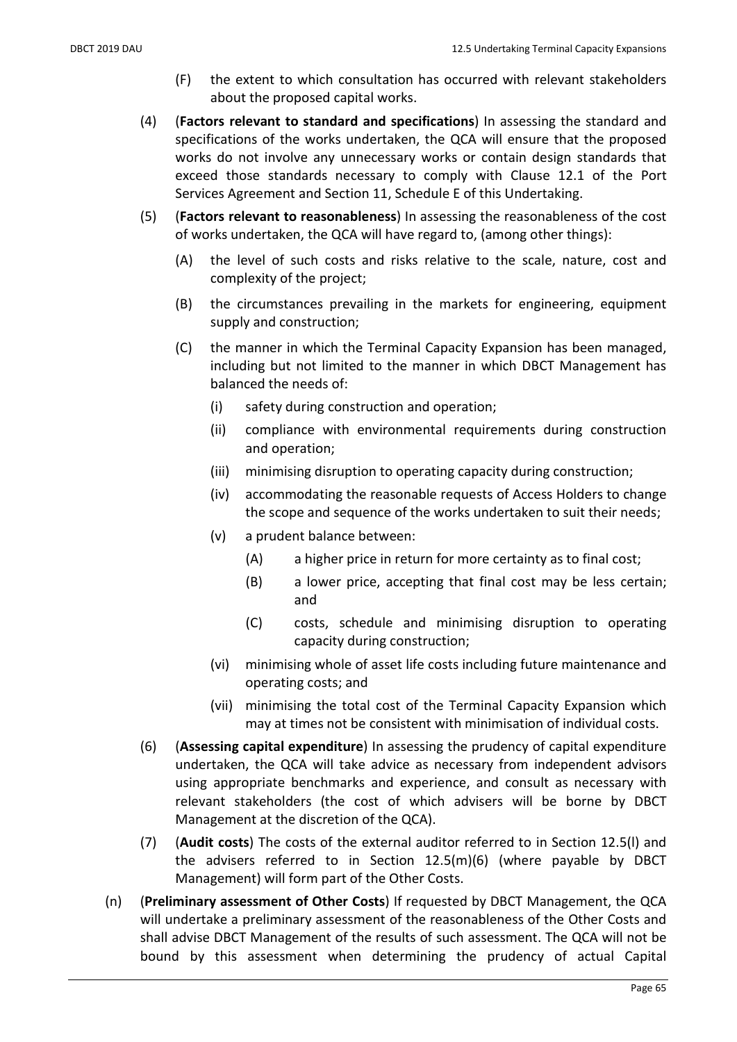- (F) the extent to which consultation has occurred with relevant stakeholders about the proposed capital works.
- (4) (Factors relevant to standard and specifications) In assessing the standard and specifications of the works undertaken, the QCA will ensure that the proposed works do not involve any unnecessary works or contain design standards that exceed those standards necessary to comply with Clause 12.1 of the Port Services Agreement and Section 11, Schedule E of this Undertaking.
- (5) (Factors relevant to reasonableness) In assessing the reasonableness of the cost of works undertaken, the QCA will have regard to, (among other things):
	- (A) the level of such costs and risks relative to the scale, nature, cost and complexity of the project;
	- (B) the circumstances prevailing in the markets for engineering, equipment supply and construction;
	- (C) the manner in which the Terminal Capacity Expansion has been managed, including but not limited to the manner in which DBCT Management has balanced the needs of:
		- (i) safety during construction and operation;
		- (ii) compliance with environmental requirements during construction and operation;
		- (iii) minimising disruption to operating capacity during construction;
		- (iv) accommodating the reasonable requests of Access Holders to change the scope and sequence of the works undertaken to suit their needs;
		- (v) a prudent balance between:
			- (A) a higher price in return for more certainty as to final cost;
			- (B) a lower price, accepting that final cost may be less certain; and
			- (C) costs, schedule and minimising disruption to operating capacity during construction;
		- (vi) minimising whole of asset life costs including future maintenance and operating costs; and
		- (vii) minimising the total cost of the Terminal Capacity Expansion which may at times not be consistent with minimisation of individual costs.
- (6) (Assessing capital expenditure) In assessing the prudency of capital expenditure undertaken, the QCA will take advice as necessary from independent advisors using appropriate benchmarks and experience, and consult as necessary with relevant stakeholders (the cost of which advisers will be borne by DBCT Management at the discretion of the QCA).
- (7) (Audit costs) The costs of the external auditor referred to in Section 12.5(l) and the advisers referred to in Section 12.5(m)(6) (where payable by DBCT Management) will form part of the Other Costs.
- (n) (Preliminary assessment of Other Costs) If requested by DBCT Management, the QCA will undertake a preliminary assessment of the reasonableness of the Other Costs and shall advise DBCT Management of the results of such assessment. The QCA will not be bound by this assessment when determining the prudency of actual Capital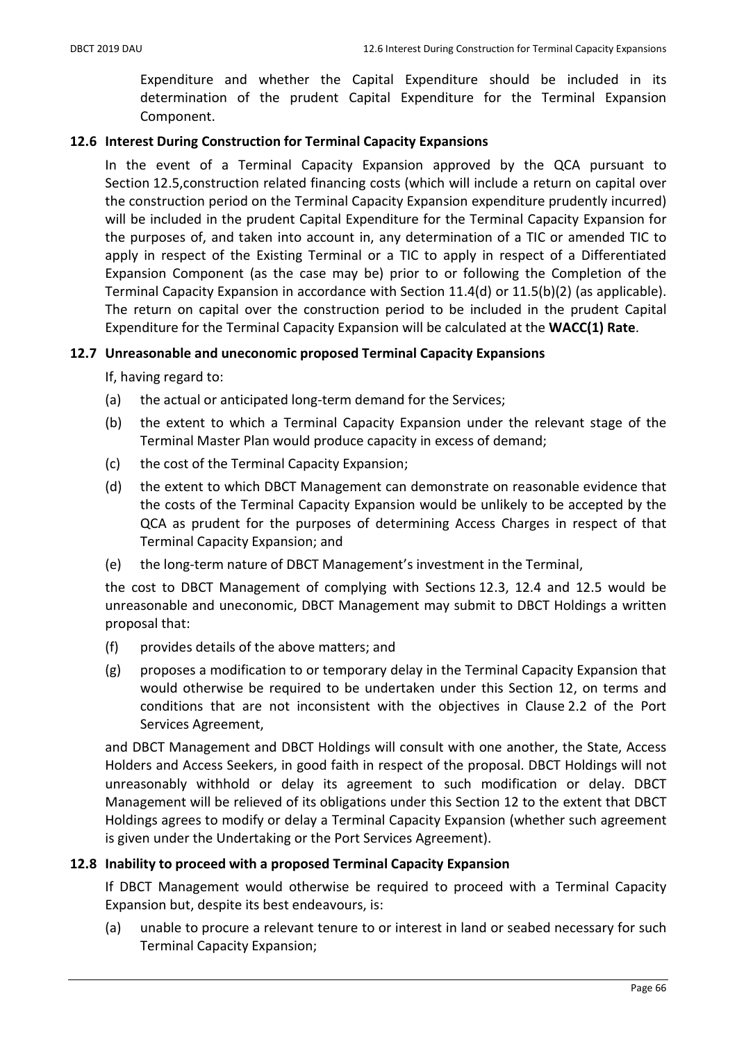Expenditure and whether the Capital Expenditure should be included in its determination of the prudent Capital Expenditure for the Terminal Expansion Component.

## 12.6 Interest During Construction for Terminal Capacity Expansions

In the event of a Terminal Capacity Expansion approved by the QCA pursuant to Section 12.5,construction related financing costs (which will include a return on capital over the construction period on the Terminal Capacity Expansion expenditure prudently incurred) will be included in the prudent Capital Expenditure for the Terminal Capacity Expansion for the purposes of, and taken into account in, any determination of a TIC or amended TIC to apply in respect of the Existing Terminal or a TIC to apply in respect of a Differentiated Expansion Component (as the case may be) prior to or following the Completion of the Terminal Capacity Expansion in accordance with Section 11.4(d) or 11.5(b)(2) (as applicable). The return on capital over the construction period to be included in the prudent Capital Expenditure for the Terminal Capacity Expansion will be calculated at the WACC(1) Rate.

## 12.7 Unreasonable and uneconomic proposed Terminal Capacity Expansions

If, having regard to:

- (a) the actual or anticipated long-term demand for the Services;
- (b) the extent to which a Terminal Capacity Expansion under the relevant stage of the Terminal Master Plan would produce capacity in excess of demand;
- (c) the cost of the Terminal Capacity Expansion;
- (d) the extent to which DBCT Management can demonstrate on reasonable evidence that the costs of the Terminal Capacity Expansion would be unlikely to be accepted by the QCA as prudent for the purposes of determining Access Charges in respect of that Terminal Capacity Expansion; and
- (e) the long-term nature of DBCT Management's investment in the Terminal,

the cost to DBCT Management of complying with Sections 12.3, 12.4 and 12.5 would be unreasonable and uneconomic, DBCT Management may submit to DBCT Holdings a written proposal that:

- (f) provides details of the above matters; and
- (g) proposes a modification to or temporary delay in the Terminal Capacity Expansion that would otherwise be required to be undertaken under this Section 12, on terms and conditions that are not inconsistent with the objectives in Clause 2.2 of the Port Services Agreement,

and DBCT Management and DBCT Holdings will consult with one another, the State, Access Holders and Access Seekers, in good faith in respect of the proposal. DBCT Holdings will not unreasonably withhold or delay its agreement to such modification or delay. DBCT Management will be relieved of its obligations under this Section 12 to the extent that DBCT Holdings agrees to modify or delay a Terminal Capacity Expansion (whether such agreement is given under the Undertaking or the Port Services Agreement).

## 12.8 Inability to proceed with a proposed Terminal Capacity Expansion

If DBCT Management would otherwise be required to proceed with a Terminal Capacity Expansion but, despite its best endeavours, is:

(a) unable to procure a relevant tenure to or interest in land or seabed necessary for such Terminal Capacity Expansion;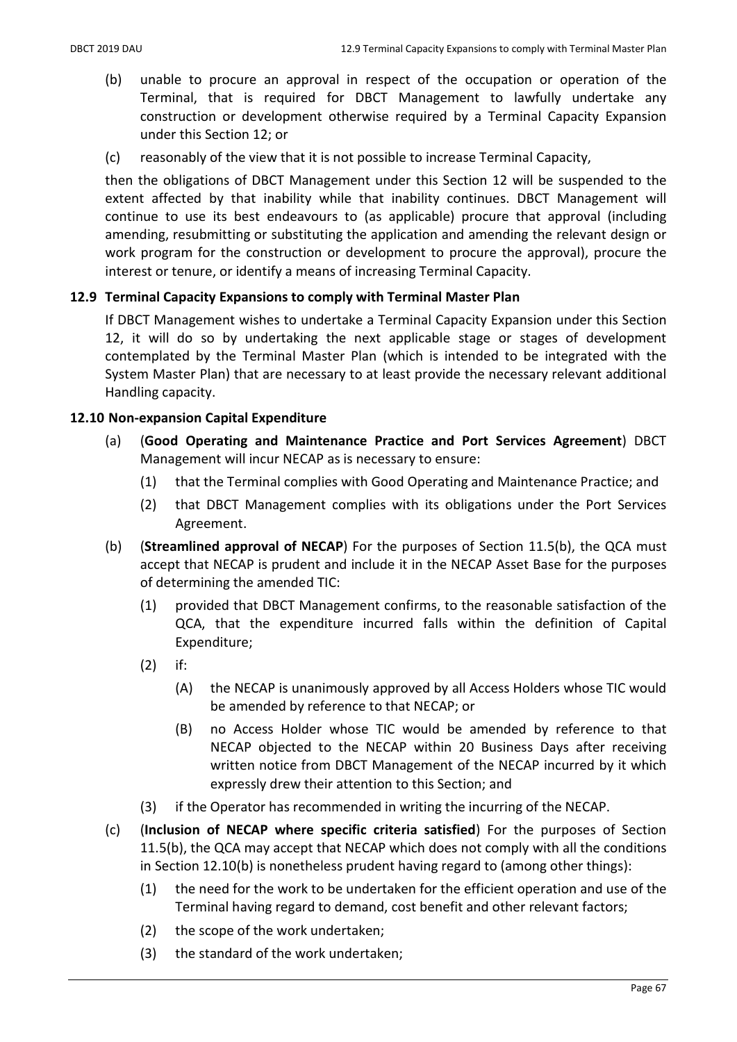- (b) unable to procure an approval in respect of the occupation or operation of the Terminal, that is required for DBCT Management to lawfully undertake any construction or development otherwise required by a Terminal Capacity Expansion under this Section 12; or
- (c) reasonably of the view that it is not possible to increase Terminal Capacity,

then the obligations of DBCT Management under this Section 12 will be suspended to the extent affected by that inability while that inability continues. DBCT Management will continue to use its best endeavours to (as applicable) procure that approval (including amending, resubmitting or substituting the application and amending the relevant design or work program for the construction or development to procure the approval), procure the interest or tenure, or identify a means of increasing Terminal Capacity.

## 12.9 Terminal Capacity Expansions to comply with Terminal Master Plan

If DBCT Management wishes to undertake a Terminal Capacity Expansion under this Section 12, it will do so by undertaking the next applicable stage or stages of development contemplated by the Terminal Master Plan (which is intended to be integrated with the System Master Plan) that are necessary to at least provide the necessary relevant additional Handling capacity.

## 12.10 Non-expansion Capital Expenditure

- (a) (Good Operating and Maintenance Practice and Port Services Agreement) DBCT Management will incur NECAP as is necessary to ensure:
	- (1) that the Terminal complies with Good Operating and Maintenance Practice; and
	- (2) that DBCT Management complies with its obligations under the Port Services Agreement.
- (b) (Streamlined approval of NECAP) For the purposes of Section 11.5(b), the QCA must accept that NECAP is prudent and include it in the NECAP Asset Base for the purposes of determining the amended TIC:
	- (1) provided that DBCT Management confirms, to the reasonable satisfaction of the QCA, that the expenditure incurred falls within the definition of Capital Expenditure;
	- (2) if:
		- (A) the NECAP is unanimously approved by all Access Holders whose TIC would be amended by reference to that NECAP; or
		- (B) no Access Holder whose TIC would be amended by reference to that NECAP objected to the NECAP within 20 Business Days after receiving written notice from DBCT Management of the NECAP incurred by it which expressly drew their attention to this Section; and
	- (3) if the Operator has recommended in writing the incurring of the NECAP.
- (c) (Inclusion of NECAP where specific criteria satisfied) For the purposes of Section 11.5(b), the QCA may accept that NECAP which does not comply with all the conditions in Section 12.10(b) is nonetheless prudent having regard to (among other things):
	- (1) the need for the work to be undertaken for the efficient operation and use of the Terminal having regard to demand, cost benefit and other relevant factors;
	- (2) the scope of the work undertaken;
	- (3) the standard of the work undertaken;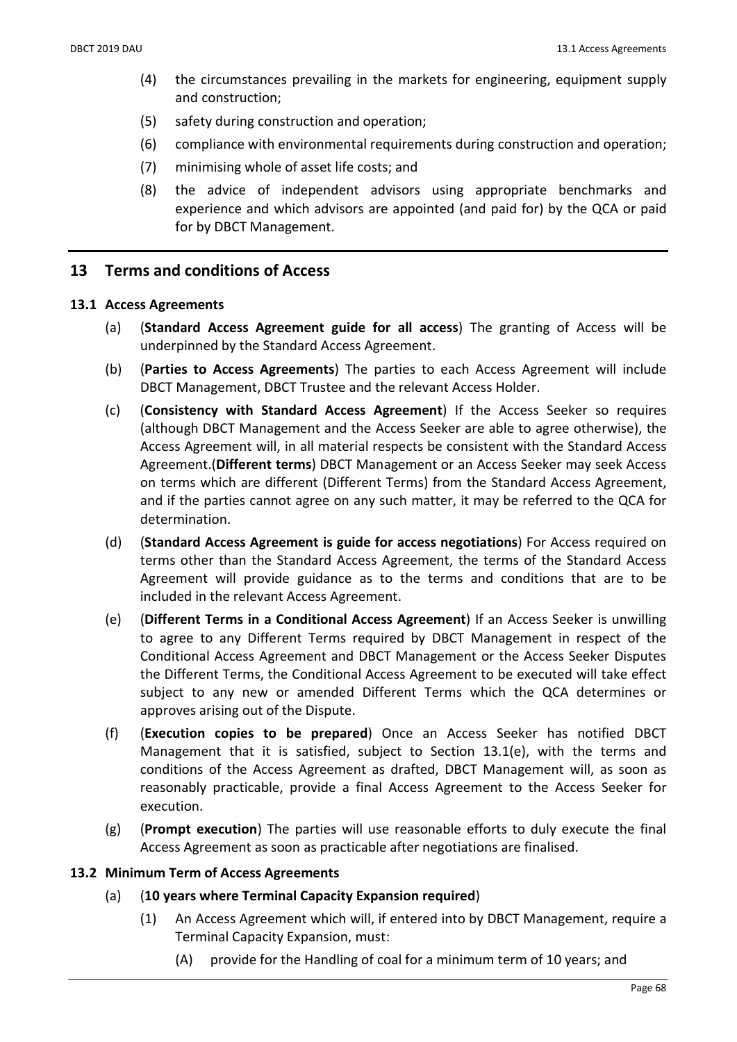- (4) the circumstances prevailing in the markets for engineering, equipment supply and construction;
- (5) safety during construction and operation;
- (6) compliance with environmental requirements during construction and operation;
- (7) minimising whole of asset life costs; and
- (8) the advice of independent advisors using appropriate benchmarks and experience and which advisors are appointed (and paid for) by the QCA or paid for by DBCT Management.

### 13 Terms and conditions of Access

#### 13.1 Access Agreements

- (a) (Standard Access Agreement guide for all access) The granting of Access will be underpinned by the Standard Access Agreement.
- (b) (Parties to Access Agreements) The parties to each Access Agreement will include DBCT Management, DBCT Trustee and the relevant Access Holder.
- (c) (Consistency with Standard Access Agreement) If the Access Seeker so requires (although DBCT Management and the Access Seeker are able to agree otherwise), the Access Agreement will, in all material respects be consistent with the Standard Access Agreement.(Different terms) DBCT Management or an Access Seeker may seek Access on terms which are different (Different Terms) from the Standard Access Agreement, and if the parties cannot agree on any such matter, it may be referred to the QCA for determination.
- (d) (Standard Access Agreement is guide for access negotiations) For Access required on terms other than the Standard Access Agreement, the terms of the Standard Access Agreement will provide guidance as to the terms and conditions that are to be included in the relevant Access Agreement.
- (e) (Different Terms in a Conditional Access Agreement) If an Access Seeker is unwilling to agree to any Different Terms required by DBCT Management in respect of the Conditional Access Agreement and DBCT Management or the Access Seeker Disputes the Different Terms, the Conditional Access Agreement to be executed will take effect subject to any new or amended Different Terms which the QCA determines or approves arising out of the Dispute.
- (f) (Execution copies to be prepared) Once an Access Seeker has notified DBCT Management that it is satisfied, subject to Section 13.1(e), with the terms and conditions of the Access Agreement as drafted, DBCT Management will, as soon as reasonably practicable, provide a final Access Agreement to the Access Seeker for execution.
- (g) (Prompt execution) The parties will use reasonable efforts to duly execute the final Access Agreement as soon as practicable after negotiations are finalised.

#### 13.2 Minimum Term of Access Agreements

- (a) (10 years where Terminal Capacity Expansion required)
	- (1) An Access Agreement which will, if entered into by DBCT Management, require a Terminal Capacity Expansion, must:
		- (A) provide for the Handling of coal for a minimum term of 10 years; and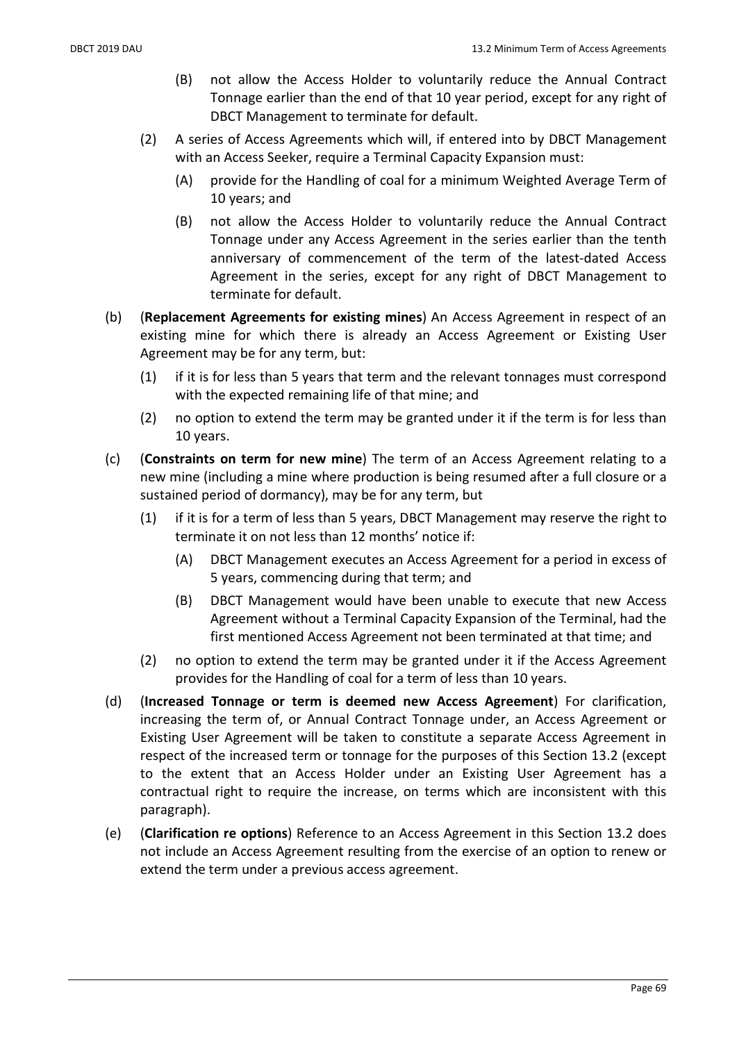- (B) not allow the Access Holder to voluntarily reduce the Annual Contract Tonnage earlier than the end of that 10 year period, except for any right of DBCT Management to terminate for default.
- (2) A series of Access Agreements which will, if entered into by DBCT Management with an Access Seeker, require a Terminal Capacity Expansion must:
	- (A) provide for the Handling of coal for a minimum Weighted Average Term of 10 years; and
	- (B) not allow the Access Holder to voluntarily reduce the Annual Contract Tonnage under any Access Agreement in the series earlier than the tenth anniversary of commencement of the term of the latest-dated Access Agreement in the series, except for any right of DBCT Management to terminate for default.
- (b) (Replacement Agreements for existing mines) An Access Agreement in respect of an existing mine for which there is already an Access Agreement or Existing User Agreement may be for any term, but:
	- (1) if it is for less than 5 years that term and the relevant tonnages must correspond with the expected remaining life of that mine; and
	- (2) no option to extend the term may be granted under it if the term is for less than 10 years.
- (c) (Constraints on term for new mine) The term of an Access Agreement relating to a new mine (including a mine where production is being resumed after a full closure or a sustained period of dormancy), may be for any term, but
	- (1) if it is for a term of less than 5 years, DBCT Management may reserve the right to terminate it on not less than 12 months' notice if:
		- (A) DBCT Management executes an Access Agreement for a period in excess of 5 years, commencing during that term; and
		- (B) DBCT Management would have been unable to execute that new Access Agreement without a Terminal Capacity Expansion of the Terminal, had the first mentioned Access Agreement not been terminated at that time; and
	- (2) no option to extend the term may be granted under it if the Access Agreement provides for the Handling of coal for a term of less than 10 years.
- (d) (Increased Tonnage or term is deemed new Access Agreement) For clarification, increasing the term of, or Annual Contract Tonnage under, an Access Agreement or Existing User Agreement will be taken to constitute a separate Access Agreement in respect of the increased term or tonnage for the purposes of this Section 13.2 (except to the extent that an Access Holder under an Existing User Agreement has a contractual right to require the increase, on terms which are inconsistent with this paragraph).
- (e) (Clarification re options) Reference to an Access Agreement in this Section 13.2 does not include an Access Agreement resulting from the exercise of an option to renew or extend the term under a previous access agreement.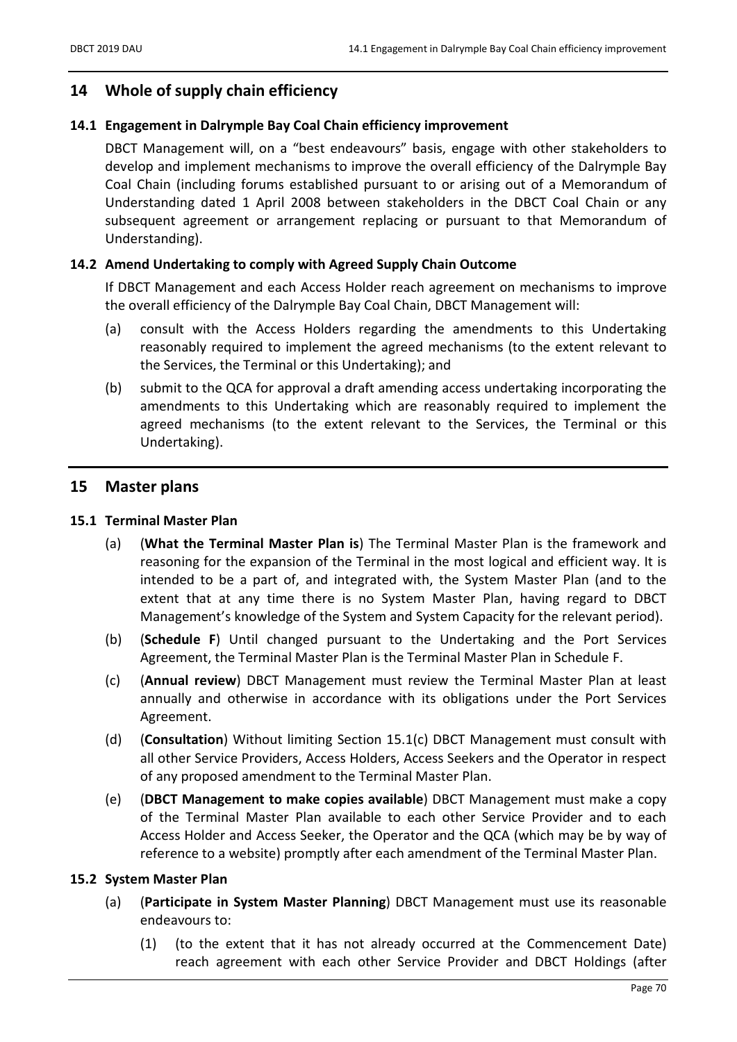### 14 Whole of supply chain efficiency

#### 14.1 Engagement in Dalrymple Bay Coal Chain efficiency improvement

DBCT Management will, on a "best endeavours" basis, engage with other stakeholders to develop and implement mechanisms to improve the overall efficiency of the Dalrymple Bay Coal Chain (including forums established pursuant to or arising out of a Memorandum of Understanding dated 1 April 2008 between stakeholders in the DBCT Coal Chain or any subsequent agreement or arrangement replacing or pursuant to that Memorandum of Understanding).

#### 14.2 Amend Undertaking to comply with Agreed Supply Chain Outcome

If DBCT Management and each Access Holder reach agreement on mechanisms to improve the overall efficiency of the Dalrymple Bay Coal Chain, DBCT Management will:

- (a) consult with the Access Holders regarding the amendments to this Undertaking reasonably required to implement the agreed mechanisms (to the extent relevant to the Services, the Terminal or this Undertaking); and
- (b) submit to the QCA for approval a draft amending access undertaking incorporating the amendments to this Undertaking which are reasonably required to implement the agreed mechanisms (to the extent relevant to the Services, the Terminal or this Undertaking).

### 15 Master plans

#### 15.1 Terminal Master Plan

- (a) (What the Terminal Master Plan is) The Terminal Master Plan is the framework and reasoning for the expansion of the Terminal in the most logical and efficient way. It is intended to be a part of, and integrated with, the System Master Plan (and to the extent that at any time there is no System Master Plan, having regard to DBCT Management's knowledge of the System and System Capacity for the relevant period).
- (b) (Schedule F) Until changed pursuant to the Undertaking and the Port Services Agreement, the Terminal Master Plan is the Terminal Master Plan in Schedule F.
- (c) (Annual review) DBCT Management must review the Terminal Master Plan at least annually and otherwise in accordance with its obligations under the Port Services Agreement.
- (d) (Consultation) Without limiting Section 15.1(c) DBCT Management must consult with all other Service Providers, Access Holders, Access Seekers and the Operator in respect of any proposed amendment to the Terminal Master Plan.
- (e) (DBCT Management to make copies available) DBCT Management must make a copy of the Terminal Master Plan available to each other Service Provider and to each Access Holder and Access Seeker, the Operator and the QCA (which may be by way of reference to a website) promptly after each amendment of the Terminal Master Plan.

#### 15.2 System Master Plan

- (a) (Participate in System Master Planning) DBCT Management must use its reasonable endeavours to:
	- (1) (to the extent that it has not already occurred at the Commencement Date) reach agreement with each other Service Provider and DBCT Holdings (after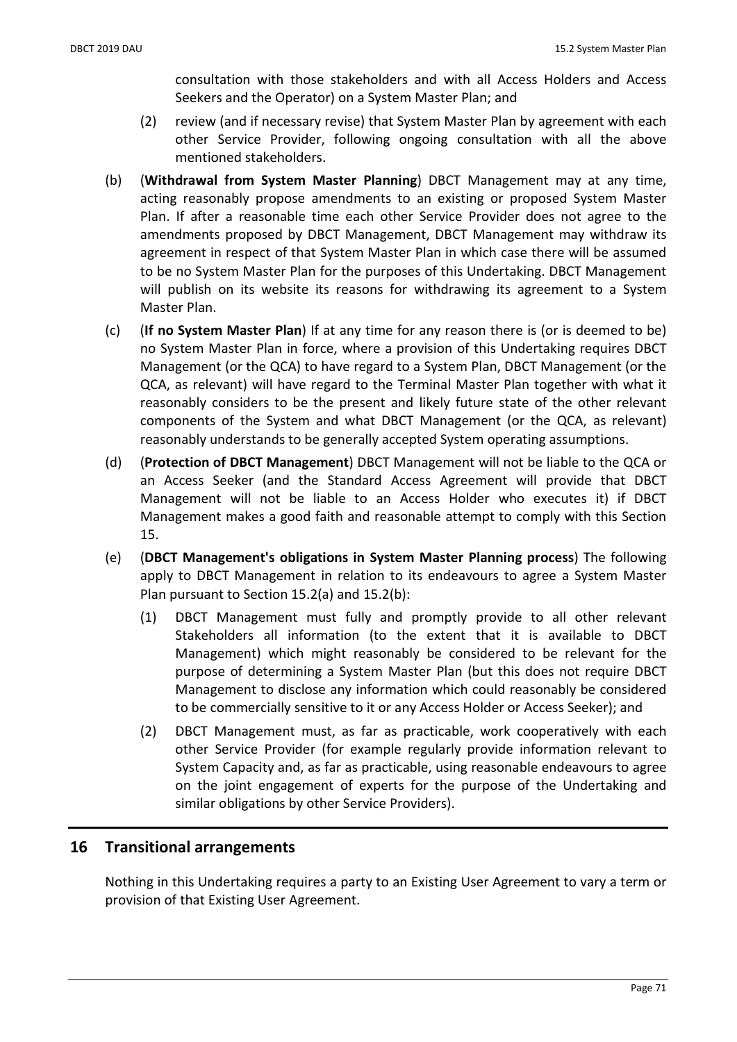consultation with those stakeholders and with all Access Holders and Access Seekers and the Operator) on a System Master Plan; and

- (2) review (and if necessary revise) that System Master Plan by agreement with each other Service Provider, following ongoing consultation with all the above mentioned stakeholders.
- (b) (Withdrawal from System Master Planning) DBCT Management may at any time, acting reasonably propose amendments to an existing or proposed System Master Plan. If after a reasonable time each other Service Provider does not agree to the amendments proposed by DBCT Management, DBCT Management may withdraw its agreement in respect of that System Master Plan in which case there will be assumed to be no System Master Plan for the purposes of this Undertaking. DBCT Management will publish on its website its reasons for withdrawing its agreement to a System Master Plan.
- (c) (If no System Master Plan) If at any time for any reason there is (or is deemed to be) no System Master Plan in force, where a provision of this Undertaking requires DBCT Management (or the QCA) to have regard to a System Plan, DBCT Management (or the QCA, as relevant) will have regard to the Terminal Master Plan together with what it reasonably considers to be the present and likely future state of the other relevant components of the System and what DBCT Management (or the QCA, as relevant) reasonably understands to be generally accepted System operating assumptions.
- (d) (Protection of DBCT Management) DBCT Management will not be liable to the QCA or an Access Seeker (and the Standard Access Agreement will provide that DBCT Management will not be liable to an Access Holder who executes it) if DBCT Management makes a good faith and reasonable attempt to comply with this Section 15.
- (e) (DBCT Management's obligations in System Master Planning process) The following apply to DBCT Management in relation to its endeavours to agree a System Master Plan pursuant to Section 15.2(a) and 15.2(b):
	- (1) DBCT Management must fully and promptly provide to all other relevant Stakeholders all information (to the extent that it is available to DBCT Management) which might reasonably be considered to be relevant for the purpose of determining a System Master Plan (but this does not require DBCT Management to disclose any information which could reasonably be considered to be commercially sensitive to it or any Access Holder or Access Seeker); and
	- (2) DBCT Management must, as far as practicable, work cooperatively with each other Service Provider (for example regularly provide information relevant to System Capacity and, as far as practicable, using reasonable endeavours to agree on the joint engagement of experts for the purpose of the Undertaking and similar obligations by other Service Providers).

### 16 Transitional arrangements

Nothing in this Undertaking requires a party to an Existing User Agreement to vary a term or provision of that Existing User Agreement.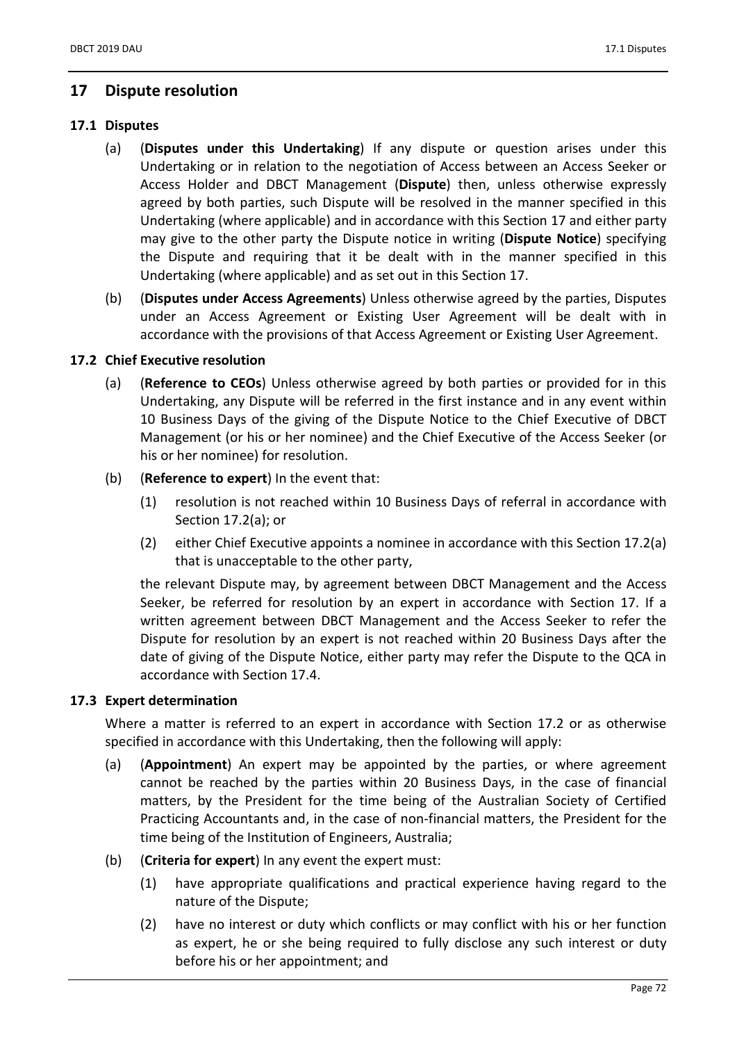### 17 Dispute resolution

### 17.1 Disputes

- (a) (Disputes under this Undertaking) If any dispute or question arises under this Undertaking or in relation to the negotiation of Access between an Access Seeker or Access Holder and DBCT Management (Dispute) then, unless otherwise expressly agreed by both parties, such Dispute will be resolved in the manner specified in this Undertaking (where applicable) and in accordance with this Section 17 and either party may give to the other party the Dispute notice in writing (Dispute Notice) specifying the Dispute and requiring that it be dealt with in the manner specified in this Undertaking (where applicable) and as set out in this Section 17.
- (b) (Disputes under Access Agreements) Unless otherwise agreed by the parties, Disputes under an Access Agreement or Existing User Agreement will be dealt with in accordance with the provisions of that Access Agreement or Existing User Agreement.

### 17.2 Chief Executive resolution

- (a) (Reference to CEOs) Unless otherwise agreed by both parties or provided for in this Undertaking, any Dispute will be referred in the first instance and in any event within 10 Business Days of the giving of the Dispute Notice to the Chief Executive of DBCT Management (or his or her nominee) and the Chief Executive of the Access Seeker (or his or her nominee) for resolution.
- (b) (Reference to expert) In the event that:
	- (1) resolution is not reached within 10 Business Days of referral in accordance with Section 17.2(a); or
	- (2) either Chief Executive appoints a nominee in accordance with this Section 17.2(a) that is unacceptable to the other party,

the relevant Dispute may, by agreement between DBCT Management and the Access Seeker, be referred for resolution by an expert in accordance with Section 17. If a written agreement between DBCT Management and the Access Seeker to refer the Dispute for resolution by an expert is not reached within 20 Business Days after the date of giving of the Dispute Notice, either party may refer the Dispute to the QCA in accordance with Section 17.4.

### 17.3 Expert determination

Where a matter is referred to an expert in accordance with Section 17.2 or as otherwise specified in accordance with this Undertaking, then the following will apply:

- (a) (Appointment) An expert may be appointed by the parties, or where agreement cannot be reached by the parties within 20 Business Days, in the case of financial matters, by the President for the time being of the Australian Society of Certified Practicing Accountants and, in the case of non-financial matters, the President for the time being of the Institution of Engineers, Australia;
- (b) (Criteria for expert) In any event the expert must:
	- (1) have appropriate qualifications and practical experience having regard to the nature of the Dispute;
	- (2) have no interest or duty which conflicts or may conflict with his or her function as expert, he or she being required to fully disclose any such interest or duty before his or her appointment; and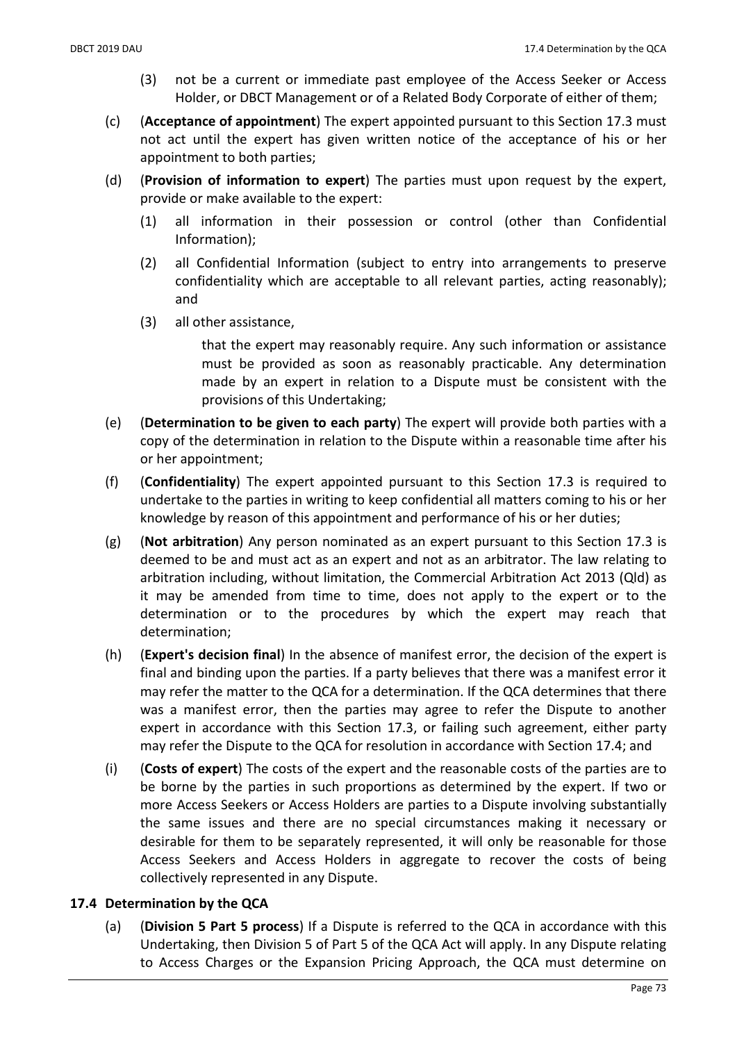- (3) not be a current or immediate past employee of the Access Seeker or Access Holder, or DBCT Management or of a Related Body Corporate of either of them;
- (c) (Acceptance of appointment) The expert appointed pursuant to this Section 17.3 must not act until the expert has given written notice of the acceptance of his or her appointment to both parties;
- (d) (Provision of information to expert) The parties must upon request by the expert, provide or make available to the expert:
	- (1) all information in their possession or control (other than Confidential Information);
	- (2) all Confidential Information (subject to entry into arrangements to preserve confidentiality which are acceptable to all relevant parties, acting reasonably); and
	- (3) all other assistance,

that the expert may reasonably require. Any such information or assistance must be provided as soon as reasonably practicable. Any determination made by an expert in relation to a Dispute must be consistent with the provisions of this Undertaking;

- (e) (Determination to be given to each party) The expert will provide both parties with a copy of the determination in relation to the Dispute within a reasonable time after his or her appointment;
- (f) (Confidentiality) The expert appointed pursuant to this Section 17.3 is required to undertake to the parties in writing to keep confidential all matters coming to his or her knowledge by reason of this appointment and performance of his or her duties;
- (g) (Not arbitration) Any person nominated as an expert pursuant to this Section 17.3 is deemed to be and must act as an expert and not as an arbitrator. The law relating to arbitration including, without limitation, the Commercial Arbitration Act 2013 (Qld) as it may be amended from time to time, does not apply to the expert or to the determination or to the procedures by which the expert may reach that determination;
- (h) (Expert's decision final) In the absence of manifest error, the decision of the expert is final and binding upon the parties. If a party believes that there was a manifest error it may refer the matter to the QCA for a determination. If the QCA determines that there was a manifest error, then the parties may agree to refer the Dispute to another expert in accordance with this Section 17.3, or failing such agreement, either party may refer the Dispute to the QCA for resolution in accordance with Section 17.4; and
- (i) (Costs of expert) The costs of the expert and the reasonable costs of the parties are to be borne by the parties in such proportions as determined by the expert. If two or more Access Seekers or Access Holders are parties to a Dispute involving substantially the same issues and there are no special circumstances making it necessary or desirable for them to be separately represented, it will only be reasonable for those Access Seekers and Access Holders in aggregate to recover the costs of being collectively represented in any Dispute.

#### 17.4 Determination by the QCA

(a) (Division 5 Part 5 process) If a Dispute is referred to the QCA in accordance with this Undertaking, then Division 5 of Part 5 of the QCA Act will apply. In any Dispute relating to Access Charges or the Expansion Pricing Approach, the QCA must determine on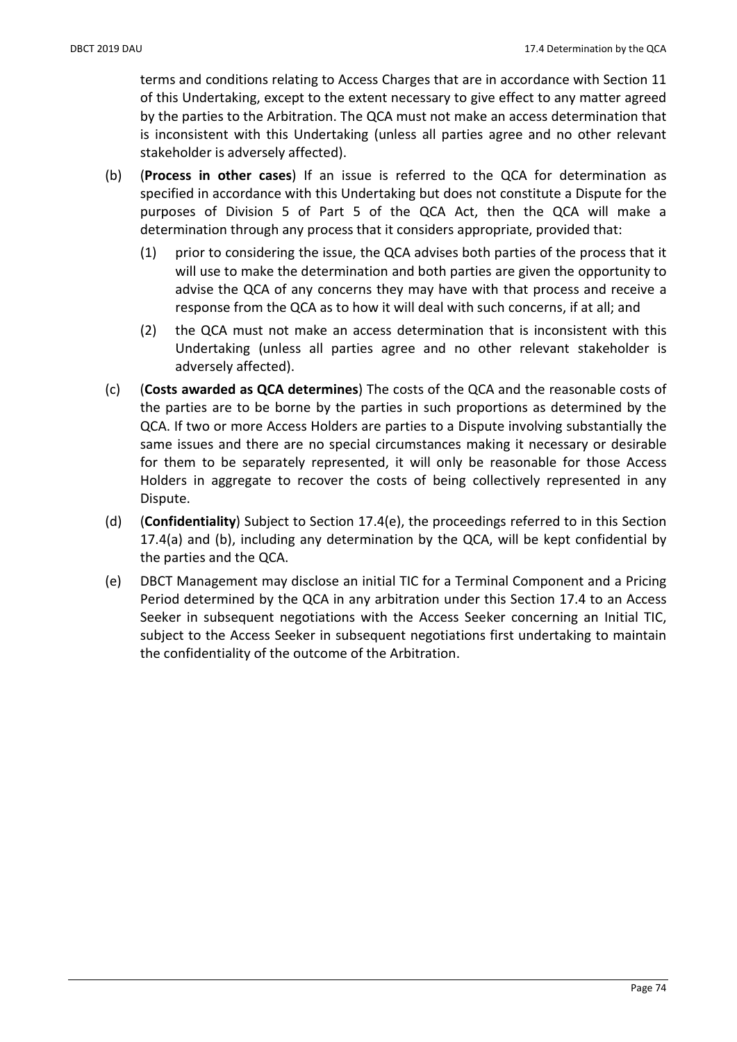terms and conditions relating to Access Charges that are in accordance with Section 11 of this Undertaking, except to the extent necessary to give effect to any matter agreed by the parties to the Arbitration. The QCA must not make an access determination that is inconsistent with this Undertaking (unless all parties agree and no other relevant stakeholder is adversely affected).

- (b) (Process in other cases) If an issue is referred to the QCA for determination as specified in accordance with this Undertaking but does not constitute a Dispute for the purposes of Division 5 of Part 5 of the QCA Act, then the QCA will make a determination through any process that it considers appropriate, provided that:
	- (1) prior to considering the issue, the QCA advises both parties of the process that it will use to make the determination and both parties are given the opportunity to advise the QCA of any concerns they may have with that process and receive a response from the QCA as to how it will deal with such concerns, if at all; and
	- (2) the QCA must not make an access determination that is inconsistent with this Undertaking (unless all parties agree and no other relevant stakeholder is adversely affected).
- (c) (Costs awarded as QCA determines) The costs of the QCA and the reasonable costs of the parties are to be borne by the parties in such proportions as determined by the QCA. If two or more Access Holders are parties to a Dispute involving substantially the same issues and there are no special circumstances making it necessary or desirable for them to be separately represented, it will only be reasonable for those Access Holders in aggregate to recover the costs of being collectively represented in any Dispute.
- (d) (Confidentiality) Subject to Section 17.4(e), the proceedings referred to in this Section 17.4(a) and (b), including any determination by the QCA, will be kept confidential by the parties and the QCA.
- (e) DBCT Management may disclose an initial TIC for a Terminal Component and a Pricing Period determined by the QCA in any arbitration under this Section 17.4 to an Access Seeker in subsequent negotiations with the Access Seeker concerning an Initial TIC, subject to the Access Seeker in subsequent negotiations first undertaking to maintain the confidentiality of the outcome of the Arbitration.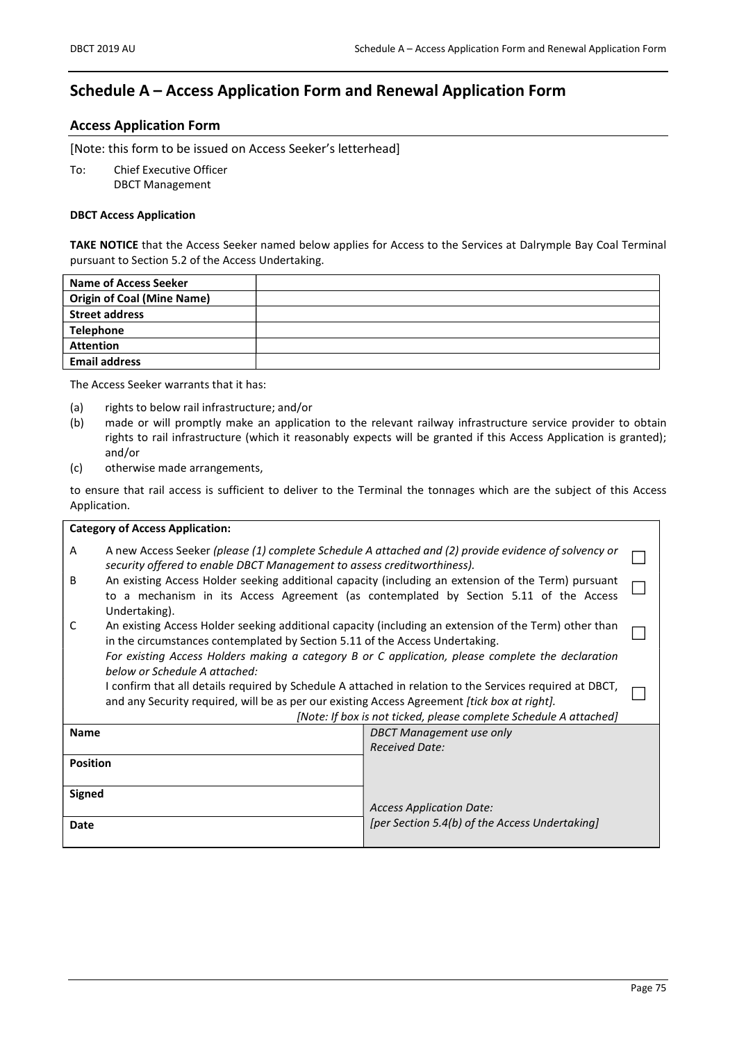# Schedule A – Access Application Form and Renewal Application Form

#### Access Application Form

[Note: this form to be issued on Access Seeker's letterhead]

To: Chief Executive Officer DBCT Management

#### DBCT Access Application

TAKE NOTICE that the Access Seeker named below applies for Access to the Services at Dalrymple Bay Coal Terminal pursuant to Section 5.2 of the Access Undertaking.

| Name of Access Seeker             |  |
|-----------------------------------|--|
| <b>Origin of Coal (Mine Name)</b> |  |
| <b>Street address</b>             |  |
| <b>Telephone</b>                  |  |
| <b>Attention</b>                  |  |
| <b>Email address</b>              |  |
|                                   |  |

The Access Seeker warrants that it has:

- (a) rights to below rail infrastructure; and/or
- (b) made or will promptly make an application to the relevant railway infrastructure service provider to obtain rights to rail infrastructure (which it reasonably expects will be granted if this Access Application is granted); and/or
- (c) otherwise made arrangements,

to ensure that rail access is sufficient to deliver to the Terminal the tonnages which are the subject of this Access Application.

| <b>Category of Access Application:</b>                                                                                                                                                                                                                                        |                                                                                                                                                                                                                                                                                            |  |  |
|-------------------------------------------------------------------------------------------------------------------------------------------------------------------------------------------------------------------------------------------------------------------------------|--------------------------------------------------------------------------------------------------------------------------------------------------------------------------------------------------------------------------------------------------------------------------------------------|--|--|
| A                                                                                                                                                                                                                                                                             | A new Access Seeker (please (1) complete Schedule A attached and (2) provide evidence of solvency or<br>security offered to enable DBCT Management to assess creditworthiness).                                                                                                            |  |  |
| An existing Access Holder seeking additional capacity (including an extension of the Term) pursuant<br>B<br>to a mechanism in its Access Agreement (as contemplated by Section 5.11 of the Access<br>Undertaking).                                                            |                                                                                                                                                                                                                                                                                            |  |  |
| C<br>below or Schedule A attached:                                                                                                                                                                                                                                            | An existing Access Holder seeking additional capacity (including an extension of the Term) other than<br>in the circumstances contemplated by Section 5.11 of the Access Undertaking.<br>For existing Access Holders making a category B or C application, please complete the declaration |  |  |
| I confirm that all details required by Schedule A attached in relation to the Services required at DBCT,<br>and any Security required, will be as per our existing Access Agreement [tick box at right].<br>[Note: If box is not ticked, please complete Schedule A attached] |                                                                                                                                                                                                                                                                                            |  |  |
| <b>Name</b>                                                                                                                                                                                                                                                                   | DBCT Management use only                                                                                                                                                                                                                                                                   |  |  |
|                                                                                                                                                                                                                                                                               | <b>Received Date:</b>                                                                                                                                                                                                                                                                      |  |  |
| <b>Position</b>                                                                                                                                                                                                                                                               |                                                                                                                                                                                                                                                                                            |  |  |
| <b>Signed</b>                                                                                                                                                                                                                                                                 |                                                                                                                                                                                                                                                                                            |  |  |
|                                                                                                                                                                                                                                                                               | <b>Access Application Date:</b>                                                                                                                                                                                                                                                            |  |  |
| Date                                                                                                                                                                                                                                                                          | [per Section 5.4(b) of the Access Undertaking]                                                                                                                                                                                                                                             |  |  |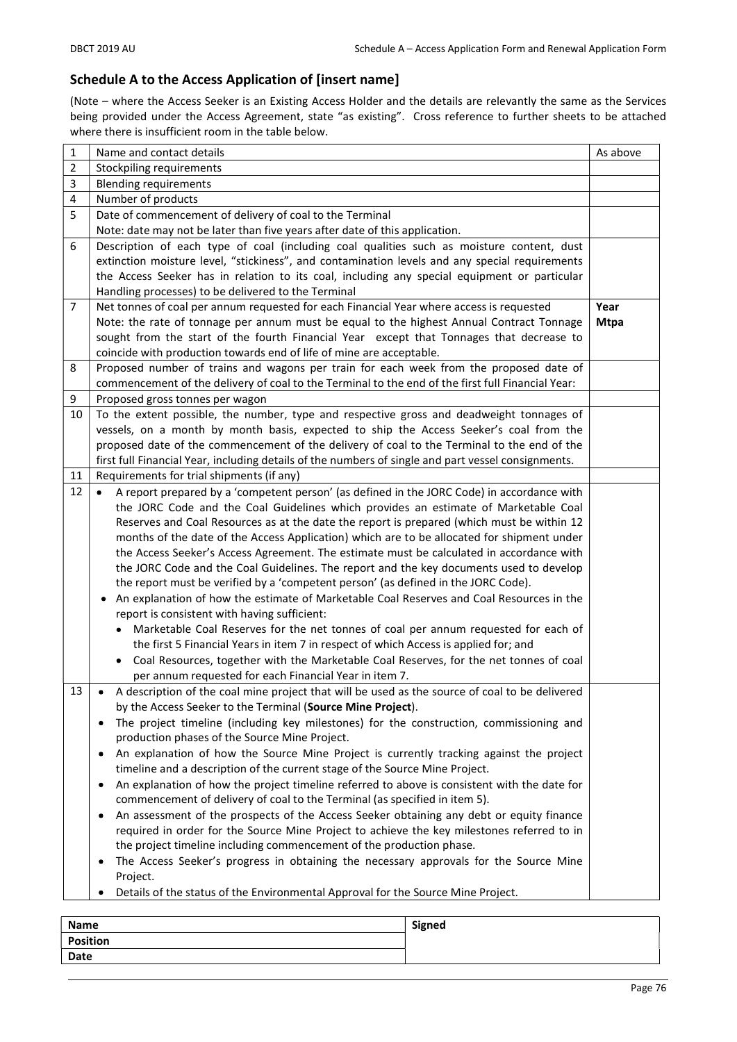### Schedule A to the Access Application of [insert name]

(Note – where the Access Seeker is an Existing Access Holder and the details are relevantly the same as the Services being provided under the Access Agreement, state "as existing". Cross reference to further sheets to be attached where there is insufficient room in the table below.

| 1              | Name and contact details                                                                                                                                                       | As above    |
|----------------|--------------------------------------------------------------------------------------------------------------------------------------------------------------------------------|-------------|
| $\overline{2}$ | Stockpiling requirements                                                                                                                                                       |             |
| 3              | <b>Blending requirements</b>                                                                                                                                                   |             |
| 4              | Number of products                                                                                                                                                             |             |
| 5              | Date of commencement of delivery of coal to the Terminal                                                                                                                       |             |
|                | Note: date may not be later than five years after date of this application.                                                                                                    |             |
| 6              | Description of each type of coal (including coal qualities such as moisture content, dust                                                                                      |             |
|                | extinction moisture level, "stickiness", and contamination levels and any special requirements                                                                                 |             |
|                | the Access Seeker has in relation to its coal, including any special equipment or particular<br>Handling processes) to be delivered to the Terminal                            |             |
| 7              | Net tonnes of coal per annum requested for each Financial Year where access is requested                                                                                       | Year        |
|                | Note: the rate of tonnage per annum must be equal to the highest Annual Contract Tonnage                                                                                       | <b>Mtpa</b> |
|                | sought from the start of the fourth Financial Year except that Tonnages that decrease to                                                                                       |             |
|                | coincide with production towards end of life of mine are acceptable.                                                                                                           |             |
| 8              | Proposed number of trains and wagons per train for each week from the proposed date of                                                                                         |             |
|                | commencement of the delivery of coal to the Terminal to the end of the first full Financial Year:                                                                              |             |
| 9              | Proposed gross tonnes per wagon                                                                                                                                                |             |
| 10             | To the extent possible, the number, type and respective gross and deadweight tonnages of                                                                                       |             |
|                | vessels, on a month by month basis, expected to ship the Access Seeker's coal from the                                                                                         |             |
|                | proposed date of the commencement of the delivery of coal to the Terminal to the end of the                                                                                    |             |
|                | first full Financial Year, including details of the numbers of single and part vessel consignments.                                                                            |             |
| 11             | Requirements for trial shipments (if any)                                                                                                                                      |             |
| 12             | A report prepared by a 'competent person' (as defined in the JORC Code) in accordance with                                                                                     |             |
|                | the JORC Code and the Coal Guidelines which provides an estimate of Marketable Coal                                                                                            |             |
|                | Reserves and Coal Resources as at the date the report is prepared (which must be within 12                                                                                     |             |
|                | months of the date of the Access Application) which are to be allocated for shipment under                                                                                     |             |
|                | the Access Seeker's Access Agreement. The estimate must be calculated in accordance with                                                                                       |             |
|                | the JORC Code and the Coal Guidelines. The report and the key documents used to develop                                                                                        |             |
|                | the report must be verified by a 'competent person' (as defined in the JORC Code).<br>An explanation of how the estimate of Marketable Coal Reserves and Coal Resources in the |             |
|                | report is consistent with having sufficient:                                                                                                                                   |             |
|                | Marketable Coal Reserves for the net tonnes of coal per annum requested for each of                                                                                            |             |
|                | the first 5 Financial Years in item 7 in respect of which Access is applied for; and                                                                                           |             |
|                | Coal Resources, together with the Marketable Coal Reserves, for the net tonnes of coal                                                                                         |             |
|                | per annum requested for each Financial Year in item 7.                                                                                                                         |             |
| 13             | A description of the coal mine project that will be used as the source of coal to be delivered                                                                                 |             |
|                | by the Access Seeker to the Terminal (Source Mine Project).                                                                                                                    |             |
|                | The project timeline (including key milestones) for the construction, commissioning and<br>$\bullet$                                                                           |             |
|                | production phases of the Source Mine Project.                                                                                                                                  |             |
|                | An explanation of how the Source Mine Project is currently tracking against the project<br>$\bullet$                                                                           |             |
|                | timeline and a description of the current stage of the Source Mine Project.                                                                                                    |             |
|                | An explanation of how the project timeline referred to above is consistent with the date for<br>٠                                                                              |             |
|                | commencement of delivery of coal to the Terminal (as specified in item 5).                                                                                                     |             |
|                | An assessment of the prospects of the Access Seeker obtaining any debt or equity finance<br>$\bullet$                                                                          |             |
|                | required in order for the Source Mine Project to achieve the key milestones referred to in                                                                                     |             |
|                | the project timeline including commencement of the production phase.                                                                                                           |             |
|                | The Access Seeker's progress in obtaining the necessary approvals for the Source Mine<br>٠                                                                                     |             |
|                | Project.                                                                                                                                                                       |             |
|                | Details of the status of the Environmental Approval for the Source Mine Project.                                                                                               |             |

| Name            | Signed |
|-----------------|--------|
| <b>Position</b> |        |
| Date            |        |
|                 |        |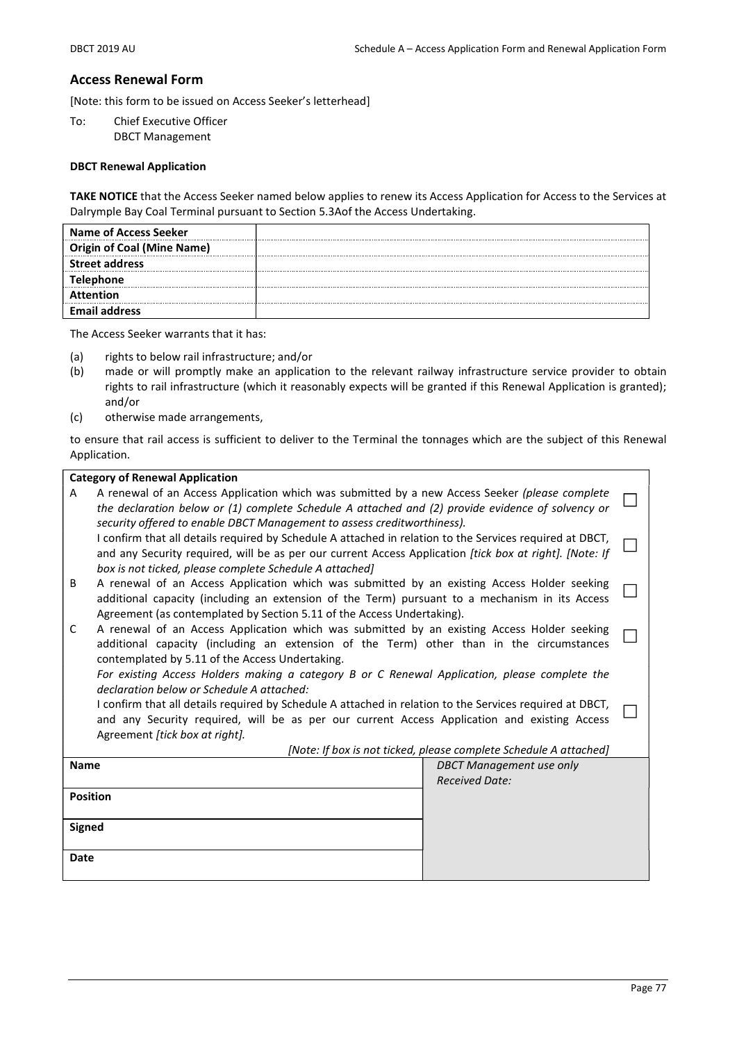#### Access Renewal Form

[Note: this form to be issued on Access Seeker's letterhead]

To: Chief Executive Officer DBCT Management

#### DBCT Renewal Application

TAKE NOTICE that the Access Seeker named below applies to renew its Access Application for Access to the Services at Dalrymple Bay Coal Terminal pursuant to Section 5.3Aof the Access Undertaking.

| <b>Name of Access Seeker</b>      |  |
|-----------------------------------|--|
| <b>Origin of Coal (Mine Name)</b> |  |
| <b>Street address</b>             |  |
| Telephone                         |  |
| <b>Attention</b>                  |  |
| <b>Email address</b>              |  |

The Access Seeker warrants that it has:

- (a) rights to below rail infrastructure; and/or
- (b) made or will promptly make an application to the relevant railway infrastructure service provider to obtain rights to rail infrastructure (which it reasonably expects will be granted if this Renewal Application is granted); and/or
- (c) otherwise made arrangements,

to ensure that rail access is sufficient to deliver to the Terminal the tonnages which are the subject of this Renewal Application.

| <b>Category of Renewal Application</b>                                                                                                                                                                                                                                              |                                                                   |  |
|-------------------------------------------------------------------------------------------------------------------------------------------------------------------------------------------------------------------------------------------------------------------------------------|-------------------------------------------------------------------|--|
| A renewal of an Access Application which was submitted by a new Access Seeker (please complete<br>A<br>the declaration below or (1) complete Schedule A attached and (2) provide evidence of solvency or<br>security offered to enable DBCT Management to assess creditworthiness). |                                                                   |  |
| I confirm that all details required by Schedule A attached in relation to the Services required at DBCT,<br>and any Security required, will be as per our current Access Application [tick box at right]. [Note: If<br>box is not ticked, please complete Schedule A attached]      |                                                                   |  |
| A renewal of an Access Application which was submitted by an existing Access Holder seeking<br>B<br>additional capacity (including an extension of the Term) pursuant to a mechanism in its Access<br>Agreement (as contemplated by Section 5.11 of the Access Undertaking).        |                                                                   |  |
| A renewal of an Access Application which was submitted by an existing Access Holder seeking<br>C<br>additional capacity (including an extension of the Term) other than in the circumstances<br>contemplated by 5.11 of the Access Undertaking.                                     |                                                                   |  |
| For existing Access Holders making a category B or C Renewal Application, please complete the                                                                                                                                                                                       |                                                                   |  |
| declaration below or Schedule A attached:                                                                                                                                                                                                                                           |                                                                   |  |
| I confirm that all details required by Schedule A attached in relation to the Services required at DBCT,<br>and any Security required, will be as per our current Access Application and existing Access<br>Agreement [tick box at right].                                          |                                                                   |  |
|                                                                                                                                                                                                                                                                                     | [Note: If box is not ticked, please complete Schedule A attached] |  |
| <b>Name</b>                                                                                                                                                                                                                                                                         | <b>DBCT Management use only</b>                                   |  |
|                                                                                                                                                                                                                                                                                     | <b>Received Date:</b>                                             |  |
| <b>Position</b>                                                                                                                                                                                                                                                                     |                                                                   |  |
| <b>Signed</b>                                                                                                                                                                                                                                                                       |                                                                   |  |
|                                                                                                                                                                                                                                                                                     |                                                                   |  |
| Date                                                                                                                                                                                                                                                                                |                                                                   |  |
|                                                                                                                                                                                                                                                                                     |                                                                   |  |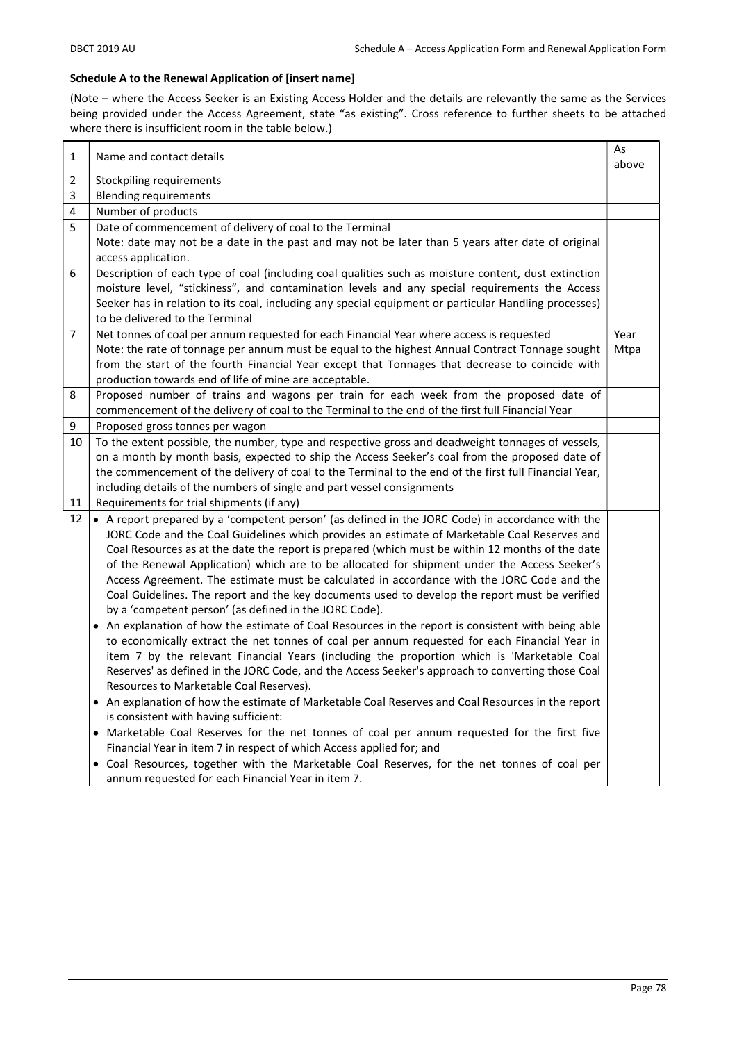#### Schedule A to the Renewal Application of [insert name]

(Note – where the Access Seeker is an Existing Access Holder and the details are relevantly the same as the Services being provided under the Access Agreement, state "as existing". Cross reference to further sheets to be attached where there is insufficient room in the table below.)

| 1  | Name and contact details                                                                              | As    |
|----|-------------------------------------------------------------------------------------------------------|-------|
|    |                                                                                                       | above |
| 2  | Stockpiling requirements                                                                              |       |
| 3  | <b>Blending requirements</b>                                                                          |       |
| 4  | Number of products                                                                                    |       |
| 5  | Date of commencement of delivery of coal to the Terminal                                              |       |
|    | Note: date may not be a date in the past and may not be later than 5 years after date of original     |       |
|    | access application.                                                                                   |       |
| 6  | Description of each type of coal (including coal qualities such as moisture content, dust extinction  |       |
|    | moisture level, "stickiness", and contamination levels and any special requirements the Access        |       |
|    | Seeker has in relation to its coal, including any special equipment or particular Handling processes) |       |
|    | to be delivered to the Terminal                                                                       |       |
| 7  | Net tonnes of coal per annum requested for each Financial Year where access is requested              | Year  |
|    | Note: the rate of tonnage per annum must be equal to the highest Annual Contract Tonnage sought       | Mtpa  |
|    | from the start of the fourth Financial Year except that Tonnages that decrease to coincide with       |       |
|    | production towards end of life of mine are acceptable.                                                |       |
| 8  | Proposed number of trains and wagons per train for each week from the proposed date of                |       |
|    | commencement of the delivery of coal to the Terminal to the end of the first full Financial Year      |       |
| 9  | Proposed gross tonnes per wagon                                                                       |       |
| 10 | To the extent possible, the number, type and respective gross and deadweight tonnages of vessels,     |       |
|    | on a month by month basis, expected to ship the Access Seeker's coal from the proposed date of        |       |
|    | the commencement of the delivery of coal to the Terminal to the end of the first full Financial Year, |       |
|    | including details of the numbers of single and part vessel consignments                               |       |
| 11 | Requirements for trial shipments (if any)                                                             |       |
| 12 | • A report prepared by a 'competent person' (as defined in the JORC Code) in accordance with the      |       |
|    | JORC Code and the Coal Guidelines which provides an estimate of Marketable Coal Reserves and          |       |
|    | Coal Resources as at the date the report is prepared (which must be within 12 months of the date      |       |
|    | of the Renewal Application) which are to be allocated for shipment under the Access Seeker's          |       |
|    | Access Agreement. The estimate must be calculated in accordance with the JORC Code and the            |       |
|    | Coal Guidelines. The report and the key documents used to develop the report must be verified         |       |
|    | by a 'competent person' (as defined in the JORC Code).                                                |       |
|    | • An explanation of how the estimate of Coal Resources in the report is consistent with being able    |       |
|    | to economically extract the net tonnes of coal per annum requested for each Financial Year in         |       |
|    | item 7 by the relevant Financial Years (including the proportion which is 'Marketable Coal            |       |
|    | Reserves' as defined in the JORC Code, and the Access Seeker's approach to converting those Coal      |       |
|    | Resources to Marketable Coal Reserves).                                                               |       |
|    | • An explanation of how the estimate of Marketable Coal Reserves and Coal Resources in the report     |       |
|    | is consistent with having sufficient:                                                                 |       |
|    | • Marketable Coal Reserves for the net tonnes of coal per annum requested for the first five          |       |
|    | Financial Year in item 7 in respect of which Access applied for; and                                  |       |
|    | . Coal Resources, together with the Marketable Coal Reserves, for the net tonnes of coal per          |       |
|    | annum requested for each Financial Year in item 7.                                                    |       |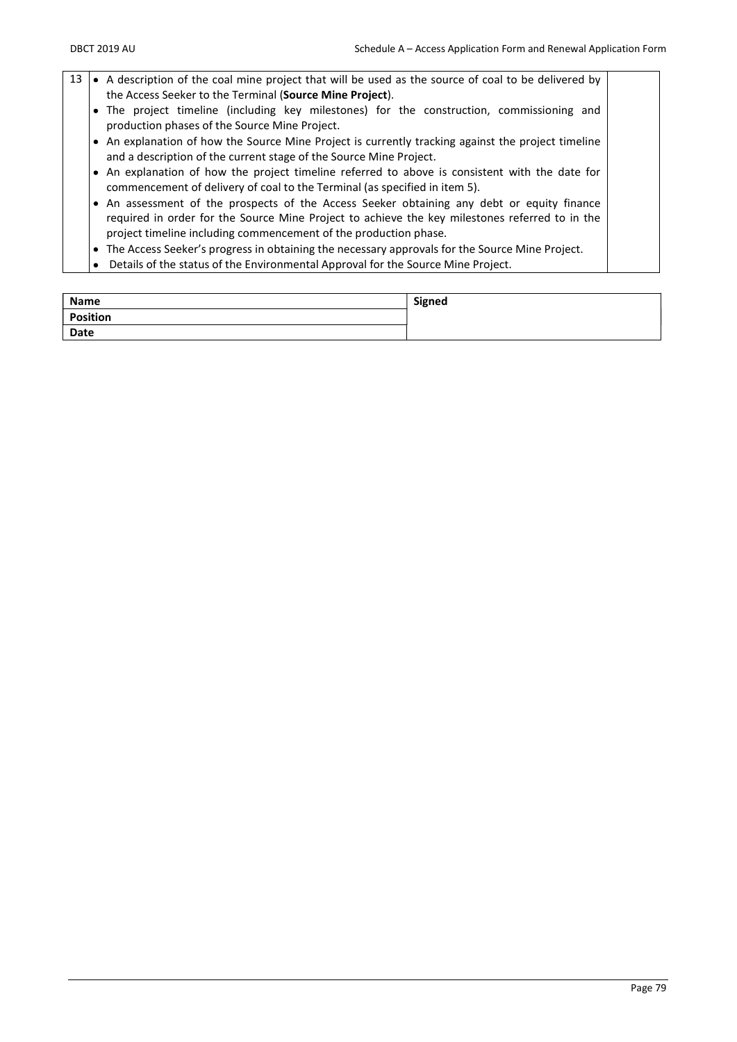- 13  $\bullet$  A description of the coal mine project that will be used as the source of coal to be delivered by the Access Seeker to the Terminal (Source Mine Project). The project timeline (including key milestones) for the construction, commissioning and production phases of the Source Mine Project. • An explanation of how the Source Mine Project is currently tracking against the project timeline and a description of the current stage of the Source Mine Project. An explanation of how the project timeline referred to above is consistent with the date for commencement of delivery of coal to the Terminal (as specified in item 5). An assessment of the prospects of the Access Seeker obtaining any debt or equity finance required in order for the Source Mine Project to achieve the key milestones referred to in the project timeline including commencement of the production phase. The Access Seeker's progress in obtaining the necessary approvals for the Source Mine Project.
	- Details of the status of the Environmental Approval for the Source Mine Project.

| <b>Name</b> | Signed |
|-------------|--------|
| Position    |        |
| Date        |        |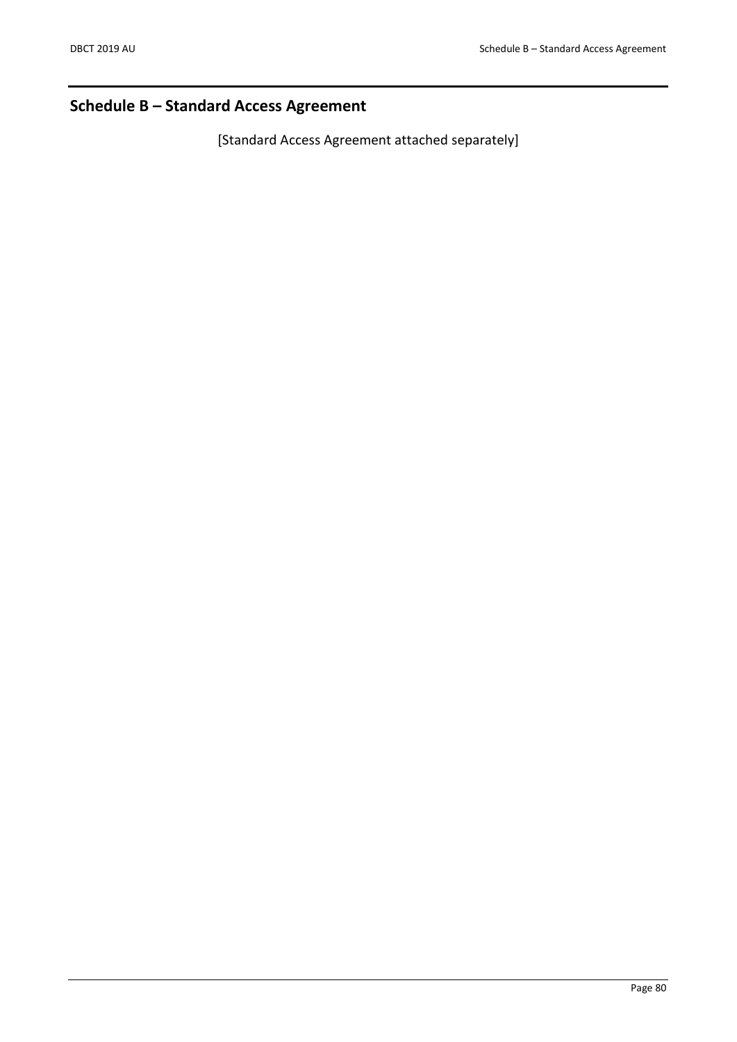# Schedule B – Standard Access Agreement

[Standard Access Agreement attached separately]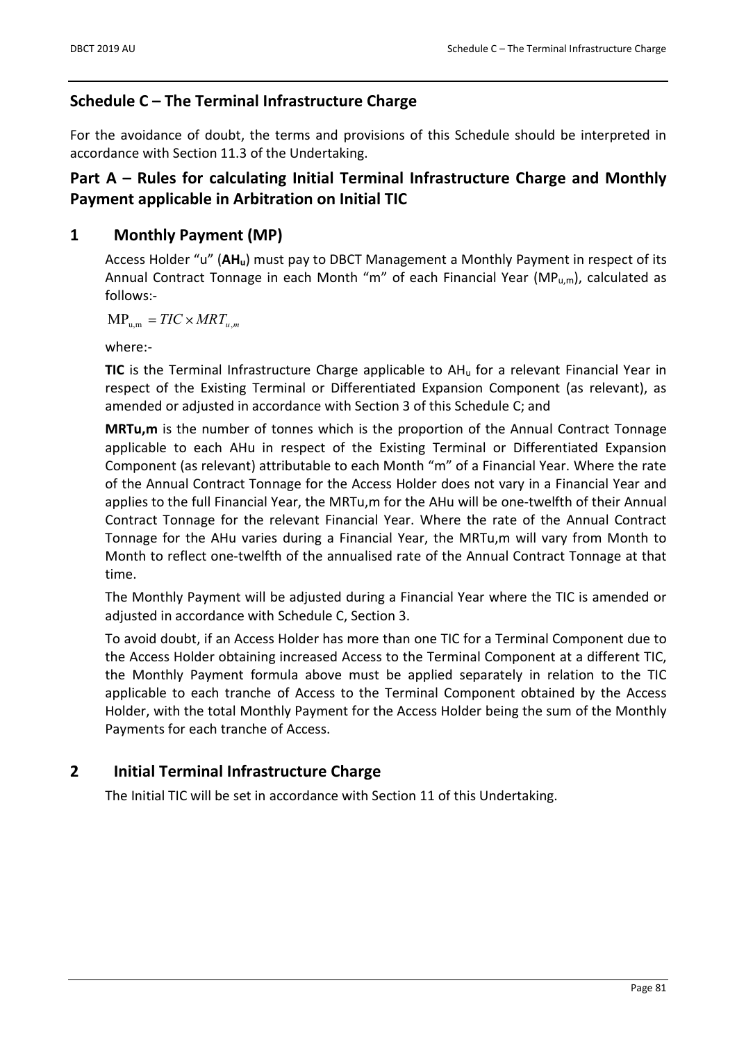# Schedule C – The Terminal Infrastructure Charge

For the avoidance of doubt, the terms and provisions of this Schedule should be interpreted in accordance with Section 11.3 of the Undertaking.

# Part A – Rules for calculating Initial Terminal Infrastructure Charge and Monthly Payment applicable in Arbitration on Initial TIC

# 1 Monthly Payment (MP)

Access Holder "u" (AHu) must pay to DBCT Management a Monthly Payment in respect of its Annual Contract Tonnage in each Month "m" of each Financial Year ( $MP_{u,m}$ ), calculated as follows:-

 $MP_{um} = TIC \times MRT_{um}$ 

where:-

**TIC** is the Terminal Infrastructure Charge applicable to  $AH<sub>u</sub>$  for a relevant Financial Year in respect of the Existing Terminal or Differentiated Expansion Component (as relevant), as amended or adjusted in accordance with Section 3 of this Schedule C; and

MRTu,m is the number of tonnes which is the proportion of the Annual Contract Tonnage applicable to each AHu in respect of the Existing Terminal or Differentiated Expansion Component (as relevant) attributable to each Month "m" of a Financial Year. Where the rate of the Annual Contract Tonnage for the Access Holder does not vary in a Financial Year and applies to the full Financial Year, the MRTu,m for the AHu will be one-twelfth of their Annual Contract Tonnage for the relevant Financial Year. Where the rate of the Annual Contract Tonnage for the AHu varies during a Financial Year, the MRTu,m will vary from Month to Month to reflect one-twelfth of the annualised rate of the Annual Contract Tonnage at that time.

The Monthly Payment will be adjusted during a Financial Year where the TIC is amended or adjusted in accordance with Schedule C, Section 3.

To avoid doubt, if an Access Holder has more than one TIC for a Terminal Component due to the Access Holder obtaining increased Access to the Terminal Component at a different TIC, the Monthly Payment formula above must be applied separately in relation to the TIC applicable to each tranche of Access to the Terminal Component obtained by the Access Holder, with the total Monthly Payment for the Access Holder being the sum of the Monthly Payments for each tranche of Access.

# 2 Initial Terminal Infrastructure Charge

The Initial TIC will be set in accordance with Section 11 of this Undertaking.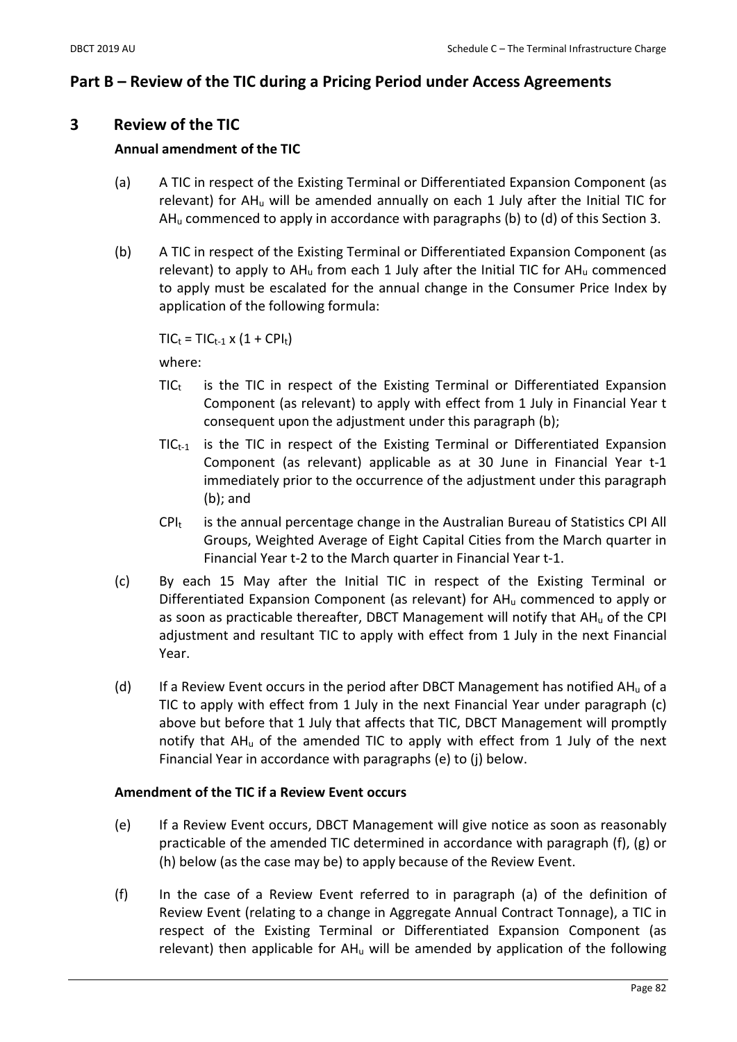## Part B – Review of the TIC during a Pricing Period under Access Agreements

### 3 Review of the TIC

### Annual amendment of the TIC

- (a) A TIC in respect of the Existing Terminal or Differentiated Expansion Component (as relevant) for AHu will be amended annually on each 1 July after the Initial TIC for  $AH<sub>u</sub>$  commenced to apply in accordance with paragraphs (b) to (d) of this Section 3.
- (b) A TIC in respect of the Existing Terminal or Differentiated Expansion Component (as relevant) to apply to AH<sup>u</sup> from each 1 July after the Initial TIC for AH<sup>u</sup> commenced to apply must be escalated for the annual change in the Consumer Price Index by application of the following formula:

 $TIC_t = TIC_{t-1} \times (1 + CPI_t)$ 

where:

- $TIC_t$  is the TIC in respect of the Existing Terminal or Differentiated Expansion Component (as relevant) to apply with effect from 1 July in Financial Year t consequent upon the adjustment under this paragraph (b);
- $TIC_{t-1}$  is the TIC in respect of the Existing Terminal or Differentiated Expansion Component (as relevant) applicable as at 30 June in Financial Year t-1 immediately prior to the occurrence of the adjustment under this paragraph (b); and
- $\text{CPI}_t$  is the annual percentage change in the Australian Bureau of Statistics CPI All Groups, Weighted Average of Eight Capital Cities from the March quarter in Financial Year t-2 to the March quarter in Financial Year t-1.
- (c) By each 15 May after the Initial TIC in respect of the Existing Terminal or Differentiated Expansion Component (as relevant) for AH<sup>u</sup> commenced to apply or as soon as practicable thereafter, DBCT Management will notify that AH<sub>u</sub> of the CPI adjustment and resultant TIC to apply with effect from 1 July in the next Financial Year.
- (d) If a Review Event occurs in the period after DBCT Management has notified  $AH_u$  of a TIC to apply with effect from 1 July in the next Financial Year under paragraph (c) above but before that 1 July that affects that TIC, DBCT Management will promptly notify that AH<sup>u</sup> of the amended TIC to apply with effect from 1 July of the next Financial Year in accordance with paragraphs (e) to (j) below.

### Amendment of the TIC if a Review Event occurs

- (e) If a Review Event occurs, DBCT Management will give notice as soon as reasonably practicable of the amended TIC determined in accordance with paragraph (f), (g) or (h) below (as the case may be) to apply because of the Review Event.
- (f) In the case of a Review Event referred to in paragraph (a) of the definition of Review Event (relating to a change in Aggregate Annual Contract Tonnage), a TIC in respect of the Existing Terminal or Differentiated Expansion Component (as relevant) then applicable for  $AH_u$  will be amended by application of the following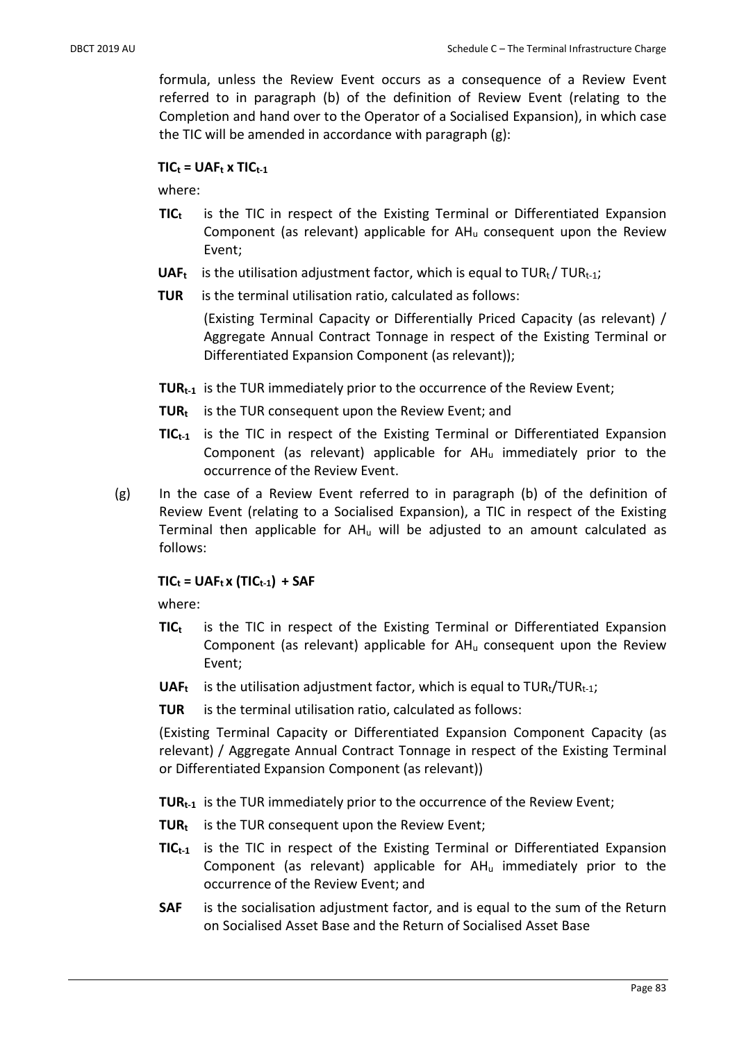formula, unless the Review Event occurs as a consequence of a Review Event referred to in paragraph (b) of the definition of Review Event (relating to the Completion and hand over to the Operator of a Socialised Expansion), in which case the TIC will be amended in accordance with paragraph (g):

### $TIC_t = UAF_t \times TIC_{t-1}$

where:

- $TIC_t$  is the TIC in respect of the Existing Terminal or Differentiated Expansion Component (as relevant) applicable for  $AH_u$  consequent upon the Review Event;
- **UAF<sub>t</sub>** is the utilisation adjustment factor, which is equal to TUR<sub>t</sub>/TUR<sub>t-1</sub>;
- TUR is the terminal utilisation ratio, calculated as follows:

(Existing Terminal Capacity or Differentially Priced Capacity (as relevant) / Aggregate Annual Contract Tonnage in respect of the Existing Terminal or Differentiated Expansion Component (as relevant));

- TUR<sub>t-1</sub> is the TUR immediately prior to the occurrence of the Review Event;
- **TUR**<sub>t</sub> is the TUR consequent upon the Review Event; and
- $TIC_{t-1}$  is the TIC in respect of the Existing Terminal or Differentiated Expansion Component (as relevant) applicable for  $AH<sub>u</sub>$  immediately prior to the occurrence of the Review Event.
- (g) In the case of a Review Event referred to in paragraph (b) of the definition of Review Event (relating to a Socialised Expansion), a TIC in respect of the Existing Terminal then applicable for  $AH_u$  will be adjusted to an amount calculated as follows:

### $TIC_t = UAF_t x (TIC_{t-1}) + SAF$

where:

- $TIC_t$  is the TIC in respect of the Existing Terminal or Differentiated Expansion Component (as relevant) applicable for  $AH<sub>u</sub>$  consequent upon the Review Event;
- **UAF<sub>t</sub>** is the utilisation adjustment factor, which is equal to  $TUR_{t} / TUR_{t-1}$ ;
- TUR is the terminal utilisation ratio, calculated as follows:

(Existing Terminal Capacity or Differentiated Expansion Component Capacity (as relevant) / Aggregate Annual Contract Tonnage in respect of the Existing Terminal or Differentiated Expansion Component (as relevant))

**TUR**<sub>t-1</sub> is the TUR immediately prior to the occurrence of the Review Event;

- **TUR**<sub>t</sub> is the TUR consequent upon the Review Event;
- $TIC_{t-1}$  is the TIC in respect of the Existing Terminal or Differentiated Expansion Component (as relevant) applicable for  $AH_u$  immediately prior to the occurrence of the Review Event; and
- SAF is the socialisation adjustment factor, and is equal to the sum of the Return on Socialised Asset Base and the Return of Socialised Asset Base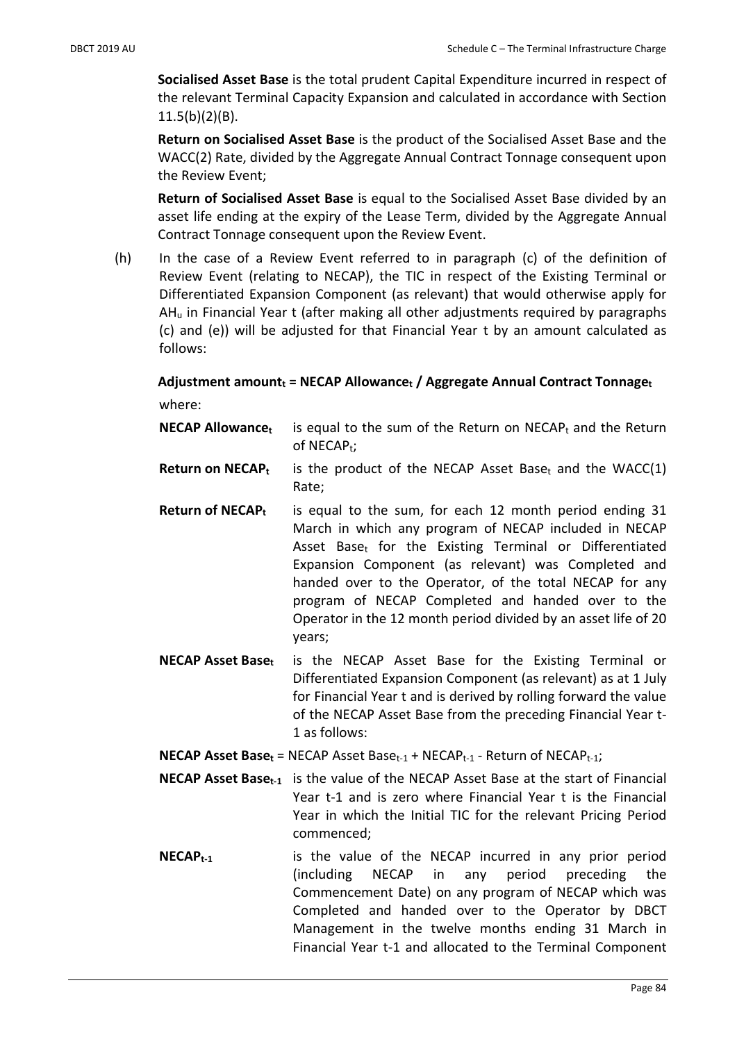Socialised Asset Base is the total prudent Capital Expenditure incurred in respect of the relevant Terminal Capacity Expansion and calculated in accordance with Section 11.5(b)(2)(B).

Return on Socialised Asset Base is the product of the Socialised Asset Base and the WACC(2) Rate, divided by the Aggregate Annual Contract Tonnage consequent upon the Review Event;

Return of Socialised Asset Base is equal to the Socialised Asset Base divided by an asset life ending at the expiry of the Lease Term, divided by the Aggregate Annual Contract Tonnage consequent upon the Review Event.

(h) In the case of a Review Event referred to in paragraph (c) of the definition of Review Event (relating to NECAP), the TIC in respect of the Existing Terminal or Differentiated Expansion Component (as relevant) that would otherwise apply for AH<sup>u</sup> in Financial Year t (after making all other adjustments required by paragraphs (c) and (e)) will be adjusted for that Financial Year t by an amount calculated as follows:

# Adjustment amount $<sub>t</sub>$  = NECAP Allowance $<sub>t</sub>$  / Aggregate Annual Contract Tonnage $<sub>t</sub>$ </sub></sub></sub>

where:

| <b>NECAP Allowance</b> is equal to the sum of the Return on NECAP <sub>t</sub> and the Return |
|-----------------------------------------------------------------------------------------------|
| of $NECAP_t$ ;                                                                                |

- **Return on NECAP<sub>t</sub>** is the product of the NECAP Asset Base<sub>t</sub> and the WACC(1) Rate;
- **Return of NECAP<sub>t</sub>** is equal to the sum, for each 12 month period ending 31 March in which any program of NECAP included in NECAP Asset Base<sub>t</sub> for the Existing Terminal or Differentiated Expansion Component (as relevant) was Completed and handed over to the Operator, of the total NECAP for any program of NECAP Completed and handed over to the Operator in the 12 month period divided by an asset life of 20 years;
- NECAP Asset Base<sub>t</sub> is the NECAP Asset Base for the Existing Terminal or Differentiated Expansion Component (as relevant) as at 1 July for Financial Year t and is derived by rolling forward the value of the NECAP Asset Base from the preceding Financial Year t-1 as follows:
- **NECAP Asset Baset** = NECAP Asset Base<sub>t-1</sub> + NECAP<sub>t-1</sub> Return of NECAP<sub>t-1</sub>;
- **NECAP Asset Baset-1** is the value of the NECAP Asset Base at the start of Financial Year t-1 and is zero where Financial Year t is the Financial Year in which the Initial TIC for the relevant Pricing Period commenced;
- **NECAP**<sub>t-1</sub> is the value of the NECAP incurred in any prior period (including NECAP in any period preceding the Commencement Date) on any program of NECAP which was Completed and handed over to the Operator by DBCT Management in the twelve months ending 31 March in Financial Year t-1 and allocated to the Terminal Component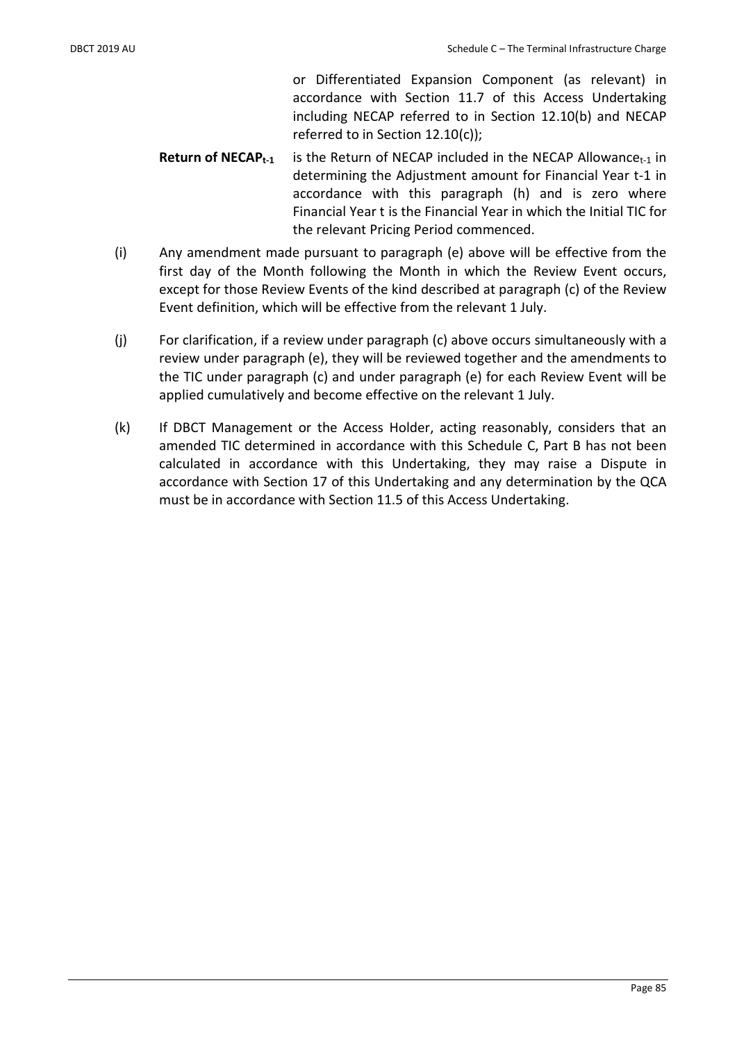or Differentiated Expansion Component (as relevant) in accordance with Section 11.7 of this Access Undertaking including NECAP referred to in Section 12.10(b) and NECAP referred to in Section 12.10(c));

- **Return of NECAP**<sub>t-1</sub> is the Return of NECAP included in the NECAP Allowance<sub>t-1</sub> in determining the Adjustment amount for Financial Year t-1 in accordance with this paragraph (h) and is zero where Financial Year t is the Financial Year in which the Initial TIC for the relevant Pricing Period commenced.
- (i) Any amendment made pursuant to paragraph (e) above will be effective from the first day of the Month following the Month in which the Review Event occurs, except for those Review Events of the kind described at paragraph (c) of the Review Event definition, which will be effective from the relevant 1 July.
- (j) For clarification, if a review under paragraph (c) above occurs simultaneously with a review under paragraph (e), they will be reviewed together and the amendments to the TIC under paragraph (c) and under paragraph (e) for each Review Event will be applied cumulatively and become effective on the relevant 1 July.
- (k) If DBCT Management or the Access Holder, acting reasonably, considers that an amended TIC determined in accordance with this Schedule C, Part B has not been calculated in accordance with this Undertaking, they may raise a Dispute in accordance with Section 17 of this Undertaking and any determination by the QCA must be in accordance with Section 11.5 of this Access Undertaking.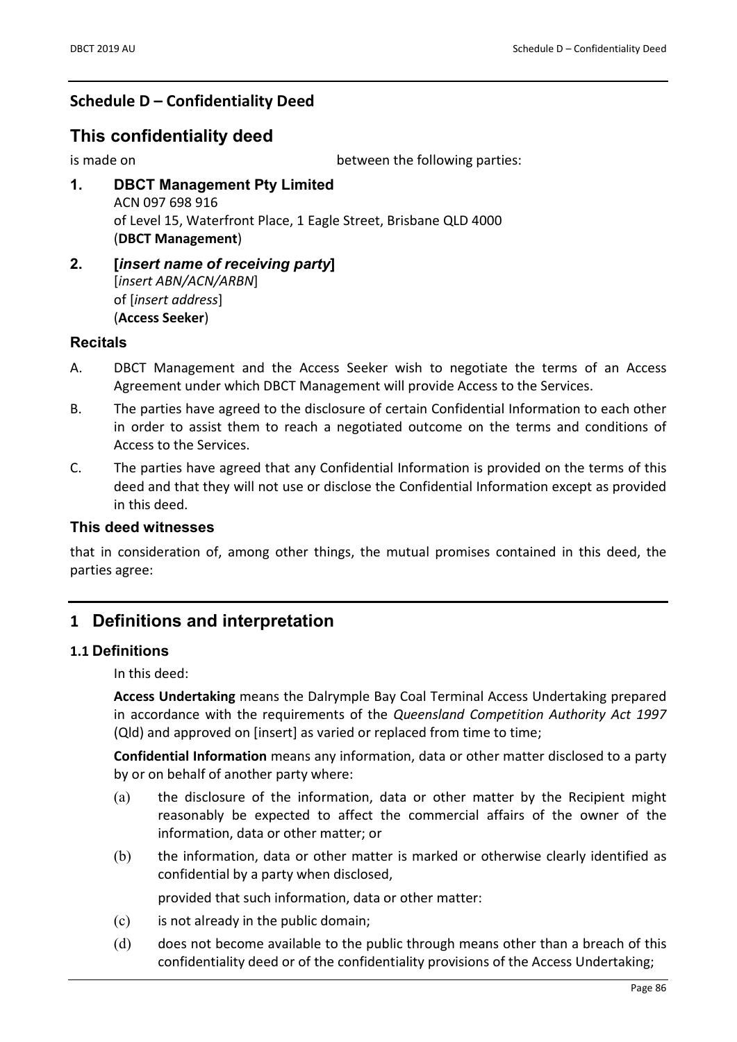# Schedule D – Confidentiality Deed

# This confidentiality deed

is made on between the following parties:

- 1. DBCT Management Pty Limited ACN 097 698 916 of Level 15, Waterfront Place, 1 Eagle Street, Brisbane QLD 4000 (DBCT Management)
- 2. **[insert name of receiving party]** [insert ABN/ACN/ARBN] of [insert address] (Access Seeker)

### **Recitals**

- A. DBCT Management and the Access Seeker wish to negotiate the terms of an Access Agreement under which DBCT Management will provide Access to the Services.
- B. The parties have agreed to the disclosure of certain Confidential Information to each other in order to assist them to reach a negotiated outcome on the terms and conditions of Access to the Services.
- C. The parties have agreed that any Confidential Information is provided on the terms of this deed and that they will not use or disclose the Confidential Information except as provided in this deed.

### This deed witnesses

that in consideration of, among other things, the mutual promises contained in this deed, the parties agree:

# 1 Definitions and interpretation

#### 1.1 Definitions

In this deed:

Access Undertaking means the Dalrymple Bay Coal Terminal Access Undertaking prepared in accordance with the requirements of the Queensland Competition Authority Act 1997 (Qld) and approved on [insert] as varied or replaced from time to time;

Confidential Information means any information, data or other matter disclosed to a party by or on behalf of another party where:

- (a) the disclosure of the information, data or other matter by the Recipient might reasonably be expected to affect the commercial affairs of the owner of the information, data or other matter; or
- (b) the information, data or other matter is marked or otherwise clearly identified as confidential by a party when disclosed,

provided that such information, data or other matter:

- (c) is not already in the public domain;
- (d) does not become available to the public through means other than a breach of this confidentiality deed or of the confidentiality provisions of the Access Undertaking;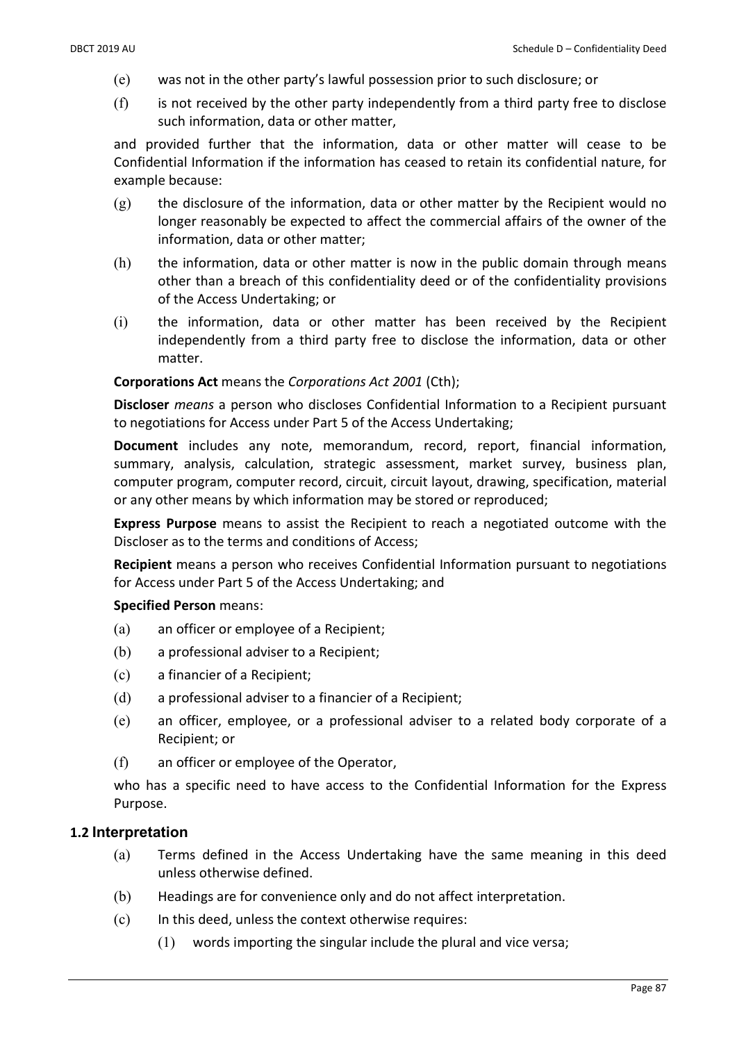- (e) was not in the other party's lawful possession prior to such disclosure; or
- $(f)$  is not received by the other party independently from a third party free to disclose such information, data or other matter,

and provided further that the information, data or other matter will cease to be Confidential Information if the information has ceased to retain its confidential nature, for example because:

- $(g)$  the disclosure of the information, data or other matter by the Recipient would no longer reasonably be expected to affect the commercial affairs of the owner of the information, data or other matter;
- (h) the information, data or other matter is now in the public domain through means other than a breach of this confidentiality deed or of the confidentiality provisions of the Access Undertaking; or
- (i) the information, data or other matter has been received by the Recipient independently from a third party free to disclose the information, data or other matter.

#### Corporations Act means the Corporations Act 2001 (Cth);

Discloser means a person who discloses Confidential Information to a Recipient pursuant to negotiations for Access under Part 5 of the Access Undertaking;

Document includes any note, memorandum, record, report, financial information, summary, analysis, calculation, strategic assessment, market survey, business plan, computer program, computer record, circuit, circuit layout, drawing, specification, material or any other means by which information may be stored or reproduced;

Express Purpose means to assist the Recipient to reach a negotiated outcome with the Discloser as to the terms and conditions of Access;

Recipient means a person who receives Confidential Information pursuant to negotiations for Access under Part 5 of the Access Undertaking; and

#### Specified Person means:

- (a) an officer or employee of a Recipient;
- (b) a professional adviser to a Recipient;
- (c) a financier of a Recipient;
- (d) a professional adviser to a financier of a Recipient;
- (e) an officer, employee, or a professional adviser to a related body corporate of a Recipient; or
- (f) an officer or employee of the Operator,

who has a specific need to have access to the Confidential Information for the Express Purpose.

#### 1.2 Interpretation

- (a) Terms defined in the Access Undertaking have the same meaning in this deed unless otherwise defined.
- (b) Headings are for convenience only and do not affect interpretation.
- (c) In this deed, unless the context otherwise requires:
	- (1) words importing the singular include the plural and vice versa;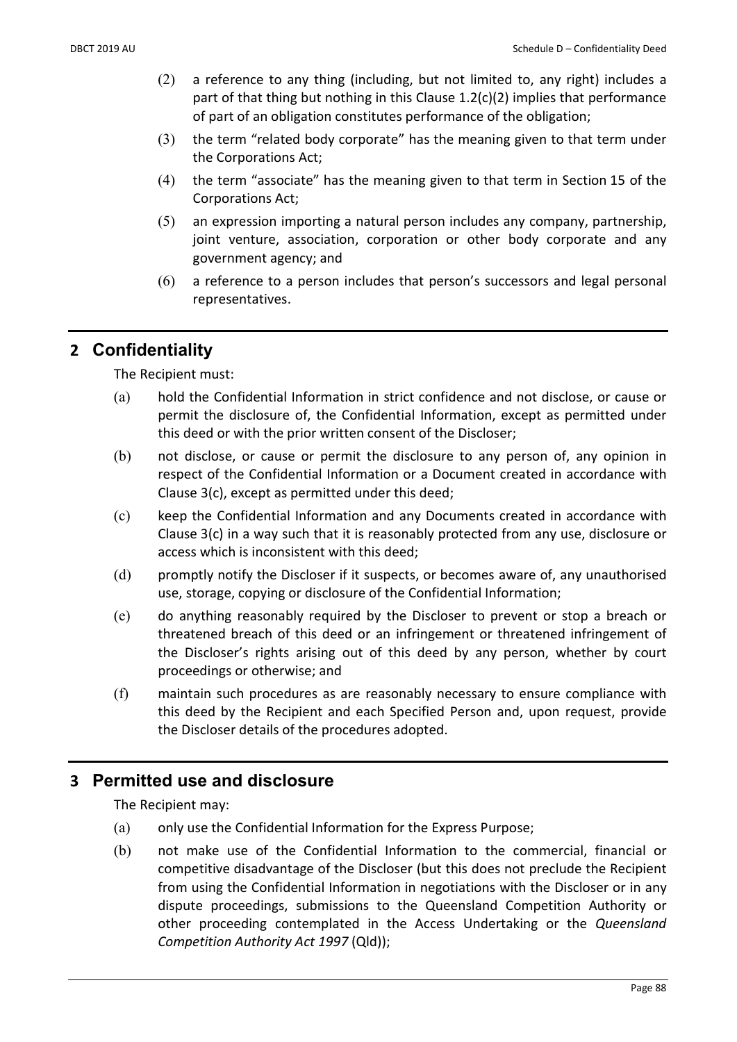- (2) a reference to any thing (including, but not limited to, any right) includes a part of that thing but nothing in this Clause  $1.2(c)(2)$  implies that performance of part of an obligation constitutes performance of the obligation;
- (3) the term "related body corporate" has the meaning given to that term under the Corporations Act;
- (4) the term "associate" has the meaning given to that term in Section 15 of the Corporations Act;
- (5) an expression importing a natural person includes any company, partnership, joint venture, association, corporation or other body corporate and any government agency; and
- (6) a reference to a person includes that person's successors and legal personal representatives.

# 2 Confidentiality

The Recipient must:

- (a) hold the Confidential Information in strict confidence and not disclose, or cause or permit the disclosure of, the Confidential Information, except as permitted under this deed or with the prior written consent of the Discloser;
- (b) not disclose, or cause or permit the disclosure to any person of, any opinion in respect of the Confidential Information or a Document created in accordance with Clause 3(c), except as permitted under this deed;
- (c) keep the Confidential Information and any Documents created in accordance with Clause 3(c) in a way such that it is reasonably protected from any use, disclosure or access which is inconsistent with this deed;
- (d) promptly notify the Discloser if it suspects, or becomes aware of, any unauthorised use, storage, copying or disclosure of the Confidential Information;
- (e) do anything reasonably required by the Discloser to prevent or stop a breach or threatened breach of this deed or an infringement or threatened infringement of the Discloser's rights arising out of this deed by any person, whether by court proceedings or otherwise; and
- (f) maintain such procedures as are reasonably necessary to ensure compliance with this deed by the Recipient and each Specified Person and, upon request, provide the Discloser details of the procedures adopted.

# 3 Permitted use and disclosure

The Recipient may:

- (a) only use the Confidential Information for the Express Purpose;
- (b) not make use of the Confidential Information to the commercial, financial or competitive disadvantage of the Discloser (but this does not preclude the Recipient from using the Confidential Information in negotiations with the Discloser or in any dispute proceedings, submissions to the Queensland Competition Authority or other proceeding contemplated in the Access Undertaking or the Queensland Competition Authority Act 1997 (Qld));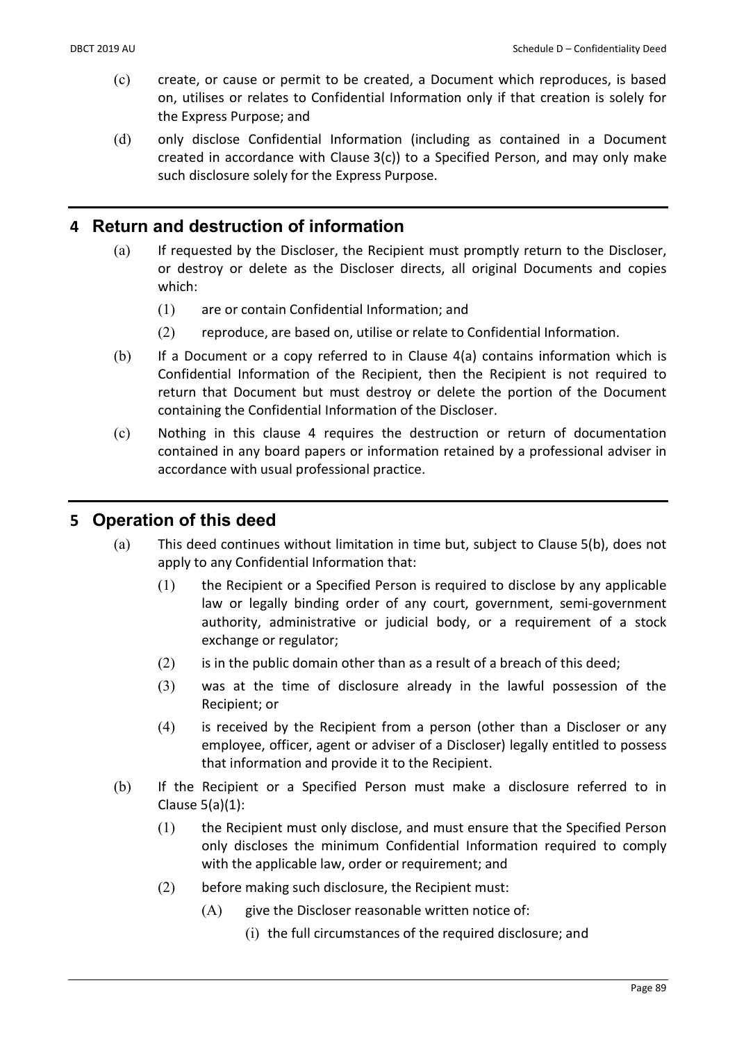- (c) create, or cause or permit to be created, a Document which reproduces, is based on, utilises or relates to Confidential Information only if that creation is solely for the Express Purpose; and
- (d) only disclose Confidential Information (including as contained in a Document created in accordance with Clause 3(c)) to a Specified Person, and may only make such disclosure solely for the Express Purpose.

# 4 Return and destruction of information

- (a) If requested by the Discloser, the Recipient must promptly return to the Discloser, or destroy or delete as the Discloser directs, all original Documents and copies which:
	- (1) are or contain Confidential Information; and
	- (2) reproduce, are based on, utilise or relate to Confidential Information.
- (b) If a Document or a copy referred to in Clause 4(a) contains information which is Confidential Information of the Recipient, then the Recipient is not required to return that Document but must destroy or delete the portion of the Document containing the Confidential Information of the Discloser.
- (c) Nothing in this clause 4 requires the destruction or return of documentation contained in any board papers or information retained by a professional adviser in accordance with usual professional practice.

# 5 Operation of this deed

- (a) This deed continues without limitation in time but, subject to Clause 5(b), does not apply to any Confidential Information that:
	- (1) the Recipient or a Specified Person is required to disclose by any applicable law or legally binding order of any court, government, semi-government authority, administrative or judicial body, or a requirement of a stock exchange or regulator;
	- $(2)$  is in the public domain other than as a result of a breach of this deed;
	- (3) was at the time of disclosure already in the lawful possession of the Recipient; or
	- (4) is received by the Recipient from a person (other than a Discloser or any employee, officer, agent or adviser of a Discloser) legally entitled to possess that information and provide it to the Recipient.
- (b) If the Recipient or a Specified Person must make a disclosure referred to in Clause 5(a)(1):
	- (1) the Recipient must only disclose, and must ensure that the Specified Person only discloses the minimum Confidential Information required to comply with the applicable law, order or requirement; and
	- (2) before making such disclosure, the Recipient must:
		- $(A)$  give the Discloser reasonable written notice of:
			- (i) the full circumstances of the required disclosure; and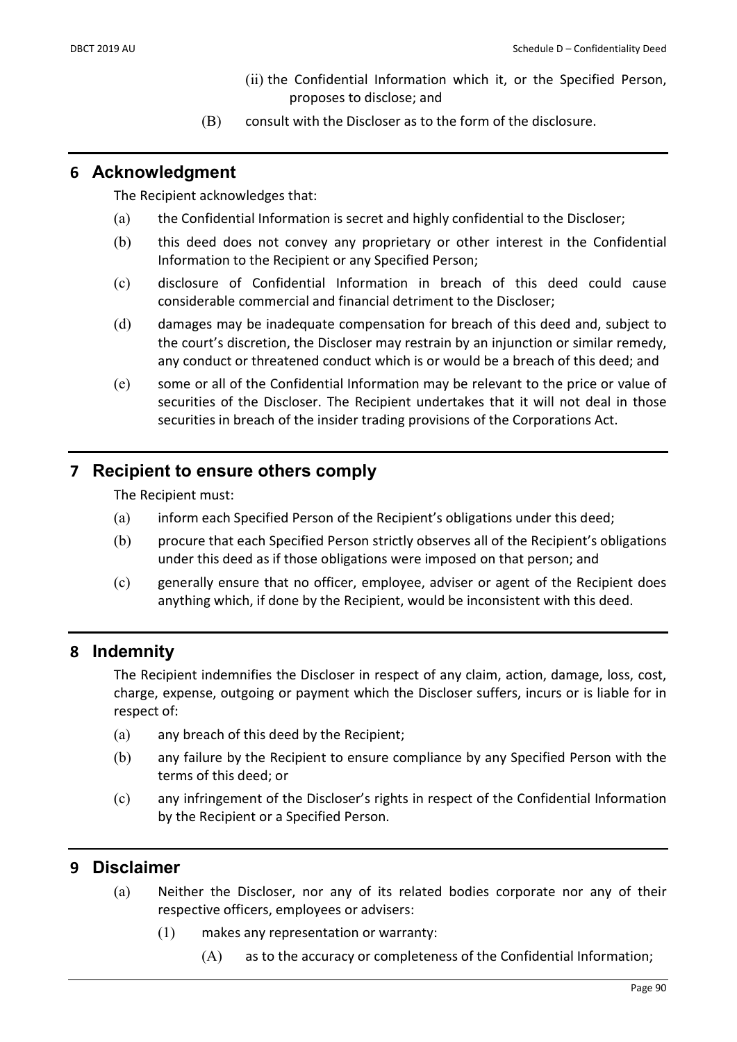- (ii) the Confidential Information which it, or the Specified Person, proposes to disclose; and
- (B) consult with the Discloser as to the form of the disclosure.

## 6 Acknowledgment

The Recipient acknowledges that:

- (a) the Confidential Information is secret and highly confidential to the Discloser;
- (b) this deed does not convey any proprietary or other interest in the Confidential Information to the Recipient or any Specified Person;
- (c) disclosure of Confidential Information in breach of this deed could cause considerable commercial and financial detriment to the Discloser;
- (d) damages may be inadequate compensation for breach of this deed and, subject to the court's discretion, the Discloser may restrain by an injunction or similar remedy, any conduct or threatened conduct which is or would be a breach of this deed; and
- (e) some or all of the Confidential Information may be relevant to the price or value of securities of the Discloser. The Recipient undertakes that it will not deal in those securities in breach of the insider trading provisions of the Corporations Act.

# 7 Recipient to ensure others comply

The Recipient must:

- (a) inform each Specified Person of the Recipient's obligations under this deed;
- (b) procure that each Specified Person strictly observes all of the Recipient's obligations under this deed as if those obligations were imposed on that person; and
- (c) generally ensure that no officer, employee, adviser or agent of the Recipient does anything which, if done by the Recipient, would be inconsistent with this deed.

### 8 Indemnity

The Recipient indemnifies the Discloser in respect of any claim, action, damage, loss, cost, charge, expense, outgoing or payment which the Discloser suffers, incurs or is liable for in respect of:

- (a) any breach of this deed by the Recipient;
- (b) any failure by the Recipient to ensure compliance by any Specified Person with the terms of this deed; or
- (c) any infringement of the Discloser's rights in respect of the Confidential Information by the Recipient or a Specified Person.

# 9 Disclaimer

- (a) Neither the Discloser, nor any of its related bodies corporate nor any of their respective officers, employees or advisers:
	- (1) makes any representation or warranty:
		- (A) as to the accuracy or completeness of the Confidential Information;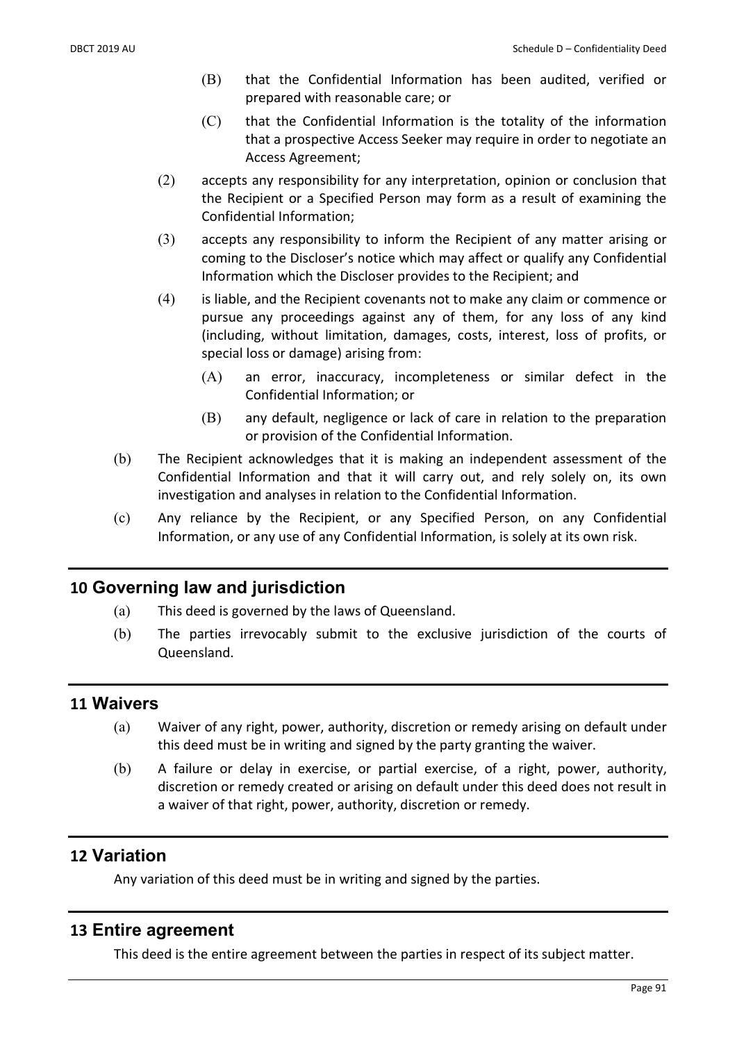- (B) that the Confidential Information has been audited, verified or prepared with reasonable care; or
- (C) that the Confidential Information is the totality of the information that a prospective Access Seeker may require in order to negotiate an Access Agreement;
- (2) accepts any responsibility for any interpretation, opinion or conclusion that the Recipient or a Specified Person may form as a result of examining the Confidential Information;
- (3) accepts any responsibility to inform the Recipient of any matter arising or coming to the Discloser's notice which may affect or qualify any Confidential Information which the Discloser provides to the Recipient; and
- (4) is liable, and the Recipient covenants not to make any claim or commence or pursue any proceedings against any of them, for any loss of any kind (including, without limitation, damages, costs, interest, loss of profits, or special loss or damage) arising from:
	- (A) an error, inaccuracy, incompleteness or similar defect in the Confidential Information; or
	- (B) any default, negligence or lack of care in relation to the preparation or provision of the Confidential Information.
- (b) The Recipient acknowledges that it is making an independent assessment of the Confidential Information and that it will carry out, and rely solely on, its own investigation and analyses in relation to the Confidential Information.
- (c) Any reliance by the Recipient, or any Specified Person, on any Confidential Information, or any use of any Confidential Information, is solely at its own risk.

# 10 Governing law and jurisdiction

- (a) This deed is governed by the laws of Queensland.
- (b) The parties irrevocably submit to the exclusive jurisdiction of the courts of Queensland.

### 11 Waivers

- (a) Waiver of any right, power, authority, discretion or remedy arising on default under this deed must be in writing and signed by the party granting the waiver.
- (b) A failure or delay in exercise, or partial exercise, of a right, power, authority, discretion or remedy created or arising on default under this deed does not result in a waiver of that right, power, authority, discretion or remedy.

### 12 Variation

Any variation of this deed must be in writing and signed by the parties.

### 13 Entire agreement

This deed is the entire agreement between the parties in respect of its subject matter.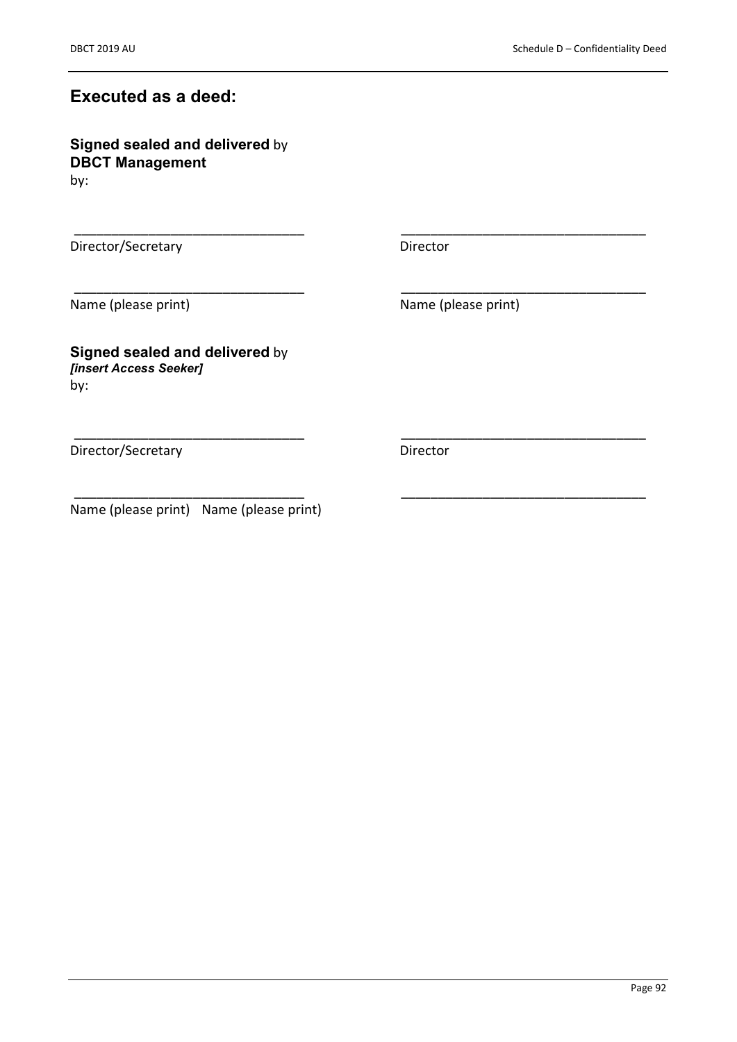# Executed as a deed:

Signed sealed and delivered by DBCT Management by:

Director/Secretary Director

\_\_\_\_\_\_\_\_\_\_\_\_\_\_\_\_\_\_\_\_\_\_\_\_\_\_\_\_\_\_\_ \_\_\_\_\_\_\_\_\_\_\_\_\_\_\_\_\_\_\_\_\_\_\_\_\_\_\_\_\_\_\_\_\_

\_\_\_\_\_\_\_\_\_\_\_\_\_\_\_\_\_\_\_\_\_\_\_\_\_\_\_\_\_\_\_ \_\_\_\_\_\_\_\_\_\_\_\_\_\_\_\_\_\_\_\_\_\_\_\_\_\_\_\_\_\_\_\_\_

\_\_\_\_\_\_\_\_\_\_\_\_\_\_\_\_\_\_\_\_\_\_\_\_\_\_\_\_\_\_\_ \_\_\_\_\_\_\_\_\_\_\_\_\_\_\_\_\_\_\_\_\_\_\_\_\_\_\_\_\_\_\_\_\_

Name (please print) Name (please print)

Signed sealed and delivered by [insert Access Seeker] by:

Director/Secretary Director

 $\overline{\phantom{a}}$  , and the set of the set of the set of the set of the set of the set of the set of the set of the set of the set of the set of the set of the set of the set of the set of the set of the set of the set of the s Name (please print) Name (please print)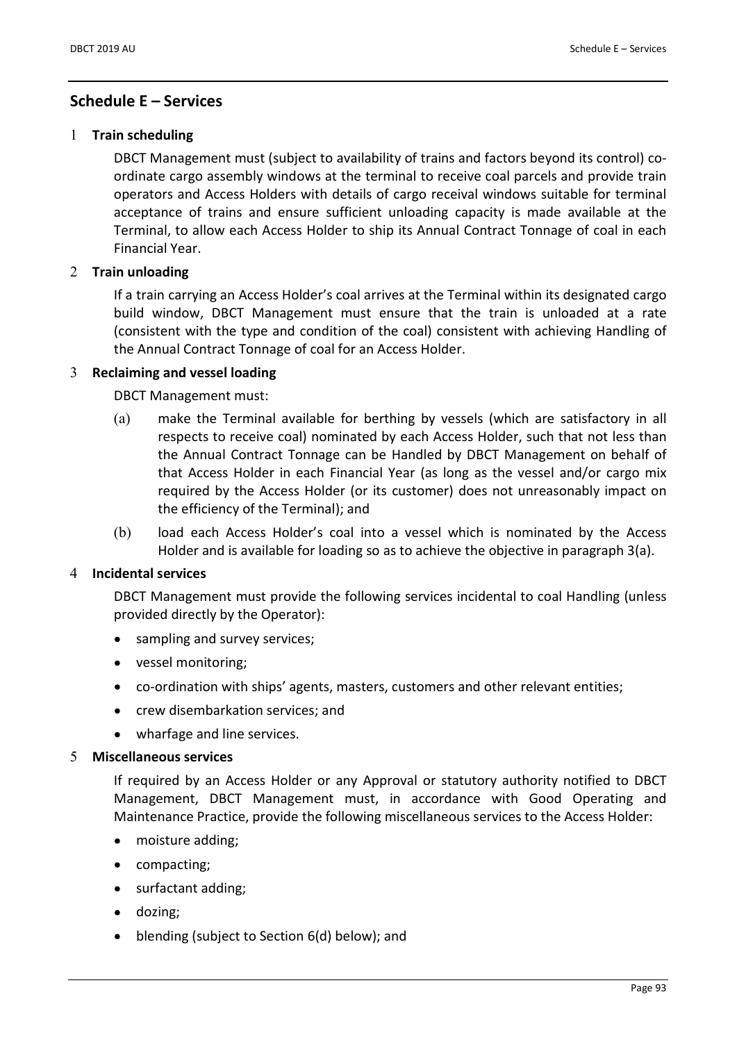### Schedule E – Services

#### 1 Train scheduling

DBCT Management must (subject to availability of trains and factors beyond its control) coordinate cargo assembly windows at the terminal to receive coal parcels and provide train operators and Access Holders with details of cargo receival windows suitable for terminal acceptance of trains and ensure sufficient unloading capacity is made available at the Terminal, to allow each Access Holder to ship its Annual Contract Tonnage of coal in each Financial Year.

#### 2 Train unloading

If a train carrying an Access Holder's coal arrives at the Terminal within its designated cargo build window, DBCT Management must ensure that the train is unloaded at a rate (consistent with the type and condition of the coal) consistent with achieving Handling of the Annual Contract Tonnage of coal for an Access Holder.

#### 3 Reclaiming and vessel loading

DBCT Management must:

- (a) make the Terminal available for berthing by vessels (which are satisfactory in all respects to receive coal) nominated by each Access Holder, such that not less than the Annual Contract Tonnage can be Handled by DBCT Management on behalf of that Access Holder in each Financial Year (as long as the vessel and/or cargo mix required by the Access Holder (or its customer) does not unreasonably impact on the efficiency of the Terminal); and
- (b) load each Access Holder's coal into a vessel which is nominated by the Access Holder and is available for loading so as to achieve the objective in paragraph 3(a).

#### 4 Incidental services

DBCT Management must provide the following services incidental to coal Handling (unless provided directly by the Operator):

- sampling and survey services;
- vessel monitoring;
- co-ordination with ships' agents, masters, customers and other relevant entities;
- crew disembarkation services; and
- wharfage and line services.

#### 5 Miscellaneous services

If required by an Access Holder or any Approval or statutory authority notified to DBCT Management, DBCT Management must, in accordance with Good Operating and Maintenance Practice, provide the following miscellaneous services to the Access Holder:

- moisture adding;  $\bullet$
- compacting;
- surfactant adding;  $\bullet$
- dozing;  $\bullet$
- blending (subject to Section 6(d) below); and  $\bullet$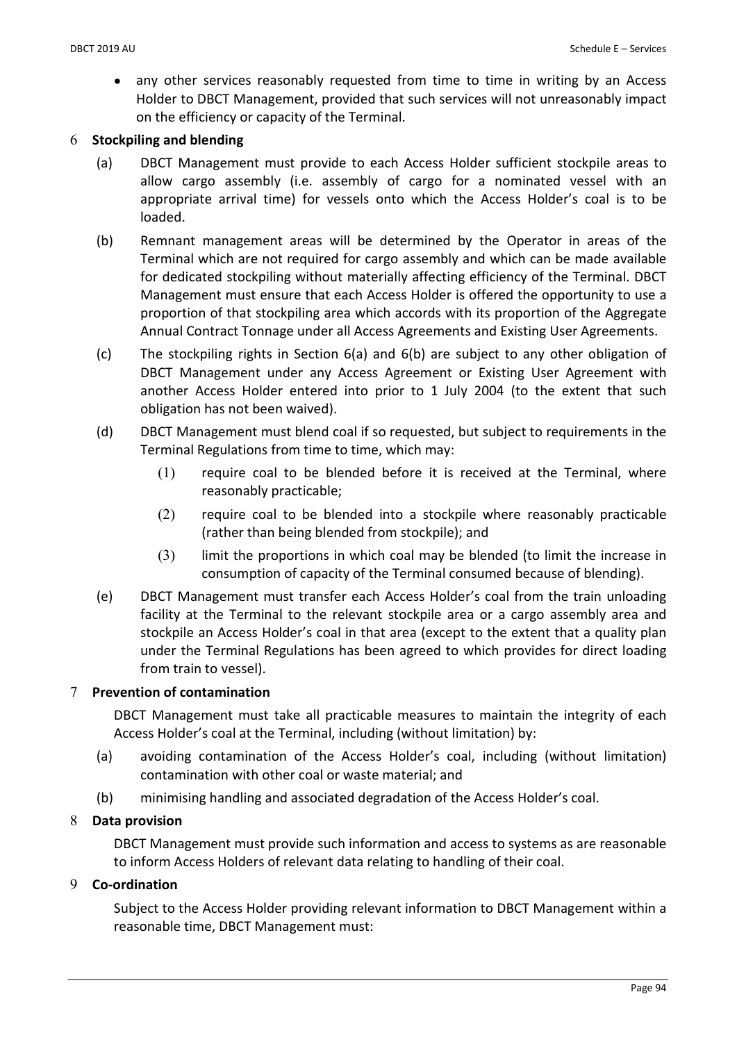• any other services reasonably requested from time to time in writing by an Access Holder to DBCT Management, provided that such services will not unreasonably impact on the efficiency or capacity of the Terminal.

### 6 Stockpiling and blending

- (a) DBCT Management must provide to each Access Holder sufficient stockpile areas to allow cargo assembly (i.e. assembly of cargo for a nominated vessel with an appropriate arrival time) for vessels onto which the Access Holder's coal is to be loaded.
- (b) Remnant management areas will be determined by the Operator in areas of the Terminal which are not required for cargo assembly and which can be made available for dedicated stockpiling without materially affecting efficiency of the Terminal. DBCT Management must ensure that each Access Holder is offered the opportunity to use a proportion of that stockpiling area which accords with its proportion of the Aggregate Annual Contract Tonnage under all Access Agreements and Existing User Agreements.
- (c) The stockpiling rights in Section 6(a) and 6(b) are subject to any other obligation of DBCT Management under any Access Agreement or Existing User Agreement with another Access Holder entered into prior to 1 July 2004 (to the extent that such obligation has not been waived).
- (d) DBCT Management must blend coal if so requested, but subject to requirements in the Terminal Regulations from time to time, which may:
	- (1) require coal to be blended before it is received at the Terminal, where reasonably practicable;
	- (2) require coal to be blended into a stockpile where reasonably practicable (rather than being blended from stockpile); and
	- (3) limit the proportions in which coal may be blended (to limit the increase in consumption of capacity of the Terminal consumed because of blending).
- (e) DBCT Management must transfer each Access Holder's coal from the train unloading facility at the Terminal to the relevant stockpile area or a cargo assembly area and stockpile an Access Holder's coal in that area (except to the extent that a quality plan under the Terminal Regulations has been agreed to which provides for direct loading from train to vessel).

### 7 Prevention of contamination

DBCT Management must take all practicable measures to maintain the integrity of each Access Holder's coal at the Terminal, including (without limitation) by:

- (a) avoiding contamination of the Access Holder's coal, including (without limitation) contamination with other coal or waste material; and
- (b) minimising handling and associated degradation of the Access Holder's coal.

### 8 Data provision

DBCT Management must provide such information and access to systems as are reasonable to inform Access Holders of relevant data relating to handling of their coal.

### 9 Co-ordination

Subject to the Access Holder providing relevant information to DBCT Management within a reasonable time, DBCT Management must: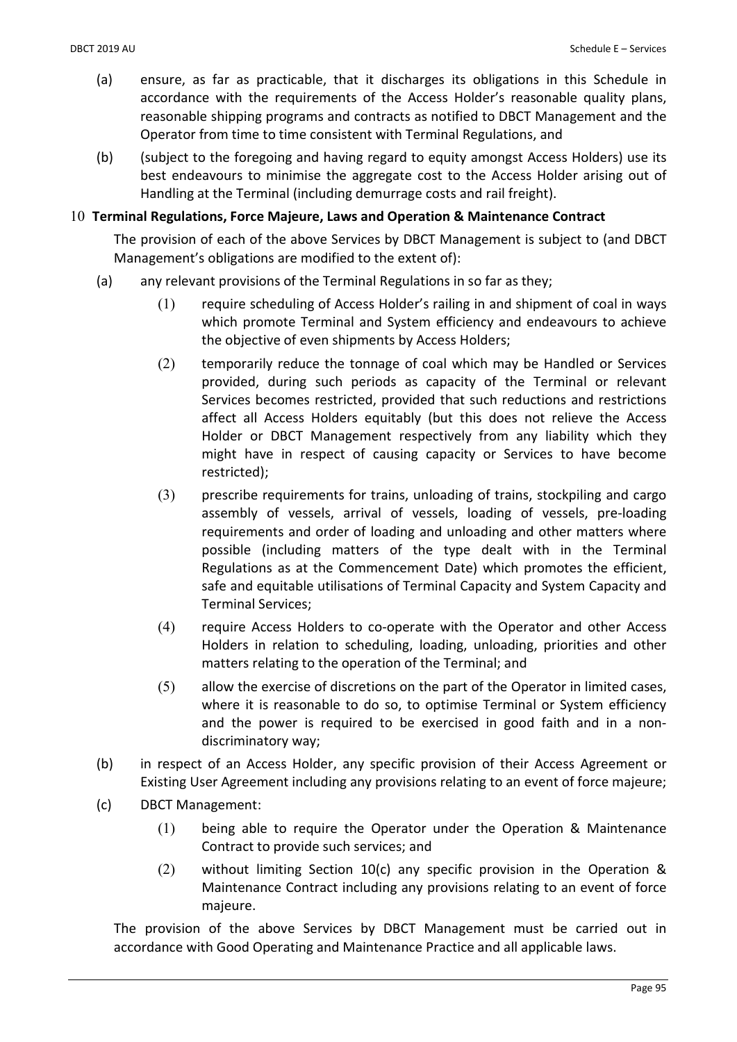- (a) ensure, as far as practicable, that it discharges its obligations in this Schedule in accordance with the requirements of the Access Holder's reasonable quality plans, reasonable shipping programs and contracts as notified to DBCT Management and the Operator from time to time consistent with Terminal Regulations, and
- (b) (subject to the foregoing and having regard to equity amongst Access Holders) use its best endeavours to minimise the aggregate cost to the Access Holder arising out of Handling at the Terminal (including demurrage costs and rail freight).

#### 10 Terminal Regulations, Force Majeure, Laws and Operation & Maintenance Contract

The provision of each of the above Services by DBCT Management is subject to (and DBCT Management's obligations are modified to the extent of):

- (a) any relevant provisions of the Terminal Regulations in so far as they;
	- (1) require scheduling of Access Holder's railing in and shipment of coal in ways which promote Terminal and System efficiency and endeavours to achieve the objective of even shipments by Access Holders;
	- (2) temporarily reduce the tonnage of coal which may be Handled or Services provided, during such periods as capacity of the Terminal or relevant Services becomes restricted, provided that such reductions and restrictions affect all Access Holders equitably (but this does not relieve the Access Holder or DBCT Management respectively from any liability which they might have in respect of causing capacity or Services to have become restricted);
	- (3) prescribe requirements for trains, unloading of trains, stockpiling and cargo assembly of vessels, arrival of vessels, loading of vessels, pre-loading requirements and order of loading and unloading and other matters where possible (including matters of the type dealt with in the Terminal Regulations as at the Commencement Date) which promotes the efficient, safe and equitable utilisations of Terminal Capacity and System Capacity and Terminal Services;
	- (4) require Access Holders to co-operate with the Operator and other Access Holders in relation to scheduling, loading, unloading, priorities and other matters relating to the operation of the Terminal; and
	- (5) allow the exercise of discretions on the part of the Operator in limited cases, where it is reasonable to do so, to optimise Terminal or System efficiency and the power is required to be exercised in good faith and in a nondiscriminatory way;
- (b) in respect of an Access Holder, any specific provision of their Access Agreement or Existing User Agreement including any provisions relating to an event of force majeure;
- (c) DBCT Management:
	- (1) being able to require the Operator under the Operation & Maintenance Contract to provide such services; and
	- (2) without limiting Section 10(c) any specific provision in the Operation & Maintenance Contract including any provisions relating to an event of force majeure.

The provision of the above Services by DBCT Management must be carried out in accordance with Good Operating and Maintenance Practice and all applicable laws.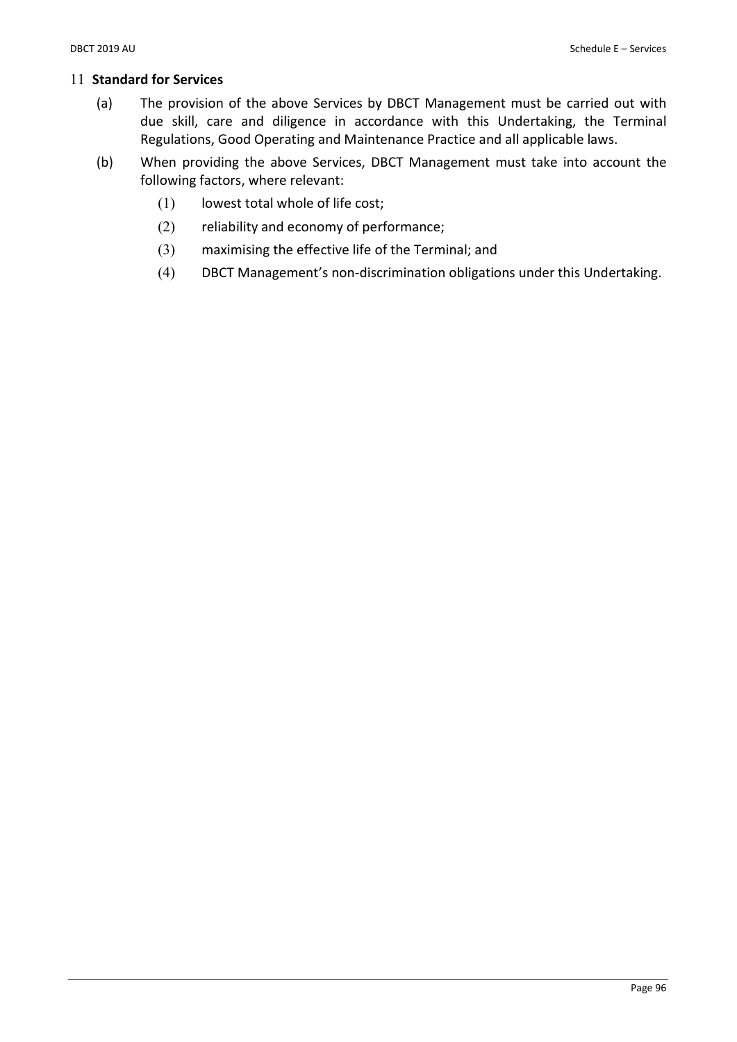#### 11 Standard for Services

- (a) The provision of the above Services by DBCT Management must be carried out with due skill, care and diligence in accordance with this Undertaking, the Terminal Regulations, Good Operating and Maintenance Practice and all applicable laws.
- (b) When providing the above Services, DBCT Management must take into account the following factors, where relevant:
	- (1) lowest total whole of life cost;
	- (2) reliability and economy of performance;
	- (3) maximising the effective life of the Terminal; and
	- (4) DBCT Management's non-discrimination obligations under this Undertaking.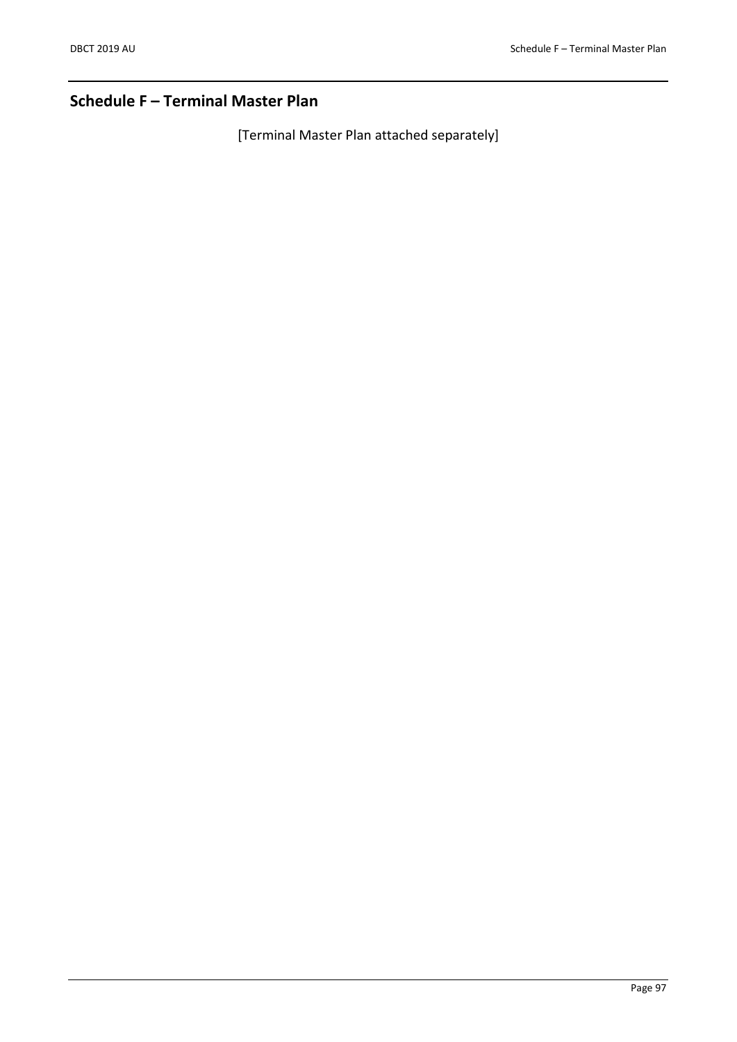# Schedule F – Terminal Master Plan

[Terminal Master Plan attached separately]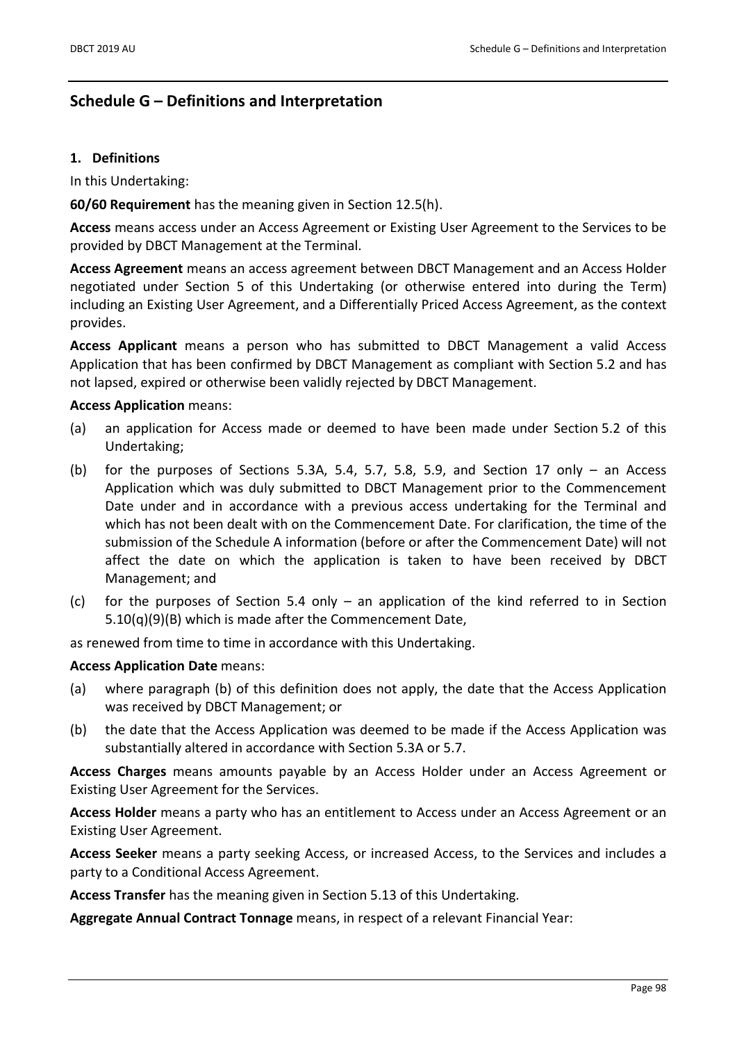### Schedule G – Definitions and Interpretation

#### 1. Definitions

In this Undertaking:

60/60 Requirement has the meaning given in Section 12.5(h).

Access means access under an Access Agreement or Existing User Agreement to the Services to be provided by DBCT Management at the Terminal.

Access Agreement means an access agreement between DBCT Management and an Access Holder negotiated under Section 5 of this Undertaking (or otherwise entered into during the Term) including an Existing User Agreement, and a Differentially Priced Access Agreement, as the context provides.

Access Applicant means a person who has submitted to DBCT Management a valid Access Application that has been confirmed by DBCT Management as compliant with Section 5.2 and has not lapsed, expired or otherwise been validly rejected by DBCT Management.

#### Access Application means:

- (a) an application for Access made or deemed to have been made under Section 5.2 of this Undertaking;
- (b) for the purposes of Sections 5.3A, 5.4, 5.7, 5.8, 5.9, and Section 17 only  $-$  an Access Application which was duly submitted to DBCT Management prior to the Commencement Date under and in accordance with a previous access undertaking for the Terminal and which has not been dealt with on the Commencement Date. For clarification, the time of the submission of the Schedule A information (before or after the Commencement Date) will not affect the date on which the application is taken to have been received by DBCT Management; and
- (c) for the purposes of Section 5.4 only an application of the kind referred to in Section 5.10(q)(9)(B) which is made after the Commencement Date,

as renewed from time to time in accordance with this Undertaking.

#### Access Application Date means:

- (a) where paragraph (b) of this definition does not apply, the date that the Access Application was received by DBCT Management; or
- (b) the date that the Access Application was deemed to be made if the Access Application was substantially altered in accordance with Section 5.3A or 5.7.

Access Charges means amounts payable by an Access Holder under an Access Agreement or Existing User Agreement for the Services.

Access Holder means a party who has an entitlement to Access under an Access Agreement or an Existing User Agreement.

Access Seeker means a party seeking Access, or increased Access, to the Services and includes a party to a Conditional Access Agreement.

Access Transfer has the meaning given in Section 5.13 of this Undertaking.

Aggregate Annual Contract Tonnage means, in respect of a relevant Financial Year: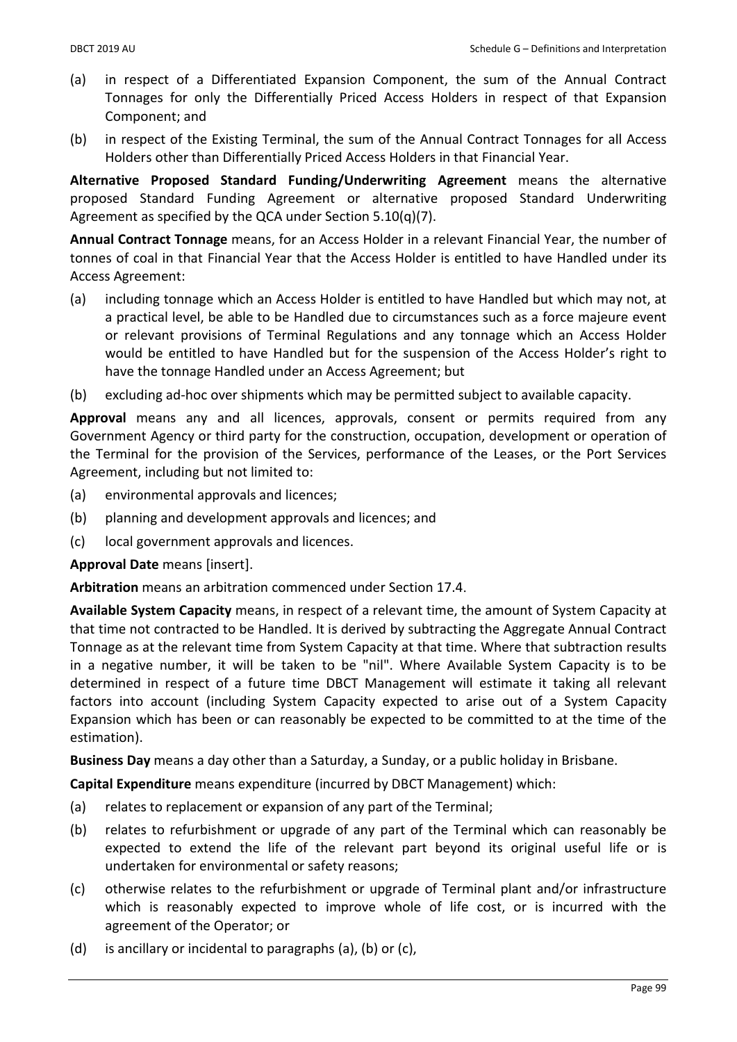- (a) in respect of a Differentiated Expansion Component, the sum of the Annual Contract Tonnages for only the Differentially Priced Access Holders in respect of that Expansion Component; and
- (b) in respect of the Existing Terminal, the sum of the Annual Contract Tonnages for all Access Holders other than Differentially Priced Access Holders in that Financial Year.

Alternative Proposed Standard Funding/Underwriting Agreement means the alternative proposed Standard Funding Agreement or alternative proposed Standard Underwriting Agreement as specified by the QCA under Section 5.10(q)(7).

Annual Contract Tonnage means, for an Access Holder in a relevant Financial Year, the number of tonnes of coal in that Financial Year that the Access Holder is entitled to have Handled under its Access Agreement:

- (a) including tonnage which an Access Holder is entitled to have Handled but which may not, at a practical level, be able to be Handled due to circumstances such as a force majeure event or relevant provisions of Terminal Regulations and any tonnage which an Access Holder would be entitled to have Handled but for the suspension of the Access Holder's right to have the tonnage Handled under an Access Agreement; but
- (b) excluding ad-hoc over shipments which may be permitted subject to available capacity.

Approval means any and all licences, approvals, consent or permits required from any Government Agency or third party for the construction, occupation, development or operation of the Terminal for the provision of the Services, performance of the Leases, or the Port Services Agreement, including but not limited to:

- (a) environmental approvals and licences;
- (b) planning and development approvals and licences; and
- (c) local government approvals and licences.

Approval Date means [insert].

Arbitration means an arbitration commenced under Section 17.4.

Available System Capacity means, in respect of a relevant time, the amount of System Capacity at that time not contracted to be Handled. It is derived by subtracting the Aggregate Annual Contract Tonnage as at the relevant time from System Capacity at that time. Where that subtraction results in a negative number, it will be taken to be "nil". Where Available System Capacity is to be determined in respect of a future time DBCT Management will estimate it taking all relevant factors into account (including System Capacity expected to arise out of a System Capacity Expansion which has been or can reasonably be expected to be committed to at the time of the estimation).

Business Day means a day other than a Saturday, a Sunday, or a public holiday in Brisbane.

Capital Expenditure means expenditure (incurred by DBCT Management) which:

- (a) relates to replacement or expansion of any part of the Terminal;
- (b) relates to refurbishment or upgrade of any part of the Terminal which can reasonably be expected to extend the life of the relevant part beyond its original useful life or is undertaken for environmental or safety reasons;
- (c) otherwise relates to the refurbishment or upgrade of Terminal plant and/or infrastructure which is reasonably expected to improve whole of life cost, or is incurred with the agreement of the Operator; or
- (d) is ancillary or incidental to paragraphs (a), (b) or (c),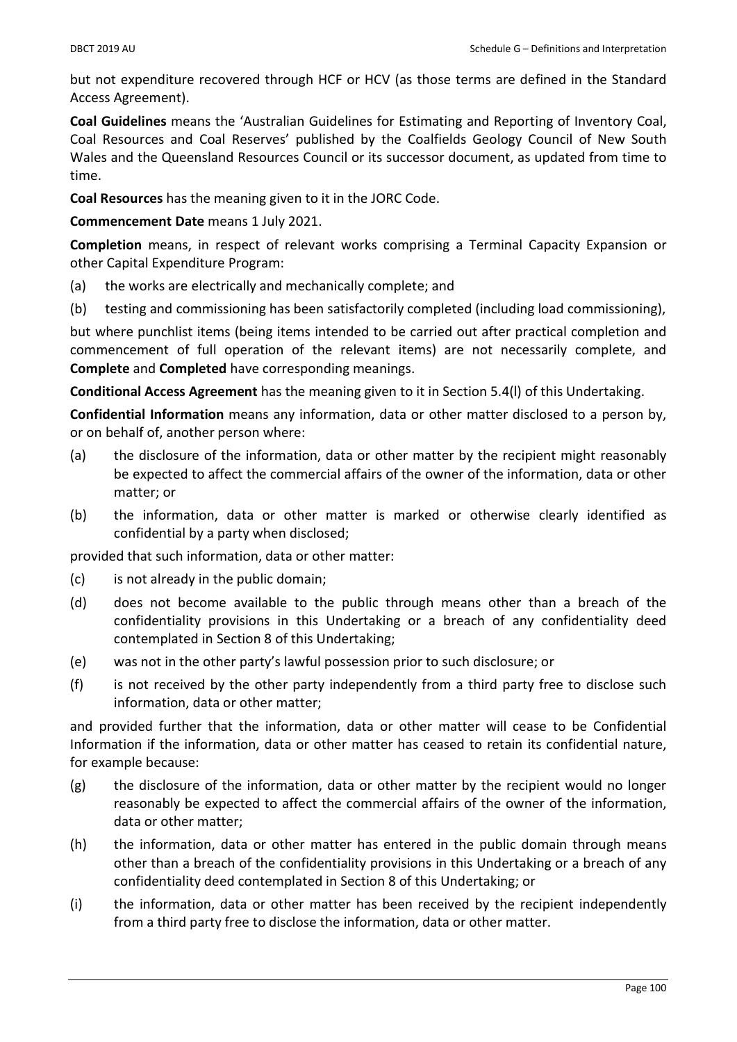but not expenditure recovered through HCF or HCV (as those terms are defined in the Standard Access Agreement).

Coal Guidelines means the 'Australian Guidelines for Estimating and Reporting of Inventory Coal, Coal Resources and Coal Reserves' published by the Coalfields Geology Council of New South Wales and the Queensland Resources Council or its successor document, as updated from time to time.

Coal Resources has the meaning given to it in the JORC Code.

Commencement Date means 1 July 2021.

Completion means, in respect of relevant works comprising a Terminal Capacity Expansion or other Capital Expenditure Program:

- (a) the works are electrically and mechanically complete; and
- (b) testing and commissioning has been satisfactorily completed (including load commissioning),

but where punchlist items (being items intended to be carried out after practical completion and commencement of full operation of the relevant items) are not necessarily complete, and Complete and Completed have corresponding meanings.

Conditional Access Agreement has the meaning given to it in Section 5.4(l) of this Undertaking.

Confidential Information means any information, data or other matter disclosed to a person by, or on behalf of, another person where:

- (a) the disclosure of the information, data or other matter by the recipient might reasonably be expected to affect the commercial affairs of the owner of the information, data or other matter; or
- (b) the information, data or other matter is marked or otherwise clearly identified as confidential by a party when disclosed;

provided that such information, data or other matter:

- (c) is not already in the public domain;
- (d) does not become available to the public through means other than a breach of the confidentiality provisions in this Undertaking or a breach of any confidentiality deed contemplated in Section 8 of this Undertaking;
- (e) was not in the other party's lawful possession prior to such disclosure; or
- (f) is not received by the other party independently from a third party free to disclose such information, data or other matter;

and provided further that the information, data or other matter will cease to be Confidential Information if the information, data or other matter has ceased to retain its confidential nature, for example because:

- (g) the disclosure of the information, data or other matter by the recipient would no longer reasonably be expected to affect the commercial affairs of the owner of the information, data or other matter;
- (h) the information, data or other matter has entered in the public domain through means other than a breach of the confidentiality provisions in this Undertaking or a breach of any confidentiality deed contemplated in Section 8 of this Undertaking; or
- (i) the information, data or other matter has been received by the recipient independently from a third party free to disclose the information, data or other matter.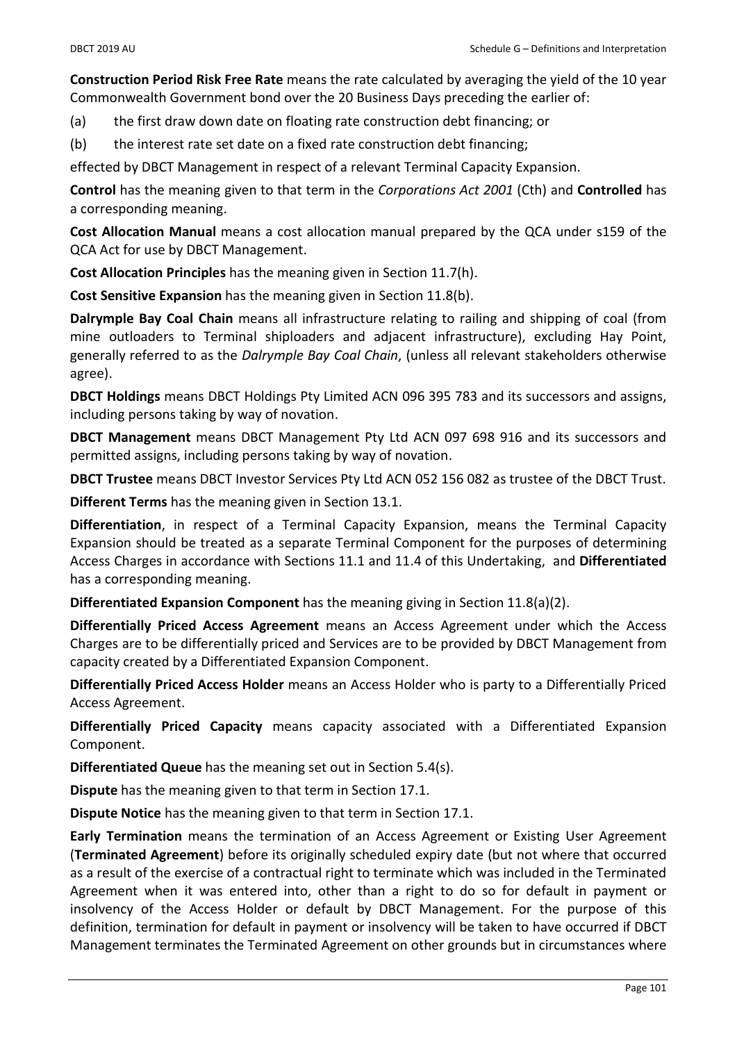Construction Period Risk Free Rate means the rate calculated by averaging the yield of the 10 year Commonwealth Government bond over the 20 Business Days preceding the earlier of:

(a) the first draw down date on floating rate construction debt financing; or

(b) the interest rate set date on a fixed rate construction debt financing;

effected by DBCT Management in respect of a relevant Terminal Capacity Expansion.

Control has the meaning given to that term in the Corporations Act 2001 (Cth) and Controlled has a corresponding meaning.

Cost Allocation Manual means a cost allocation manual prepared by the QCA under s159 of the QCA Act for use by DBCT Management.

Cost Allocation Principles has the meaning given in Section 11.7(h).

Cost Sensitive Expansion has the meaning given in Section 11.8(b).

Dalrymple Bay Coal Chain means all infrastructure relating to railing and shipping of coal (from mine outloaders to Terminal shiploaders and adjacent infrastructure), excluding Hay Point, generally referred to as the Dalrymple Bay Coal Chain, (unless all relevant stakeholders otherwise agree).

DBCT Holdings means DBCT Holdings Pty Limited ACN 096 395 783 and its successors and assigns, including persons taking by way of novation.

DBCT Management means DBCT Management Pty Ltd ACN 097 698 916 and its successors and permitted assigns, including persons taking by way of novation.

DBCT Trustee means DBCT Investor Services Pty Ltd ACN 052 156 082 as trustee of the DBCT Trust.

Different Terms has the meaning given in Section 13.1.

Differentiation, in respect of a Terminal Capacity Expansion, means the Terminal Capacity Expansion should be treated as a separate Terminal Component for the purposes of determining Access Charges in accordance with Sections 11.1 and 11.4 of this Undertaking, and Differentiated has a corresponding meaning.

Differentiated Expansion Component has the meaning giving in Section 11.8(a)(2).

Differentially Priced Access Agreement means an Access Agreement under which the Access Charges are to be differentially priced and Services are to be provided by DBCT Management from capacity created by a Differentiated Expansion Component.

Differentially Priced Access Holder means an Access Holder who is party to a Differentially Priced Access Agreement.

Differentially Priced Capacity means capacity associated with a Differentiated Expansion Component.

Differentiated Queue has the meaning set out in Section 5.4(s).

Dispute has the meaning given to that term in Section 17.1.

Dispute Notice has the meaning given to that term in Section 17.1.

Early Termination means the termination of an Access Agreement or Existing User Agreement (Terminated Agreement) before its originally scheduled expiry date (but not where that occurred as a result of the exercise of a contractual right to terminate which was included in the Terminated Agreement when it was entered into, other than a right to do so for default in payment or insolvency of the Access Holder or default by DBCT Management. For the purpose of this definition, termination for default in payment or insolvency will be taken to have occurred if DBCT Management terminates the Terminated Agreement on other grounds but in circumstances where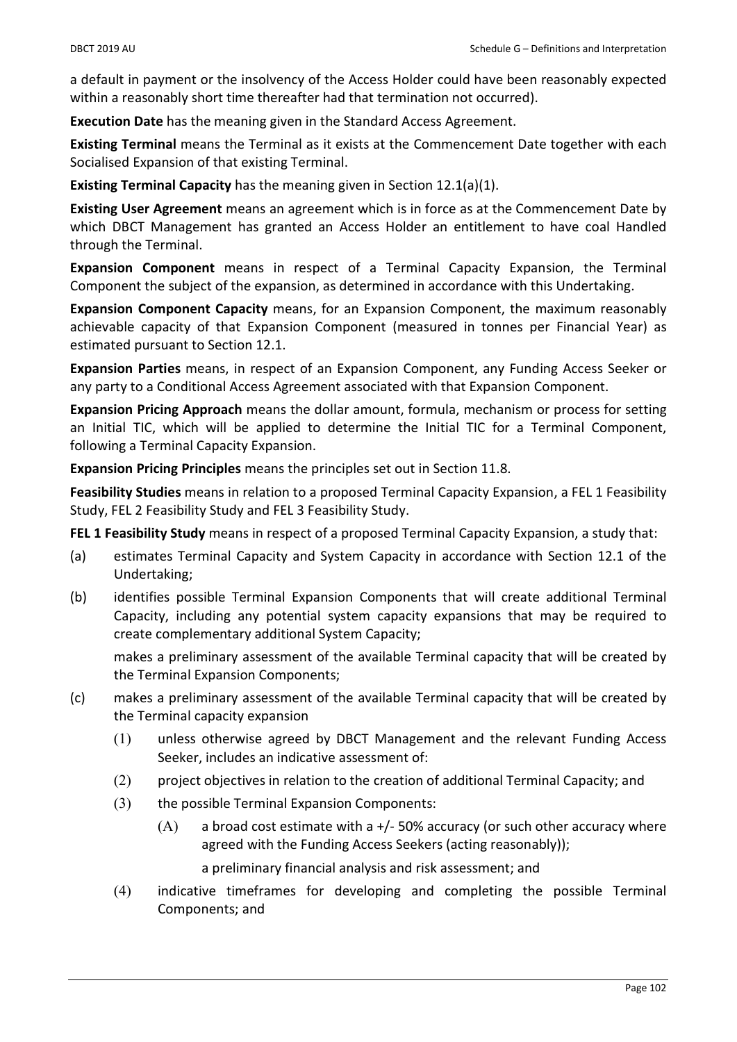a default in payment or the insolvency of the Access Holder could have been reasonably expected within a reasonably short time thereafter had that termination not occurred).

Execution Date has the meaning given in the Standard Access Agreement.

Existing Terminal means the Terminal as it exists at the Commencement Date together with each Socialised Expansion of that existing Terminal.

Existing Terminal Capacity has the meaning given in Section 12.1(a)(1).

Existing User Agreement means an agreement which is in force as at the Commencement Date by which DBCT Management has granted an Access Holder an entitlement to have coal Handled through the Terminal.

Expansion Component means in respect of a Terminal Capacity Expansion, the Terminal Component the subject of the expansion, as determined in accordance with this Undertaking.

Expansion Component Capacity means, for an Expansion Component, the maximum reasonably achievable capacity of that Expansion Component (measured in tonnes per Financial Year) as estimated pursuant to Section 12.1.

Expansion Parties means, in respect of an Expansion Component, any Funding Access Seeker or any party to a Conditional Access Agreement associated with that Expansion Component.

Expansion Pricing Approach means the dollar amount, formula, mechanism or process for setting an Initial TIC, which will be applied to determine the Initial TIC for a Terminal Component, following a Terminal Capacity Expansion.

Expansion Pricing Principles means the principles set out in Section 11.8.

Feasibility Studies means in relation to a proposed Terminal Capacity Expansion, a FEL 1 Feasibility Study, FEL 2 Feasibility Study and FEL 3 Feasibility Study.

FEL 1 Feasibility Study means in respect of a proposed Terminal Capacity Expansion, a study that:

- (a) estimates Terminal Capacity and System Capacity in accordance with Section 12.1 of the Undertaking;
- (b) identifies possible Terminal Expansion Components that will create additional Terminal Capacity, including any potential system capacity expansions that may be required to create complementary additional System Capacity;

makes a preliminary assessment of the available Terminal capacity that will be created by the Terminal Expansion Components;

- (c) makes a preliminary assessment of the available Terminal capacity that will be created by the Terminal capacity expansion
	- (1) unless otherwise agreed by DBCT Management and the relevant Funding Access Seeker, includes an indicative assessment of:
	- (2) project objectives in relation to the creation of additional Terminal Capacity; and
	- (3) the possible Terminal Expansion Components:
		- $(A)$  a broad cost estimate with a  $+/-$  50% accuracy (or such other accuracy where agreed with the Funding Access Seekers (acting reasonably));

a preliminary financial analysis and risk assessment; and

(4) indicative timeframes for developing and completing the possible Terminal Components; and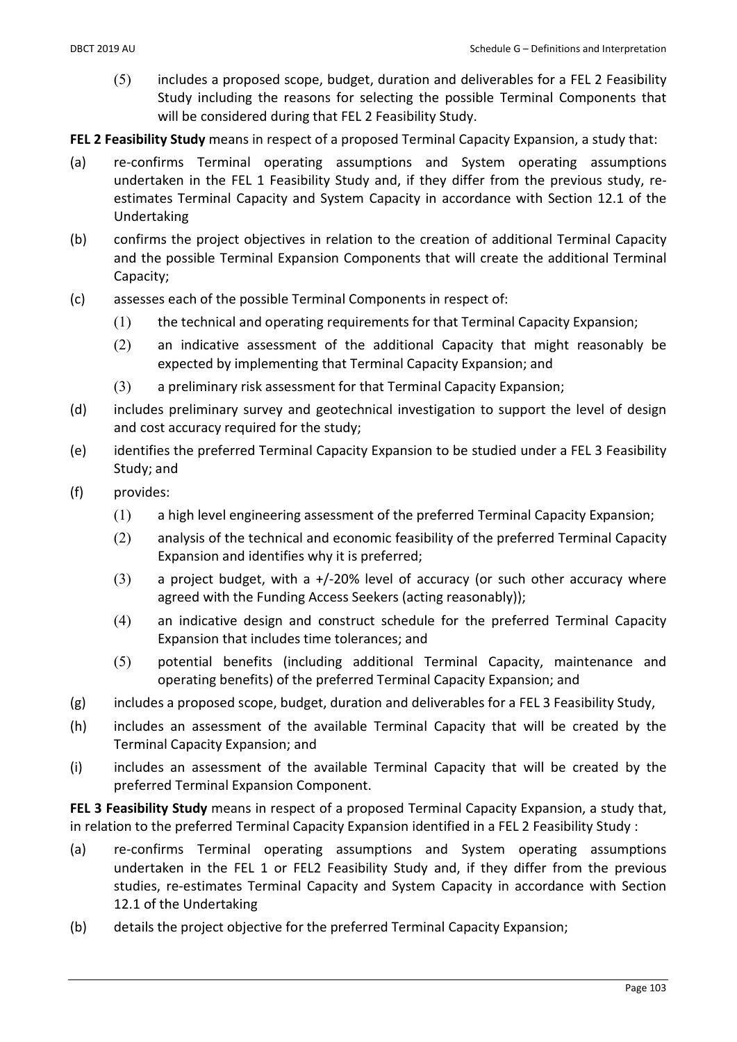(5) includes a proposed scope, budget, duration and deliverables for a FEL 2 Feasibility Study including the reasons for selecting the possible Terminal Components that will be considered during that FEL 2 Feasibility Study.

FEL 2 Feasibility Study means in respect of a proposed Terminal Capacity Expansion, a study that:

- (a) re-confirms Terminal operating assumptions and System operating assumptions undertaken in the FEL 1 Feasibility Study and, if they differ from the previous study, reestimates Terminal Capacity and System Capacity in accordance with Section 12.1 of the Undertaking
- (b) confirms the project objectives in relation to the creation of additional Terminal Capacity and the possible Terminal Expansion Components that will create the additional Terminal Capacity;
- (c) assesses each of the possible Terminal Components in respect of:
	- (1) the technical and operating requirements for that Terminal Capacity Expansion;
	- (2) an indicative assessment of the additional Capacity that might reasonably be expected by implementing that Terminal Capacity Expansion; and
	- (3) a preliminary risk assessment for that Terminal Capacity Expansion;
- (d) includes preliminary survey and geotechnical investigation to support the level of design and cost accuracy required for the study;
- (e) identifies the preferred Terminal Capacity Expansion to be studied under a FEL 3 Feasibility Study; and
- (f) provides:
	- (1) a high level engineering assessment of the preferred Terminal Capacity Expansion;
	- (2) analysis of the technical and economic feasibility of the preferred Terminal Capacity Expansion and identifies why it is preferred;
	- $(3)$  a project budget, with a +/-20% level of accuracy (or such other accuracy where agreed with the Funding Access Seekers (acting reasonably));
	- (4) an indicative design and construct schedule for the preferred Terminal Capacity Expansion that includes time tolerances; and
	- (5) potential benefits (including additional Terminal Capacity, maintenance and operating benefits) of the preferred Terminal Capacity Expansion; and
- (g) includes a proposed scope, budget, duration and deliverables for a FEL 3 Feasibility Study,
- (h) includes an assessment of the available Terminal Capacity that will be created by the Terminal Capacity Expansion; and
- (i) includes an assessment of the available Terminal Capacity that will be created by the preferred Terminal Expansion Component.

FEL 3 Feasibility Study means in respect of a proposed Terminal Capacity Expansion, a study that, in relation to the preferred Terminal Capacity Expansion identified in a FEL 2 Feasibility Study :

- (a) re-confirms Terminal operating assumptions and System operating assumptions undertaken in the FEL 1 or FEL2 Feasibility Study and, if they differ from the previous studies, re-estimates Terminal Capacity and System Capacity in accordance with Section 12.1 of the Undertaking
- (b) details the project objective for the preferred Terminal Capacity Expansion;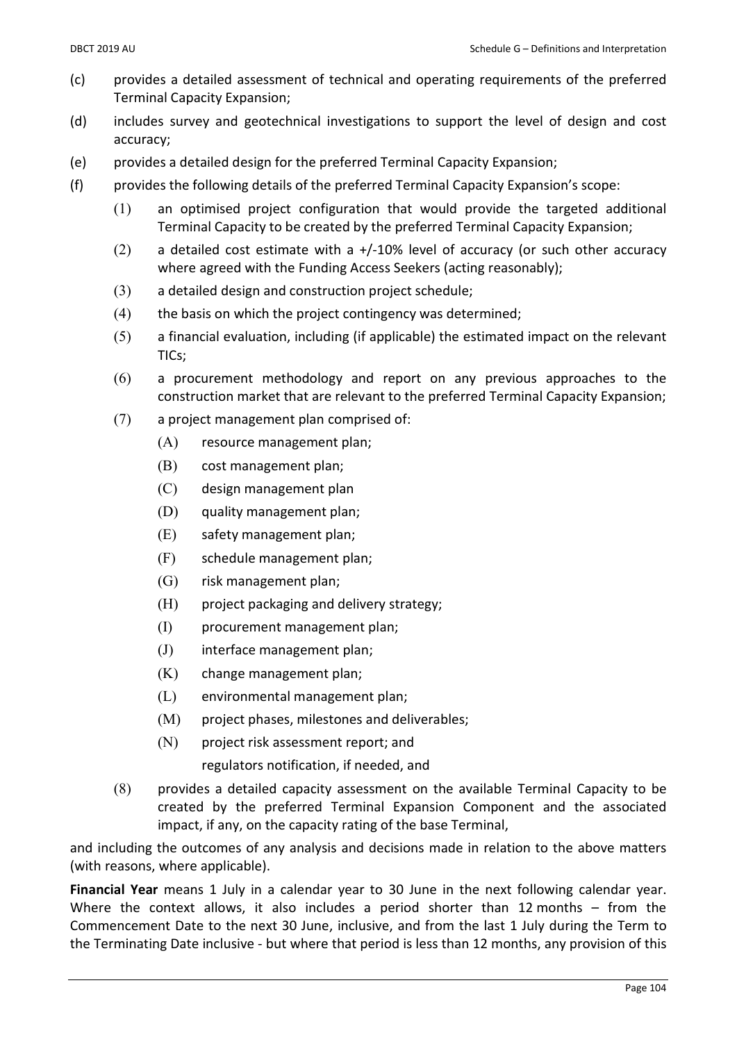- (c) provides a detailed assessment of technical and operating requirements of the preferred Terminal Capacity Expansion;
- (d) includes survey and geotechnical investigations to support the level of design and cost accuracy;
- (e) provides a detailed design for the preferred Terminal Capacity Expansion;
- (f) provides the following details of the preferred Terminal Capacity Expansion's scope:
	- (1) an optimised project configuration that would provide the targeted additional Terminal Capacity to be created by the preferred Terminal Capacity Expansion;
	- $(2)$  a detailed cost estimate with a +/-10% level of accuracy (or such other accuracy where agreed with the Funding Access Seekers (acting reasonably);
	- (3) a detailed design and construction project schedule;
	- (4) the basis on which the project contingency was determined;
	- (5) a financial evaluation, including (if applicable) the estimated impact on the relevant TICs;
	- (6) a procurement methodology and report on any previous approaches to the construction market that are relevant to the preferred Terminal Capacity Expansion;
	- (7) a project management plan comprised of:
		- (A) resource management plan;
		- (B) cost management plan;
		- (C) design management plan
		- (D) quality management plan;
		- (E) safety management plan;
		- (F) schedule management plan;
		- (G) risk management plan;
		- (H) project packaging and delivery strategy;
		- (I) procurement management plan;
		- (J) interface management plan;
		- (K) change management plan;
		- (L) environmental management plan;
		- (M) project phases, milestones and deliverables;
		- (N) project risk assessment report; and regulators notification, if needed, and
	- (8) provides a detailed capacity assessment on the available Terminal Capacity to be created by the preferred Terminal Expansion Component and the associated impact, if any, on the capacity rating of the base Terminal,

and including the outcomes of any analysis and decisions made in relation to the above matters (with reasons, where applicable).

Financial Year means 1 July in a calendar year to 30 June in the next following calendar year. Where the context allows, it also includes a period shorter than 12 months - from the Commencement Date to the next 30 June, inclusive, and from the last 1 July during the Term to the Terminating Date inclusive - but where that period is less than 12 months, any provision of this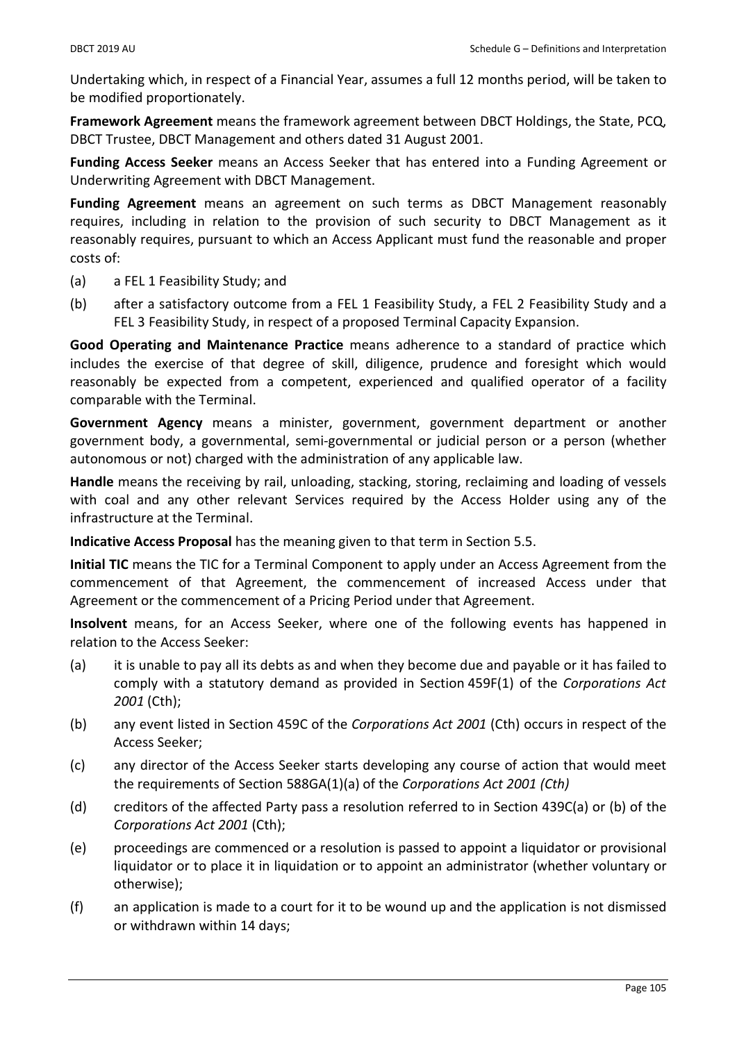Undertaking which, in respect of a Financial Year, assumes a full 12 months period, will be taken to be modified proportionately.

Framework Agreement means the framework agreement between DBCT Holdings, the State, PCQ, DBCT Trustee, DBCT Management and others dated 31 August 2001.

Funding Access Seeker means an Access Seeker that has entered into a Funding Agreement or Underwriting Agreement with DBCT Management.

Funding Agreement means an agreement on such terms as DBCT Management reasonably requires, including in relation to the provision of such security to DBCT Management as it reasonably requires, pursuant to which an Access Applicant must fund the reasonable and proper costs of:

- (a) a FEL 1 Feasibility Study; and
- (b) after a satisfactory outcome from a FEL 1 Feasibility Study, a FEL 2 Feasibility Study and a FEL 3 Feasibility Study, in respect of a proposed Terminal Capacity Expansion.

Good Operating and Maintenance Practice means adherence to a standard of practice which includes the exercise of that degree of skill, diligence, prudence and foresight which would reasonably be expected from a competent, experienced and qualified operator of a facility comparable with the Terminal.

Government Agency means a minister, government, government department or another government body, a governmental, semi-governmental or judicial person or a person (whether autonomous or not) charged with the administration of any applicable law.

Handle means the receiving by rail, unloading, stacking, storing, reclaiming and loading of vessels with coal and any other relevant Services required by the Access Holder using any of the infrastructure at the Terminal.

Indicative Access Proposal has the meaning given to that term in Section 5.5.

Initial TIC means the TIC for a Terminal Component to apply under an Access Agreement from the commencement of that Agreement, the commencement of increased Access under that Agreement or the commencement of a Pricing Period under that Agreement.

Insolvent means, for an Access Seeker, where one of the following events has happened in relation to the Access Seeker:

- (a) it is unable to pay all its debts as and when they become due and payable or it has failed to comply with a statutory demand as provided in Section 459F(1) of the Corporations Act 2001 (Cth);
- (b) any event listed in Section 459C of the Corporations Act 2001 (Cth) occurs in respect of the Access Seeker;
- (c) any director of the Access Seeker starts developing any course of action that would meet the requirements of Section 588GA(1)(a) of the Corporations Act 2001 (Cth)
- (d) creditors of the affected Party pass a resolution referred to in Section 439C(a) or (b) of the Corporations Act 2001 (Cth);
- (e) proceedings are commenced or a resolution is passed to appoint a liquidator or provisional liquidator or to place it in liquidation or to appoint an administrator (whether voluntary or otherwise);
- (f) an application is made to a court for it to be wound up and the application is not dismissed or withdrawn within 14 days;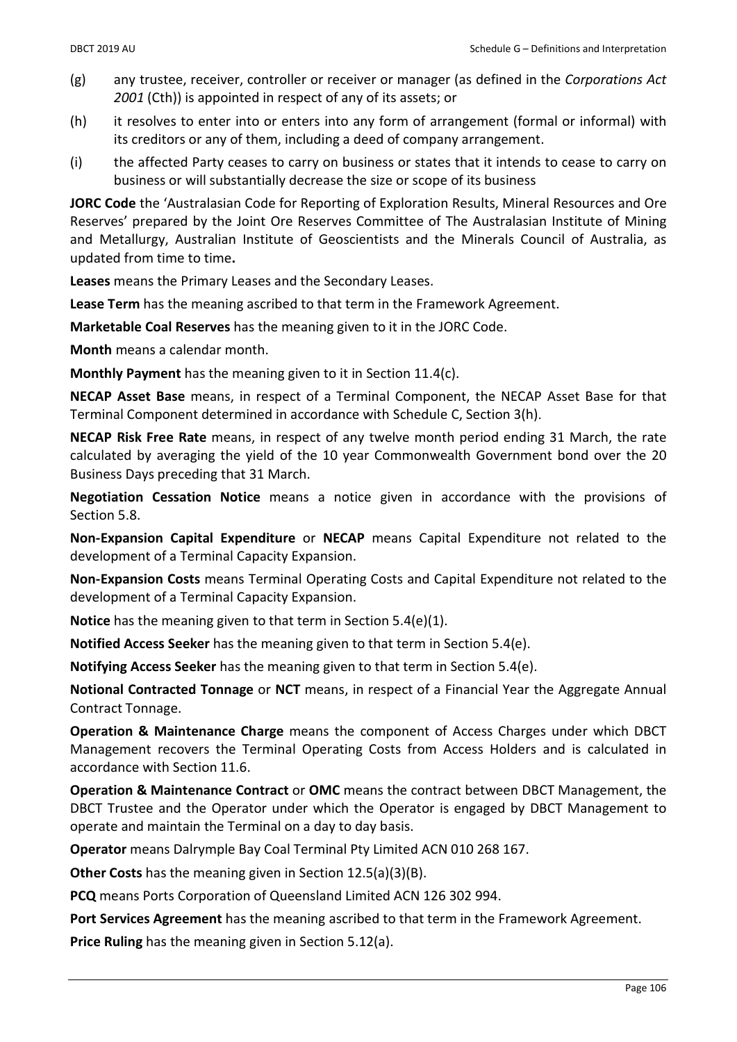- $(g)$  any trustee, receiver, controller or receiver or manager (as defined in the Corporations Act 2001 (Cth)) is appointed in respect of any of its assets; or
- (h) it resolves to enter into or enters into any form of arrangement (formal or informal) with its creditors or any of them, including a deed of company arrangement.
- (i) the affected Party ceases to carry on business or states that it intends to cease to carry on business or will substantially decrease the size or scope of its business

JORC Code the 'Australasian Code for Reporting of Exploration Results, Mineral Resources and Ore Reserves' prepared by the Joint Ore Reserves Committee of The Australasian Institute of Mining and Metallurgy, Australian Institute of Geoscientists and the Minerals Council of Australia, as updated from time to time.

Leases means the Primary Leases and the Secondary Leases.

Lease Term has the meaning ascribed to that term in the Framework Agreement.

Marketable Coal Reserves has the meaning given to it in the JORC Code.

Month means a calendar month.

Monthly Payment has the meaning given to it in Section 11.4(c).

NECAP Asset Base means, in respect of a Terminal Component, the NECAP Asset Base for that Terminal Component determined in accordance with Schedule C, Section 3(h).

NECAP Risk Free Rate means, in respect of any twelve month period ending 31 March, the rate calculated by averaging the yield of the 10 year Commonwealth Government bond over the 20 Business Days preceding that 31 March.

Negotiation Cessation Notice means a notice given in accordance with the provisions of Section 5.8.

Non-Expansion Capital Expenditure or NECAP means Capital Expenditure not related to the development of a Terminal Capacity Expansion.

Non-Expansion Costs means Terminal Operating Costs and Capital Expenditure not related to the development of a Terminal Capacity Expansion.

Notice has the meaning given to that term in Section 5.4(e)(1).

Notified Access Seeker has the meaning given to that term in Section 5.4(e).

Notifying Access Seeker has the meaning given to that term in Section 5.4(e).

Notional Contracted Tonnage or NCT means, in respect of a Financial Year the Aggregate Annual Contract Tonnage.

Operation & Maintenance Charge means the component of Access Charges under which DBCT Management recovers the Terminal Operating Costs from Access Holders and is calculated in accordance with Section 11.6.

Operation & Maintenance Contract or OMC means the contract between DBCT Management, the DBCT Trustee and the Operator under which the Operator is engaged by DBCT Management to operate and maintain the Terminal on a day to day basis.

Operator means Dalrymple Bay Coal Terminal Pty Limited ACN 010 268 167.

Other Costs has the meaning given in Section 12.5(a)(3)(B).

PCQ means Ports Corporation of Queensland Limited ACN 126 302 994.

Port Services Agreement has the meaning ascribed to that term in the Framework Agreement.

Price Ruling has the meaning given in Section 5.12(a).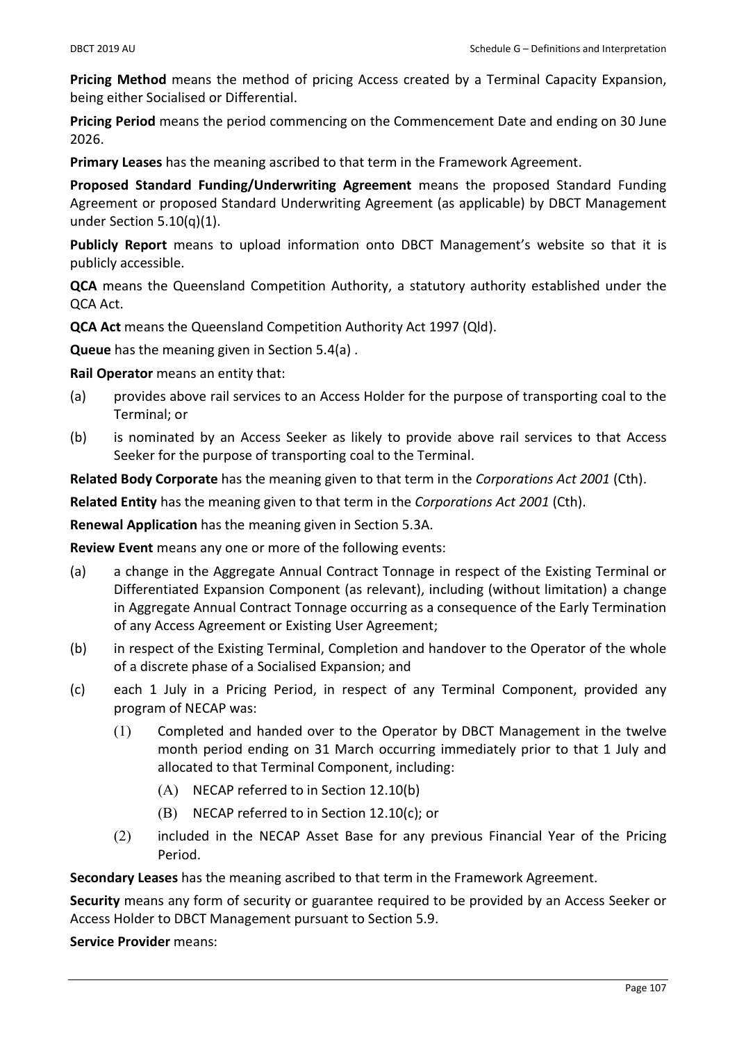Pricing Method means the method of pricing Access created by a Terminal Capacity Expansion, being either Socialised or Differential.

Pricing Period means the period commencing on the Commencement Date and ending on 30 June 2026.

Primary Leases has the meaning ascribed to that term in the Framework Agreement.

Proposed Standard Funding/Underwriting Agreement means the proposed Standard Funding Agreement or proposed Standard Underwriting Agreement (as applicable) by DBCT Management under Section 5.10(q)(1).

Publicly Report means to upload information onto DBCT Management's website so that it is publicly accessible.

QCA means the Queensland Competition Authority, a statutory authority established under the QCA Act.

QCA Act means the Queensland Competition Authority Act 1997 (Qld).

Queue has the meaning given in Section 5.4(a) .

Rail Operator means an entity that:

- (a) provides above rail services to an Access Holder for the purpose of transporting coal to the Terminal; or
- (b) is nominated by an Access Seeker as likely to provide above rail services to that Access Seeker for the purpose of transporting coal to the Terminal.

Related Body Corporate has the meaning given to that term in the Corporations Act 2001 (Cth).

Related Entity has the meaning given to that term in the Corporations Act 2001 (Cth).

Renewal Application has the meaning given in Section 5.3A.

Review Event means any one or more of the following events:

- (a) a change in the Aggregate Annual Contract Tonnage in respect of the Existing Terminal or Differentiated Expansion Component (as relevant), including (without limitation) a change in Aggregate Annual Contract Tonnage occurring as a consequence of the Early Termination of any Access Agreement or Existing User Agreement;
- (b) in respect of the Existing Terminal, Completion and handover to the Operator of the whole of a discrete phase of a Socialised Expansion; and
- (c) each 1 July in a Pricing Period, in respect of any Terminal Component, provided any program of NECAP was:
	- (1) Completed and handed over to the Operator by DBCT Management in the twelve month period ending on 31 March occurring immediately prior to that 1 July and allocated to that Terminal Component, including:
		- (A) NECAP referred to in Section 12.10(b)
		- (B) NECAP referred to in Section 12.10(c); or
	- (2) included in the NECAP Asset Base for any previous Financial Year of the Pricing Period.

Secondary Leases has the meaning ascribed to that term in the Framework Agreement.

Security means any form of security or guarantee required to be provided by an Access Seeker or Access Holder to DBCT Management pursuant to Section 5.9.

Service Provider means: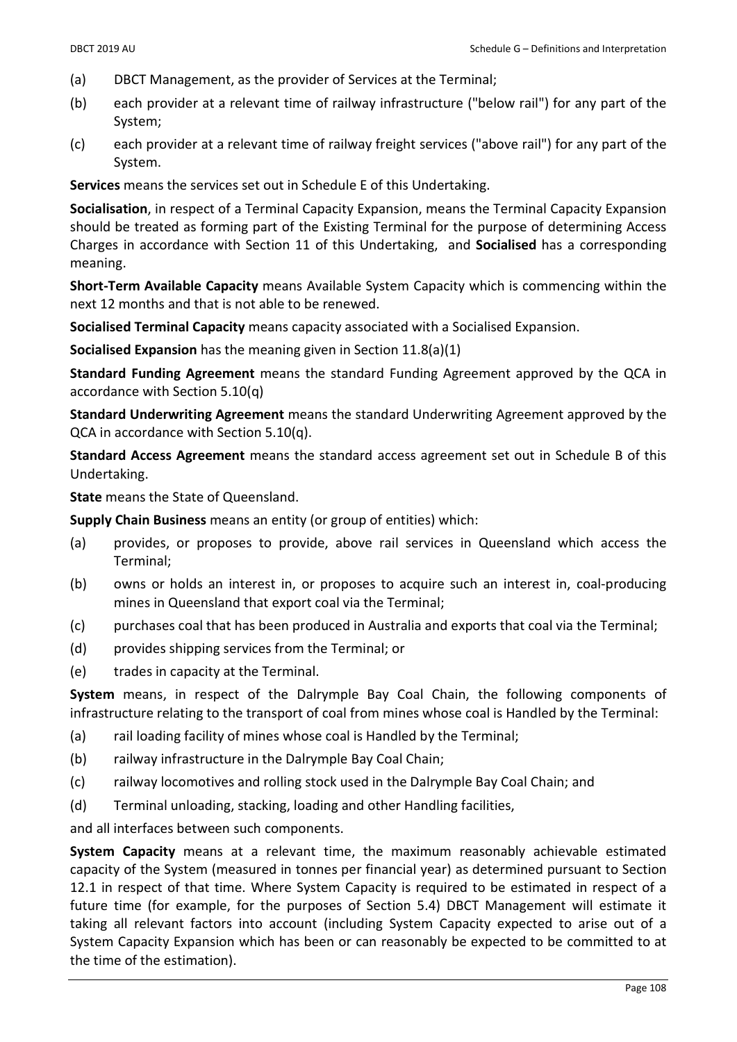- (a) DBCT Management, as the provider of Services at the Terminal;
- (b) each provider at a relevant time of railway infrastructure ("below rail") for any part of the System;
- (c) each provider at a relevant time of railway freight services ("above rail") for any part of the System.

Services means the services set out in Schedule E of this Undertaking.

Socialisation, in respect of a Terminal Capacity Expansion, means the Terminal Capacity Expansion should be treated as forming part of the Existing Terminal for the purpose of determining Access Charges in accordance with Section 11 of this Undertaking, and Socialised has a corresponding meaning.

Short-Term Available Capacity means Available System Capacity which is commencing within the next 12 months and that is not able to be renewed.

Socialised Terminal Capacity means capacity associated with a Socialised Expansion.

Socialised Expansion has the meaning given in Section 11.8(a)(1)

Standard Funding Agreement means the standard Funding Agreement approved by the QCA in accordance with Section 5.10(q)

Standard Underwriting Agreement means the standard Underwriting Agreement approved by the QCA in accordance with Section 5.10(q).

Standard Access Agreement means the standard access agreement set out in Schedule B of this Undertaking.

State means the State of Queensland.

Supply Chain Business means an entity (or group of entities) which:

- (a) provides, or proposes to provide, above rail services in Queensland which access the Terminal;
- (b) owns or holds an interest in, or proposes to acquire such an interest in, coal-producing mines in Queensland that export coal via the Terminal;
- (c) purchases coal that has been produced in Australia and exports that coal via the Terminal;
- (d) provides shipping services from the Terminal; or
- (e) trades in capacity at the Terminal.

System means, in respect of the Dalrymple Bay Coal Chain, the following components of infrastructure relating to the transport of coal from mines whose coal is Handled by the Terminal:

- (a) rail loading facility of mines whose coal is Handled by the Terminal;
- (b) railway infrastructure in the Dalrymple Bay Coal Chain;
- (c) railway locomotives and rolling stock used in the Dalrymple Bay Coal Chain; and
- (d) Terminal unloading, stacking, loading and other Handling facilities,

and all interfaces between such components.

System Capacity means at a relevant time, the maximum reasonably achievable estimated capacity of the System (measured in tonnes per financial year) as determined pursuant to Section 12.1 in respect of that time. Where System Capacity is required to be estimated in respect of a future time (for example, for the purposes of Section 5.4) DBCT Management will estimate it taking all relevant factors into account (including System Capacity expected to arise out of a System Capacity Expansion which has been or can reasonably be expected to be committed to at the time of the estimation).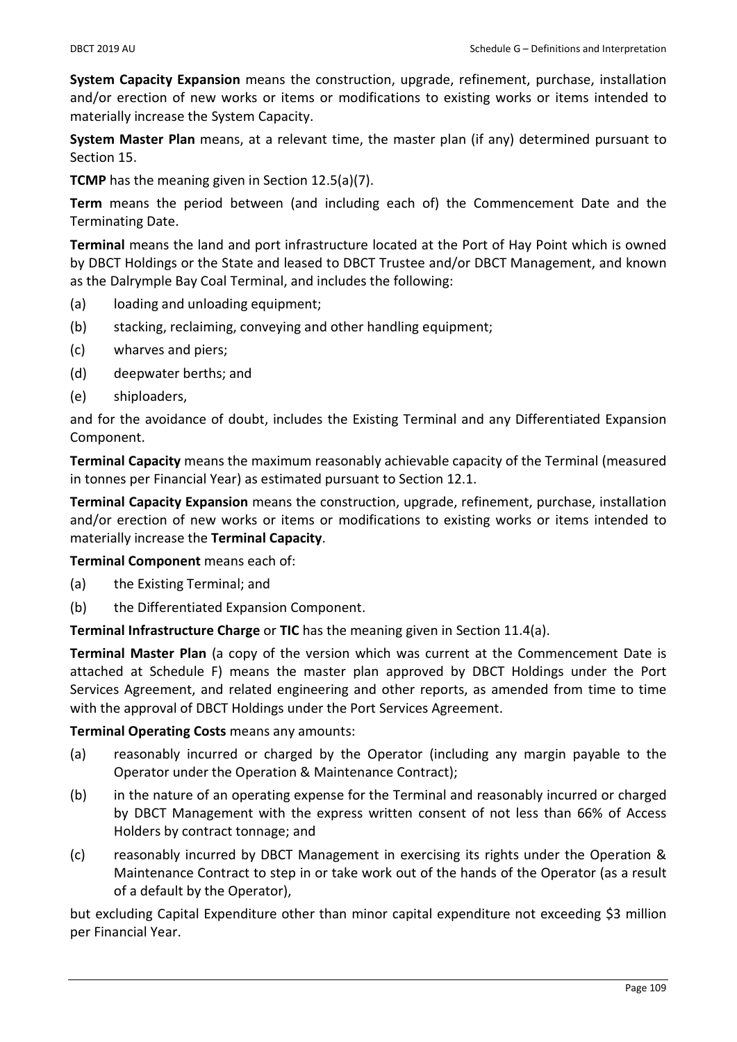System Capacity Expansion means the construction, upgrade, refinement, purchase, installation and/or erection of new works or items or modifications to existing works or items intended to materially increase the System Capacity.

System Master Plan means, at a relevant time, the master plan (if any) determined pursuant to Section 15.

TCMP has the meaning given in Section 12.5(a)(7).

Term means the period between (and including each of) the Commencement Date and the Terminating Date.

Terminal means the land and port infrastructure located at the Port of Hay Point which is owned by DBCT Holdings or the State and leased to DBCT Trustee and/or DBCT Management, and known as the Dalrymple Bay Coal Terminal, and includes the following:

- (a) loading and unloading equipment;
- (b) stacking, reclaiming, conveying and other handling equipment;
- (c) wharves and piers;
- (d) deepwater berths; and
- (e) shiploaders,

and for the avoidance of doubt, includes the Existing Terminal and any Differentiated Expansion Component.

Terminal Capacity means the maximum reasonably achievable capacity of the Terminal (measured in tonnes per Financial Year) as estimated pursuant to Section 12.1.

Terminal Capacity Expansion means the construction, upgrade, refinement, purchase, installation and/or erection of new works or items or modifications to existing works or items intended to materially increase the Terminal Capacity.

Terminal Component means each of:

- (a) the Existing Terminal; and
- (b) the Differentiated Expansion Component.

Terminal Infrastructure Charge or TIC has the meaning given in Section 11.4(a).

Terminal Master Plan (a copy of the version which was current at the Commencement Date is attached at Schedule F) means the master plan approved by DBCT Holdings under the Port Services Agreement, and related engineering and other reports, as amended from time to time with the approval of DBCT Holdings under the Port Services Agreement.

Terminal Operating Costs means any amounts:

- (a) reasonably incurred or charged by the Operator (including any margin payable to the Operator under the Operation & Maintenance Contract);
- (b) in the nature of an operating expense for the Terminal and reasonably incurred or charged by DBCT Management with the express written consent of not less than 66% of Access Holders by contract tonnage; and
- (c) reasonably incurred by DBCT Management in exercising its rights under the Operation & Maintenance Contract to step in or take work out of the hands of the Operator (as a result of a default by the Operator),

but excluding Capital Expenditure other than minor capital expenditure not exceeding \$3 million per Financial Year.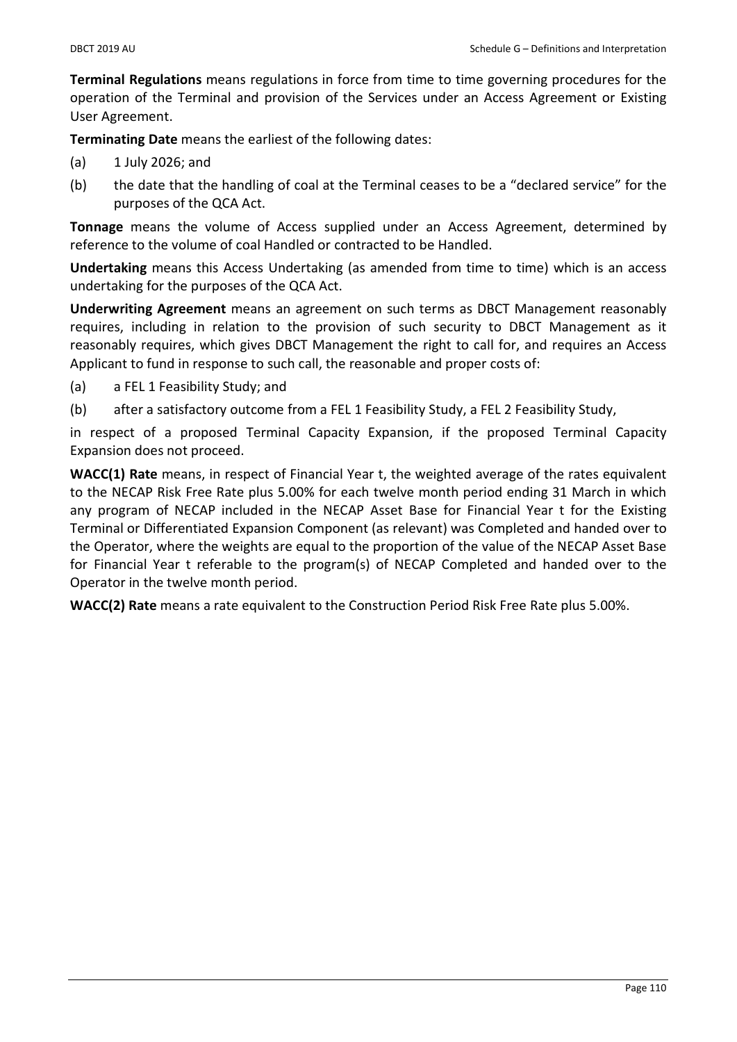Terminal Regulations means regulations in force from time to time governing procedures for the operation of the Terminal and provision of the Services under an Access Agreement or Existing User Agreement.

Terminating Date means the earliest of the following dates:

- (a) 1 July 2026; and
- (b) the date that the handling of coal at the Terminal ceases to be a "declared service" for the purposes of the QCA Act.

Tonnage means the volume of Access supplied under an Access Agreement, determined by reference to the volume of coal Handled or contracted to be Handled.

Undertaking means this Access Undertaking (as amended from time to time) which is an access undertaking for the purposes of the QCA Act.

Underwriting Agreement means an agreement on such terms as DBCT Management reasonably requires, including in relation to the provision of such security to DBCT Management as it reasonably requires, which gives DBCT Management the right to call for, and requires an Access Applicant to fund in response to such call, the reasonable and proper costs of:

- (a) a FEL 1 Feasibility Study; and
- (b) after a satisfactory outcome from a FEL 1 Feasibility Study, a FEL 2 Feasibility Study,

in respect of a proposed Terminal Capacity Expansion, if the proposed Terminal Capacity Expansion does not proceed.

WACC(1) Rate means, in respect of Financial Year t, the weighted average of the rates equivalent to the NECAP Risk Free Rate plus 5.00% for each twelve month period ending 31 March in which any program of NECAP included in the NECAP Asset Base for Financial Year t for the Existing Terminal or Differentiated Expansion Component (as relevant) was Completed and handed over to the Operator, where the weights are equal to the proportion of the value of the NECAP Asset Base for Financial Year t referable to the program(s) of NECAP Completed and handed over to the Operator in the twelve month period.

WACC(2) Rate means a rate equivalent to the Construction Period Risk Free Rate plus 5.00%.